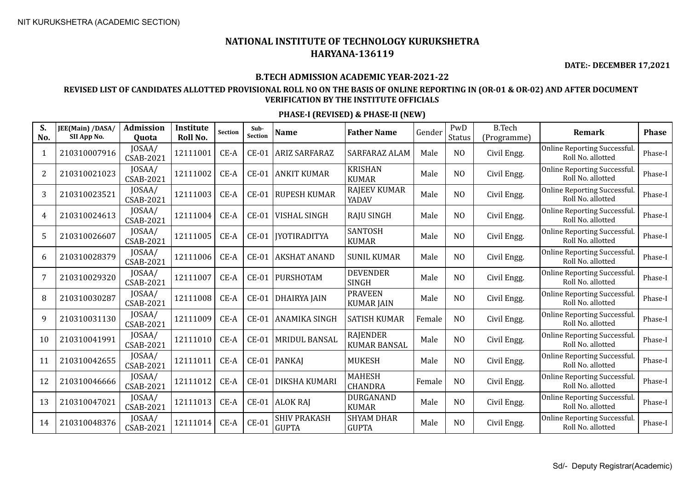**DATE:- DECEMBER 17,2021**

#### **B.TECH ADMISSION ACADEMIC YEAR-2021-22**

### **REVISED LIST OF CANDIDATES ALLOTTED PROVISIONAL ROLL NO ON THE BASIS OF ONLINE REPORTING IN (OR-01 & OR-02) AND AFTER DOCUMENT VERIFICATION BY THE INSTITUTE OFFICIALS**

| S.<br>No.      | JEE(Main) /DASA/<br>SII App No. | <b>Admission</b><br><b>Ouota</b> | Institute<br>Roll No. | <b>Section</b> | Sub-<br>Section | <b>Name</b>                         | <b>Father Name</b>                     | Gender | PwD<br><b>Status</b> | <b>B.Tech</b><br>(Programme) | Remark                                            | <b>Phase</b> |
|----------------|---------------------------------|----------------------------------|-----------------------|----------------|-----------------|-------------------------------------|----------------------------------------|--------|----------------------|------------------------------|---------------------------------------------------|--------------|
| 1              | 210310007916                    | JOSAA/<br><b>CSAB-2021</b>       | 12111001              | CE-A           | $CE-01$         | <b>ARIZ SARFARAZ</b>                | <b>SARFARAZ ALAM</b>                   | Male   | N <sub>O</sub>       | Civil Engg.                  | Online Reporting Successful.<br>Roll No. allotted | Phase-I      |
| $\overline{2}$ | 210310021023                    | JOSAA/<br><b>CSAB-2021</b>       | 12111002              | CE-A           | $CE-01$         | <b>ANKIT KUMAR</b>                  | <b>KRISHAN</b><br><b>KUMAR</b>         | Male   | N <sub>O</sub>       | Civil Engg.                  | Online Reporting Successful.<br>Roll No. allotted | Phase-I      |
| 3              | 210310023521                    | JOSAA/<br><b>CSAB-2021</b>       | 12111003              | CE-A           | $CE-01$         | <b>RUPESH KUMAR</b>                 | <b>RAJEEV KUMAR</b><br>YADAV           | Male   | N <sub>O</sub>       | Civil Engg.                  | Online Reporting Successful.<br>Roll No. allotted | Phase-I      |
| 4              | 210310024613                    | JOSAA/<br><b>CSAB-2021</b>       | 12111004              | $CE-A$         | $CE-01$         | <b>VISHAL SINGH</b>                 | <b>RAJU SINGH</b>                      | Male   | N <sub>O</sub>       | Civil Engg.                  | Online Reporting Successful.<br>Roll No. allotted | Phase-I      |
| 5              | 210310026607                    | JOSAA/<br><b>CSAB-2021</b>       | 12111005              | CE-A           | $CE-01$         | <b>IYOTIRADITYA</b>                 | <b>SANTOSH</b><br><b>KUMAR</b>         | Male   | N <sub>O</sub>       | Civil Engg.                  | Online Reporting Successful.<br>Roll No. allotted | Phase-I      |
| 6              | 210310028379                    | JOSAA/<br><b>CSAB-2021</b>       | 12111006              | CE-A           | $CE-01$         | <b>AKSHAT ANAND</b>                 | <b>SUNIL KUMAR</b>                     | Male   | N <sub>O</sub>       | Civil Engg.                  | Online Reporting Successful.<br>Roll No. allotted | Phase-I      |
| 7              | 210310029320                    | JOSAA/<br><b>CSAB-2021</b>       | 12111007              | CE-A           | $CE-01$         | PURSHOTAM                           | <b>DEVENDER</b><br><b>SINGH</b>        | Male   | N <sub>O</sub>       | Civil Engg.                  | Online Reporting Successful.<br>Roll No. allotted | Phase-I      |
| 8              | 210310030287                    | JOSAA/<br><b>CSAB-2021</b>       | 12111008              | CE-A           | $CE-01$         | <b>DHAIRYA JAIN</b>                 | <b>PRAVEEN</b><br><b>KUMAR JAIN</b>    | Male   | NO                   | Civil Engg.                  | Online Reporting Successful.<br>Roll No. allotted | Phase-I      |
| 9              | 210310031130                    | JOSAA/<br><b>CSAB-2021</b>       | 12111009              | CE-A           | $CE-01$         | <b>ANAMIKA SINGH</b>                | <b>SATISH KUMAR</b>                    | Female | N <sub>O</sub>       | Civil Engg.                  | Online Reporting Successful.<br>Roll No. allotted | Phase-I      |
| 10             | 210310041991                    | JOSAA/<br><b>CSAB-2021</b>       | 12111010              | CE-A           | $CE-01$         | <b>MRIDUL BANSAL</b>                | <b>RAJENDER</b><br><b>KUMAR BANSAL</b> | Male   | N <sub>O</sub>       | Civil Engg.                  | Online Reporting Successful.<br>Roll No. allotted | Phase-I      |
| 11             | 210310042655                    | JOSAA/<br><b>CSAB-2021</b>       | 12111011              | CE-A           |                 | CE-01   PANKAJ                      | <b>MUKESH</b>                          | Male   | N <sub>O</sub>       | Civil Engg.                  | Online Reporting Successful.<br>Roll No. allotted | Phase-I      |
| 12             | 210310046666                    | JOSAA/<br><b>CSAB-2021</b>       | 12111012              | CE-A           | $CE-01$         | DIKSHA KUMARI                       | <b>MAHESH</b><br><b>CHANDRA</b>        | Female | N <sub>O</sub>       | Civil Engg.                  | Online Reporting Successful.<br>Roll No. allotted | Phase-I      |
| 13             | 210310047021                    | JOSAA/<br>CSAB-2021              | 12111013              | CE-A           | $CE-01$         | <b>ALOK RAJ</b>                     | <b>DURGANAND</b><br><b>KUMAR</b>       | Male   | N <sub>O</sub>       | Civil Engg.                  | Online Reporting Successful.<br>Roll No. allotted | Phase-I      |
| 14             | 210310048376                    | JOSAA/<br><b>CSAB-2021</b>       | 12111014              | CE-A           | $CE-01$         | <b>SHIV PRAKASH</b><br><b>GUPTA</b> | <b>SHYAM DHAR</b><br><b>GUPTA</b>      | Male   | N <sub>O</sub>       | Civil Engg.                  | Online Reporting Successful.<br>Roll No. allotted | Phase-I      |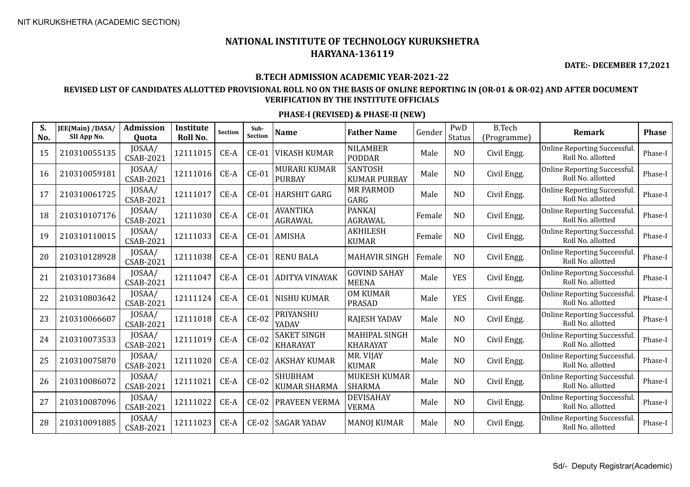**DATE:- DECEMBER 17,2021**

#### **B.TECH ADMISSION ACADEMIC YEAR-2021-22**

### **REVISED LIST OF CANDIDATES ALLOTTED PROVISIONAL ROLL NO ON THE BASIS OF ONLINE REPORTING IN (OR-01 & OR-02) AND AFTER DOCUMENT VERIFICATION BY THE INSTITUTE OFFICIALS**

| S.<br>No. | JEE(Main) /DASA/<br>SII App No. | <b>Admission</b><br><b>Ouota</b> | Institute<br>Roll No. | <b>Section</b> | Sub-<br><b>Section</b> | <b>Name</b>                           | <b>Father Name</b>                    | Gender | PwD<br><b>Status</b> | <b>B.Tech</b><br>(Programme) | <b>Remark</b>                                            | <b>Phase</b> |
|-----------|---------------------------------|----------------------------------|-----------------------|----------------|------------------------|---------------------------------------|---------------------------------------|--------|----------------------|------------------------------|----------------------------------------------------------|--------------|
| 15        | 210310055135                    | JOSAA/<br><b>CSAB-2021</b>       | 12111015              | CE-A           | $CE-01$                | <b>VIKASH KUMAR</b>                   | <b>NILAMBER</b><br><b>PODDAR</b>      | Male   | N <sub>O</sub>       | Civil Engg.                  | <b>Online Reporting Successful.</b><br>Roll No. allotted | Phase-I      |
| 16        | 210310059181                    | JOSAA/<br><b>CSAB-2021</b>       | 12111016              | CE-A           | $CE-01$                | <b>MURARI KUMAR</b><br><b>PURBAY</b>  | <b>SANTOSH</b><br><b>KUMAR PURBAY</b> | Male   | NO                   | Civil Engg.                  | <b>Online Reporting Successful.</b><br>Roll No. allotted | Phase-I      |
| 17        | 210310061725                    | JOSAA/<br><b>CSAB-2021</b>       | 12111017              | CE-A           | $CE-01$                | <b>HARSHIT GARG</b>                   | <b>MR PARMOD</b><br>GARG              | Male   | NO                   | Civil Engg.                  | <b>Online Reporting Successful.</b><br>Roll No. allotted | Phase-I      |
| 18        | 210310107176                    | JOSAA/<br><b>CSAB-2021</b>       | 12111030              | CE-A           | $CE-01$                | <b>AVANTIKA</b><br><b>AGRAWAL</b>     | <b>PANKAJ</b><br><b>AGRAWAL</b>       | Female | N <sub>O</sub>       | Civil Engg.                  | Online Reporting Successful.<br>Roll No. allotted        | Phase-I      |
| 19        | 210310110015                    | JOSAA/<br><b>CSAB-2021</b>       | 12111033              | CE-A           | $CE-01$                | <b>AMISHA</b>                         | <b>AKHILESH</b><br><b>KUMAR</b>       | Female | N <sub>O</sub>       | Civil Engg.                  | Online Reporting Successful.<br>Roll No. allotted        | Phase-I      |
| 20        | 210310128928                    | JOSAA/<br><b>CSAB-2021</b>       | 12111038              | CE-A           | $CE-01$                | <b>RENU BALA</b>                      | <b>MAHAVIR SINGH</b>                  | Female | N <sub>O</sub>       | Civil Engg.                  | Online Reporting Successful.<br>Roll No. allotted        | Phase-I      |
| 21        | 210310173684                    | JOSAA/<br><b>CSAB-2021</b>       | 12111047              | CE-A           | $CE-01$                | <b>ADITYA VINAYAK</b>                 | <b>GOVIND SAHAY</b><br><b>MEENA</b>   | Male   | <b>YES</b>           | Civil Engg.                  | <b>Online Reporting Successful.</b><br>Roll No. allotted | Phase-I      |
| 22        | 210310803642                    | JOSAA/<br><b>CSAB-2021</b>       | 12111124              | CE-A           | $CE-01$                | <b>NISHU KUMAR</b>                    | <b>OM KUMAR</b><br><b>PRASAD</b>      | Male   | <b>YES</b>           | Civil Engg.                  | Online Reporting Successful.<br>Roll No. allotted        | Phase-I      |
| 23        | 210310066607                    | JOSAA/<br><b>CSAB-2021</b>       | 12111018              | $CE-A$         | $CE-02$                | PRIYANSHU<br>YADAV                    | RAJESH YADAV                          | Male   | N <sub>O</sub>       | Civil Engg.                  | Online Reporting Successful.<br>Roll No. allotted        | Phase-I      |
| 24        | 210310073533                    | JOSAA/<br><b>CSAB-2021</b>       | 12111019              | CE-A           | $CE-02$                | <b>SAKET SINGH</b><br><b>KHARAYAT</b> | MAHIPAL SINGH<br><b>KHARAYAT</b>      | Male   | N <sub>O</sub>       | Civil Engg.                  | <b>Online Reporting Successful.</b><br>Roll No. allotted | Phase-I      |
| 25        | 210310075870                    | JOSAA/<br><b>CSAB-2021</b>       | 12111020              | CE-A           | $CE-02$                | <b>AKSHAY KUMAR</b>                   | MR. VIJAY<br><b>KUMAR</b>             | Male   | N <sub>O</sub>       | Civil Engg.                  | <b>Online Reporting Successful.</b><br>Roll No. allotted | Phase-I      |
| 26        | 210310086072                    | JOSAA/<br><b>CSAB-2021</b>       | 12111021              | CE-A           | $CE-02$                | <b>SHUBHAM</b><br><b>KUMAR SHARMA</b> | <b>MUKESH KUMAR</b><br><b>SHARMA</b>  | Male   | N <sub>O</sub>       | Civil Engg.                  | Online Reporting Successful.<br>Roll No. allotted        | Phase-I      |
| 27        | 210310087096                    | JOSAA/<br><b>CSAB-2021</b>       | 12111022              | CE-A           | $CE-02$                | PRAVEEN VERMA                         | <b>DEVISAHAY</b><br><b>VERMA</b>      | Male   | N <sub>O</sub>       | Civil Engg.                  | <b>Online Reporting Successful.</b><br>Roll No. allotted | Phase-I      |
| 28        | 210310091885                    | JOSAA/<br><b>CSAB-2021</b>       | 12111023              | CE-A           | $CE-02$                | <b>SAGAR YADAV</b>                    | <b>MANOJ KUMAR</b>                    | Male   | N <sub>O</sub>       | Civil Engg.                  | Online Reporting Successful.<br>Roll No. allotted        | Phase-I      |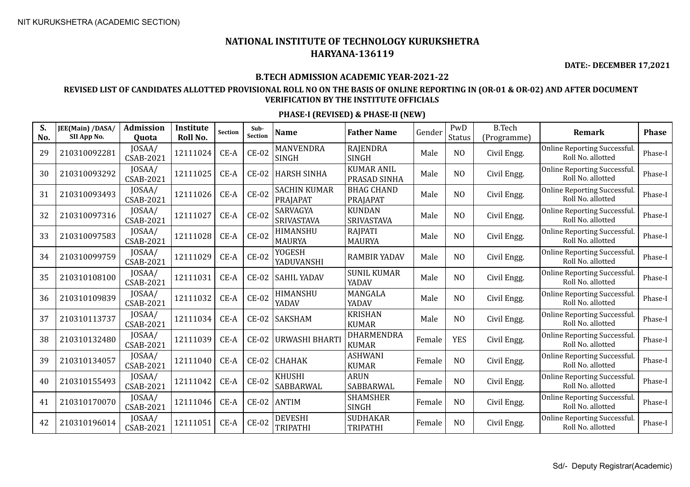**DATE:- DECEMBER 17,2021**

#### **B.TECH ADMISSION ACADEMIC YEAR-2021-22**

### **REVISED LIST OF CANDIDATES ALLOTTED PROVISIONAL ROLL NO ON THE BASIS OF ONLINE REPORTING IN (OR-01 & OR-02) AND AFTER DOCUMENT VERIFICATION BY THE INSTITUTE OFFICIALS**

| S.<br>No. | JEE(Main) /DASA/<br>SII App No. | Admission<br>Quota         | Institute<br>Roll No. | <b>Section</b> | Sub-<br><b>Section</b> | <b>Name</b>                       | <b>Father Name</b>                 | Gender | PwD<br><b>Status</b> | <b>B.Tech</b><br>(Programme) | Remark                                            | <b>Phase</b> |
|-----------|---------------------------------|----------------------------|-----------------------|----------------|------------------------|-----------------------------------|------------------------------------|--------|----------------------|------------------------------|---------------------------------------------------|--------------|
| 29        | 210310092281                    | JOSAA/<br><b>CSAB-2021</b> | 12111024              | CE-A           | $CE-02$                | <b>MANVENDRA</b><br><b>SINGH</b>  | <b>RAJENDRA</b><br><b>SINGH</b>    | Male   | N <sub>O</sub>       | Civil Engg.                  | Online Reporting Successful.<br>Roll No. allotted | Phase-I      |
| 30        | 210310093292                    | JOSAA/<br><b>CSAB-2021</b> | 12111025              | CE-A           | $CE-02$                | <b>HARSH SINHA</b>                | <b>KUMAR ANIL</b><br>PRASAD SINHA  | Male   | NO                   | Civil Engg.                  | Online Reporting Successful.<br>Roll No. allotted | Phase-I      |
| 31        | 210310093493                    | JOSAA/<br><b>CSAB-2021</b> | 12111026              | CE-A           | $CE-02$                | <b>SACHIN KUMAR</b><br>PRAJAPAT   | <b>BHAG CHAND</b><br>PRAJAPAT      | Male   | NO                   | Civil Engg.                  | Online Reporting Successful.<br>Roll No. allotted | Phase-I      |
| 32        | 210310097316                    | JOSAA/<br><b>CSAB-2021</b> | 12111027              | CE-A           | $CE-02$                | SARVAGYA<br><b>SRIVASTAVA</b>     | <b>KUNDAN</b><br><b>SRIVASTAVA</b> | Male   | N <sub>O</sub>       | Civil Engg.                  | Online Reporting Successful.<br>Roll No. allotted | Phase-I      |
| 33        | 210310097583                    | JOSAA/<br><b>CSAB-2021</b> | 12111028              | $CE-A$         | $CE-02$                | HIMANSHU<br><b>MAURYA</b>         | <b>RAJPATI</b><br><b>MAURYA</b>    | Male   | N <sub>O</sub>       | Civil Engg.                  | Online Reporting Successful.<br>Roll No. allotted | Phase-I      |
| 34        | 210310099759                    | JOSAA/<br><b>CSAB-2021</b> | 12111029              | CE-A           | $CE-02$                | YOGESH<br>YADUVANSHI              | <b>RAMBIR YADAV</b>                | Male   | N <sub>O</sub>       | Civil Engg.                  | Online Reporting Successful.<br>Roll No. allotted | Phase-I      |
| 35        | 210310108100                    | JOSAA/<br><b>CSAB-2021</b> | 12111031              | $CE-A$         | $CE-02$                | <b>SAHIL YADAV</b>                | <b>SUNIL KUMAR</b><br>YADAV        | Male   | N <sub>O</sub>       | Civil Engg.                  | Online Reporting Successful.<br>Roll No. allotted | Phase-I      |
| 36        | 210310109839                    | JOSAA/<br><b>CSAB-2021</b> | 12111032              | CE-A           | $CE-02$                | HIMANSHU<br>YADAV                 | MANGALA<br>YADAV                   | Male   | N <sub>O</sub>       | Civil Engg.                  | Online Reporting Successful.<br>Roll No. allotted | Phase-I      |
| 37        | 210310113737                    | JOSAA/<br><b>CSAB-2021</b> | 12111034              | CE-A           | $CE-02$                | SAKSHAM                           | <b>KRISHAN</b><br><b>KUMAR</b>     | Male   | N <sub>O</sub>       | Civil Engg.                  | Online Reporting Successful.<br>Roll No. allotted | Phase-I      |
| 38        | 210310132480                    | JOSAA/<br><b>CSAB-2021</b> | 12111039              | CE-A           | $CE-02$                | URWASHI BHARTI                    | <b>DHARMENDRA</b><br><b>KUMAR</b>  | Female | <b>YES</b>           | Civil Engg.                  | Online Reporting Successful.<br>Roll No. allotted | Phase-I      |
| 39        | 210310134057                    | JOSAA/<br><b>CSAB-2021</b> | 12111040              | CE-A           | $CE-02$                | <b>CHAHAK</b>                     | <b>ASHWANI</b><br><b>KUMAR</b>     | Female | N <sub>O</sub>       | Civil Engg.                  | Online Reporting Successful.<br>Roll No. allotted | Phase-I      |
| 40        | 210310155493                    | JOSAA/<br><b>CSAB-2021</b> | 12111042              | CE-A           | $CE-02$                | <b>KHUSHI</b><br>SABBARWAL        | <b>ARUN</b><br>SABBARWAL           | Female | N <sub>O</sub>       | Civil Engg.                  | Online Reporting Successful.<br>Roll No. allotted | Phase-I      |
| 41        | 210310170070                    | JOSAA/<br><b>CSAB-2021</b> | 12111046              | CE-A           | $CE-02$                | <b>ANTIM</b>                      | <b>SHAMSHER</b><br><b>SINGH</b>    | Female | N <sub>O</sub>       | Civil Engg.                  | Online Reporting Successful.<br>Roll No. allotted | Phase-I      |
| 42        | 210310196014                    | JOSAA/<br>CSAB-2021        | 12111051              | CE-A           | $CE-02$                | <b>DEVESHI</b><br><b>TRIPATHI</b> | <b>SUDHAKAR</b><br><b>TRIPATHI</b> | Female | N <sub>O</sub>       | Civil Engg.                  | Online Reporting Successful.<br>Roll No. allotted | Phase-I      |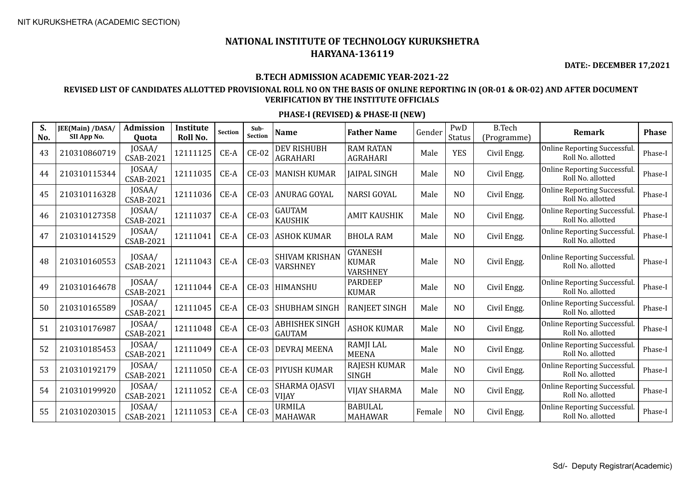**DATE:- DECEMBER 17,2021**

#### **B.TECH ADMISSION ACADEMIC YEAR-2021-22**

### **REVISED LIST OF CANDIDATES ALLOTTED PROVISIONAL ROLL NO ON THE BASIS OF ONLINE REPORTING IN (OR-01 & OR-02) AND AFTER DOCUMENT VERIFICATION BY THE INSTITUTE OFFICIALS**

| S.<br>No. | JEE(Main) /DASA/<br>SII App No. | <b>Admission</b><br>Quota  | Institute<br>Roll No. | Section | Sub-<br><b>Section</b> | <b>Name</b>                              | <b>Father Name</b>                                | Gender | PwD<br>Status  | <b>B.Tech</b><br>(Programme) | <b>Remark</b>                                           | <b>Phase</b> |
|-----------|---------------------------------|----------------------------|-----------------------|---------|------------------------|------------------------------------------|---------------------------------------------------|--------|----------------|------------------------------|---------------------------------------------------------|--------------|
| 43        | 210310860719                    | JOSAA/<br><b>CSAB-2021</b> | 12111125              | CE-A    | $CE-02$                | <b>DEV RISHUBH</b><br><b>AGRAHARI</b>    | <b>RAM RATAN</b><br><b>AGRAHARI</b>               | Male   | <b>YES</b>     | Civil Engg.                  | <b>Online Reporting Successful</b><br>Roll No. allotted | Phase-I      |
| 44        | 210310115344                    | JOSAA/<br><b>CSAB-2021</b> | 12111035              | $CE-A$  | $CE-03$                | <b>MANISH KUMAR</b>                      | <b>JAIPAL SINGH</b>                               | Male   | N <sub>O</sub> | Civil Engg.                  | <b>Online Reporting Successful</b><br>Roll No. allotted | Phase-I      |
| 45        | 210310116328                    | JOSAA/<br>CSAB-2021        | 12111036              | $CE-A$  | $CE-03$                | ANURAG GOYAL                             | <b>NARSI GOYAL</b>                                | Male   | N <sub>O</sub> | Civil Engg.                  | <b>Online Reporting Successful</b><br>Roll No. allotted | Phase-I      |
| 46        | 210310127358                    | JOSAA/<br><b>CSAB-2021</b> | 12111037              | $CE-A$  | $CE-03$                | <b>GAUTAM</b><br><b>KAUSHIK</b>          | <b>AMIT KAUSHIK</b>                               | Male   | N <sub>O</sub> | Civil Engg.                  | <b>Online Reporting Successful</b><br>Roll No. allotted | Phase-I      |
| 47        | 210310141529                    | JOSAA/<br><b>CSAB-2021</b> | 12111041              | CE-A    | <b>CE-03</b>           | <b>ASHOK KUMAR</b>                       | <b>BHOLA RAM</b>                                  | Male   | N <sub>O</sub> | Civil Engg.                  | Online Reporting Successful.<br>Roll No. allotted       | Phase-I      |
| 48        | 210310160553                    | JOSAA/<br><b>CSAB-2021</b> | 12111043              | CE-A    | $CE-03$                | <b>SHIVAM KRISHAN</b><br><b>VARSHNEY</b> | <b>GYANESH</b><br><b>KUMAR</b><br><b>VARSHNEY</b> | Male   | N <sub>O</sub> | Civil Engg.                  | <b>Online Reporting Successful</b><br>Roll No. allotted | Phase-I      |
| 49        | 210310164678                    | JOSAA/<br>CSAB-2021        | 12111044              | CE-A    | $CE-03$                | HIMANSHU                                 | <b>PARDEEP</b><br><b>KUMAR</b>                    | Male   | N <sub>O</sub> | Civil Engg.                  | Online Reporting Successful.<br>Roll No. allotted       | Phase-I      |
| 50        | 210310165589                    | JOSAA/<br><b>CSAB-2021</b> | 12111045              | CE-A    | $CE-03$                | <b>SHUBHAM SINGH</b>                     | <b>RANJEET SINGH</b>                              | Male   | N <sub>O</sub> | Civil Engg.                  | Online Reporting Successful.<br>Roll No. allotted       | Phase-I      |
| 51        | 210310176987                    | JOSAA/<br><b>CSAB-2021</b> | 12111048              | $CE-A$  | <b>CE-03</b>           | <b>ABHISHEK SINGH</b><br><b>GAUTAM</b>   | <b>ASHOK KUMAR</b>                                | Male   | N <sub>O</sub> | Civil Engg.                  | <b>Online Reporting Successful</b><br>Roll No. allotted | Phase-I      |
| 52        | 210310185453                    | JOSAA/<br><b>CSAB-2021</b> | 12111049              | CE-A    | <b>CE-03</b>           | <b>DEVRAJ MEENA</b>                      | RAMJI LAL<br><b>MEENA</b>                         | Male   | NO             | Civil Engg.                  | <b>Online Reporting Successful</b><br>Roll No. allotted | Phase-I      |
| 53        | 210310192179                    | JOSAA/<br><b>CSAB-2021</b> | 12111050              | $CE-A$  | $CE-03$                | PIYUSH KUMAR                             | RAJESH KUMAR<br><b>SINGH</b>                      | Male   | N <sub>O</sub> | Civil Engg.                  | Online Reporting Successful.<br>Roll No. allotted       | Phase-I      |
| 54        | 210310199920                    | JOSAA/<br><b>CSAB-2021</b> | 12111052              | $CE-A$  | $CE-03$                | SHARMA OJASVI<br><b>VIJAY</b>            | <b>VIJAY SHARMA</b>                               | Male   | N <sub>O</sub> | Civil Engg.                  | <b>Online Reporting Successful</b><br>Roll No. allotted | Phase-I      |
| 55        | 210310203015                    | JOSAA/<br><b>CSAB-2021</b> | 12111053              | $CE-A$  | $CE-03$                | <b>URMILA</b><br><b>MAHAWAR</b>          | <b>BABULAL</b><br><b>MAHAWAR</b>                  | Female | N <sub>O</sub> | Civil Engg.                  | <b>Online Reporting Successful</b><br>Roll No. allotted | Phase-I      |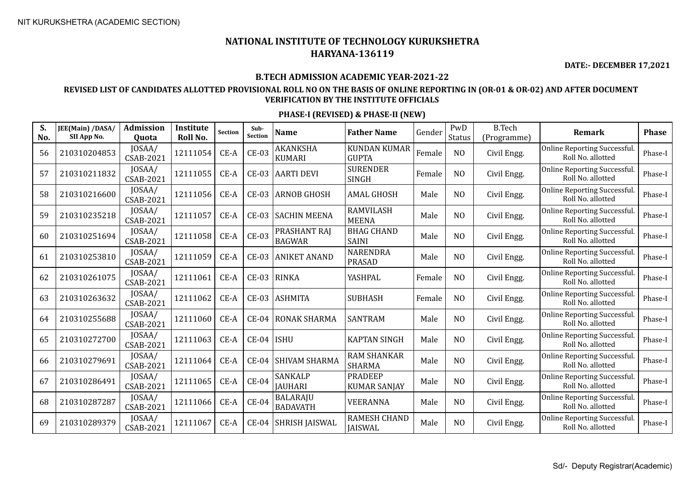**DATE:- DECEMBER 17,2021**

#### **B.TECH ADMISSION ACADEMIC YEAR-2021-22**

### **REVISED LIST OF CANDIDATES ALLOTTED PROVISIONAL ROLL NO ON THE BASIS OF ONLINE REPORTING IN (OR-01 & OR-02) AND AFTER DOCUMENT VERIFICATION BY THE INSTITUTE OFFICIALS**

| S.<br>No. | <b>JEE(Main) /DASA/</b><br>SII App No. | <b>Admission</b><br>Quota  | Institute<br>Roll No. | <b>Section</b> | Sub-<br><b>Section</b> | <b>Name</b>                        | <b>Father Name</b>                    | Gender | PwD<br>Status  | <b>B.Tech</b><br>(Programme) | <b>Remark</b>                                     | <b>Phase</b> |
|-----------|----------------------------------------|----------------------------|-----------------------|----------------|------------------------|------------------------------------|---------------------------------------|--------|----------------|------------------------------|---------------------------------------------------|--------------|
| 56        | 210310204853                           | JOSAA/<br>CSAB-2021        | 12111054              | $CE-A$         | $CE-03$                | AKANKSHA<br><b>KUMARI</b>          | <b>KUNDAN KUMAR</b><br><b>GUPTA</b>   | Female | N <sub>O</sub> | Civil Engg.                  | Online Reporting Successful.<br>Roll No. allotted | Phase-I      |
| 57        | 210310211832                           | JOSAA/<br>CSAB-2021        | 12111055              | CE-A           | <b>CE-03</b>           | <b>AARTI DEVI</b>                  | <b>SURENDER</b><br><b>SINGH</b>       | Female | N <sub>O</sub> | Civil Engg.                  | Online Reporting Successful.<br>Roll No. allotted | Phase-I      |
| 58        | 210310216600                           | JOSAA/<br><b>CSAB-2021</b> | 12111056              | $CE-A$         | <b>CE-03</b>           | <b>ARNOB GHOSH</b>                 | <b>AMAL GHOSH</b>                     | Male   | N <sub>O</sub> | Civil Engg.                  | Online Reporting Successful.<br>Roll No. allotted | Phase-I      |
| 59        | 210310235218                           | JOSAA/<br><b>CSAB-2021</b> | 12111057              | CE-A           | <b>CE-03</b>           | <b>SACHIN MEENA</b>                | <b>RAMVILASH</b><br><b>MEENA</b>      | Male   | NO             | Civil Engg.                  | Online Reporting Successful.<br>Roll No. allotted | Phase-I      |
| 60        | 210310251694                           | JOSAA/<br><b>CSAB-2021</b> | 12111058              | $CE-A$         | $CE-03$                | PRASHANT RAI<br><b>BAGWAR</b>      | <b>BHAG CHAND</b><br><b>SAINI</b>     | Male   | N <sub>O</sub> | Civil Engg.                  | Online Reporting Successful.<br>Roll No. allotted | Phase-I      |
| 61        | 210310253810                           | JOSAA/<br><b>CSAB-2021</b> | 12111059              | CE-A           | <b>CE-03</b>           | <b>ANIKET ANAND</b>                | <b>NARENDRA</b><br><b>PRASAD</b>      | Male   | N <sub>O</sub> | Civil Engg.                  | Online Reporting Successful.<br>Roll No. allotted | Phase-I      |
| 62        | 210310261075                           | JOSAA/<br><b>CSAB-2021</b> | 12111061              | CE-A           | CE-03                  | RINKA                              | YASHPAL                               | Female | N <sub>O</sub> | Civil Engg.                  | Online Reporting Successful.<br>Roll No. allotted | Phase-I      |
| 63        | 210310263632                           | JOSAA/<br><b>CSAB-2021</b> | 12111062              | CE-A           | <b>CE-03</b>           | <b>ASHMITA</b>                     | <b>SUBHASH</b>                        | Female | N <sub>O</sub> | Civil Engg.                  | Online Reporting Successful.<br>Roll No. allotted | Phase-I      |
| 64        | 210310255688                           | JOSAA/<br>CSAB-2021        | 12111060              | CE-A           | $CE-04$                | <b>RONAK SHARMA</b>                | <b>SANTRAM</b>                        | Male   | N <sub>O</sub> | Civil Engg.                  | Online Reporting Successful.<br>Roll No. allotted | Phase-I      |
| 65        | 210310272700                           | JOSAA/<br>CSAB-2021        | 12111063              | CE-A           | $CE-04$                | <b>ISHU</b>                        | <b>KAPTAN SINGH</b>                   | Male   | N <sub>O</sub> | Civil Engg.                  | Online Reporting Successful.<br>Roll No. allotted | Phase-I      |
| 66        | 210310279691                           | JOSAA/<br>CSAB-2021        | 12111064              | $CE-A$         | $CE-04$                | <b>SHIVAM SHARMA</b>               | <b>RAM SHANKAR</b><br><b>SHARMA</b>   | Male   | N <sub>O</sub> | Civil Engg.                  | Online Reporting Successful.<br>Roll No. allotted | Phase-I      |
| 67        | 210310286491                           | JOSAA/<br>CSAB-2021        | 12111065              | CE-A           | $CE-04$                | <b>SANKALP</b><br><b>JAUHARI</b>   | <b>PRADEEP</b><br><b>KUMAR SANJAY</b> | Male   | N <sub>O</sub> | Civil Engg.                  | Online Reporting Successful.<br>Roll No. allotted | Phase-I      |
| 68        | 210310287287                           | JOSAA/<br>CSAB-2021        | 12111066              | $CE-A$         | $CE-04$                | <b>BALARAJU</b><br><b>BADAVATH</b> | <b>VEERANNA</b>                       | Male   | N <sub>O</sub> | Civil Engg.                  | Online Reporting Successful.<br>Roll No. allotted | Phase-I      |
| 69        | 210310289379                           | JOSAA/<br>CSAB-2021        | 12111067              | CE-A           | $CE-04$                | <b>SHRISH JAISWAL</b>              | <b>RAMESH CHAND</b><br><b>JAISWAL</b> | Male   | N <sub>O</sub> | Civil Engg.                  | Online Reporting Successful.<br>Roll No. allotted | Phase-I      |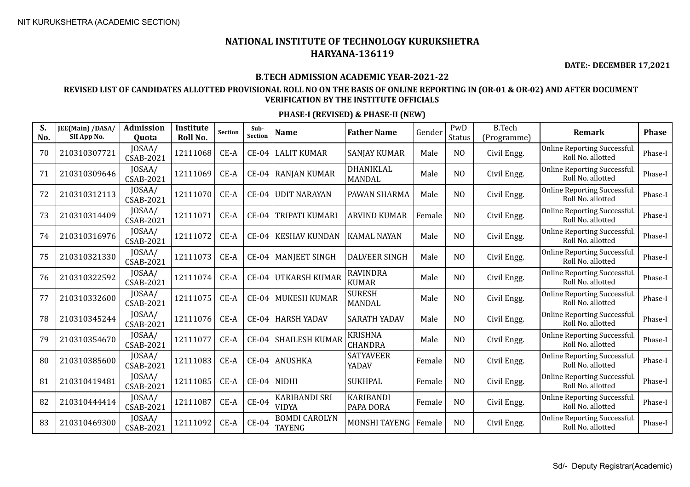**DATE:- DECEMBER 17,2021**

### **B.TECH ADMISSION ACADEMIC YEAR-2021-22**

### **REVISED LIST OF CANDIDATES ALLOTTED PROVISIONAL ROLL NO ON THE BASIS OF ONLINE REPORTING IN (OR-01 & OR-02) AND AFTER DOCUMENT VERIFICATION BY THE INSTITUTE OFFICIALS**

| S.<br>No. | JEE(Main) /DASA/<br>SII App No. | <b>Admission</b><br>Quota  | <b>Institute</b><br>Roll No. | <b>Section</b> | Sub-<br>Section | <b>Name</b>                           | <b>Father Name</b>               | Gender | PwD<br><b>Status</b> | <b>B.Tech</b><br>(Programme) | Remark                                            | <b>Phase</b> |
|-----------|---------------------------------|----------------------------|------------------------------|----------------|-----------------|---------------------------------------|----------------------------------|--------|----------------------|------------------------------|---------------------------------------------------|--------------|
| 70        | 210310307721                    | JOSAA/<br><b>CSAB-2021</b> | 12111068                     | CE-A           | $CE-04$         | LALIT KUMAR                           | <b>SANJAY KUMAR</b>              | Male   | N <sub>O</sub>       | Civil Engg.                  | Online Reporting Successful.<br>Roll No. allotted | Phase-I      |
| 71        | 210310309646                    | JOSAA/<br><b>CSAB-2021</b> | 12111069                     | CE-A           | $CE-04$         | <b>RANJAN KUMAR</b>                   | DHANIKLAL<br><b>MANDAL</b>       | Male   | N <sub>O</sub>       | Civil Engg.                  | Online Reporting Successful.<br>Roll No. allotted | Phase-I      |
| 72        | 210310312113                    | JOSAA/<br><b>CSAB-2021</b> | 12111070                     | $CE-A$         | $CE-04$         | <b>UDIT NARAYAN</b>                   | PAWAN SHARMA                     | Male   | N <sub>O</sub>       | Civil Engg.                  | Online Reporting Successful.<br>Roll No. allotted | Phase-I      |
| 73        | 210310314409                    | JOSAA/<br><b>CSAB-2021</b> | 12111071                     | CE-A           | $CE-04$         | <b>TRIPATI KUMARI</b>                 | <b>ARVIND KUMAR</b>              | Female | NO                   | Civil Engg.                  | Online Reporting Successful.<br>Roll No. allotted | Phase-I      |
| 74        | 210310316976                    | JOSAA/<br><b>CSAB-2021</b> | 12111072                     | CE-A           | $CE-04$         | <b>KESHAV KUNDAN</b>                  | <b>KAMAL NAYAN</b>               | Male   | N <sub>O</sub>       | Civil Engg.                  | Online Reporting Successful.<br>Roll No. allotted | Phase-I      |
| 75        | 210310321330                    | JOSAA/<br><b>CSAB-2021</b> | 12111073                     | CE-A           | $CE-04$         | <b>MANJEET SINGH</b>                  | <b>DALVEER SINGH</b>             | Male   | N <sub>O</sub>       | Civil Engg.                  | Online Reporting Successful.<br>Roll No. allotted | Phase-I      |
| 76        | 210310322592                    | JOSAA/<br><b>CSAB-2021</b> | 12111074                     | CE-A           | $CE-04$         | UTKARSH KUMAR                         | <b>RAVINDRA</b><br><b>KUMAR</b>  | Male   | N <sub>O</sub>       | Civil Engg.                  | Online Reporting Successful.<br>Roll No. allotted | Phase-I      |
| 77        | 210310332600                    | JOSAA/<br><b>CSAB-2021</b> | 12111075                     | CE-A           | $CE-04$         | <b>MUKESH KUMAR</b>                   | <b>SURESH</b><br><b>MANDAL</b>   | Male   | N <sub>O</sub>       | Civil Engg.                  | Online Reporting Successful.<br>Roll No. allotted | Phase-I      |
| 78        | 210310345244                    | JOSAA/<br><b>CSAB-2021</b> | 12111076                     | CE-A           | $CE-04$         | <b>HARSH YADAV</b>                    | <b>SARATH YADAV</b>              | Male   | N <sub>O</sub>       | Civil Engg.                  | Online Reporting Successful.<br>Roll No. allotted | Phase-I      |
| 79        | 210310354670                    | JOSAA/<br><b>CSAB-2021</b> | 12111077                     | CE-A           | $CE-04$         | <b>SHAILESH KUMAR</b>                 | <b>KRISHNA</b><br><b>CHANDRA</b> | Male   | NO                   | Civil Engg.                  | Online Reporting Successful.<br>Roll No. allotted | Phase-I      |
| 80        | 210310385600                    | JOSAA/<br><b>CSAB-2021</b> | 12111083                     | CE-A           | $CE-04$         | <b>ANUSHKA</b>                        | <b>SATYAVEER</b><br>YADAV        | Female | N <sub>O</sub>       | Civil Engg.                  | Online Reporting Successful.<br>Roll No. allotted | Phase-I      |
| 81        | 210310419481                    | JOSAA/<br><b>CSAB-2021</b> | 12111085                     | CE-A           | $CE-04$         | NIDHI                                 | <b>SUKHPAL</b>                   | Female | N <sub>O</sub>       | Civil Engg.                  | Online Reporting Successful.<br>Roll No. allotted | Phase-I      |
| 82        | 210310444414                    | JOSAA/<br><b>CSAB-2021</b> | 12111087                     | $CE-A$         | $CE-04$         | <b>KARIBANDI SRI</b><br><b>VIDYA</b>  | <b>KARIBANDI</b><br>PAPA DORA    | Female | N <sub>O</sub>       | Civil Engg.                  | Online Reporting Successful.<br>Roll No. allotted | Phase-I      |
| 83        | 210310469300                    | JOSAA/<br><b>CSAB-2021</b> | 12111092                     | CE-A           | $CE-04$         | <b>BOMDI CAROLYN</b><br><b>TAYENG</b> | MONSHI TAYENG                    | Female | N <sub>O</sub>       | Civil Engg.                  | Online Reporting Successful.<br>Roll No. allotted | Phase-I      |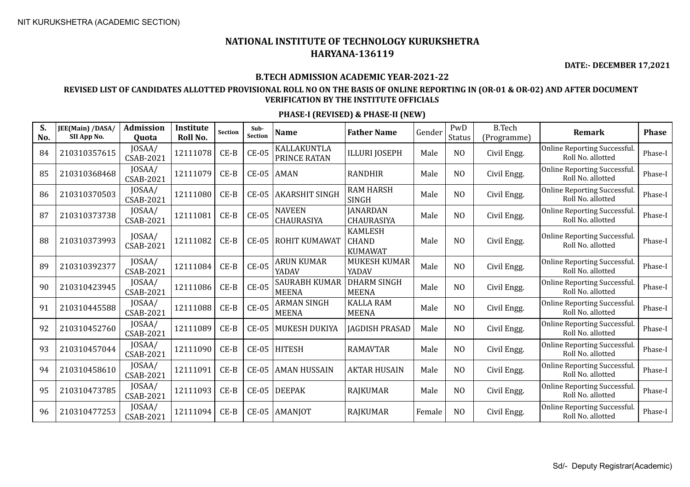**DATE:- DECEMBER 17,2021**

#### **B.TECH ADMISSION ACADEMIC YEAR-2021-22**

### **REVISED LIST OF CANDIDATES ALLOTTED PROVISIONAL ROLL NO ON THE BASIS OF ONLINE REPORTING IN (OR-01 & OR-02) AND AFTER DOCUMENT VERIFICATION BY THE INSTITUTE OFFICIALS**

| S.<br>No. | JEE(Main) /DASA/<br>SII App No. | <b>Admission</b><br>Quota  | Institute<br>Roll No. | <b>Section</b> | Sub-<br><b>Section</b> | <b>Name</b>                          | <b>Father Name</b>                               | Gender | PwD<br><b>Status</b> | <b>B.Tech</b><br>(Programme) | <b>Remark</b>                                            | <b>Phase</b> |
|-----------|---------------------------------|----------------------------|-----------------------|----------------|------------------------|--------------------------------------|--------------------------------------------------|--------|----------------------|------------------------------|----------------------------------------------------------|--------------|
| 84        | 210310357615                    | JOSAA/<br><b>CSAB-2021</b> | 12111078              | $CE-B$         | $CE-05$                | KALLAKUNTLA<br>PRINCE RATAN          | <b>ILLURI JOSEPH</b>                             | Male   | N <sub>O</sub>       | Civil Engg.                  | <b>Online Reporting Successful.</b><br>Roll No. allotted | Phase-I      |
| 85        | 210310368468                    | JOSAA/<br><b>CSAB-2021</b> | 12111079              | $CE-B$         | $CE-05$                | <b>AMAN</b>                          | <b>RANDHIR</b>                                   | Male   | N <sub>O</sub>       | Civil Engg.                  | Online Reporting Successful.<br>Roll No. allotted        | Phase-I      |
| 86        | 210310370503                    | JOSAA/<br>CSAB-2021        | 12111080              | $CE-B$         | $CE-05$                | <b>AKARSHIT SINGH</b>                | <b>RAM HARSH</b><br><b>SINGH</b>                 | Male   | N <sub>O</sub>       | Civil Engg.                  | Online Reporting Successful.<br>Roll No. allotted        | Phase-I      |
| 87        | 210310373738                    | JOSAA/<br>CSAB-2021        | 12111081              | $CE-B$         | <b>CE-05</b>           | <b>NAVEEN</b><br>CHAURASIYA          | <b>JANARDAN</b><br>CHAURASIYA                    | Male   | NO                   | Civil Engg.                  | <b>Online Reporting Successful.</b><br>Roll No. allotted | Phase-I      |
| 88        | 210310373993                    | JOSAA/<br>CSAB-2021        | 12111082              | $CE-B$         | $CE-05$                | ROHIT KUMAWAT                        | <b>KAMLESH</b><br><b>CHAND</b><br><b>KUMAWAT</b> | Male   | N <sub>O</sub>       | Civil Engg.                  | Online Reporting Successful.<br>Roll No. allotted        | Phase-I      |
| 89        | 210310392377                    | JOSAA/<br>CSAB-2021        | 12111084              | $CE-B$         | <b>CE-05</b>           | <b>ARUN KUMAR</b><br>YADAV           | MUKESH KUMAR<br>YADAV                            | Male   | N <sub>O</sub>       | Civil Engg.                  | Online Reporting Successful.<br>Roll No. allotted        | Phase-I      |
| 90        | 210310423945                    | JOSAA/<br><b>CSAB-2021</b> | 12111086              | $CE-B$         | $CE-05$                | <b>SAURABH KUMAR</b><br><b>MEENA</b> | <b>DHARM SINGH</b><br><b>MEENA</b>               | Male   | N <sub>O</sub>       | Civil Engg.                  | <b>Online Reporting Successful.</b><br>Roll No. allotted | Phase-I      |
| 91        | 210310445588                    | JOSAA/<br><b>CSAB-2021</b> | 12111088              | $CE-B$         | <b>CE-05</b>           | <b>ARMAN SINGH</b><br><b>MEENA</b>   | <b>KALLA RAM</b><br><b>MEENA</b>                 | Male   | N <sub>O</sub>       | Civil Engg.                  | Online Reporting Successful.<br>Roll No. allotted        | Phase-I      |
| 92        | 210310452760                    | JOSAA/<br><b>CSAB-2021</b> | 12111089              | $CE-B$         | $CE-05$                | MUKESH DUKIYA                        | <b>JAGDISH PRASAD</b>                            | Male   | N <sub>O</sub>       | Civil Engg.                  | Online Reporting Successful.<br>Roll No. allotted        | Phase-I      |
| 93        | 210310457044                    | JOSAA/<br>CSAB-2021        | 12111090              | $CE-B$         | $CE-05$                | <b>HITESH</b>                        | <b>RAMAVTAR</b>                                  | Male   | N <sub>O</sub>       | Civil Engg.                  | <b>Online Reporting Successful.</b><br>Roll No. allotted | Phase-I      |
| 94        | 210310458610                    | JOSAA/<br><b>CSAB-2021</b> | 12111091              | $CE-B$         | $CE-05$                | <b>AMAN HUSSAIN</b>                  | <b>AKTAR HUSAIN</b>                              | Male   | NO                   | Civil Engg.                  | Online Reporting Successful.<br>Roll No. allotted        | Phase-I      |
| 95        | 210310473785                    | JOSAA/<br>CSAB-2021        | 12111093              | $CE-B$         | $CE-05$                | <b>DEEPAK</b>                        | <b>RAJKUMAR</b>                                  | Male   | NO                   | Civil Engg.                  | <b>Online Reporting Successful.</b><br>Roll No. allotted | Phase-I      |
| 96        | 210310477253                    | JOSAA/<br><b>CSAB-2021</b> | 12111094              | $CE-B$         | $CE-05$                | AMANJOT                              | <b>RAJKUMAR</b>                                  | Female | N <sub>O</sub>       | Civil Engg.                  | Online Reporting Successful.<br>Roll No. allotted        | Phase-I      |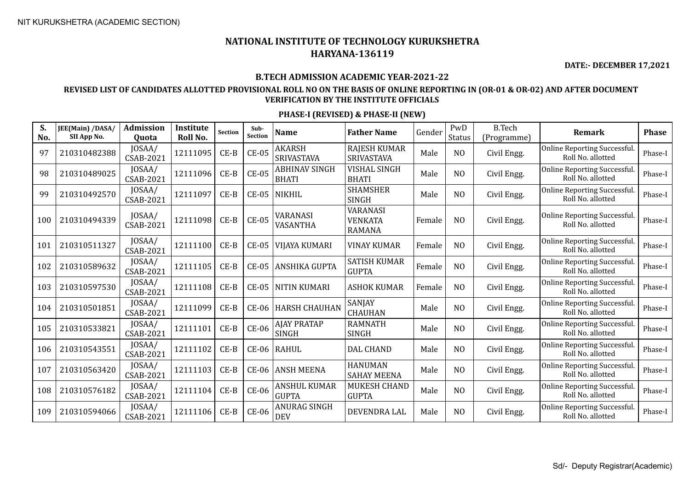**DATE:- DECEMBER 17,2021**

#### **B.TECH ADMISSION ACADEMIC YEAR-2021-22**

### **REVISED LIST OF CANDIDATES ALLOTTED PROVISIONAL ROLL NO ON THE BASIS OF ONLINE REPORTING IN (OR-01 & OR-02) AND AFTER DOCUMENT VERIFICATION BY THE INSTITUTE OFFICIALS**

| S.<br>No. | JEE(Main) /DASA/<br>SII App No. | <b>Admission</b><br>Quota  | Institute<br>Roll No. | <b>Section</b> | Sub-<br><b>Section</b> | <b>Name</b>                          | <b>Father Name</b>                                 | Gender | PwD<br><b>Status</b> | <b>B.Tech</b><br>(Programme) | <b>Remark</b>                                     | <b>Phase</b> |
|-----------|---------------------------------|----------------------------|-----------------------|----------------|------------------------|--------------------------------------|----------------------------------------------------|--------|----------------------|------------------------------|---------------------------------------------------|--------------|
| 97        | 210310482388                    | JOSAA/<br><b>CSAB-2021</b> | 12111095              | $CE-B$         | $CE-05$                | <b>AKARSH</b><br>SRIVASTAVA          | <b>RAJESH KUMAR</b><br>SRIVASTAVA                  | Male   | N <sub>O</sub>       | Civil Engg.                  | Online Reporting Successful.<br>Roll No. allotted | Phase-I      |
| 98        | 210310489025                    | JOSAA/<br><b>CSAB-2021</b> | 12111096              | $CE-B$         | $CE-05$                | <b>ABHINAV SINGH</b><br><b>BHATI</b> | <b>VISHAL SINGH</b><br><b>BHATI</b>                | Male   | N <sub>O</sub>       | Civil Engg.                  | Online Reporting Successful.<br>Roll No. allotted | Phase-I      |
| 99        | 210310492570                    | JOSAA/<br><b>CSAB-2021</b> | 12111097              | $CE-B$         | $CE-05$                | <b>NIKHIL</b>                        | <b>SHAMSHER</b><br><b>SINGH</b>                    | Male   | N <sub>O</sub>       | Civil Engg.                  | Online Reporting Successful.<br>Roll No. allotted | Phase-I      |
| 100       | 210310494339                    | JOSAA/<br><b>CSAB-2021</b> | 12111098              | $CE-B$         | $CE-05$                | VARANASI<br>VASANTHA                 | <b>VARANASI</b><br><b>VENKATA</b><br><b>RAMANA</b> | Female | N <sub>O</sub>       | Civil Engg.                  | Online Reporting Successful.<br>Roll No. allotted | Phase-I      |
| 101       | 210310511327                    | JOSAA/<br>CSAB-2021        | 12111100              | $CE-B$         | $CE-05$                | <b>VIJAYA KUMARI</b>                 | <b>VINAY KUMAR</b>                                 | Female | N <sub>O</sub>       | Civil Engg.                  | Online Reporting Successful.<br>Roll No. allotted | Phase-I      |
| 102       | 210310589632                    | JOSAA/<br><b>CSAB-2021</b> | 12111105              | $CE-B$         | $CE-05$                | ANSHIKA GUPTA                        | <b>SATISH KUMAR</b><br><b>GUPTA</b>                | Female | N <sub>O</sub>       | Civil Engg.                  | Online Reporting Successful.<br>Roll No. allotted | Phase-I      |
| 103       | 210310597530                    | JOSAA/<br><b>CSAB-2021</b> | 12111108              | $CE-B$         | $CE-05$                | <b>NITIN KUMARI</b>                  | <b>ASHOK KUMAR</b>                                 | Female | N <sub>O</sub>       | Civil Engg.                  | Online Reporting Successful.<br>Roll No. allotted | Phase-I      |
| 104       | 210310501851                    | JOSAA/<br><b>CSAB-2021</b> | 12111099              | $CE-B$         | $CE-06$                | <b>HARSH CHAUHAN</b>                 | SANJAY<br><b>CHAUHAN</b>                           | Male   | N <sub>O</sub>       | Civil Engg.                  | Online Reporting Successful.<br>Roll No. allotted | Phase-I      |
| 105       | 210310533821                    | JOSAA/<br><b>CSAB-2021</b> | 12111101              | $CE-B$         | $CE-06$                | <b>AJAY PRATAP</b><br><b>SINGH</b>   | <b>RAMNATH</b><br><b>SINGH</b>                     | Male   | N <sub>O</sub>       | Civil Engg.                  | Online Reporting Successful.<br>Roll No. allotted | Phase-I      |
| 106       | 210310543551                    | JOSAA/<br><b>CSAB-2021</b> | 12111102              | $CE-B$         | $CE-06$                | RAHUL                                | <b>DAL CHAND</b>                                   | Male   | N <sub>O</sub>       | Civil Engg.                  | Online Reporting Successful.<br>Roll No. allotted | Phase-I      |
| 107       | 210310563420                    | JOSAA/<br><b>CSAB-2021</b> | 12111103              | $CE-B$         | $CE-06$                | <b>ANSH MEENA</b>                    | <b>HANUMAN</b><br><b>SAHAY MEENA</b>               | Male   | N <sub>O</sub>       | Civil Engg.                  | Online Reporting Successful.<br>Roll No. allotted | Phase-I      |
| 108       | 210310576182                    | JOSAA/<br><b>CSAB-2021</b> | 12111104              | $CE-B$         | <b>CE-06</b>           | <b>ANSHUL KUMAR</b><br><b>GUPTA</b>  | <b>MUKESH CHAND</b><br><b>GUPTA</b>                | Male   | N <sub>O</sub>       | Civil Engg.                  | Online Reporting Successful.<br>Roll No. allotted | Phase-I      |
| 109       | 210310594066                    | JOSAA/<br><b>CSAB-2021</b> | 12111106              | $CE-B$         | $CE-06$                | ANURAG SINGH<br><b>DEV</b>           | DEVENDRA LAL                                       | Male   | N <sub>O</sub>       | Civil Engg.                  | Online Reporting Successful.<br>Roll No. allotted | Phase-I      |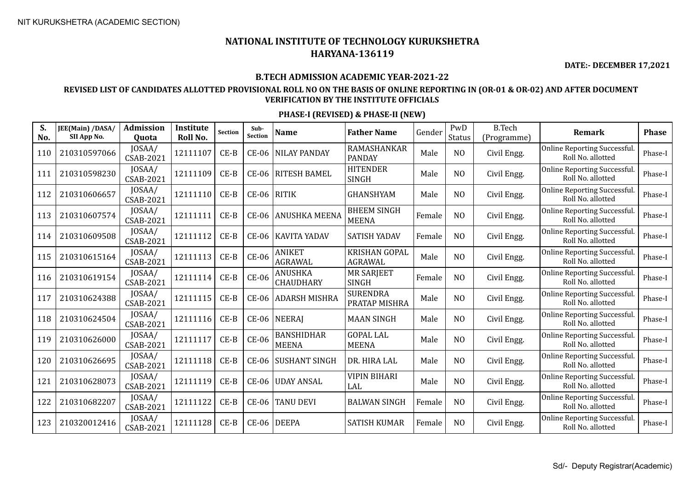**DATE:- DECEMBER 17,2021**

#### **B.TECH ADMISSION ACADEMIC YEAR-2021-22**

### **REVISED LIST OF CANDIDATES ALLOTTED PROVISIONAL ROLL NO ON THE BASIS OF ONLINE REPORTING IN (OR-01 & OR-02) AND AFTER DOCUMENT VERIFICATION BY THE INSTITUTE OFFICIALS**

| S.<br>No. | JEE(Main) /DASA/<br>SII App No. | <b>Admission</b><br>Quota  | Institute<br>Roll No. | <b>Section</b> | Sub-<br>Section | <b>Name</b>                        | <b>Father Name</b>                 | Gender | PwD<br><b>Status</b> | <b>B.Tech</b><br>(Programme) | <b>Remark</b>                                     | <b>Phase</b> |
|-----------|---------------------------------|----------------------------|-----------------------|----------------|-----------------|------------------------------------|------------------------------------|--------|----------------------|------------------------------|---------------------------------------------------|--------------|
| 110       | 210310597066                    | JOSAA/<br><b>CSAB-2021</b> | 12111107              | $CE-B$         | CE-06           | <b>NILAY PANDAY</b>                | RAMASHANKAR<br><b>PANDAY</b>       | Male   | N <sub>O</sub>       | Civil Engg.                  | Online Reporting Successful.<br>Roll No. allotted | Phase-I      |
| 111       | 210310598230                    | JOSAA/<br><b>CSAB-2021</b> | 12111109              | $CE-B$         | $CE-06$         | <b>RITESH BAMEL</b>                | <b>HITENDER</b><br><b>SINGH</b>    | Male   | N <sub>O</sub>       | Civil Engg.                  | Online Reporting Successful.<br>Roll No. allotted | Phase-I      |
| 112       | 210310606657                    | JOSAA/<br><b>CSAB-2021</b> | 12111110              | $CE-B$         | $CE-06$ RITIK   |                                    | <b>GHANSHYAM</b>                   | Male   | N <sub>O</sub>       | Civil Engg.                  | Online Reporting Successful.<br>Roll No. allotted | Phase-I      |
| 113       | 210310607574                    | JOSAA/<br><b>CSAB-2021</b> | 12111111              | $CE-B$         | $CE-06$         | <b>ANUSHKA MEENA</b>               | <b>BHEEM SINGH</b><br><b>MEENA</b> | Female | N <sub>O</sub>       | Civil Engg.                  | Online Reporting Successful.<br>Roll No. allotted | Phase-I      |
| 114       | 210310609508                    | JOSAA/<br><b>CSAB-2021</b> | 12111112              | $CE-B$         | $CE-06$         | <b>KAVITA YADAV</b>                | <b>SATISH YADAV</b>                | Female | N <sub>O</sub>       | Civil Engg.                  | Online Reporting Successful.<br>Roll No. allotted | Phase-I      |
| 115       | 210310615164                    | JOSAA/<br><b>CSAB-2021</b> | 12111113              | $CE-B$         | <b>CE-06</b>    | <b>ANIKET</b><br><b>AGRAWAL</b>    | <b>KRISHAN GOPAL</b><br>AGRAWAL    | Male   | N <sub>O</sub>       | Civil Engg.                  | Online Reporting Successful.<br>Roll No. allotted | Phase-I      |
| 116       | 210310619154                    | JOSAA/<br><b>CSAB-2021</b> | 12111114              | $CE-B$         | $CE-06$         | <b>ANUSHKA</b><br><b>CHAUDHARY</b> | <b>MR SARJEET</b><br><b>SINGH</b>  | Female | N <sub>O</sub>       | Civil Engg.                  | Online Reporting Successful.<br>Roll No. allotted | Phase-I      |
| 117       | 210310624388                    | JOSAA/<br><b>CSAB-2021</b> | 12111115              | $CE-B$         | <b>CE-06</b>    | <b>ADARSH MISHRA</b>               | <b>SURENDRA</b><br>PRATAP MISHRA   | Male   | N <sub>O</sub>       | Civil Engg.                  | Online Reporting Successful.<br>Roll No. allotted | Phase-I      |
| 118       | 210310624504                    | JOSAA/<br><b>CSAB-2021</b> | 12111116              | $CE-B$         |                 | CE-06   NEERAJ                     | <b>MAAN SINGH</b>                  | Male   | N <sub>O</sub>       | Civil Engg.                  | Online Reporting Successful.<br>Roll No. allotted | Phase-I      |
| 119       | 210310626000                    | JOSAA/<br><b>CSAB-2021</b> | 12111117              | $CE-B$         | <b>CE-06</b>    | <b>BANSHIDHAR</b><br><b>MEENA</b>  | <b>GOPAL LAL</b><br><b>MEENA</b>   | Male   | N <sub>O</sub>       | Civil Engg.                  | Online Reporting Successful.<br>Roll No. allotted | Phase-I      |
| 120       | 210310626695                    | JOSAA/<br>CSAB-2021        | 12111118              | $CE-B$         | $CE-06$         | <b>SUSHANT SINGH</b>               | DR. HIRA LAL                       | Male   | N <sub>O</sub>       | Civil Engg.                  | Online Reporting Successful.<br>Roll No. allotted | Phase-I      |
| 121       | 210310628073                    | JOSAA/<br><b>CSAB-2021</b> | 12111119              | $CE-B$         | $CE-06$         | <b>UDAY ANSAL</b>                  | <b>VIPIN BIHARI</b><br>LAL         | Male   | N <sub>O</sub>       | Civil Engg.                  | Online Reporting Successful.<br>Roll No. allotted | Phase-I      |
| 122       | 210310682207                    | JOSAA/<br>CSAB-2021        | 12111122              | $CE-B$         | $CE-06$         | <b>TANU DEVI</b>                   | <b>BALWAN SINGH</b>                | Female | N <sub>O</sub>       | Civil Engg.                  | Online Reporting Successful.<br>Roll No. allotted | Phase-I      |
| 123       | 210320012416                    | JOSAA/<br>CSAB-2021        | 12111128              | $CE-B$         | $CE-06$         | <b>DEEPA</b>                       | <b>SATISH KUMAR</b>                | Female | N <sub>O</sub>       | Civil Engg.                  | Online Reporting Successful.<br>Roll No. allotted | Phase-I      |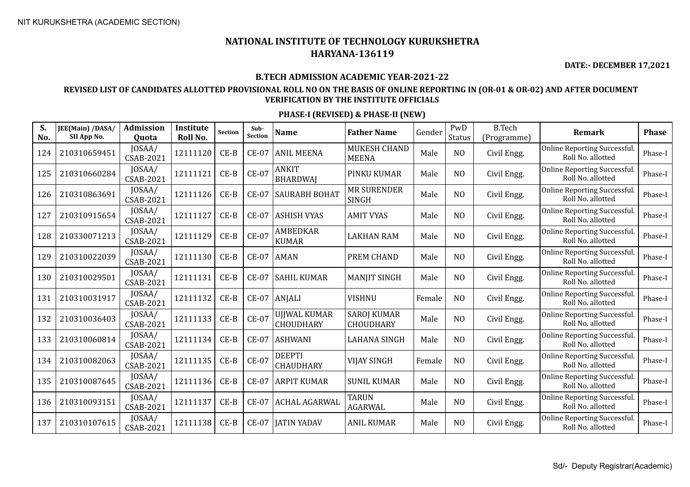**DATE:- DECEMBER 17,2021**

#### **B.TECH ADMISSION ACADEMIC YEAR-2021-22**

### **REVISED LIST OF CANDIDATES ALLOTTED PROVISIONAL ROLL NO ON THE BASIS OF ONLINE REPORTING IN (OR-01 & OR-02) AND AFTER DOCUMENT VERIFICATION BY THE INSTITUTE OFFICIALS**

| S.<br>No. | JEE(Main) /DASA/<br>SII App No. | <b>Admission</b><br>Quota  | Institute<br>Roll No. | Section | Sub-<br><b>Section</b> | <b>Name</b>                             | <b>Father Name</b>                     | Gender | PwD<br><b>Status</b> | <b>B.Tech</b><br>(Programme) | <b>Remark</b>                                     | <b>Phase</b> |
|-----------|---------------------------------|----------------------------|-----------------------|---------|------------------------|-----------------------------------------|----------------------------------------|--------|----------------------|------------------------------|---------------------------------------------------|--------------|
| 124       | 210310659451                    | JOSAA/<br>CSAB-2021        | 12111120              | $CE-B$  | $CE-07$                | <b>ANIL MEENA</b>                       | <b>MUKESH CHAND</b><br><b>MEENA</b>    | Male   | N <sub>O</sub>       | Civil Engg.                  | Online Reporting Successful.<br>Roll No. allotted | Phase-I      |
| 125       | 210310660284                    | JOSAA/<br>CSAB-2021        | 12111121              | $CE-B$  | <b>CE-07</b>           | <b>ANKIT</b><br><b>BHARDWAJ</b>         | PINKU KUMAR                            | Male   | N <sub>O</sub>       | Civil Engg.                  | Online Reporting Successful.<br>Roll No. allotted | Phase-I      |
| 126       | 210310863691                    | JOSAA/<br><b>CSAB-2021</b> | 12111126              | $CE-B$  | <b>CE-07</b>           | <b>SAURABH BOHAT</b>                    | <b>MR SURENDER</b><br><b>SINGH</b>     | Male   | N <sub>O</sub>       | Civil Engg.                  | Online Reporting Successful.<br>Roll No. allotted | Phase-I      |
| 127       | 210310915654                    | JOSAA/<br><b>CSAB-2021</b> | 12111127              | $CE-B$  | <b>CE-07</b>           | <b>ASHISH VYAS</b>                      | <b>AMIT VYAS</b>                       | Male   | N <sub>O</sub>       | Civil Engg.                  | Online Reporting Successful.<br>Roll No. allotted | Phase-I      |
| 128       | 210330071213                    | JOSAA/<br><b>CSAB-2021</b> | 12111129              | $CE-B$  | $CE-07$                | <b>AMBEDKAR</b><br><b>KUMAR</b>         | <b>LAKHAN RAM</b>                      | Male   | N <sub>O</sub>       | Civil Engg.                  | Online Reporting Successful.<br>Roll No. allotted | Phase-I      |
| 129       | 210310022039                    | JOSAA/<br><b>CSAB-2021</b> | 12111130              | $CE-B$  | <b>CE-07</b>           | <b>AMAN</b>                             | PREM CHAND                             | Male   | N <sub>O</sub>       | Civil Engg.                  | Online Reporting Successful.<br>Roll No. allotted | Phase-I      |
| 130       | 210310029501                    | JOSAA/<br>CSAB-2021        | 12111131              | $CE-B$  | <b>CE-07</b>           | <b>SAHIL KUMAR</b>                      | <b>MANJIT SINGH</b>                    | Male   | N <sub>O</sub>       | Civil Engg.                  | Online Reporting Successful.<br>Roll No. allotted | Phase-I      |
| 131       | 210310031917                    | JOSAA/<br><b>CSAB-2021</b> | 12111132              | $CE-B$  | <b>CE-07</b>           | ANJALI                                  | <b>VISHNU</b>                          | Female | N <sub>O</sub>       | Civil Engg.                  | Online Reporting Successful.<br>Roll No. allotted | Phase-I      |
| 132       | 210310036403                    | JOSAA/<br><b>CSAB-2021</b> | 12111133              | $CE-B$  | $CE-07$                | <b>UJJWAL KUMAR</b><br><b>CHOUDHARY</b> | <b>SAROJ KUMAR</b><br><b>CHOUDHARY</b> | Male   | N <sub>O</sub>       | Civil Engg.                  | Online Reporting Successful.<br>Roll No. allotted | Phase-I      |
| 133       | 210310060814                    | JOSAA/<br><b>CSAB-2021</b> | 12111134              | $CE-B$  | <b>CE-07</b>           | <b>ASHWANI</b>                          | <b>LAHANA SINGH</b>                    | Male   | N <sub>O</sub>       | Civil Engg.                  | Online Reporting Successful.<br>Roll No. allotted | Phase-I      |
| 134       | 210310082063                    | JOSAA/<br>CSAB-2021        | 12111135              | $CE-B$  | <b>CE-07</b>           | <b>DEEPTI</b><br>CHAUDHARY              | <b>VIJAY SINGH</b>                     | Female | N <sub>O</sub>       | Civil Engg.                  | Online Reporting Successful.<br>Roll No. allotted | Phase-I      |
| 135       | 210310087645                    | JOSAA/<br><b>CSAB-2021</b> | 12111136              | $CE-B$  | <b>CE-07</b>           | <b>ARPIT KUMAR</b>                      | <b>SUNIL KUMAR</b>                     | Male   | N <sub>O</sub>       | Civil Engg.                  | Online Reporting Successful.<br>Roll No. allotted | Phase-I      |
| 136       | 210310093151                    | JOSAA/<br><b>CSAB-2021</b> | 12111137              | $CE-B$  | <b>CE-07</b>           | <b>ACHAL AGARWAL</b>                    | <b>TARUN</b><br><b>AGARWAL</b>         | Male   | N <sub>O</sub>       | Civil Engg.                  | Online Reporting Successful.<br>Roll No. allotted | Phase-I      |
| 137       | 210310107615                    | JOSAA/<br><b>CSAB-2021</b> | 12111138              | $CE-B$  | <b>CE-07</b>           | <b>JATIN YADAV</b>                      | <b>ANIL KUMAR</b>                      | Male   | N <sub>O</sub>       | Civil Engg.                  | Online Reporting Successful.<br>Roll No. allotted | Phase-I      |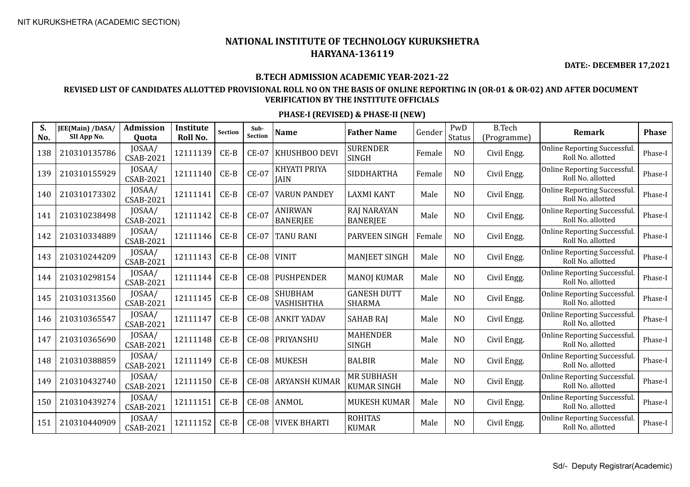**DATE:- DECEMBER 17,2021**

#### **B.TECH ADMISSION ACADEMIC YEAR-2021-22**

### **REVISED LIST OF CANDIDATES ALLOTTED PROVISIONAL ROLL NO ON THE BASIS OF ONLINE REPORTING IN (OR-01 & OR-02) AND AFTER DOCUMENT VERIFICATION BY THE INSTITUTE OFFICIALS**

| S.<br>No. | JEE(Main) /DASA/<br>SII App No. | Admission<br>Quota         | Institute<br>Roll No. | <b>Section</b> | Sub-<br>Section | <b>Name</b>                       | <b>Father Name</b>                      | Gender | PwD<br><b>Status</b> | <b>B.Tech</b><br>(Programme) | Remark                                            | <b>Phase</b> |
|-----------|---------------------------------|----------------------------|-----------------------|----------------|-----------------|-----------------------------------|-----------------------------------------|--------|----------------------|------------------------------|---------------------------------------------------|--------------|
| 138       | 210310135786                    | JOSAA/<br><b>CSAB-2021</b> | 12111139              | $CE-B$         | <b>CE-07</b>    | KHUSHBOO DEVI                     | <b>SURENDER</b><br><b>SINGH</b>         | Female | N <sub>O</sub>       | Civil Engg.                  | Online Reporting Successful.<br>Roll No. allotted | Phase-I      |
| 139       | 210310155929                    | JOSAA/<br>CSAB-2021        | 12111140              | $CE-B$         | $CE-07$         | KHYATI PRIYA<br><b>JAIN</b>       | <b>SIDDHARTHA</b>                       | Female | NO                   | Civil Engg.                  | Online Reporting Successful.<br>Roll No. allotted | Phase-I      |
| 140       | 210310173302                    | JOSAA/<br><b>CSAB-2021</b> | 12111141              | $CE-B$         | $CE-07$         | <b>VARUN PANDEY</b>               | LAXMI KANT                              | Male   | N <sub>O</sub>       | Civil Engg.                  | Online Reporting Successful.<br>Roll No. allotted | Phase-I      |
| 141       | 210310238498                    | JOSAA/<br>CSAB-2021        | 12111142              | $CE-B$         | $CE-07$         | <b>ANIRWAN</b><br><b>BANERJEE</b> | <b>RAJ NARAYAN</b><br><b>BANERJEE</b>   | Male   | N <sub>O</sub>       | Civil Engg.                  | Online Reporting Successful.<br>Roll No. allotted | Phase-I      |
| 142       | 210310334889                    | JOSAA/<br>CSAB-2021        | 12111146              | $CE-B$         | <b>CE-07</b>    | <b>TANU RANI</b>                  | <b>PARVEEN SINGH</b>                    | Female | NO                   | Civil Engg.                  | Online Reporting Successful.<br>Roll No. allotted | Phase-I      |
| 143       | 210310244209                    | JOSAA/<br>CSAB-2021        | 12111143              | $CE-B$         | $CE-08$         | <b>VINIT</b>                      | <b>MANJEET SINGH</b>                    | Male   | N <sub>O</sub>       | Civil Engg.                  | Online Reporting Successful.<br>Roll No. allotted | Phase-I      |
| 144       | 210310298154                    | JOSAA/<br><b>CSAB-2021</b> | 12111144              | $CE-B$         | <b>CE-08</b>    | <b>PUSHPENDER</b>                 | <b>MANOJ KUMAR</b>                      | Male   | N <sub>O</sub>       | Civil Engg.                  | Online Reporting Successful.<br>Roll No. allotted | Phase-I      |
| 145       | 210310313560                    | JOSAA/<br>CSAB-2021        | 12111145              | $CE-B$         | $CE-08$         | <b>SHUBHAM</b><br>VASHISHTHA      | <b>GANESH DUTT</b><br><b>SHARMA</b>     | Male   | N <sub>O</sub>       | Civil Engg.                  | Online Reporting Successful.<br>Roll No. allotted | Phase-I      |
| 146       | 210310365547                    | JOSAA/<br><b>CSAB-2021</b> | 12111147              | $CE-B$         | <b>CE-08</b>    | <b>ANKIT YADAV</b>                | <b>SAHAB RAJ</b>                        | Male   | N <sub>O</sub>       | Civil Engg.                  | Online Reporting Successful.<br>Roll No. allotted | Phase-I      |
| 147       | 210310365690                    | JOSAA/<br><b>CSAB-2021</b> | 12111148              | $CE-B$         | $CE-08$         | PRIYANSHU                         | <b>MAHENDER</b><br><b>SINGH</b>         | Male   | N <sub>O</sub>       | Civil Engg.                  | Online Reporting Successful.<br>Roll No. allotted | Phase-I      |
| 148       | 210310388859                    | JOSAA/<br><b>CSAB-2021</b> | 12111149              | $CE-B$         | $CE-08$         | MUKESH                            | <b>BALBIR</b>                           | Male   | N <sub>O</sub>       | Civil Engg.                  | Online Reporting Successful.<br>Roll No. allotted | Phase-I      |
| 149       | 210310432740                    | JOSAA/<br><b>CSAB-2021</b> | 12111150              | $CE-B$         | $CE-08$         | <b>ARYANSH KUMAR</b>              | <b>MR SUBHASH</b><br><b>KUMAR SINGH</b> | Male   | N <sub>O</sub>       | Civil Engg.                  | Online Reporting Successful.<br>Roll No. allotted | Phase-I      |
| 150       | 210310439274                    | JOSAA/<br><b>CSAB-2021</b> | 12111151              | $CE-B$         | $CE-08$         | ANMOL                             | <b>MUKESH KUMAR</b>                     | Male   | N <sub>O</sub>       | Civil Engg.                  | Online Reporting Successful.<br>Roll No. allotted | Phase-I      |
| 151       | 210310440909                    | JOSAA/<br><b>CSAB-2021</b> | 12111152              | $CE-B$         | $CE-08$         | <b>VIVEK BHARTI</b>               | <b>ROHITAS</b><br><b>KUMAR</b>          | Male   | N <sub>O</sub>       | Civil Engg.                  | Online Reporting Successful.<br>Roll No. allotted | Phase-I      |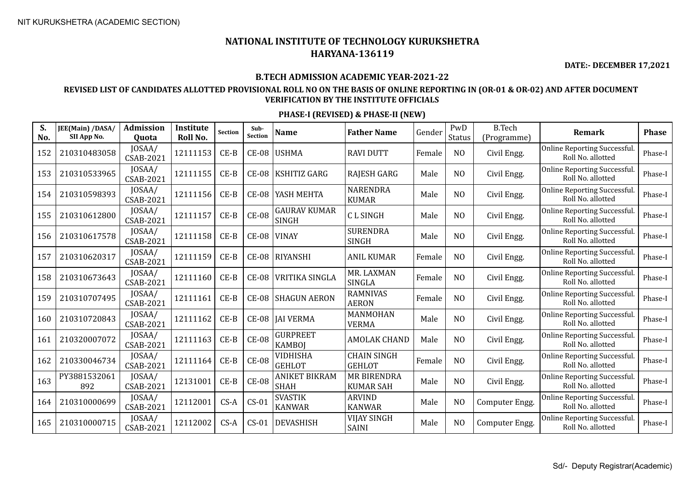**DATE:- DECEMBER 17,2021**

#### **B.TECH ADMISSION ACADEMIC YEAR-2021-22**

### **REVISED LIST OF CANDIDATES ALLOTTED PROVISIONAL ROLL NO ON THE BASIS OF ONLINE REPORTING IN (OR-01 & OR-02) AND AFTER DOCUMENT VERIFICATION BY THE INSTITUTE OFFICIALS**

| S.<br>No. | JEE(Main) /DASA/<br>SII App No. | <b>Admission</b><br>Quota  | <b>Institute</b><br>Roll No. | <b>Section</b> | Sub-<br><b>Section</b> | <b>Name</b>                         | <b>Father Name</b>                     | Gender | PwD<br><b>Status</b> | <b>B.Tech</b><br>(Programme) | <b>Remark</b>                                     | <b>Phase</b> |
|-----------|---------------------------------|----------------------------|------------------------------|----------------|------------------------|-------------------------------------|----------------------------------------|--------|----------------------|------------------------------|---------------------------------------------------|--------------|
| 152       | 210310483058                    | JOSAA/<br><b>CSAB-2021</b> | 12111153                     | $CE-B$         | <b>CE-08</b>           | <b>USHMA</b>                        | <b>RAVI DUTT</b>                       | Female | N <sub>O</sub>       | Civil Engg.                  | Online Reporting Successful.<br>Roll No. allotted | Phase-I      |
| 153       | 210310533965                    | JOSAA/<br><b>CSAB-2021</b> | 12111155                     | $CE-B$         | $CE-08$                | KSHITIZ GARG                        | RAJESH GARG                            | Male   | N <sub>O</sub>       | Civil Engg.                  | Online Reporting Successful.<br>Roll No. allotted | Phase-I      |
| 154       | 210310598393                    | JOSAA/<br><b>CSAB-2021</b> | 12111156                     | $CE-B$         | $CE-08$                | YASH MEHTA                          | <b>NARENDRA</b><br><b>KUMAR</b>        | Male   | N <sub>O</sub>       | Civil Engg.                  | Online Reporting Successful.<br>Roll No. allotted | Phase-I      |
| 155       | 210310612800                    | JOSAA/<br>CSAB-2021        | 12111157                     | $CE-B$         | <b>CE-08</b>           | <b>GAURAV KUMAR</b><br><b>SINGH</b> | <b>CLSINGH</b>                         | Male   | N <sub>O</sub>       | Civil Engg.                  | Online Reporting Successful.<br>Roll No. allotted | Phase-I      |
| 156       | 210310617578                    | JOSAA/<br>CSAB-2021        | 12111158                     | $CE-B$         | $CE-08$                | VINAY                               | <b>SURENDRA</b><br><b>SINGH</b>        | Male   | N <sub>O</sub>       | Civil Engg.                  | Online Reporting Successful.<br>Roll No. allotted | Phase-I      |
| 157       | 210310620317                    | JOSAA/<br>CSAB-2021        | 12111159                     | $CE-B$         | $CE-08$                | RIYANSHI                            | <b>ANIL KUMAR</b>                      | Female | N <sub>O</sub>       | Civil Engg.                  | Online Reporting Successful.<br>Roll No. allotted | Phase-I      |
| 158       | 210310673643                    | JOSAA/<br>CSAB-2021        | 12111160                     | $CE-B$         | $CE-08$                | <b>VRITIKA SINGLA</b>               | MR. LAXMAN<br>SINGLA                   | Female | N <sub>O</sub>       | Civil Engg.                  | Online Reporting Successful.<br>Roll No. allotted | Phase-I      |
| 159       | 210310707495                    | JOSAA/<br><b>CSAB-2021</b> | 12111161                     | $CE-B$         | <b>CE-08</b>           | <b>SHAGUN AERON</b>                 | <b>RAMNIVAS</b><br><b>AERON</b>        | Female | N <sub>O</sub>       | Civil Engg.                  | Online Reporting Successful.<br>Roll No. allotted | Phase-I      |
| 160       | 210310720843                    | JOSAA/<br>CSAB-2021        | 12111162                     | $CE-B$         | $CE-08$                | <b>JAI VERMA</b>                    | MANMOHAN<br><b>VERMA</b>               | Male   | N <sub>O</sub>       | Civil Engg.                  | Online Reporting Successful.<br>Roll No. allotted | Phase-I      |
| 161       | 210320007072                    | JOSAA/<br><b>CSAB-2021</b> | 12111163                     | $CE-B$         | $CE-08$                | <b>GURPREET</b><br><b>KAMBOJ</b>    | <b>AMOLAK CHAND</b>                    | Male   | N <sub>O</sub>       | Civil Engg.                  | Online Reporting Successful.<br>Roll No. allotted | Phase-I      |
| 162       | 210330046734                    | JOSAA/<br><b>CSAB-2021</b> | 12111164                     | $CE-B$         | $CE-08$                | <b>VIDHISHA</b><br><b>GEHLOT</b>    | <b>CHAIN SINGH</b><br><b>GEHLOT</b>    | Female | N <sub>O</sub>       | Civil Engg.                  | Online Reporting Successful.<br>Roll No. allotted | Phase-I      |
| 163       | PY3881532061<br>892             | JOSAA/<br><b>CSAB-2021</b> | 12131001                     | $CE-B$         | <b>CE-08</b>           | <b>ANIKET BIKRAM</b><br><b>SHAH</b> | <b>MR BIRENDRA</b><br><b>KUMAR SAH</b> | Male   | N <sub>O</sub>       | Civil Engg.                  | Online Reporting Successful.<br>Roll No. allotted | Phase-I      |
| 164       | 210310000699                    | JOSAA/<br><b>CSAB-2021</b> | 12112001                     | $CS-A$         | $CS-01$                | <b>SVASTIK</b><br><b>KANWAR</b>     | <b>ARVIND</b><br><b>KANWAR</b>         | Male   | N <sub>O</sub>       | Computer Engg.               | Online Reporting Successful.<br>Roll No. allotted | Phase-I      |
| 165       | 210310000715                    | JOSAA/<br><b>CSAB-2021</b> | 12112002                     | $CS-A$         | $CS-01$                | <b>DEVASHISH</b>                    | <b>VIJAY SINGH</b><br><b>SAINI</b>     | Male   | N <sub>O</sub>       | Computer Engg.               | Online Reporting Successful.<br>Roll No. allotted | Phase-I      |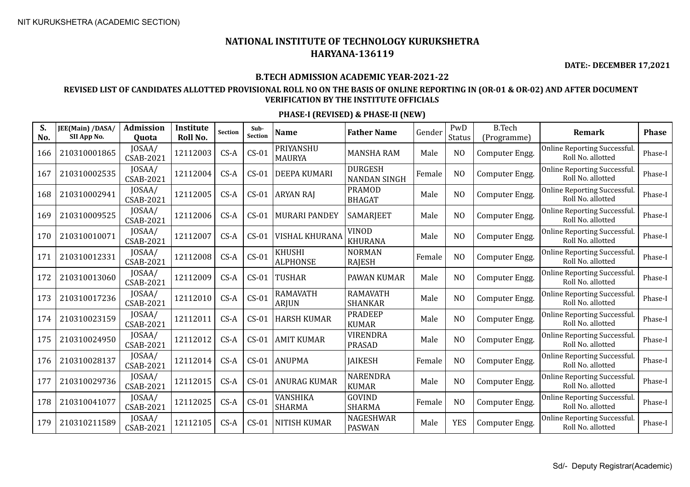**DATE:- DECEMBER 17,2021**

#### **B.TECH ADMISSION ACADEMIC YEAR-2021-22**

### **REVISED LIST OF CANDIDATES ALLOTTED PROVISIONAL ROLL NO ON THE BASIS OF ONLINE REPORTING IN (OR-01 & OR-02) AND AFTER DOCUMENT VERIFICATION BY THE INSTITUTE OFFICIALS**

| S.<br>No. | JEE(Main) /DASA/<br>SII App No. | <b>Admission</b><br>Quota  | Institute<br>Roll No. | Section | Sub-<br>Section | <b>Name</b>                | <b>Father Name</b>                    | Gender | PwD<br><b>Status</b> | <b>B.Tech</b><br>(Programme) | <b>Remark</b>                                            | <b>Phase</b> |
|-----------|---------------------------------|----------------------------|-----------------------|---------|-----------------|----------------------------|---------------------------------------|--------|----------------------|------------------------------|----------------------------------------------------------|--------------|
| 166       | 210310001865                    | JOSAA/<br><b>CSAB-2021</b> | 12112003              | $CS-A$  | $CS-01$         | PRIYANSHU<br><b>MAURYA</b> | <b>MANSHA RAM</b>                     | Male   | N <sub>O</sub>       | Computer Engg.               | Online Reporting Successful.<br>Roll No. allotted        | Phase-I      |
| 167       | 210310002535                    | JOSAA/<br><b>CSAB-2021</b> | 12112004              | $CS-A$  | $CS-01$         | <b>DEEPA KUMARI</b>        | <b>DURGESH</b><br><b>NANDAN SINGH</b> | Female | N <sub>O</sub>       | Computer Engg.               | Online Reporting Successful.<br>Roll No. allotted        | Phase-I      |
| 168       | 210310002941                    | JOSAA/<br><b>CSAB-2021</b> | 12112005              | $CS-A$  | $CS-01$         | <b>ARYAN RAJ</b>           | <b>PRAMOD</b><br><b>BHAGAT</b>        | Male   | N <sub>O</sub>       | Computer Engg.               | Online Reporting Successful.<br>Roll No. allotted        | Phase-I      |
| 169       | 210310009525                    | JOSAA/<br><b>CSAB-2021</b> | 12112006              | $CS-A$  | $CS-01$         | <b>MURARI PANDEY</b>       | <b>SAMARJEET</b>                      | Male   | N <sub>O</sub>       | Computer Engg.               | <b>Online Reporting Successful.</b><br>Roll No. allotted | Phase-I      |
| 170       | 210310010071                    | JOSAA/<br>CSAB-2021        | 12112007              | $CS-A$  | $CS-01$         | <b>VISHAL KHURANA</b>      | <b>VINOD</b><br><b>KHURANA</b>        | Male   | N <sub>O</sub>       | Computer Engg.               | Online Reporting Successful.<br>Roll No. allotted        | Phase-I      |
| 171       | 210310012331                    | JOSAA/<br><b>CSAB-2021</b> | 12112008              | $CS-A$  | $CS-01$         | KHUSHI<br><b>ALPHONSE</b>  | <b>NORMAN</b><br><b>RAJESH</b>        | Female | N <sub>O</sub>       | Computer Engg.               | Online Reporting Successful.<br>Roll No. allotted        | Phase-I      |
| 172       | 210310013060                    | JOSAA/<br><b>CSAB-2021</b> | 12112009              | $CS-A$  | $CS-01$         | <b>TUSHAR</b>              | PAWAN KUMAR                           | Male   | N <sub>O</sub>       | Computer Engg.               | Online Reporting Successful.<br>Roll No. allotted        | Phase-I      |
| 173       | 210310017236                    | JOSAA/<br><b>CSAB-2021</b> | 12112010              | $CS-A$  | $CS-01$         | RAMAVATH<br><b>ARJUN</b>   | <b>RAMAVATH</b><br><b>SHANKAR</b>     | Male   | N <sub>O</sub>       | Computer Engg.               | Online Reporting Successful.<br>Roll No. allotted        | Phase-I      |
| 174       | 210310023159                    | JOSAA/<br><b>CSAB-2021</b> | 12112011              | $CS-A$  | $CS-01$         | <b>HARSH KUMAR</b>         | <b>PRADEEP</b><br><b>KUMAR</b>        | Male   | N <sub>O</sub>       | Computer Engg.               | Online Reporting Successful.<br>Roll No. allotted        | Phase-I      |
| 175       | 210310024950                    | JOSAA/<br>CSAB-2021        | 12112012              | $CS-A$  | $CS-01$         | <b>AMIT KUMAR</b>          | <b>VIRENDRA</b><br><b>PRASAD</b>      | Male   | N <sub>O</sub>       | Computer Engg.               | Online Reporting Successful.<br>Roll No. allotted        | Phase-I      |
| 176       | 210310028137                    | JOSAA/<br><b>CSAB-2021</b> | 12112014              | $CS-A$  | $CS-01$         | <b>ANUPMA</b>              | <b>JAIKESH</b>                        | Female | N <sub>O</sub>       | Computer Engg.               | Online Reporting Successful.<br>Roll No. allotted        | Phase-I      |
| 177       | 210310029736                    | JOSAA/<br>CSAB-2021        | 12112015              | $CS-A$  | $CS-01$         | <b>ANURAG KUMAR</b>        | <b>NARENDRA</b><br><b>KUMAR</b>       | Male   | N <sub>O</sub>       | Computer Engg.               | Online Reporting Successful.<br>Roll No. allotted        | Phase-I      |
| 178       | 210310041077                    | JOSAA/<br><b>CSAB-2021</b> | 12112025              | $CS-A$  | $CS-01$         | VANSHIKA<br><b>SHARMA</b>  | GOVIND<br><b>SHARMA</b>               | Female | N <sub>O</sub>       | Computer Engg.               | Online Reporting Successful.<br>Roll No. allotted        | Phase-I      |
| 179       | 210310211589                    | JOSAA/<br><b>CSAB-2021</b> | 12112105              | $CS-A$  | $CS-01$         | <b>NITISH KUMAR</b>        | NAGESHWAR<br><b>PASWAN</b>            | Male   | <b>YES</b>           | Computer Engg.               | Online Reporting Successful.<br>Roll No. allotted        | Phase-I      |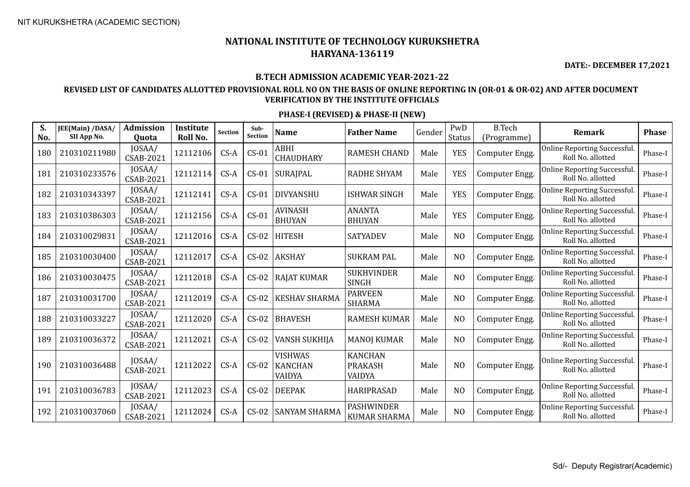**DATE:- DECEMBER 17,2021**

#### **B.TECH ADMISSION ACADEMIC YEAR-2021-22**

### **REVISED LIST OF CANDIDATES ALLOTTED PROVISIONAL ROLL NO ON THE BASIS OF ONLINE REPORTING IN (OR-01 & OR-02) AND AFTER DOCUMENT VERIFICATION BY THE INSTITUTE OFFICIALS**

| S.<br>No. | JEE(Main) /DASA/<br>SII App No. | <b>Admission</b><br>Quota  | <b>Institute</b><br>Roll No. | <b>Section</b> | Sub-<br>Section | <b>Name</b>                                | <b>Father Name</b>                         | Gender | PwD<br>Status  | <b>B.Tech</b><br>(Programme) | <b>Remark</b>                                            | <b>Phase</b> |
|-----------|---------------------------------|----------------------------|------------------------------|----------------|-----------------|--------------------------------------------|--------------------------------------------|--------|----------------|------------------------------|----------------------------------------------------------|--------------|
| 180       | 210310211980                    | JOSAA/<br><b>CSAB-2021</b> | 12112106                     | $CS-A$         | $CS-01$         | ABHI<br><b>CHAUDHARY</b>                   | <b>RAMESH CHAND</b>                        | Male   | <b>YES</b>     | Computer Engg.               | Online Reporting Successful.<br>Roll No. allotted        | Phase-I      |
| 181       | 210310233576                    | JOSAA/<br><b>CSAB-2021</b> | 12112114                     | $CS-A$         | $CS-01$         | SURAJPAL                                   | <b>RADHE SHYAM</b>                         | Male   | <b>YES</b>     | Computer Engg.               | Online Reporting Successful.<br>Roll No. allotted        | Phase-I      |
| 182       | 210310343397                    | JOSAA/<br><b>CSAB-2021</b> | 12112141                     | $CS-A$         | $CS-01$         | <b>DIVYANSHU</b>                           | <b>ISHWAR SINGH</b>                        | Male   | <b>YES</b>     | Computer Engg.               | Online Reporting Successful.<br>Roll No. allotted        | Phase-I      |
| 183       | 210310386303                    | JOSAA/<br><b>CSAB-2021</b> | 12112156                     | $CS-A$         | $CS-01$         | <b>AVINASH</b><br><b>BHUYAN</b>            | <b>ANANTA</b><br><b>BHUYAN</b>             | Male   | <b>YES</b>     | Computer Engg.               | Online Reporting Successful.<br>Roll No. allotted        | Phase-I      |
| 184       | 210310029831                    | JOSAA/<br><b>CSAB-2021</b> | 12112016                     | $CS-A$         | $CS-02$         | <b>HITESH</b>                              | <b>SATYADEV</b>                            | Male   | N <sub>O</sub> | Computer Engg.               | Online Reporting Successful.<br>Roll No. allotted        | Phase-I      |
| 185       | 210310030400                    | JOSAA/<br><b>CSAB-2021</b> | 12112017                     | $CS-A$         | $CS-02$         | <b>AKSHAY</b>                              | <b>SUKRAM PAL</b>                          | Male   | N <sub>O</sub> | Computer Engg.               | <b>Online Reporting Successful.</b><br>Roll No. allotted | Phase-I      |
| 186       | 210310030475                    | JOSAA/<br>CSAB-2021        | 12112018                     | $CS-A$         | $CS-02$         | <b>RAJAT KUMAR</b>                         | <b>SUKHVINDER</b><br><b>SINGH</b>          | Male   | N <sub>O</sub> | Computer Engg.               | Online Reporting Successful.<br>Roll No. allotted        | Phase-I      |
| 187       | 210310031700                    | JOSAA/<br><b>CSAB-2021</b> | 12112019                     | $CS-A$         | $CS-02$         | <b>KESHAV SHARMA</b>                       | <b>PARVEEN</b><br><b>SHARMA</b>            | Male   | N <sub>O</sub> | Computer Engg.               | Online Reporting Successful.<br>Roll No. allotted        | Phase-I      |
| 188       | 210310033227                    | JOSAA/<br><b>CSAB-2021</b> | 12112020                     | $CS-A$         | $CS-02$         | <b>BHAVESH</b>                             | <b>RAMESH KUMAR</b>                        | Male   | N <sub>O</sub> | Computer Engg.               | Online Reporting Successful.<br>Roll No. allotted        | Phase-I      |
| 189       | 210310036372                    | JOSAA/<br><b>CSAB-2021</b> | 12112021                     | $CS-A$         | $CS-02$         | VANSH SUKHIJA                              | <b>MANOJ KUMAR</b>                         | Male   | N <sub>O</sub> | Computer Engg.               | Online Reporting Successful.<br>Roll No. allotted        | Phase-I      |
| 190       | 210310036488                    | JOSAA/<br><b>CSAB-2021</b> | 12112022                     | $CS-A$         | $CS-02$         | <b>VISHWAS</b><br><b>KANCHAN</b><br>VAIDYA | <b>KANCHAN</b><br><b>PRAKASH</b><br>VAIDYA | Male   | N <sub>O</sub> | Computer Engg.               | Online Reporting Successful.<br>Roll No. allotted        | Phase-I      |
| 191       | 210310036783                    | JOSAA/<br><b>CSAB-2021</b> | 12112023                     | $CS-A$         | $CS-02$         | <b>DEEPAK</b>                              | <b>HARIPRASAD</b>                          | Male   | N <sub>O</sub> | Computer Engg.               | Online Reporting Successful.<br>Roll No. allotted        | Phase-I      |
| 192       | 210310037060                    | JOSAA/<br><b>CSAB-2021</b> | 12112024                     | $CS-A$         | $CS-02$         | <b>SANYAM SHARMA</b>                       | <b>PASHWINDER</b><br><b>KUMAR SHARMA</b>   | Male   | N <sub>O</sub> | Computer Engg.               | Online Reporting Successful.<br>Roll No. allotted        | Phase-I      |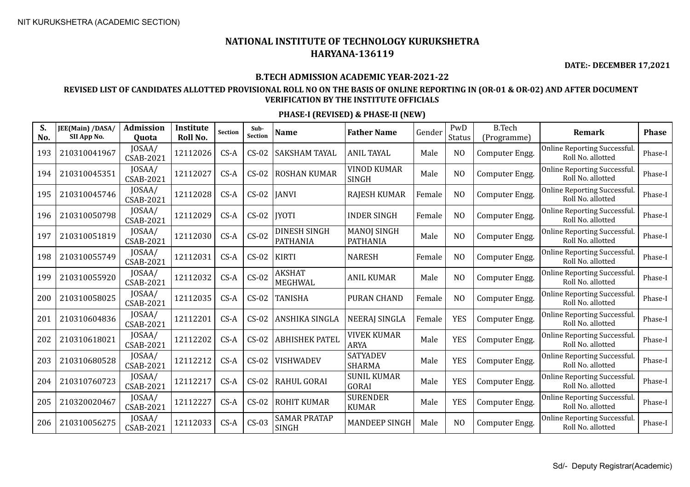**DATE:- DECEMBER 17,2021**

### **B.TECH ADMISSION ACADEMIC YEAR-2021-22**

### **REVISED LIST OF CANDIDATES ALLOTTED PROVISIONAL ROLL NO ON THE BASIS OF ONLINE REPORTING IN (OR-01 & OR-02) AND AFTER DOCUMENT VERIFICATION BY THE INSTITUTE OFFICIALS**

| S.<br>No. | JEE(Main) /DASA/<br>SII App No. | Admission<br>Quota         | Institute<br>Roll No. | Section | Sub-<br><b>Section</b> | <b>Name</b>                         | <b>Father Name</b>                    | Gender | PwD<br><b>Status</b> | <b>B.Tech</b><br>(Programme) | Remark                                                   | <b>Phase</b> |
|-----------|---------------------------------|----------------------------|-----------------------|---------|------------------------|-------------------------------------|---------------------------------------|--------|----------------------|------------------------------|----------------------------------------------------------|--------------|
| 193       | 210310041967                    | JOSAA/<br><b>CSAB-2021</b> | 12112026              | $CS-A$  | $CS-02$                | <b>SAKSHAM TAYAL</b>                | <b>ANIL TAYAL</b>                     | Male   | N <sub>O</sub>       | Computer Engg.               | Online Reporting Successful.<br>Roll No. allotted        | Phase-I      |
| 194       | 210310045351                    | JOSAA/<br><b>CSAB-2021</b> | 12112027              | $CS-A$  | $CS-02$                | <b>ROSHAN KUMAR</b>                 | VINOD KUMAR<br><b>SINGH</b>           | Male   | N <sub>O</sub>       | Computer Engg.               | Online Reporting Successful.<br>Roll No. allotted        | Phase-I      |
| 195       | 210310045746                    | JOSAA/<br><b>CSAB-2021</b> | 12112028              | $CS-A$  | $CS-02$                | <b>JANVI</b>                        | <b>RAJESH KUMAR</b>                   | Female | N <sub>O</sub>       | Computer Engg.               | <b>Online Reporting Successful.</b><br>Roll No. allotted | Phase-I      |
| 196       | 210310050798                    | JOSAA/<br><b>CSAB-2021</b> | 12112029              | $CS-A$  | $CS-02$                | <b>IYOTI</b>                        | <b>INDER SINGH</b>                    | Female | N <sub>O</sub>       | Computer Engg.               | Online Reporting Successful.<br>Roll No. allotted        | Phase-I      |
| 197       | 210310051819                    | JOSAA/<br>CSAB-2021        | 12112030              | $CS-A$  | $CS-02$                | DINESH SINGH<br><b>PATHANIA</b>     | <b>MANOJ SINGH</b><br><b>PATHANIA</b> | Male   | NO                   | Computer Engg.               | Online Reporting Successful.<br>Roll No. allotted        | Phase-I      |
| 198       | 210310055749                    | JOSAA/<br>CSAB-2021        | 12112031              | $CS-A$  | $CS-02$                | <b>KIRTI</b>                        | <b>NARESH</b>                         | Female | N <sub>O</sub>       | Computer Engg.               | Online Reporting Successful.<br>Roll No. allotted        | Phase-I      |
| 199       | 210310055920                    | JOSAA/<br>CSAB-2021        | 12112032              | $CS-A$  | $CS-02$                | <b>AKSHAT</b><br>MEGHWAL            | <b>ANIL KUMAR</b>                     | Male   | N <sub>O</sub>       | Computer Engg.               | Online Reporting Successful.<br>Roll No. allotted        | Phase-I      |
| 200       | 210310058025                    | JOSAA/<br>CSAB-2021        | 12112035              | $CS-A$  | $CS-02$                | <b>TANISHA</b>                      | <b>PURAN CHAND</b>                    | Female | N <sub>O</sub>       | Computer Engg.               | Online Reporting Successful.<br>Roll No. allotted        | Phase-I      |
| 201       | 210310604836                    | JOSAA/<br><b>CSAB-2021</b> | 12112201              | $CS-A$  | $CS-02$                | ANSHIKA SINGLA                      | <b>NEERAJ SINGLA</b>                  | Female | <b>YES</b>           | Computer Engg.               | Online Reporting Successful.<br>Roll No. allotted        | Phase-I      |
| 202       | 210310618021                    | JOSAA/<br>CSAB-2021        | 12112202              | $CS-A$  | $CS-02$                | <b>ABHISHEK PATEL</b>               | <b>VIVEK KUMAR</b><br><b>ARYA</b>     | Male   | <b>YES</b>           | Computer Engg.               | Online Reporting Successful.<br>Roll No. allotted        | Phase-I      |
| 203       | 210310680528                    | JOSAA/<br><b>CSAB-2021</b> | 12112212              | $CS-A$  | $CS-02$                | <b>VISHWADEV</b>                    | <b>SATYADEV</b><br><b>SHARMA</b>      | Male   | <b>YES</b>           | Computer Engg.               | Online Reporting Successful.<br>Roll No. allotted        | Phase-I      |
| 204       | 210310760723                    | JOSAA/<br><b>CSAB-2021</b> | 12112217              | $CS-A$  | $CS-02$                | RAHUL GORAI                         | <b>SUNIL KUMAR</b><br><b>GORAI</b>    | Male   | <b>YES</b>           | Computer Engg.               | Online Reporting Successful.<br>Roll No. allotted        | Phase-I      |
| 205       | 210320020467                    | JOSAA/<br><b>CSAB-2021</b> | 12112227              | $CS-A$  | $CS-02$                | <b>ROHIT KUMAR</b>                  | <b>SURENDER</b><br><b>KUMAR</b>       | Male   | <b>YES</b>           | Computer Engg.               | Online Reporting Successful.<br>Roll No. allotted        | Phase-I      |
| 206       | 210310056275                    | JOSAA/<br><b>CSAB-2021</b> | 12112033              | $CS-A$  | $CS-03$                | <b>SAMAR PRATAP</b><br><b>SINGH</b> | <b>MANDEEP SINGH</b>                  | Male   | N <sub>O</sub>       | Computer Engg.               | Online Reporting Successful.<br>Roll No. allotted        | Phase-I      |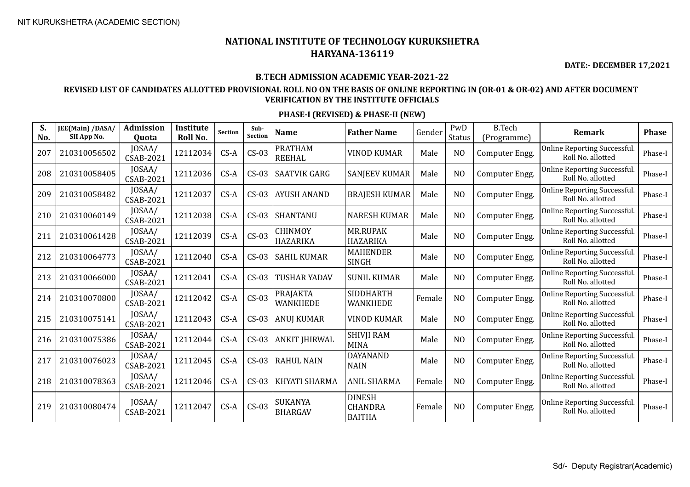**DATE:- DECEMBER 17,2021**

### **B.TECH ADMISSION ACADEMIC YEAR-2021-22**

### **REVISED LIST OF CANDIDATES ALLOTTED PROVISIONAL ROLL NO ON THE BASIS OF ONLINE REPORTING IN (OR-01 & OR-02) AND AFTER DOCUMENT VERIFICATION BY THE INSTITUTE OFFICIALS**

| S.<br>No. | JEE(Main) /DASA/<br>SII App No. | <b>Admission</b><br>Quota  | Institute<br>Roll No. | <b>Section</b> | Sub-<br>Section | <b>Name</b>                      | <b>Father Name</b>                               | Gender | PwD<br>Status  | <b>B.Tech</b><br>(Programme) | <b>Remark</b>                                            | <b>Phase</b> |
|-----------|---------------------------------|----------------------------|-----------------------|----------------|-----------------|----------------------------------|--------------------------------------------------|--------|----------------|------------------------------|----------------------------------------------------------|--------------|
| 207       | 210310056502                    | JOSAA/<br>CSAB-2021        | 12112034              | $CS-A$         | $CS-03$         | <b>PRATHAM</b><br><b>REEHAL</b>  | <b>VINOD KUMAR</b>                               | Male   | N <sub>O</sub> | Computer Engg.               | Online Reporting Successful.<br>Roll No. allotted        | Phase-I      |
| 208       | 210310058405                    | JOSAA/<br>CSAB-2021        | 12112036              | $CS-A$         | $CS-03$         | <b>SAATVIK GARG</b>              | <b>SANJEEV KUMAR</b>                             | Male   | N <sub>O</sub> | Computer Engg.               | Online Reporting Successful.<br>Roll No. allotted        | Phase-I      |
| 209       | 210310058482                    | JOSAA/<br>CSAB-2021        | 12112037              | $CS-A$         | $CS-03$         | <b>AYUSH ANAND</b>               | <b>BRAJESH KUMAR</b>                             | Male   | N <sub>O</sub> | Computer Engg.               | Online Reporting Successful.<br>Roll No. allotted        | Phase-I      |
| 210       | 210310060149                    | JOSAA/<br>CSAB-2021        | 12112038              | $CS-A$         | $CS-03$         | <b>SHANTANU</b>                  | <b>NARESH KUMAR</b>                              | Male   | N <sub>O</sub> | Computer Engg.               | Online Reporting Successful.<br>Roll No. allotted        | Phase-I      |
| 211       | 210310061428                    | JOSAA/<br>CSAB-2021        | 12112039              | $CS-A$         | $CS-03$         | CHINMOY<br><b>HAZARIKA</b>       | <b>MR.RUPAK</b><br><b>HAZARIKA</b>               | Male   | N <sub>O</sub> | Computer Engg.               | Online Reporting Successful.<br>Roll No. allotted        | Phase-I      |
| 212       | 210310064773                    | JOSAA/<br>CSAB-2021        | 12112040              | $CS-A$         | $CS-03$         | <b>SAHIL KUMAR</b>               | <b>MAHENDER</b><br><b>SINGH</b>                  | Male   | N <sub>O</sub> | Computer Engg.               | Online Reporting Successful.<br>Roll No. allotted        | Phase-I      |
| 213       | 210310066000                    | JOSAA/<br>CSAB-2021        | 12112041              | $CS-A$         | $CS-03$         | <b>TUSHAR YADAV</b>              | <b>SUNIL KUMAR</b>                               | Male   | N <sub>O</sub> | Computer Engg.               | Online Reporting Successful.<br>Roll No. allotted        | Phase-I      |
| 214       | 210310070800                    | JOSAA/<br>CSAB-2021        | 12112042              | $CS-A$         | $CS-03$         | <b>PRAJAKTA</b><br>WANKHEDE      | <b>SIDDHARTH</b><br><b>WANKHEDE</b>              | Female | N <sub>O</sub> | Computer Engg.               | Online Reporting Successful.<br>Roll No. allotted        | Phase-I      |
| 215       | 210310075141                    | JOSAA/<br>CSAB-2021        | 12112043              | $CS-A$         | $CS-03$         | <b>ANUJ KUMAR</b>                | <b>VINOD KUMAR</b>                               | Male   | N <sub>O</sub> | Computer Engg.               | Online Reporting Successful.<br>Roll No. allotted        | Phase-I      |
| 216       | 210310075386                    | JOSAA/<br>CSAB-2021        | 12112044              | $CS-A$         | $CS-03$         | <b>ANKIT JHIRWAL</b>             | <b>SHIVJI RAM</b><br><b>MINA</b>                 | Male   | N <sub>O</sub> | Computer Engg.               | Online Reporting Successful.<br>Roll No. allotted        | Phase-I      |
| 217       | 210310076023                    | JOSAA/<br>CSAB-2021        | 12112045              | $CS-A$         | $CS-03$         | <b>RAHUL NAIN</b>                | <b>DAYANAND</b><br><b>NAIN</b>                   | Male   | N <sub>O</sub> | Computer Engg.               | Online Reporting Successful.<br>Roll No. allotted        | Phase-I      |
| 218       | 210310078363                    | JOSAA/<br>CSAB-2021        | 12112046              | $CS-A$         | $CS-03$         | KHYATI SHARMA                    | <b>ANIL SHARMA</b>                               | Female | N <sub>O</sub> | Computer Engg.               | <b>Online Reporting Successful.</b><br>Roll No. allotted | Phase-I      |
| 219       | 210310080474                    | JOSAA/<br><b>CSAB-2021</b> | 12112047              | $CS-A$         | $CS-03$         | <b>SUKANYA</b><br><b>BHARGAV</b> | <b>DINESH</b><br><b>CHANDRA</b><br><b>BAITHA</b> | Female | N <sub>0</sub> | Computer Engg.               | Online Reporting Successful.<br>Roll No. allotted        | Phase-I      |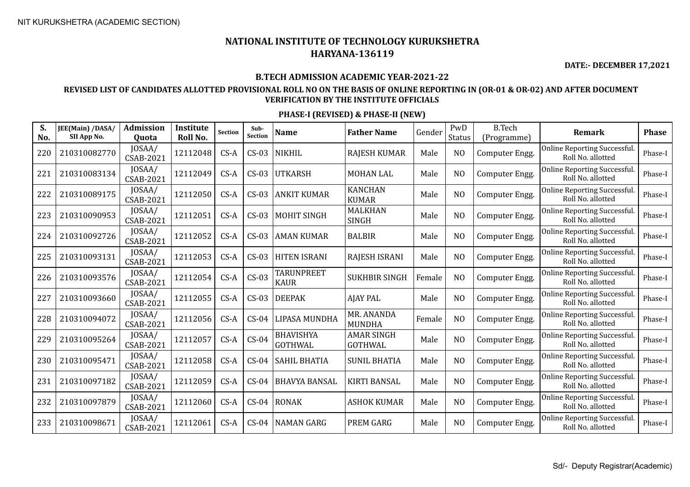**DATE:- DECEMBER 17,2021**

#### **B.TECH ADMISSION ACADEMIC YEAR-2021-22**

### **REVISED LIST OF CANDIDATES ALLOTTED PROVISIONAL ROLL NO ON THE BASIS OF ONLINE REPORTING IN (OR-01 & OR-02) AND AFTER DOCUMENT VERIFICATION BY THE INSTITUTE OFFICIALS**

| S.<br>No. | <b>JEE(Main) /DASA/</b><br>SII App No. | <b>Admission</b><br>Quota  | Institute<br>Roll No. | <b>Section</b> | Sub-<br><b>Section</b> | <b>Name</b>                        | <b>Father Name</b>                  | Gender | PwD<br><b>Status</b> | <b>B.Tech</b><br>(Programme) | <b>Remark</b>                                            | <b>Phase</b> |
|-----------|----------------------------------------|----------------------------|-----------------------|----------------|------------------------|------------------------------------|-------------------------------------|--------|----------------------|------------------------------|----------------------------------------------------------|--------------|
| 220       | 210310082770                           | JOSAA/<br><b>CSAB-2021</b> | 12112048              | $CS-A$         | $CS-03$                | <b>NIKHIL</b>                      | <b>RAJESH KUMAR</b>                 | Male   | N <sub>O</sub>       | Computer Engg.               | <b>Online Reporting Successful.</b><br>Roll No. allotted | Phase-I      |
| 221       | 210310083134                           | JOSAA/<br><b>CSAB-2021</b> | 12112049              | $CS-A$         | $CS-03$                | <b>UTKARSH</b>                     | <b>MOHAN LAL</b>                    | Male   | N <sub>O</sub>       | Computer Engg.               | Online Reporting Successful.<br>Roll No. allotted        | Phase-I      |
| 222       | 210310089175                           | JOSAA/<br><b>CSAB-2021</b> | 12112050              | $CS-A$         | $CS-03$                | <b>ANKIT KUMAR</b>                 | <b>KANCHAN</b><br><b>KUMAR</b>      | Male   | N <sub>O</sub>       | Computer Engg.               | Online Reporting Successful.<br>Roll No. allotted        | Phase-I      |
| 223       | 210310090953                           | JOSAA/<br><b>CSAB-2021</b> | 12112051              | $CS-A$         | $CS-03$                | <b>MOHIT SINGH</b>                 | <b>MALKHAN</b><br><b>SINGH</b>      | Male   | N <sub>O</sub>       | Computer Engg.               | Online Reporting Successful.<br>Roll No. allotted        | Phase-I      |
| 224       | 210310092726                           | JOSAA/<br><b>CSAB-2021</b> | 12112052              | $CS-A$         | $CS-03$                | <b>AMAN KUMAR</b>                  | <b>BALBIR</b>                       | Male   | N <sub>O</sub>       | Computer Engg.               | Online Reporting Successful.<br>Roll No. allotted        | Phase-I      |
| 225       | 210310093131                           | JOSAA/<br><b>CSAB-2021</b> | 12112053              | $CS-A$         | $CS-03$                | <b>HITEN ISRANI</b>                | RAJESH ISRANI                       | Male   | N <sub>O</sub>       | Computer Engg.               | Online Reporting Successful.<br>Roll No. allotted        | Phase-I      |
| 226       | 210310093576                           | JOSAA/<br>CSAB-2021        | 12112054              | $CS-A$         | $CS-03$                | <b>TARUNPREET</b><br><b>KAUR</b>   | <b>SUKHBIR SINGH</b>                | Female | N <sub>O</sub>       | Computer Engg.               | Online Reporting Successful.<br>Roll No. allotted        | Phase-I      |
| 227       | 210310093660                           | JOSAA/<br><b>CSAB-2021</b> | 12112055              | $CS-A$         | $CS-03$                | <b>DEEPAK</b>                      | <b>AJAY PAL</b>                     | Male   | N <sub>O</sub>       | Computer Engg.               | Online Reporting Successful.<br>Roll No. allotted        | Phase-I      |
| 228       | 210310094072                           | JOSAA/<br><b>CSAB-2021</b> | 12112056              | $CS-A$         | $CS-04$                | LIPASA MUNDHA                      | MR. ANANDA<br><b>MUNDHA</b>         | Female | N <sub>O</sub>       | Computer Engg.               | Online Reporting Successful.<br>Roll No. allotted        | Phase-I      |
| 229       | 210310095264                           | JOSAA/<br><b>CSAB-2021</b> | 12112057              | $CS-A$         | $CS-04$                | <b>BHAVISHYA</b><br><b>GOTHWAL</b> | <b>AMAR SINGH</b><br><b>GOTHWAL</b> | Male   | N <sub>O</sub>       | Computer Engg.               | Online Reporting Successful.<br>Roll No. allotted        | Phase-I      |
| 230       | 210310095471                           | JOSAA/<br>CSAB-2021        | 12112058              | $CS-A$         | $CS-04$                | <b>SAHIL BHATIA</b>                | <b>SUNIL BHATIA</b>                 | Male   | N <sub>O</sub>       | Computer Engg.               | Online Reporting Successful.<br>Roll No. allotted        | Phase-I      |
| 231       | 210310097182                           | JOSAA/<br><b>CSAB-2021</b> | 12112059              | $CS-A$         | $CS-04$                | <b>BHAVYA BANSAL</b>               | <b>KIRTI BANSAL</b>                 | Male   | N <sub>O</sub>       | Computer Engg.               | Online Reporting Successful.<br>Roll No. allotted        | Phase-I      |
| 232       | 210310097879                           | JOSAA/<br>CSAB-2021        | 12112060              | $CS-A$         | $CS-04$                | RONAK                              | <b>ASHOK KUMAR</b>                  | Male   | N <sub>O</sub>       | Computer Engg.               | Online Reporting Successful.<br>Roll No. allotted        | Phase-I      |
| 233       | 210310098671                           | JOSAA/<br><b>CSAB-2021</b> | 12112061              | $CS-A$         | $CS-04$                | <b>NAMAN GARG</b>                  | <b>PREM GARG</b>                    | Male   | N <sub>O</sub>       | Computer Engg.               | Online Reporting Successful.<br>Roll No. allotted        | Phase-I      |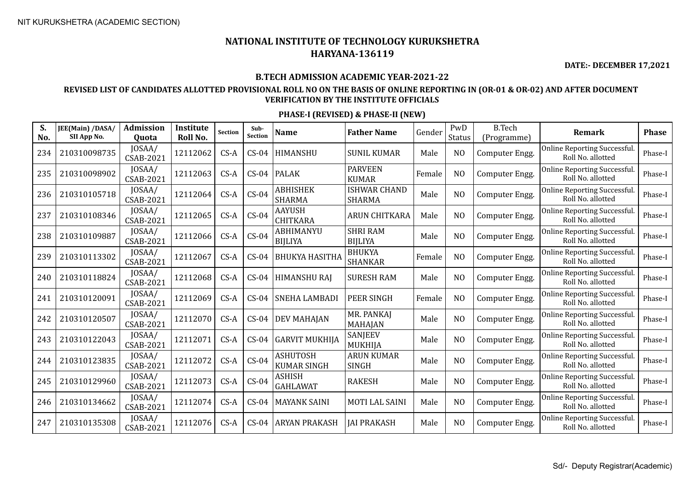**DATE:- DECEMBER 17,2021**

### **B.TECH ADMISSION ACADEMIC YEAR-2021-22**

### **REVISED LIST OF CANDIDATES ALLOTTED PROVISIONAL ROLL NO ON THE BASIS OF ONLINE REPORTING IN (OR-01 & OR-02) AND AFTER DOCUMENT VERIFICATION BY THE INSTITUTE OFFICIALS**

| S.<br>No. | JEE(Main) /DASA/<br>SII App No. | <b>Admission</b><br>Quota  | Institute<br>Roll No. | Section | Sub-<br><b>Section</b> | <b>Name</b>                           | <b>Father Name</b>                   | Gender | PwD<br><b>Status</b> | <b>B.Tech</b><br>(Programme) | Remark                                                   | <b>Phase</b> |
|-----------|---------------------------------|----------------------------|-----------------------|---------|------------------------|---------------------------------------|--------------------------------------|--------|----------------------|------------------------------|----------------------------------------------------------|--------------|
| 234       | 210310098735                    | JOSAA/<br>CSAB-2021        | 12112062              | $CS-A$  | $CS-04$                | HIMANSHU                              | <b>SUNIL KUMAR</b>                   | Male   | N <sub>O</sub>       | Computer Engg.               | <b>Online Reporting Successful.</b><br>Roll No. allotted | Phase-I      |
| 235       | 210310098902                    | JOSAA/<br><b>CSAB-2021</b> | 12112063              | $CS-A$  | $CS-04$                | <b>PALAK</b>                          | <b>PARVEEN</b><br><b>KUMAR</b>       | Female | N <sub>O</sub>       | Computer Engg.               | Online Reporting Successful.<br>Roll No. allotted        | Phase-I      |
| 236       | 210310105718                    | JOSAA/<br><b>CSAB-2021</b> | 12112064              | $CS-A$  | $CS-04$                | ABHISHEK<br><b>SHARMA</b>             | <b>ISHWAR CHAND</b><br><b>SHARMA</b> | Male   | N <sub>O</sub>       | Computer Engg.               | Online Reporting Successful.<br>Roll No. allotted        | Phase-I      |
| 237       | 210310108346                    | JOSAA/<br><b>CSAB-2021</b> | 12112065              | $CS-A$  | $CS-04$                | <b>AAYUSH</b><br><b>CHITKARA</b>      | <b>ARUN CHITKARA</b>                 | Male   | N <sub>O</sub>       | Computer Engg.               | Online Reporting Successful.<br>Roll No. allotted        | Phase-I      |
| 238       | 210310109887                    | JOSAA/<br><b>CSAB-2021</b> | 12112066              | $CS-A$  | $CS-04$                | ABHIMANYU<br><b>BIJLIYA</b>           | <b>SHRI RAM</b><br><b>BIJLIYA</b>    | Male   | N <sub>O</sub>       | Computer Engg.               | Online Reporting Successful.<br>Roll No. allotted        | Phase-I      |
| 239       | 210310113302                    | JOSAA/<br><b>CSAB-2021</b> | 12112067              | $CS-A$  | $CS-04$                | <b>BHUKYA HASITHA</b>                 | <b>BHUKYA</b><br><b>SHANKAR</b>      | Female | N <sub>O</sub>       | Computer Engg.               | Online Reporting Successful.<br>Roll No. allotted        | Phase-I      |
| 240       | 210310118824                    | JOSAA/<br><b>CSAB-2021</b> | 12112068              | $CS-A$  | $CS-04$                | <b>HIMANSHU RAJ</b>                   | <b>SURESH RAM</b>                    | Male   | N <sub>O</sub>       | Computer Engg.               | Online Reporting Successful.<br>Roll No. allotted        | Phase-I      |
| 241       | 210310120091                    | JOSAA/<br><b>CSAB-2021</b> | 12112069              | $CS-A$  | $CS-04$                | <b>SNEHA LAMBADI</b>                  | <b>PEER SINGH</b>                    | Female | N <sub>O</sub>       | Computer Engg.               | Online Reporting Successful.<br>Roll No. allotted        | Phase-I      |
| 242       | 210310120507                    | JOSAA/<br>CSAB-2021        | 12112070              | $CS-A$  | $CS-04$                | <b>DEV MAHAJAN</b>                    | MR. PANKAJ<br>MAHAJAN                | Male   | N <sub>O</sub>       | Computer Engg.               | Online Reporting Successful.<br>Roll No. allotted        | Phase-I      |
| 243       | 210310122043                    | JOSAA/<br><b>CSAB-2021</b> | 12112071              | $CS-A$  | $CS-04$                | <b>GARVIT MUKHIJA</b>                 | SANJEEV<br>MUKHIJA                   | Male   | N <sub>O</sub>       | Computer Engg.               | Online Reporting Successful.<br>Roll No. allotted        | Phase-I      |
| 244       | 210310123835                    | JOSAA/<br><b>CSAB-2021</b> | 12112072              | $CS-A$  | $CS-04$                | <b>ASHUTOSH</b><br><b>KUMAR SINGH</b> | <b>ARUN KUMAR</b><br><b>SINGH</b>    | Male   | N <sub>O</sub>       | Computer Engg.               | Online Reporting Successful.<br>Roll No. allotted        | Phase-I      |
| 245       | 210310129960                    | JOSAA/<br><b>CSAB-2021</b> | 12112073              | $CS-A$  | $CS-04$                | ASHISH<br><b>GAHLAWAT</b>             | <b>RAKESH</b>                        | Male   | N <sub>O</sub>       | Computer Engg.               | Online Reporting Successful.<br>Roll No. allotted        | Phase-I      |
| 246       | 210310134662                    | JOSAA/<br><b>CSAB-2021</b> | 12112074              | $CS-A$  | $CS-04$                | <b>MAYANK SAINI</b>                   | <b>MOTI LAL SAINI</b>                | Male   | N <sub>O</sub>       | Computer Engg.               | <b>Online Reporting Successful.</b><br>Roll No. allotted | Phase-I      |
| 247       | 210310135308                    | JOSAA/<br><b>CSAB-2021</b> | 12112076              | $CS-A$  | $CS-04$                | <b>ARYAN PRAKASH</b>                  | <b>JAI PRAKASH</b>                   | Male   | N <sub>O</sub>       | Computer Engg.               | <b>Online Reporting Successful.</b><br>Roll No. allotted | Phase-I      |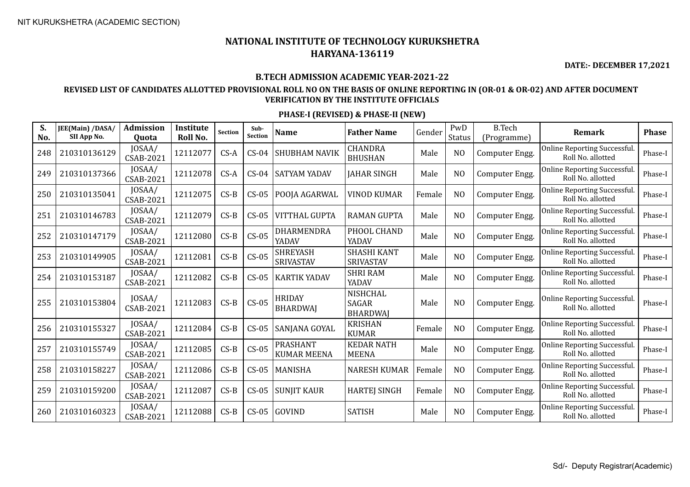**DATE:- DECEMBER 17,2021**

### **B.TECH ADMISSION ACADEMIC YEAR-2021-22**

### **REVISED LIST OF CANDIDATES ALLOTTED PROVISIONAL ROLL NO ON THE BASIS OF ONLINE REPORTING IN (OR-01 & OR-02) AND AFTER DOCUMENT VERIFICATION BY THE INSTITUTE OFFICIALS**

| S.<br>No. | JEE(Main) /DASA/<br>SII App No. | Admission<br>Quota         | Institute<br>Roll No. | <b>Section</b> | Sub-<br><b>Section</b> | <b>Name</b>                           | <b>Father Name</b>                          | Gender | PwD<br>Status  | <b>B.Tech</b><br>(Programme) | Remark                                                   | <b>Phase</b> |
|-----------|---------------------------------|----------------------------|-----------------------|----------------|------------------------|---------------------------------------|---------------------------------------------|--------|----------------|------------------------------|----------------------------------------------------------|--------------|
| 248       | 210310136129                    | JOSAA/<br>CSAB-2021        | 12112077              | $CS-A$         | $CS-04$                | <b>SHUBHAM NAVIK</b>                  | <b>CHANDRA</b><br><b>BHUSHAN</b>            | Male   | N <sub>O</sub> | Computer Engg.               | Online Reporting Successful.<br>Roll No. allotted        | Phase-I      |
| 249       | 210310137366                    | JOSAA/<br>CSAB-2021        | 12112078              | $CS-A$         | $CS-04$                | <b>SATYAM YADAV</b>                   | <b>JAHAR SINGH</b>                          | Male   | N <sub>O</sub> | Computer Engg.               | Online Reporting Successful.<br>Roll No. allotted        | Phase-I      |
| 250       | 210310135041                    | JOSAA/<br>CSAB-2021        | 12112075              | $CS-B$         | $CS-05$                | POOJA AGARWAL                         | <b>VINOD KUMAR</b>                          | Female | N <sub>O</sub> | Computer Engg.               | Online Reporting Successful.<br>Roll No. allotted        | Phase-I      |
| 251       | 210310146783                    | JOSAA/<br>CSAB-2021        | 12112079              | $CS-B$         | $CS-05$                | <b>VITTHAL GUPTA</b>                  | <b>RAMAN GUPTA</b>                          | Male   | N <sub>O</sub> | Computer Engg.               | Online Reporting Successful.<br>Roll No. allotted        | Phase-I      |
| 252       | 210310147179                    | JOSAA/<br>CSAB-2021        | 12112080              | $CS-B$         | $CS-05$                | <b>DHARMENDRA</b><br>YADAV            | PHOOL CHAND<br>YADAV                        | Male   | N <sub>O</sub> | Computer Engg.               | Online Reporting Successful.<br>Roll No. allotted        | Phase-I      |
| 253       | 210310149905                    | JOSAA/<br>CSAB-2021        | 12112081              | $CS-B$         | $CS-05$                | <b>SHREYASH</b><br>SRIVASTAV          | <b>SHASHI KANT</b><br>SRIVASTAV             | Male   | N <sub>O</sub> | Computer Engg.               | <b>Online Reporting Successful.</b><br>Roll No. allotted | Phase-I      |
| 254       | 210310153187                    | JOSAA/<br>CSAB-2021        | 12112082              | $CS-B$         | $CS-05$                | <b>KARTIK YADAV</b>                   | <b>SHRI RAM</b><br>YADAV                    | Male   | N <sub>O</sub> | Computer Engg.               | Online Reporting Successful.<br>Roll No. allotted        | Phase-I      |
| 255       | 210310153804                    | JOSAA/<br>CSAB-2021        | 12112083              | $CS-B$         | $CS-05$                | <b>HRIDAY</b><br><b>BHARDWAJ</b>      | <b>NISHCHAL</b><br>SAGAR<br><b>BHARDWAI</b> | Male   | N <sub>O</sub> | Computer Engg.               | Online Reporting Successful.<br>Roll No. allotted        | Phase-I      |
| 256       | 210310155327                    | JOSAA/<br><b>CSAB-2021</b> | 12112084              | $CS-B$         | $CS-05$                | SANJANA GOYAL                         | <b>KRISHAN</b><br><b>KUMAR</b>              | Female | N <sub>O</sub> | Computer Engg.               | Online Reporting Successful.<br>Roll No. allotted        | Phase-I      |
| 257       | 210310155749                    | JOSAA/<br>CSAB-2021        | 12112085              | $CS-B$         | $CS-05$                | <b>PRASHANT</b><br><b>KUMAR MEENA</b> | <b>KEDAR NATH</b><br><b>MEENA</b>           | Male   | N <sub>O</sub> | Computer Engg.               | Online Reporting Successful.<br>Roll No. allotted        | Phase-I      |
| 258       | 210310158227                    | JOSAA/<br><b>CSAB-2021</b> | 12112086              | $CS-B$         | $CS-05$                | MANISHA                               | <b>NARESH KUMAR</b>                         | Female | N <sub>O</sub> | Computer Engg.               | Online Reporting Successful.<br>Roll No. allotted        | Phase-I      |
| 259       | 210310159200                    | JOSAA/<br><b>CSAB-2021</b> | 12112087              | $CS-B$         | $CS-05$                | <b>SUNJIT KAUR</b>                    | <b>HARTEJ SINGH</b>                         | Female | N <sub>O</sub> | Computer Engg.               | Online Reporting Successful.<br>Roll No. allotted        | Phase-I      |
| 260       | 210310160323                    | JOSAA/<br>CSAB-2021        | 12112088              | $CS-B$         | $CS-05$                | <b>GOVIND</b>                         | <b>SATISH</b>                               | Male   | N <sub>O</sub> | Computer Engg.               | Online Reporting Successful.<br>Roll No. allotted        | Phase-I      |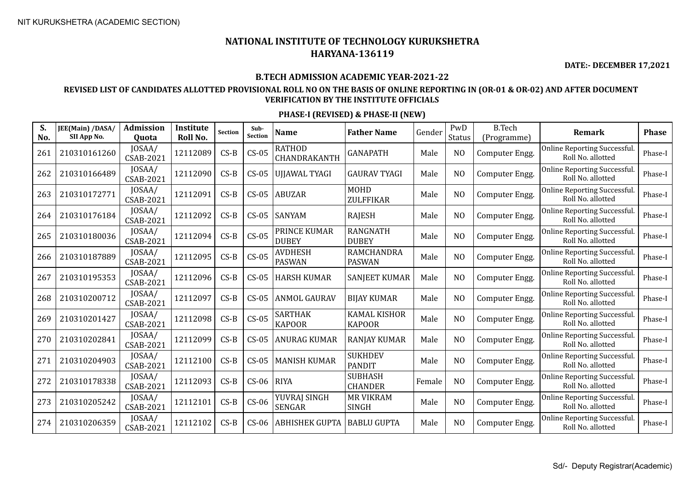**DATE:- DECEMBER 17,2021**

#### **B.TECH ADMISSION ACADEMIC YEAR-2021-22**

### **REVISED LIST OF CANDIDATES ALLOTTED PROVISIONAL ROLL NO ON THE BASIS OF ONLINE REPORTING IN (OR-01 & OR-02) AND AFTER DOCUMENT VERIFICATION BY THE INSTITUTE OFFICIALS**

| S.<br>No. | JEE(Main) /DASA/<br>SII App No. | <b>Admission</b><br>Quota  | Institute<br>Roll No. | Section | Sub-<br><b>Section</b> | <b>Name</b>                     | <b>Father Name</b>                   | Gender | PwD<br><b>Status</b> | <b>B.Tech</b><br>(Programme) | <b>Remark</b>                                            | <b>Phase</b> |
|-----------|---------------------------------|----------------------------|-----------------------|---------|------------------------|---------------------------------|--------------------------------------|--------|----------------------|------------------------------|----------------------------------------------------------|--------------|
| 261       | 210310161260                    | JOSAA/<br><b>CSAB-2021</b> | 12112089              | $CS-B$  | $CS-05$                | RATHOD<br>CHANDRAKANTH          | <b>GANAPATH</b>                      | Male   | N <sub>O</sub>       | Computer Engg.               | <b>Online Reporting Successful.</b><br>Roll No. allotted | Phase-I      |
| 262       | 210310166489                    | JOSAA/<br>CSAB-2021        | 12112090              | $CS-B$  | $CS-05$                | <b>UJJAWAL TYAGI</b>            | <b>GAURAV TYAGI</b>                  | Male   | N <sub>O</sub>       | Computer Engg.               | Online Reporting Successful.<br>Roll No. allotted        | Phase-I      |
| 263       | 210310172771                    | JOSAA/<br><b>CSAB-2021</b> | 12112091              | $CS-B$  | $CS-05$                | <b>ABUZAR</b>                   | <b>MOHD</b><br>ZULFFIKAR             | Male   | N <sub>O</sub>       | Computer Engg.               | Online Reporting Successful.<br>Roll No. allotted        | Phase-I      |
| 264       | 210310176184                    | JOSAA/<br><b>CSAB-2021</b> | 12112092              | $CS-B$  | $CS-05$                | <b>SANYAM</b>                   | <b>RAJESH</b>                        | Male   | N <sub>O</sub>       | Computer Engg.               | Online Reporting Successful.<br>Roll No. allotted        | Phase-I      |
| 265       | 210310180036                    | JOSAA/<br><b>CSAB-2021</b> | 12112094              | $CS-B$  | $CS-05$                | PRINCE KUMAR<br><b>DUBEY</b>    | <b>RANGNATH</b><br><b>DUBEY</b>      | Male   | N <sub>O</sub>       | Computer Engg.               | Online Reporting Successful.<br>Roll No. allotted        | Phase-I      |
| 266       | 210310187889                    | JOSAA/<br><b>CSAB-2021</b> | 12112095              | $CS-B$  | $CS-05$                | AVDHESH<br><b>PASWAN</b>        | RAMCHANDRA<br><b>PASWAN</b>          | Male   | N <sub>O</sub>       | Computer Engg.               | Online Reporting Successful.<br>Roll No. allotted        | Phase-I      |
| 267       | 210310195353                    | JOSAA/<br>CSAB-2021        | 12112096              | $CS-B$  | $CS-05$                | <b>HARSH KUMAR</b>              | <b>SANJEET KUMAR</b>                 | Male   | N <sub>O</sub>       | Computer Engg.               | Online Reporting Successful.<br>Roll No. allotted        | Phase-I      |
| 268       | 210310200712                    | JOSAA/<br>CSAB-2021        | 12112097              | $CS-B$  | $CS-05$                | <b>ANMOL GAURAV</b>             | <b>BIJAY KUMAR</b>                   | Male   | N <sub>O</sub>       | Computer Engg.               | Online Reporting Successful.<br>Roll No. allotted        | Phase-I      |
| 269       | 210310201427                    | JOSAA/<br>CSAB-2021        | 12112098              | $CS-B$  | $CS-05$                | <b>SARTHAK</b><br><b>KAPOOR</b> | <b>KAMAL KISHOR</b><br><b>KAPOOR</b> | Male   | N <sub>O</sub>       | Computer Engg.               | Online Reporting Successful.<br>Roll No. allotted        | Phase-I      |
| 270       | 210310202841                    | JOSAA/<br><b>CSAB-2021</b> | 12112099              | $CS-B$  | $CS-05$                | <b>ANURAG KUMAR</b>             | <b>RANJAY KUMAR</b>                  | Male   | N <sub>O</sub>       | Computer Engg.               | Online Reporting Successful.<br>Roll No. allotted        | Phase-I      |
| 271       | 210310204903                    | JOSAA/<br><b>CSAB-2021</b> | 12112100              | $CS-B$  | $CS-05$                | <b>MANISH KUMAR</b>             | <b>SUKHDEV</b><br><b>PANDIT</b>      | Male   | N <sub>O</sub>       | Computer Engg.               | Online Reporting Successful.<br>Roll No. allotted        | Phase-I      |
| 272       | 210310178338                    | JOSAA/<br><b>CSAB-2021</b> | 12112093              | $CS-B$  | $CS-06$                | <b>RIYA</b>                     | <b>SUBHASH</b><br><b>CHANDER</b>     | Female | N <sub>O</sub>       | Computer Engg.               | Online Reporting Successful.<br>Roll No. allotted        | Phase-I      |
| 273       | 210310205242                    | JOSAA/<br><b>CSAB-2021</b> | 12112101              | $CS-B$  | $CS-06$                | YUVRAJ SINGH<br><b>SENGAR</b>   | <b>MR VIKRAM</b><br><b>SINGH</b>     | Male   | N <sub>O</sub>       | Computer Engg.               | Online Reporting Successful.<br>Roll No. allotted        | Phase-I      |
| 274       | 210310206359                    | JOSAA/<br><b>CSAB-2021</b> | 12112102              | $CS-B$  | $CS-06$                | <b>ABHISHEK GUPTA</b>           | <b>BABLU GUPTA</b>                   | Male   | N <sub>O</sub>       | Computer Engg.               | Online Reporting Successful.<br>Roll No. allotted        | Phase-I      |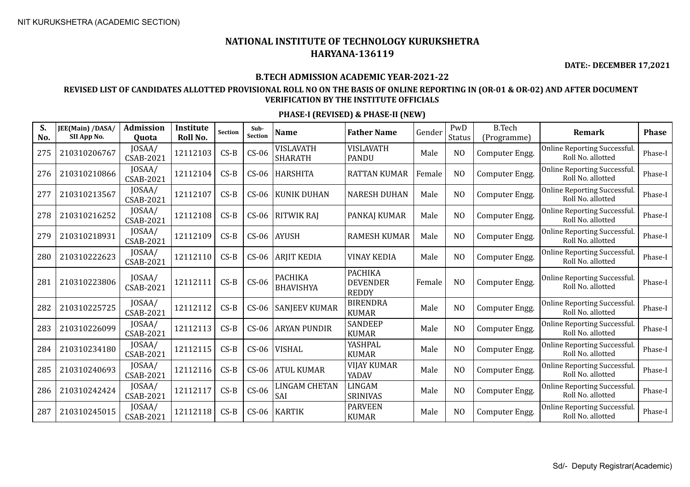**DATE:- DECEMBER 17,2021**

#### **B.TECH ADMISSION ACADEMIC YEAR-2021-22**

### **REVISED LIST OF CANDIDATES ALLOTTED PROVISIONAL ROLL NO ON THE BASIS OF ONLINE REPORTING IN (OR-01 & OR-02) AND AFTER DOCUMENT VERIFICATION BY THE INSTITUTE OFFICIALS**

| S.<br>No. | JEE(Main) /DASA/<br>SII App No. | <b>Admission</b><br>Quota  | Institute<br>Roll No. | <b>Section</b> | Sub-<br><b>Section</b> | <b>Name</b>                        | <b>Father Name</b>                                | Gender | PwD<br>Status  | <b>B.Tech</b><br>(Programme) | <b>Remark</b>                                            | <b>Phase</b> |
|-----------|---------------------------------|----------------------------|-----------------------|----------------|------------------------|------------------------------------|---------------------------------------------------|--------|----------------|------------------------------|----------------------------------------------------------|--------------|
| 275       | 210310206767                    | JOSAA/<br><b>CSAB-2021</b> | 12112103              | $CS-B$         | $CS-06$                | VISLAVATH<br><b>SHARATH</b>        | <b>VISLAVATH</b><br><b>PANDU</b>                  | Male   | N <sub>O</sub> | Computer Engg.               | <b>Online Reporting Successful</b><br>Roll No. allotted  | Phase-I      |
| 276       | 210310210866                    | JOSAA/<br><b>CSAB-2021</b> | 12112104              | $CS-B$         | $CS-06$                | <b>HARSHITA</b>                    | <b>RATTAN KUMAR</b>                               | Female | N <sub>O</sub> | Computer Engg.               | Online Reporting Successful.<br>Roll No. allotted        | Phase-I      |
| 277       | 210310213567                    | JOSAA/<br><b>CSAB-2021</b> | 12112107              | $CS-B$         | $CS-06$                | <b>KUNIK DUHAN</b>                 | <b>NARESH DUHAN</b>                               | Male   | N <sub>O</sub> | Computer Engg.               | <b>Online Reporting Successful.</b><br>Roll No. allotted | Phase-I      |
| 278       | 210310216252                    | JOSAA/<br><b>CSAB-2021</b> | 12112108              | $CS-B$         | $CS-06$                | <b>RITWIK RAJ</b>                  | PANKAJ KUMAR                                      | Male   | N <sub>O</sub> | Computer Engg.               | <b>Online Reporting Successful</b><br>Roll No. allotted  | Phase-I      |
| 279       | 210310218931                    | JOSAA/<br><b>CSAB-2021</b> | 12112109              | $CS-B$         | $CS-06$                | <b>AYUSH</b>                       | <b>RAMESH KUMAR</b>                               | Male   | N <sub>O</sub> | Computer Engg.               | Online Reporting Successful.<br>Roll No. allotted        | Phase-I      |
| 280       | 210310222623                    | JOSAA/<br><b>CSAB-2021</b> | 12112110              | $CS-B$         | $CS-06$                | <b>ARJIT KEDIA</b>                 | <b>VINAY KEDIA</b>                                | Male   | N <sub>O</sub> | Computer Engg.               | Online Reporting Successful.<br>Roll No. allotted        | Phase-I      |
| 281       | 210310223806                    | JOSAA/<br><b>CSAB-2021</b> | 12112111              | $CS-B$         | $CS-06$                | <b>PACHIKA</b><br><b>BHAVISHYA</b> | <b>PACHIKA</b><br><b>DEVENDER</b><br><b>REDDY</b> | Female | N <sub>O</sub> | Computer Engg.               | <b>Online Reporting Successful</b><br>Roll No. allotted  | Phase-I      |
| 282       | 210310225725                    | JOSAA/<br>CSAB-2021        | 12112112              | $CS-B$         | $CS-06$                | <b>SANJEEV KUMAR</b>               | <b>BIRENDRA</b><br><b>KUMAR</b>                   | Male   | N <sub>O</sub> | Computer Engg.               | Online Reporting Successful.<br>Roll No. allotted        | Phase-I      |
| 283       | 210310226099                    | JOSAA/<br><b>CSAB-2021</b> | 12112113              | $CS-B$         | $CS-06$                | <b>ARYAN PUNDIR</b>                | <b>SANDEEP</b><br><b>KUMAR</b>                    | Male   | N <sub>O</sub> | Computer Engg.               | <b>Online Reporting Successful.</b><br>Roll No. allotted | Phase-I      |
| 284       | 210310234180                    | JOSAA/<br><b>CSAB-2021</b> | 12112115              | $CS-B$         | $CS-06$                | <b>VISHAL</b>                      | YASHPAL<br><b>KUMAR</b>                           | Male   | N <sub>O</sub> | Computer Engg.               | <b>Online Reporting Successful</b><br>Roll No. allotted  | Phase-I      |
| 285       | 210310240693                    | JOSAA/<br><b>CSAB-2021</b> | 12112116              | $CS-B$         | $CS-06$                | <b>ATUL KUMAR</b>                  | <b>VIJAY KUMAR</b><br>YADAV                       | Male   | N <sub>O</sub> | Computer Engg.               | <b>Online Reporting Successful</b><br>Roll No. allotted  | Phase-I      |
| 286       | 210310242424                    | JOSAA/<br><b>CSAB-2021</b> | 12112117              | $CS-B$         | $CS-06$                | LINGAM CHETAN<br>SAI               | <b>LINGAM</b><br><b>SRINIVAS</b>                  | Male   | N <sub>O</sub> | Computer Engg.               | <b>Online Reporting Successful</b><br>Roll No. allotted  | Phase-I      |
| 287       | 210310245015                    | JOSAA/<br><b>CSAB-2021</b> | 12112118              | $CS-B$         | $CS-06$                | <b>KARTIK</b>                      | <b>PARVEEN</b><br><b>KUMAR</b>                    | Male   | N <sub>O</sub> | Computer Engg.               | <b>Online Reporting Successful</b><br>Roll No. allotted  | Phase-I      |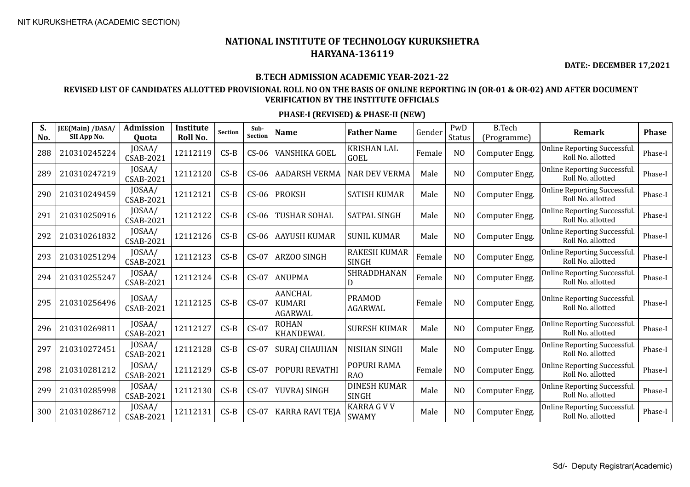**DATE:- DECEMBER 17,2021**

#### **B.TECH ADMISSION ACADEMIC YEAR-2021-22**

### **REVISED LIST OF CANDIDATES ALLOTTED PROVISIONAL ROLL NO ON THE BASIS OF ONLINE REPORTING IN (OR-01 & OR-02) AND AFTER DOCUMENT VERIFICATION BY THE INSTITUTE OFFICIALS**

| S.<br>No. | JEE(Main) /DASA/<br>SII App No. | <b>Admission</b><br><b>Ouota</b> | Institute<br>Roll No. | <b>Section</b> | Sub-<br><b>Section</b> | <b>Name</b>                                       | <b>Father Name</b>                  | Gender | PwD<br>Status  | <b>B.Tech</b><br>(Programme) | Remark                                                   | <b>Phase</b> |
|-----------|---------------------------------|----------------------------------|-----------------------|----------------|------------------------|---------------------------------------------------|-------------------------------------|--------|----------------|------------------------------|----------------------------------------------------------|--------------|
| 288       | 210310245224                    | JOSAA/<br><b>CSAB-2021</b>       | 12112119              | $CS-B$         | $CS-06$                | VANSHIKA GOEL                                     | <b>KRISHAN LAL</b><br><b>GOEL</b>   | Female | N <sub>O</sub> | Computer Engg.               | <b>Online Reporting Successful</b><br>Roll No. allotted  | Phase-I      |
| 289       | 210310247219                    | JOSAA/<br>CSAB-2021              | 12112120              | $CS-B$         | $CS-06$                | <b>AADARSH VERMA</b>                              | <b>NAR DEV VERMA</b>                | Male   | N <sub>O</sub> | Computer Engg.               | <b>Online Reporting Successful</b><br>Roll No. allotted  | Phase-I      |
| 290       | 210310249459                    | JOSAA/<br>CSAB-2021              | 12112121              | $CS-B$         | $CS-06$                | <b>PROKSH</b>                                     | <b>SATISH KUMAR</b>                 | Male   | N <sub>O</sub> | Computer Engg.               | <b>Online Reporting Successful</b><br>Roll No. allotted  | Phase-I      |
| 291       | 210310250916                    | JOSAA/<br><b>CSAB-2021</b>       | 12112122              | $CS-B$         | $CS-06$                | TUSHAR SOHAL                                      | <b>SATPAL SINGH</b>                 | Male   | N <sub>O</sub> | Computer Engg.               | <b>Online Reporting Successful.</b><br>Roll No. allotted | Phase-I      |
| 292       | 210310261832                    | JOSAA/<br><b>CSAB-2021</b>       | 12112126              | $CS-B$         | $CS-06$                | <b>AAYUSH KUMAR</b>                               | <b>SUNIL KUMAR</b>                  | Male   | N <sub>O</sub> | Computer Engg.               | Online Reporting Successful.<br>Roll No. allotted        | Phase-I      |
| 293       | 210310251294                    | IOSAA/<br><b>CSAB-2021</b>       | 12112123              | $CS-B$         | $CS-07$                | <b>ARZOO SINGH</b>                                | <b>RAKESH KUMAR</b><br><b>SINGH</b> | Female | N <sub>O</sub> | Computer Engg.               | <b>Online Reporting Successful</b><br>Roll No. allotted  | Phase-I      |
| 294       | 210310255247                    | JOSAA/<br><b>CSAB-2021</b>       | 12112124              | $CS-B$         | $CS-07$                | <b>ANUPMA</b>                                     | SHRADDHANAN<br>D                    | Female | N <sub>O</sub> | Computer Engg.               | <b>Online Reporting Successful</b><br>Roll No. allotted  | Phase-I      |
| 295       | 210310256496                    | JOSAA/<br><b>CSAB-2021</b>       | 12112125              | $CS-B$         | $CS-07$                | <b>AANCHAL</b><br><b>KUMARI</b><br><b>AGARWAL</b> | <b>PRAMOD</b><br><b>AGARWAL</b>     | Female | N <sub>O</sub> | Computer Engg.               | <b>Online Reporting Successful</b><br>Roll No. allotted  | Phase-I      |
| 296       | 210310269811                    | JOSAA/<br><b>CSAB-2021</b>       | 12112127              | $CS-B$         | $CS-07$                | <b>ROHAN</b><br><b>KHANDEWAL</b>                  | <b>SURESH KUMAR</b>                 | Male   | N <sub>O</sub> | Computer Engg.               | Online Reporting Successful.<br>Roll No. allotted        | Phase-I      |
| 297       | 210310272451                    | JOSAA/<br><b>CSAB-2021</b>       | 12112128              | $CS-B$         | $CS-07$                | <b>SURAJ CHAUHAN</b>                              | <b>NISHAN SINGH</b>                 | Male   | N <sub>O</sub> | Computer Engg.               | <b>Online Reporting Successful</b><br>Roll No. allotted  | Phase-I      |
| 298       | 210310281212                    | JOSAA/<br>CSAB-2021              | 12112129              | $CS-B$         | $CS-07$                | POPURI REVATHI                                    | POPURI RAMA<br>R <sub>A</sub> O     | Female | N <sub>O</sub> | Computer Engg.               | <b>Online Reporting Successful</b><br>Roll No. allotted  | Phase-I      |
| 299       | 210310285998                    | JOSAA/<br><b>CSAB-2021</b>       | 12112130              | $CS-B$         | $CS-07$                | YUVRAJ SINGH                                      | <b>DINESH KUMAR</b><br><b>SINGH</b> | Male   | NO             | Computer Engg.               | <b>Online Reporting Successful</b><br>Roll No. allotted  | Phase-I      |
| 300       | 210310286712                    | JOSAA/<br><b>CSAB-2021</b>       | 12112131              | $CS-B$         | $CS-07$                | <b>KARRA RAVI TEJA</b>                            | <b>KARRA G V V</b><br><b>SWAMY</b>  | Male   | N <sub>O</sub> | Computer Engg.               | <b>Online Reporting Successful</b><br>Roll No. allotted  | Phase-I      |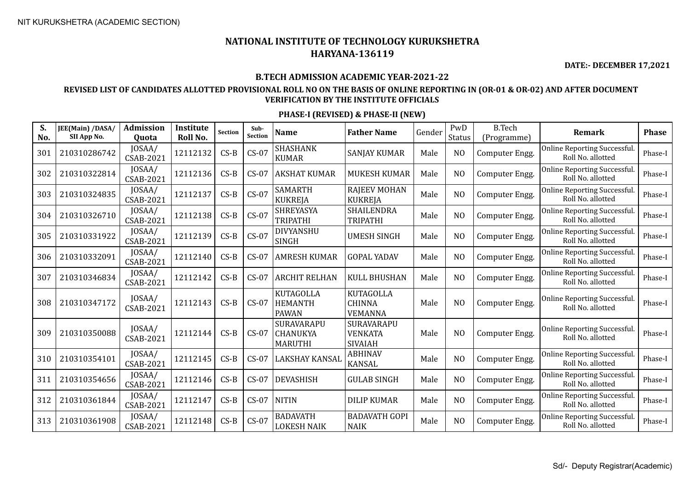**DATE:- DECEMBER 17,2021**

#### **B.TECH ADMISSION ACADEMIC YEAR-2021-22**

### **REVISED LIST OF CANDIDATES ALLOTTED PROVISIONAL ROLL NO ON THE BASIS OF ONLINE REPORTING IN (OR-01 & OR-02) AND AFTER DOCUMENT VERIFICATION BY THE INSTITUTE OFFICIALS**

| S.<br>No. | JEE(Main) /DASA/<br>SII App No. | <b>Admission</b><br>Quota  | <b>Institute</b><br>Roll No. | <b>Section</b> | Sub-<br><b>Section</b> | <b>Name</b>                                        | <b>Father Name</b>                                  | Gender | PwD<br><b>Status</b> | <b>B.Tech</b><br>(Programme) | <b>Remark</b>                                            | <b>Phase</b> |
|-----------|---------------------------------|----------------------------|------------------------------|----------------|------------------------|----------------------------------------------------|-----------------------------------------------------|--------|----------------------|------------------------------|----------------------------------------------------------|--------------|
| 301       | 210310286742                    | JOSAA/<br><b>CSAB-2021</b> | 12112132                     | $CS-B$         | $CS-07$                | <b>SHASHANK</b><br><b>KUMAR</b>                    | <b>SANJAY KUMAR</b>                                 | Male   | N <sub>O</sub>       | Computer Engg.               | <b>Online Reporting Successful.</b><br>Roll No. allotted | Phase-I      |
| 302       | 210310322814                    | JOSAA/<br><b>CSAB-2021</b> | 12112136                     | $CS-B$         | $CS-07$                | <b>AKSHAT KUMAR</b>                                | <b>MUKESH KUMAR</b>                                 | Male   | N <sub>O</sub>       | Computer Engg.               | Online Reporting Successful.<br>Roll No. allotted        | Phase-I      |
| 303       | 210310324835                    | JOSAA/<br><b>CSAB-2021</b> | 12112137                     | $CS-B$         | $CS-07$                | <b>SAMARTH</b><br><b>KUKREJA</b>                   | <b>RAJEEV MOHAN</b><br><b>KUKREJA</b>               | Male   | N <sub>O</sub>       | Computer Engg.               | Online Reporting Successful.<br>Roll No. allotted        | Phase-I      |
| 304       | 210310326710                    | JOSAA/<br><b>CSAB-2021</b> | 12112138                     | $CS-B$         | $CS-07$                | SHREYASYA<br><b>TRIPATHI</b>                       | SHAILENDRA<br><b>TRIPATHI</b>                       | Male   | N <sub>O</sub>       | Computer Engg.               | Online Reporting Successful.<br>Roll No. allotted        | Phase-I      |
| 305       | 210310331922                    | JOSAA/<br><b>CSAB-2021</b> | 12112139                     | $CS-B$         | $CS-07$                | <b>DIVYANSHU</b><br><b>SINGH</b>                   | <b>UMESH SINGH</b>                                  | Male   | N <sub>O</sub>       | Computer Engg.               | Online Reporting Successful.<br>Roll No. allotted        | Phase-I      |
| 306       | 210310332091                    | JOSAA/<br><b>CSAB-2021</b> | 12112140                     | $CS-B$         | $CS-07$                | <b>AMRESH KUMAR</b>                                | <b>GOPAL YADAV</b>                                  | Male   | N <sub>O</sub>       | Computer Engg.               | Online Reporting Successful.<br>Roll No. allotted        | Phase-I      |
| 307       | 210310346834                    | JOSAA/<br><b>CSAB-2021</b> | 12112142                     | $CS-B$         | $CS-07$                | <b>ARCHIT RELHAN</b>                               | <b>KULL BHUSHAN</b>                                 | Male   | N <sub>O</sub>       | Computer Engg.               | Online Reporting Successful.<br>Roll No. allotted        | Phase-I      |
| 308       | 210310347172                    | JOSAA/<br><b>CSAB-2021</b> | 12112143                     | $CS-B$         | $CS-07$                | <b>KUTAGOLLA</b><br><b>HEMANTH</b><br><b>PAWAN</b> | <b>KUTAGOLLA</b><br><b>CHINNA</b><br><b>VEMANNA</b> | Male   | N <sub>O</sub>       | Computer Engg.               | Online Reporting Successful.<br>Roll No. allotted        | Phase-I      |
| 309       | 210310350088                    | JOSAA/<br><b>CSAB-2021</b> | 12112144                     | $CS-B$         | $CS-07$                | SURAVARAPU<br>CHANUKYA<br><b>MARUTHI</b>           | SURAVARAPU<br><b>VENKATA</b><br><b>SIVAIAH</b>      | Male   | N <sub>O</sub>       | Computer Engg.               | Online Reporting Successful.<br>Roll No. allotted        | Phase-I      |
| 310       | 210310354101                    | JOSAA/<br><b>CSAB-2021</b> | 12112145                     | $CS-B$         | $CS-07$                | LAKSHAY KANSAL                                     | <b>ABHINAV</b><br><b>KANSAL</b>                     | Male   | N <sub>O</sub>       | Computer Engg.               | Online Reporting Successful.<br>Roll No. allotted        | Phase-I      |
| 311       | 210310354656                    | JOSAA/<br>CSAB-2021        | 12112146                     | $CS-B$         | $CS-07$                | <b>DEVASHISH</b>                                   | <b>GULAB SINGH</b>                                  | Male   | N <sub>O</sub>       | Computer Engg.               | Online Reporting Successful.<br>Roll No. allotted        | Phase-I      |
| 312       | 210310361844                    | JOSAA/<br>CSAB-2021        | 12112147                     | $CS-B$         | $CS-07$                | <b>NITIN</b>                                       | <b>DILIP KUMAR</b>                                  | Male   | N <sub>O</sub>       | Computer Engg.               | Online Reporting Successful.<br>Roll No. allotted        | Phase-I      |
| 313       | 210310361908                    | JOSAA/<br><b>CSAB-2021</b> | 12112148                     | $CS-B$         | $CS-07$                | <b>BADAVATH</b><br>LOKESH NAIK                     | <b>BADAVATH GOPI</b><br><b>NAIK</b>                 | Male   | N <sub>O</sub>       | Computer Engg.               | Online Reporting Successful.<br>Roll No. allotted        | Phase-I      |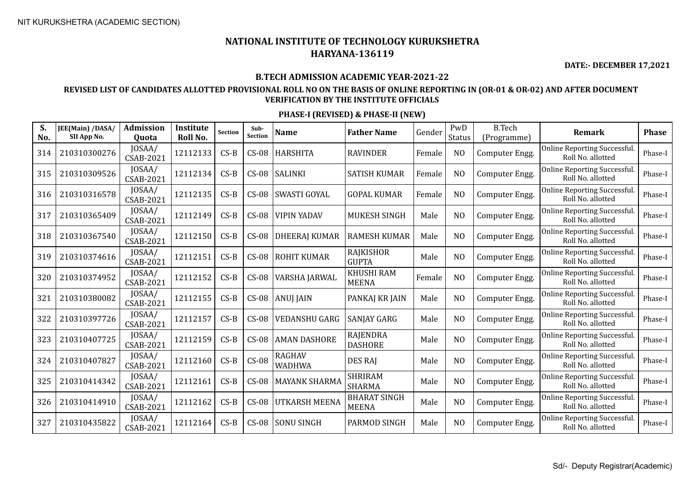**DATE:- DECEMBER 17,2021**

#### **B.TECH ADMISSION ACADEMIC YEAR-2021-22**

### **REVISED LIST OF CANDIDATES ALLOTTED PROVISIONAL ROLL NO ON THE BASIS OF ONLINE REPORTING IN (OR-01 & OR-02) AND AFTER DOCUMENT VERIFICATION BY THE INSTITUTE OFFICIALS**

| S.<br>No. | JEE(Main) /DASA/<br>SII App No. | <b>Admission</b><br>Quota  | Institute<br>Roll No. | Section | Sub-<br><b>Section</b> | <b>Name</b>          | <b>Father Name</b>                  | Gender | PwD<br><b>Status</b> | <b>B.Tech</b><br>(Programme) | Remark                                                   | <b>Phase</b> |
|-----------|---------------------------------|----------------------------|-----------------------|---------|------------------------|----------------------|-------------------------------------|--------|----------------------|------------------------------|----------------------------------------------------------|--------------|
| 314       | 210310300276                    | JOSAA/<br>CSAB-2021        | 12112133              | $CS-B$  | $CS-08$                | <b>HARSHITA</b>      | <b>RAVINDER</b>                     | Female | N <sub>O</sub>       | Computer Engg.               | Online Reporting Successful.<br>Roll No. allotted        | Phase-I      |
| 315       | 210310309526                    | JOSAA/<br><b>CSAB-2021</b> | 12112134              | $CS-B$  | $CS-08$                | <b>SALINKI</b>       | <b>SATISH KUMAR</b>                 | Female | N <sub>O</sub>       | Computer Engg.               | Online Reporting Successful.<br>Roll No. allotted        | Phase-I      |
| 316       | 210310316578                    | JOSAA/<br><b>CSAB-2021</b> | 12112135              | $CS-B$  | $CS-08$                | SWASTI GOYAL         | <b>GOPAL KUMAR</b>                  | Female | N <sub>O</sub>       | Computer Engg.               | Online Reporting Successful.<br>Roll No. allotted        | Phase-I      |
| 317       | 210310365409                    | JOSAA/<br><b>CSAB-2021</b> | 12112149              | $CS-B$  | $CS-08$                | <b>VIPIN YADAV</b>   | <b>MUKESH SINGH</b>                 | Male   | N <sub>O</sub>       | Computer Engg.               | Online Reporting Successful.<br>Roll No. allotted        | Phase-I      |
| 318       | 210310367540                    | JOSAA/<br><b>CSAB-2021</b> | 12112150              | $CS-B$  | $CS-08$                | <b>DHEERAJ KUMAR</b> | <b>RAMESH KUMAR</b>                 | Male   | N <sub>O</sub>       | Computer Engg.               | Online Reporting Successful.<br>Roll No. allotted        | Phase-I      |
| 319       | 210310374616                    | JOSAA/<br><b>CSAB-2021</b> | 12112151              | $CS-B$  | $CS-08$                | <b>ROHIT KUMAR</b>   | RAJKISHOR<br><b>GUPTA</b>           | Male   | N <sub>O</sub>       | Computer Engg.               | Online Reporting Successful.<br>Roll No. allotted        | Phase-I      |
| 320       | 210310374952                    | JOSAA/<br><b>CSAB-2021</b> | 12112152              | $CS-B$  | $CS-08$                | VARSHA JARWAL        | <b>KHUSHI RAM</b><br><b>MEENA</b>   | Female | N <sub>O</sub>       | Computer Engg.               | Online Reporting Successful.<br>Roll No. allotted        | Phase-I      |
| 321       | 210310380082                    | JOSAA/<br>CSAB-2021        | 12112155              | $CS-B$  | $CS-08$                | <b>ANUJ JAIN</b>     | PANKAJ KR JAIN                      | Male   | N <sub>O</sub>       | Computer Engg.               | Online Reporting Successful.<br>Roll No. allotted        | Phase-I      |
| 322       | 210310397726                    | JOSAA/<br><b>CSAB-2021</b> | 12112157              | $CS-B$  | $CS-08$                | <b>VEDANSHU GARG</b> | SANJAY GARG                         | Male   | N <sub>O</sub>       | Computer Engg.               | Online Reporting Successful.<br>Roll No. allotted        | Phase-I      |
| 323       | 210310407725                    | JOSAA/<br><b>CSAB-2021</b> | 12112159              | $CS-B$  | $CS-08$                | <b>AMAN DASHORE</b>  | <b>RAJENDRA</b><br><b>DASHORE</b>   | Male   | N <sub>O</sub>       | Computer Engg.               | Online Reporting Successful.<br>Roll No. allotted        | Phase-I      |
| 324       | 210310407827                    | JOSAA/<br><b>CSAB-2021</b> | 12112160              | $CS-B$  | $CS-08$                | RAGHAV<br>WADHWA     | DES RAJ                             | Male   | N <sub>O</sub>       | Computer Engg.               | Online Reporting Successful.<br>Roll No. allotted        | Phase-I      |
| 325       | 210310414342                    | JOSAA/<br><b>CSAB-2021</b> | 12112161              | $CS-B$  | $CS-08$                | <b>MAYANK SHARMA</b> | <b>SHRIRAM</b><br><b>SHARMA</b>     | Male   | N <sub>O</sub>       | Computer Engg.               | Online Reporting Successful.<br>Roll No. allotted        | Phase-I      |
| 326       | 210310414910                    | JOSAA/<br><b>CSAB-2021</b> | 12112162              | $CS-B$  | $CS-08$                | <b>UTKARSH MEENA</b> | <b>BHARAT SINGH</b><br><b>MEENA</b> | Male   | N <sub>O</sub>       | Computer Engg.               | <b>Online Reporting Successful.</b><br>Roll No. allotted | Phase-I      |
| 327       | 210310435822                    | JOSAA/<br><b>CSAB-2021</b> | 12112164              | $CS-B$  | $CS-08$                | <b>SONU SINGH</b>    | PARMOD SINGH                        | Male   | N <sub>O</sub>       | Computer Engg.               | Online Reporting Successful.<br>Roll No. allotted        | Phase-I      |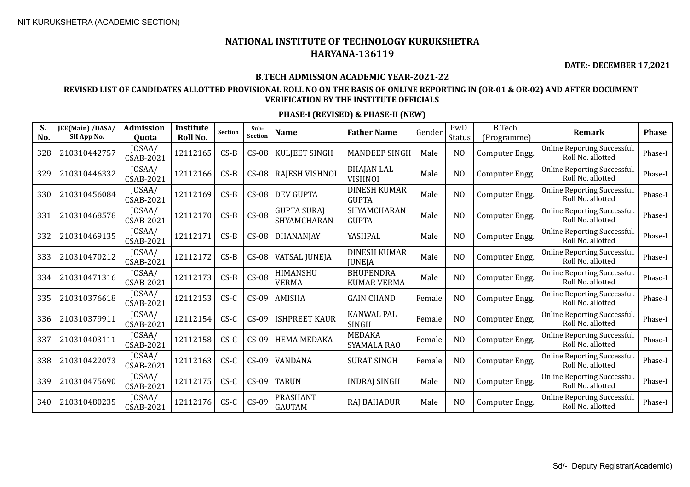**DATE:- DECEMBER 17,2021**

#### **B.TECH ADMISSION ACADEMIC YEAR-2021-22**

### **REVISED LIST OF CANDIDATES ALLOTTED PROVISIONAL ROLL NO ON THE BASIS OF ONLINE REPORTING IN (OR-01 & OR-02) AND AFTER DOCUMENT VERIFICATION BY THE INSTITUTE OFFICIALS**

| S.<br>No. | JEE(Main) /DASA/<br>SII App No. | <b>Admission</b><br><b>Ouota</b> | Institute<br>Roll No. | <b>Section</b> | Sub-<br><b>Section</b> | <b>Name</b>                       | <b>Father Name</b>                     | Gender | PwD<br>Status  | <b>B.Tech</b><br>(Programme) | <b>Remark</b>                                           | <b>Phase</b> |
|-----------|---------------------------------|----------------------------------|-----------------------|----------------|------------------------|-----------------------------------|----------------------------------------|--------|----------------|------------------------------|---------------------------------------------------------|--------------|
| 328       | 210310442757                    | JOSAA/<br>CSAB-2021              | 12112165              | $CS-B$         | $CS-08$                | <b>KULJEET SINGH</b>              | <b>MANDEEP SINGH</b>                   | Male   | N <sub>O</sub> | Computer Engg.               | <b>Online Reporting Successful</b><br>Roll No. allotted | Phase-I      |
| 329       | 210310446332                    | JOSAA/<br>CSAB-2021              | 12112166              | $CS-B$         | $CS-08$                | RAJESH VISHNOI                    | <b>BHAJAN LAL</b><br><b>VISHNOI</b>    | Male   | N <sub>O</sub> | Computer Engg.               | Online Reporting Successful.<br>Roll No. allotted       | Phase-I      |
| 330       | 210310456084                    | JOSAA/<br><b>CSAB-2021</b>       | 12112169              | $CS-B$         | $CS-08$                | <b>DEV GUPTA</b>                  | <b>DINESH KUMAR</b><br><b>GUPTA</b>    | Male   | N <sub>O</sub> | Computer Engg.               | Online Reporting Successful.<br>Roll No. allotted       | Phase-I      |
| 331       | 210310468578                    | JOSAA/<br>CSAB-2021              | 12112170              | $CS-B$         | $CS-08$                | <b>GUPTA SURAJ</b><br>SHYAMCHARAN | SHYAMCHARAN<br><b>GUPTA</b>            | Male   | N <sub>O</sub> | Computer Engg.               | <b>Online Reporting Successful</b><br>Roll No. allotted | Phase-I      |
| 332       | 210310469135                    | JOSAA/<br><b>CSAB-2021</b>       | 12112171              | $CS-B$         | $CS-08$                | <b>DHANANJAY</b>                  | YASHPAL                                | Male   | N <sub>O</sub> | Computer Engg.               | Online Reporting Successful.<br>Roll No. allotted       | Phase-I      |
| 333       | 210310470212                    | JOSAA/<br><b>CSAB-2021</b>       | 12112172              | $CS-B$         | $CS-08$                | VATSAL JUNEJA                     | <b>DINESH KUMAR</b><br><b>JUNEJA</b>   | Male   | N <sub>O</sub> | Computer Engg.               | Online Reporting Successful.<br>Roll No. allotted       | Phase-I      |
| 334       | 210310471316                    | JOSAA/<br><b>CSAB-2021</b>       | 12112173              | $CS-B$         | $CS-08$                | HIMANSHU<br><b>VERMA</b>          | <b>BHUPENDRA</b><br><b>KUMAR VERMA</b> | Male   | N <sub>O</sub> | Computer Engg.               | <b>Online Reporting Successful</b><br>Roll No. allotted | Phase-I      |
| 335       | 210310376618                    | JOSAA/<br>CSAB-2021              | 12112153              | $CS-C$         | $CS-09$                | <b>AMISHA</b>                     | <b>GAIN CHAND</b>                      | Female | N <sub>O</sub> | Computer Engg.               | <b>Online Reporting Successful</b><br>Roll No. allotted | Phase-I      |
| 336       | 210310379911                    | JOSAA/<br><b>CSAB-2021</b>       | 12112154              | $CS-C$         | $CS-09$                | <b>ISHPREET KAUR</b>              | <b>KANWAL PAL</b><br><b>SINGH</b>      | Female | N <sub>O</sub> | Computer Engg.               | <b>Online Reporting Successful</b><br>Roll No. allotted | Phase-I      |
| 337       | 210310403111                    | JOSAA/<br><b>CSAB-2021</b>       | 12112158              | $CS-C$         | $CS-09$                | <b>HEMA MEDAKA</b>                | <b>MEDAKA</b><br>SYAMALA RAO           | Female | N <sub>O</sub> | Computer Engg.               | <b>Online Reporting Successful</b><br>Roll No. allotted | Phase-I      |
| 338       | 210310422073                    | JOSAA/<br><b>CSAB-2021</b>       | 12112163              | $CS-C$         | $CS-09$                | VANDANA                           | <b>SURAT SINGH</b>                     | Female | N <sub>O</sub> | Computer Engg.               | Online Reporting Successful.<br>Roll No. allotted       | Phase-I      |
| 339       | 210310475690                    | JOSAA/<br>CSAB-2021              | 12112175              | $CS-C$         | $CS-09$                | <b>TARUN</b>                      | <b>INDRAJ SINGH</b>                    | Male   | N <sub>O</sub> | Computer Engg.               | Online Reporting Successful.<br>Roll No. allotted       | Phase-I      |
| 340       | 210310480235                    | JOSAA/<br>CSAB-2021              | 12112176              | $C S - C$      | $CS-09$                | <b>PRASHANT</b><br><b>GAUTAM</b>  | <b>RAJ BAHADUR</b>                     | Male   | N <sub>O</sub> | Computer Engg.               | <b>Online Reporting Successful</b><br>Roll No. allotted | Phase-I      |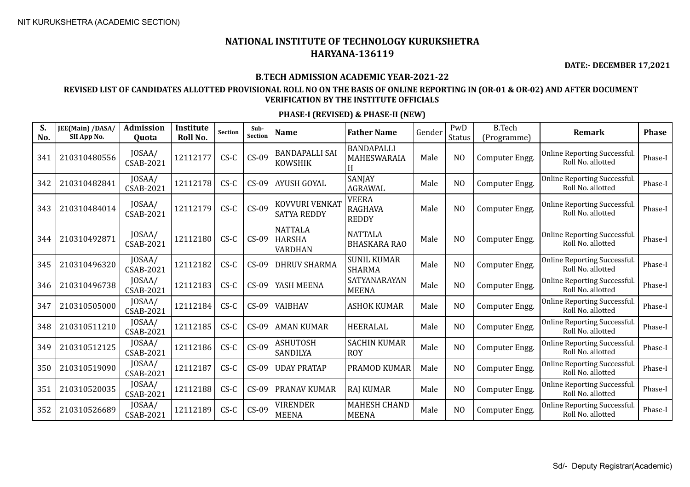**DATE:- DECEMBER 17,2021**

#### **B.TECH ADMISSION ACADEMIC YEAR-2021-22**

### **REVISED LIST OF CANDIDATES ALLOTTED PROVISIONAL ROLL NO ON THE BASIS OF ONLINE REPORTING IN (OR-01 & OR-02) AND AFTER DOCUMENT VERIFICATION BY THE INSTITUTE OFFICIALS**

| S.<br>No. | JEE(Main) /DASA/<br>SII App No. | <b>Admission</b><br>Quota  | Institute<br>Roll No. | <b>Section</b> | Sub-<br><b>Section</b> | Name                                              | <b>Father Name</b>                             | Gender | PwD<br>Status  | <b>B.Tech</b><br>(Programme) | Remark                                                   | <b>Phase</b> |
|-----------|---------------------------------|----------------------------|-----------------------|----------------|------------------------|---------------------------------------------------|------------------------------------------------|--------|----------------|------------------------------|----------------------------------------------------------|--------------|
| 341       | 210310480556                    | JOSAA/<br><b>CSAB-2021</b> | 12112177              | $CS-C$         | $CS-09$                | <b>BANDAPALLI SAI</b><br><b>KOWSHIK</b>           | <b>BANDAPALLI</b><br>MAHESWARAIA<br>H          | Male   | N <sub>O</sub> | Computer Engg.               | Online Reporting Successful.<br>Roll No. allotted        | Phase-I      |
| 342       | 210310482841                    | JOSAA/<br>CSAB-2021        | 12112178              | $CS-C$         | $CS-09$                | <b>AYUSH GOYAL</b>                                | SANJAY<br><b>AGRAWAL</b>                       | Male   | N <sub>O</sub> | Computer Engg.               | Online Reporting Successful.<br>Roll No. allotted        | Phase-I      |
| 343       | 210310484014                    | JOSAA/<br>CSAB-2021        | 12112179              | $CS-C$         | $CS-09$                | KOVVURI VENKAT<br><b>SATYA REDDY</b>              | <b>VEERA</b><br><b>RAGHAVA</b><br><b>REDDY</b> | Male   | N <sub>O</sub> | Computer Engg.               | Online Reporting Successful.<br>Roll No. allotted        | Phase-I      |
| 344       | 210310492871                    | JOSAA/<br><b>CSAB-2021</b> | 12112180              | $CS-C$         | $CS-09$                | <b>NATTALA</b><br><b>HARSHA</b><br><b>VARDHAN</b> | <b>NATTALA</b><br><b>BHASKARA RAO</b>          | Male   | N <sub>O</sub> | Computer Engg.               | Online Reporting Successful.<br>Roll No. allotted        | Phase-I      |
| 345       | 210310496320                    | JOSAA/<br>CSAB-2021        | 12112182              | $CS-C$         | $CS-09$                | <b>DHRUV SHARMA</b>                               | <b>SUNIL KUMAR</b><br><b>SHARMA</b>            | Male   | N <sub>O</sub> | Computer Engg.               | Online Reporting Successful.<br>Roll No. allotted        | Phase-I      |
| 346       | 210310496738                    | JOSAA/<br>CSAB-2021        | 12112183              | $CS-C$         | $CS-09$                | YASH MEENA                                        | SATYANARAYAN<br><b>MEENA</b>                   | Male   | N <sub>O</sub> | Computer Engg.               | Online Reporting Successful.<br>Roll No. allotted        | Phase-I      |
| 347       | 210310505000                    | JOSAA/<br><b>CSAB-2021</b> | 12112184              | $CS-C$         | $CS-09$                | VAIBHAV                                           | <b>ASHOK KUMAR</b>                             | Male   | N <sub>O</sub> | Computer Engg.               | <b>Online Reporting Successful.</b><br>Roll No. allotted | Phase-I      |
| 348       | 210310511210                    | JOSAA/<br>CSAB-2021        | 12112185              | $CS-C$         | $CS-09$                | <b>AMAN KUMAR</b>                                 | HEERALAL                                       | Male   | N <sub>O</sub> | Computer Engg.               | Online Reporting Successful.<br>Roll No. allotted        | Phase-I      |
| 349       | 210310512125                    | JOSAA/<br><b>CSAB-2021</b> | 12112186              | $CS-C$         | $CS-09$                | <b>ASHUTOSH</b><br>SANDILYA                       | <b>SACHIN KUMAR</b><br><b>ROY</b>              | Male   | N <sub>O</sub> | Computer Engg.               | Online Reporting Successful.<br>Roll No. allotted        | Phase-I      |
| 350       | 210310519090                    | JOSAA/<br><b>CSAB-2021</b> | 12112187              | $CS-C$         | $CS-09$                | <b>UDAY PRATAP</b>                                | PRAMOD KUMAR                                   | Male   | N <sub>O</sub> | Computer Engg.               | Online Reporting Successful.<br>Roll No. allotted        | Phase-I      |
| 351       | 210310520035                    | JOSAA/<br>CSAB-2021        | 12112188              | $CS-C$         | $CS-09$                | <b>PRANAV KUMAR</b>                               | <b>RAJ KUMAR</b>                               | Male   | NO             | Computer Engg.               | Online Reporting Successful.<br>Roll No. allotted        | Phase-I      |
| 352       | 210310526689                    | JOSAA/<br>CSAB-2021        | 12112189              | $CS-C$         | $CS-09$                | <b>VIRENDER</b><br><b>MEENA</b>                   | <b>MAHESH CHAND</b><br><b>MEENA</b>            | Male   | N <sub>O</sub> | Computer Engg.               | Online Reporting Successful.<br>Roll No. allotted        | Phase-I      |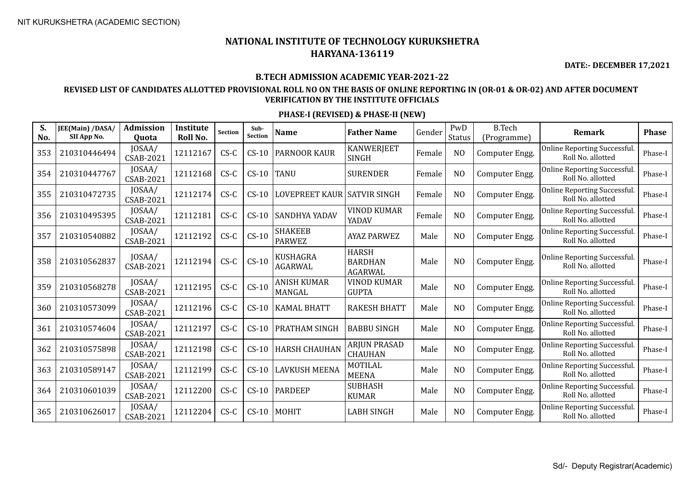**DATE:- DECEMBER 17,2021**

#### **B.TECH ADMISSION ACADEMIC YEAR-2021-22**

### **REVISED LIST OF CANDIDATES ALLOTTED PROVISIONAL ROLL NO ON THE BASIS OF ONLINE REPORTING IN (OR-01 & OR-02) AND AFTER DOCUMENT VERIFICATION BY THE INSTITUTE OFFICIALS**

| S.<br>No. | JEE(Main) /DASA/<br>SII App No. | Admission<br>Quota         | <b>Institute</b><br>Roll No. | <b>Section</b> | Sub-<br><b>Section</b> | <b>Name</b>                     | <b>Father Name</b>                               | Gender | PwD<br><b>Status</b> | <b>B.Tech</b><br>(Programme) | <b>Remark</b>                                            | <b>Phase</b> |
|-----------|---------------------------------|----------------------------|------------------------------|----------------|------------------------|---------------------------------|--------------------------------------------------|--------|----------------------|------------------------------|----------------------------------------------------------|--------------|
| 353       | 210310446494                    | JOSAA/<br><b>CSAB-2021</b> | 12112167                     | $CS-C$         | $CS-10$                | <b>PARNOOR KAUR</b>             | <b>KANWERJEET</b><br><b>SINGH</b>                | Female | N <sub>O</sub>       | Computer Engg.               | Online Reporting Successful.<br>Roll No. allotted        | Phase-I      |
| 354       | 210310447767                    | JOSAA/<br><b>CSAB-2021</b> | 12112168                     | $CS-C$         | $CS-10$                | <b>TANU</b>                     | <b>SURENDER</b>                                  | Female | N <sub>O</sub>       | Computer Engg.               | Online Reporting Successful.<br>Roll No. allotted        | Phase-I      |
| 355       | 210310472735                    | JOSAA/<br><b>CSAB-2021</b> | 12112174                     | $CS-C$         | $CS-10$                | LOVEPREET KAUR                  | SATVIR SINGH                                     | Female | N <sub>O</sub>       | Computer Engg.               | Online Reporting Successful.<br>Roll No. allotted        | Phase-I      |
| 356       | 210310495395                    | JOSAA/<br>CSAB-2021        | 12112181                     | $CS-C$         | $CS-10$                | <b>SANDHYA YADAV</b>            | <b>VINOD KUMAR</b><br>YADAV                      | Female | N <sub>O</sub>       | Computer Engg.               | Online Reporting Successful.<br>Roll No. allotted        | Phase-I      |
| 357       | 210310540882                    | JOSAA/<br><b>CSAB-2021</b> | 12112192                     | $CS-C$         | $CS-10$                | <b>SHAKEEB</b><br><b>PARWEZ</b> | <b>AYAZ PARWEZ</b>                               | Male   | N <sub>O</sub>       | Computer Engg.               | Online Reporting Successful.<br>Roll No. allotted        | Phase-I      |
| 358       | 210310562837                    | JOSAA/<br>CSAB-2021        | 12112194                     | $CS-C$         | $CS-10$                | <b>KUSHAGRA</b><br>AGARWAL      | <b>HARSH</b><br><b>BARDHAN</b><br><b>AGARWAL</b> | Male   | N <sub>O</sub>       | Computer Engg.               | Online Reporting Successful.<br>Roll No. allotted        | Phase-I      |
| 359       | 210310568278                    | JOSAA/<br><b>CSAB-2021</b> | 12112195                     | $CS-C$         | $CS-10$                | ANISH KUMAR<br>MANGAL           | <b>VINOD KUMAR</b><br><b>GUPTA</b>               | Male   | N <sub>O</sub>       | Computer Engg.               | Online Reporting Successful.<br>Roll No. allotted        | Phase-I      |
| 360       | 210310573099                    | JOSAA/<br><b>CSAB-2021</b> | 12112196                     | $CS-C$         | $CS-10$                | <b>KAMAL BHATT</b>              | <b>RAKESH BHATT</b>                              | Male   | N <sub>O</sub>       | Computer Engg.               | <b>Online Reporting Successful.</b><br>Roll No. allotted | Phase-I      |
| 361       | 210310574604                    | JOSAA/<br><b>CSAB-2021</b> | 12112197                     | $CS-C$         | $CS-10$                | <b>PRATHAM SINGH</b>            | <b>BABBU SINGH</b>                               | Male   | N <sub>O</sub>       | Computer Engg.               | Online Reporting Successful.<br>Roll No. allotted        | Phase-I      |
| 362       | 210310575898                    | JOSAA/<br><b>CSAB-2021</b> | 12112198                     | $CS-C$         | $CS-10$                | <b>HARSH CHAUHAN</b>            | <b>ARJUN PRASAD</b><br><b>CHAUHAN</b>            | Male   | N <sub>O</sub>       | Computer Engg.               | Online Reporting Successful.<br>Roll No. allotted        | Phase-I      |
| 363       | 210310589147                    | JOSAA/<br><b>CSAB-2021</b> | 12112199                     | $CS-C$         | $CS-10$                | <b>LAVKUSH MEENA</b>            | <b>MOTILAL</b><br><b>MEENA</b>                   | Male   | N <sub>O</sub>       | Computer Engg.               | Online Reporting Successful.<br>Roll No. allotted        | Phase-I      |
| 364       | 210310601039                    | JOSAA/<br><b>CSAB-2021</b> | 12112200                     | $CS-C$         | $CS-10$                | <b>PARDEEP</b>                  | <b>SUBHASH</b><br><b>KUMAR</b>                   | Male   | N <sub>O</sub>       | Computer Engg.               | Online Reporting Successful.<br>Roll No. allotted        | Phase-I      |
| 365       | 210310626017                    | JOSAA/<br><b>CSAB-2021</b> | 12112204                     | $CS-C$         | $CS-10$                | MOHIT                           | <b>LABH SINGH</b>                                | Male   | N <sub>O</sub>       | Computer Engg.               | Online Reporting Successful.<br>Roll No. allotted        | Phase-I      |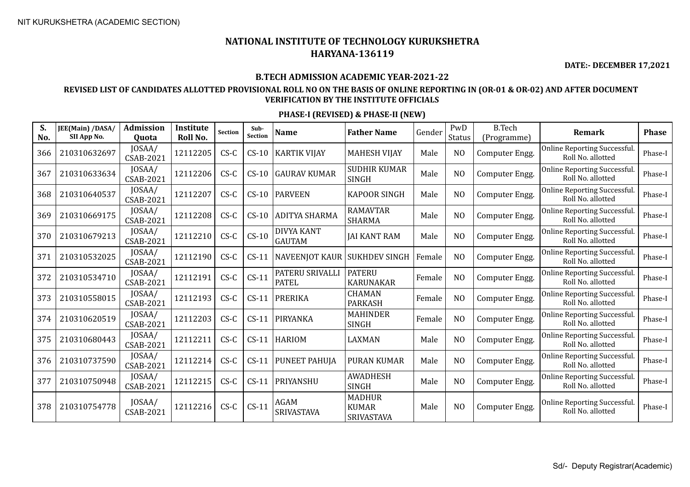**DATE:- DECEMBER 17,2021**

#### **B.TECH ADMISSION ACADEMIC YEAR-2021-22**

### **REVISED LIST OF CANDIDATES ALLOTTED PROVISIONAL ROLL NO ON THE BASIS OF ONLINE REPORTING IN (OR-01 & OR-02) AND AFTER DOCUMENT VERIFICATION BY THE INSTITUTE OFFICIALS**

| S.<br>No. | JEE(Main) /DASA/<br>SII App No. | <b>Admission</b><br>Quota  | Institute<br>Roll No. | <b>Section</b> | Sub-<br><b>Section</b> | <b>Name</b>                        | <b>Father Name</b>                          | Gender | PwD<br>Status  | <b>B.Tech</b><br>(Programme) | <b>Remark</b>                                            | <b>Phase</b> |
|-----------|---------------------------------|----------------------------|-----------------------|----------------|------------------------|------------------------------------|---------------------------------------------|--------|----------------|------------------------------|----------------------------------------------------------|--------------|
| 366       | 210310632697                    | JOSAA/<br>CSAB-2021        | 12112205              | $CS-C$         | $CS-10$                | <b>KARTIK VIJAY</b>                | <b>MAHESH VIJAY</b>                         | Male   | N <sub>O</sub> | Computer Engg.               | Online Reporting Successful.<br>Roll No. allotted        | Phase-I      |
| 367       | 210310633634                    | JOSAA/<br>CSAB-2021        | 12112206              | $CS-C$         | $CS-10$                | <b>GAURAV KUMAR</b>                | <b>SUDHIR KUMAR</b><br><b>SINGH</b>         | Male   | N <sub>O</sub> | Computer Engg.               | Online Reporting Successful.<br>Roll No. allotted        | Phase-I      |
| 368       | 210310640537                    | JOSAA/<br><b>CSAB-2021</b> | 12112207              | $CS-C$         | $CS-10$                | <b>PARVEEN</b>                     | <b>KAPOOR SINGH</b>                         | Male   | N <sub>O</sub> | Computer Engg.               | Online Reporting Successful.<br>Roll No. allotted        | Phase-I      |
| 369       | 210310669175                    | JOSAA/<br>CSAB-2021        | 12112208              | $CS-C$         | $CS-10$                | ADITYA SHARMA                      | <b>RAMAVTAR</b><br><b>SHARMA</b>            | Male   | N <sub>O</sub> | Computer Engg.               | Online Reporting Successful.<br>Roll No. allotted        | Phase-I      |
| 370       | 210310679213                    | JOSAA/<br><b>CSAB-2021</b> | 12112210              | $CS-C$         | $CS-10$                | <b>DIVYA KANT</b><br><b>GAUTAM</b> | <b>JAI KANT RAM</b>                         | Male   | N <sub>O</sub> | Computer Engg.               | <b>Online Reporting Successful.</b><br>Roll No. allotted | Phase-I      |
| 371       | 210310532025                    | JOSAA/<br><b>CSAB-2021</b> | 12112190              | $CS-C$         | $CS-11$                | NAVEENJOT KAUR SUKHDEV SINGH       |                                             | Female | N <sub>O</sub> | Computer Engg.               | <b>Online Reporting Successful.</b><br>Roll No. allotted | Phase-I      |
| 372       | 210310534710                    | JOSAA/<br>CSAB-2021        | 12112191              | $CS-C$         | $CS-11$                | PATERU SRIVALLI<br><b>PATEL</b>    | <b>PATERU</b><br><b>KARUNAKAR</b>           | Female | N <sub>O</sub> | Computer Engg.               | Online Reporting Successful.<br>Roll No. allotted        | Phase-I      |
| 373       | 210310558015                    | JOSAA/<br>CSAB-2021        | 12112193              | $CS-C$         | $CS-11$                | <b>PRERIKA</b>                     | <b>CHAMAN</b><br><b>PARKASH</b>             | Female | N <sub>O</sub> | Computer Engg.               | Online Reporting Successful.<br>Roll No. allotted        | Phase-I      |
| 374       | 210310620519                    | JOSAA/<br>CSAB-2021        | 12112203              | $CS-C$         | $CS-11$                | PIRYANKA                           | <b>MAHINDER</b><br><b>SINGH</b>             | Female | N <sub>O</sub> | Computer Engg.               | <b>Online Reporting Successful.</b><br>Roll No. allotted | Phase-I      |
| 375       | 210310680443                    | JOSAA/<br>CSAB-2021        | 12112211              | $CS-C$         | $CS-11$                | <b>HARIOM</b>                      | <b>LAXMAN</b>                               | Male   | N <sub>O</sub> | Computer Engg.               | Online Reporting Successful.<br>Roll No. allotted        | Phase-I      |
| 376       | 210310737590                    | JOSAA/<br><b>CSAB-2021</b> | 12112214              | $CS-C$         | $CS-11$                | PUNEET PAHUJA                      | <b>PURAN KUMAR</b>                          | Male   | N <sub>O</sub> | Computer Engg.               | Online Reporting Successful.<br>Roll No. allotted        | Phase-I      |
| 377       | 210310750948                    | JOSAA/<br>CSAB-2021        | 12112215              | $CS-C$         | $CS-11$                | PRIYANSHU                          | <b>AWADHESH</b><br><b>SINGH</b>             | Male   | N <sub>O</sub> | Computer Engg.               | <b>Online Reporting Successful.</b><br>Roll No. allotted | Phase-I      |
| 378       | 210310754778                    | JOSAA/<br>CSAB-2021        | 12112216              | $CS-C$         | $CS-11$                | <b>AGAM</b><br>SRIVASTAVA          | <b>MADHUR</b><br><b>KUMAR</b><br>SRIVASTAVA | Male   | N <sub>O</sub> | Computer Engg.               | Online Reporting Successful.<br>Roll No. allotted        | Phase-I      |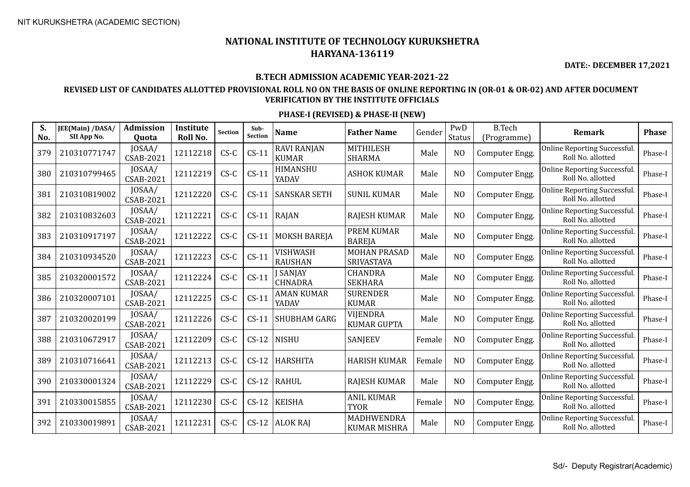**DATE:- DECEMBER 17,2021**

### **B.TECH ADMISSION ACADEMIC YEAR-2021-22**

### **REVISED LIST OF CANDIDATES ALLOTTED PROVISIONAL ROLL NO ON THE BASIS OF ONLINE REPORTING IN (OR-01 & OR-02) AND AFTER DOCUMENT VERIFICATION BY THE INSTITUTE OFFICIALS**

| S.<br>No. | JEE(Main) /DASA/<br>SII App No. | <b>Admission</b><br>Quota  | <b>Institute</b><br>Roll No. | <b>Section</b> | Sub-<br><b>Section</b> | <b>Name</b>                        | <b>Father Name</b>                    | Gender | PwD<br><b>Status</b> | <b>B.Tech</b><br>(Programme) | <b>Remark</b>                                     | <b>Phase</b> |
|-----------|---------------------------------|----------------------------|------------------------------|----------------|------------------------|------------------------------------|---------------------------------------|--------|----------------------|------------------------------|---------------------------------------------------|--------------|
| 379       | 210310771747                    | JOSAA/<br><b>CSAB-2021</b> | 12112218                     | $CS-C$         | $CS-11$                | <b>RAVI RANJAN</b><br><b>KUMAR</b> | <b>MITHILESH</b><br><b>SHARMA</b>     | Male   | N <sub>O</sub>       | Computer Engg.               | Online Reporting Successful.<br>Roll No. allotted | Phase-I      |
| 380       | 210310799465                    | JOSAA/<br><b>CSAB-2021</b> | 12112219                     | $CS-C$         | $CS-11$                | HIMANSHU<br>YADAV                  | <b>ASHOK KUMAR</b>                    | Male   | N <sub>O</sub>       | Computer Engg.               | Online Reporting Successful.<br>Roll No. allotted | Phase-I      |
| 381       | 210310819002                    | JOSAA/<br><b>CSAB-2021</b> | 12112220                     | $CS-C$         | $CS-11$                | <b>SANSKAR SETH</b>                | <b>SUNIL KUMAR</b>                    | Male   | N <sub>O</sub>       | Computer Engg.               | Online Reporting Successful.<br>Roll No. allotted | Phase-I      |
| 382       | 210310832603                    | JOSAA/<br><b>CSAB-2021</b> | 12112221                     | $CS-C$         | $CS-11$                | RAJAN                              | <b>RAJESH KUMAR</b>                   | Male   | N <sub>O</sub>       | Computer Engg.               | Online Reporting Successful.<br>Roll No. allotted | Phase-I      |
| 383       | 210310917197                    | JOSAA/<br><b>CSAB-2021</b> | 12112222                     | $CS-C$         | $CS-11$                | <b>MOKSH BAREJA</b>                | <b>PREM KUMAR</b><br><b>BAREJA</b>    | Male   | N <sub>O</sub>       | Computer Engg.               | Online Reporting Successful.<br>Roll No. allotted | Phase-I      |
| 384       | 210310934520                    | JOSAA/<br><b>CSAB-2021</b> | 12112223                     | $CS-C$         | $CS-11$                | VISHWASH<br><b>RAUSHAN</b>         | <b>MOHAN PRASAD</b><br>SRIVASTAVA     | Male   | N <sub>O</sub>       | Computer Engg.               | Online Reporting Successful.<br>Roll No. allotted | Phase-I      |
| 385       | 210320001572                    | JOSAA/<br><b>CSAB-2021</b> | 12112224                     | $CS-C$         | $CS-11$                | SANJAY<br><b>CHNADRA</b>           | <b>CHANDRA</b><br><b>SEKHARA</b>      | Male   | N <sub>O</sub>       | Computer Engg.               | Online Reporting Successful.<br>Roll No. allotted | Phase-I      |
| 386       | 210320007101                    | JOSAA/<br><b>CSAB-2021</b> | 12112225                     | $CS-C$         | $CS-11$                | AMAN KUMAR<br>YADAV                | <b>SURENDER</b><br><b>KUMAR</b>       | Male   | N <sub>O</sub>       | Computer Engg.               | Online Reporting Successful.<br>Roll No. allotted | Phase-I      |
| 387       | 210320020199                    | JOSAA/<br><b>CSAB-2021</b> | 12112226                     | $CS-C$         | $CS-11$                | <b>SHUBHAM GARG</b>                | <b>VIJENDRA</b><br><b>KUMAR GUPTA</b> | Male   | N <sub>O</sub>       | Computer Engg.               | Online Reporting Successful.<br>Roll No. allotted | Phase-I      |
| 388       | 210310672917                    | JOSAA/<br><b>CSAB-2021</b> | 12112209                     | $CS-C$         | $CS-12$                | <b>NISHU</b>                       | SANJEEV                               | Female | N <sub>O</sub>       | Computer Engg.               | Online Reporting Successful.<br>Roll No. allotted | Phase-I      |
| 389       | 210310716641                    | JOSAA/<br><b>CSAB-2021</b> | 12112213                     | $CS-C$         | $CS-12$                | <b>HARSHITA</b>                    | <b>HARISH KUMAR</b>                   | Female | N <sub>O</sub>       | Computer Engg.               | Online Reporting Successful.<br>Roll No. allotted | Phase-I      |
| 390       | 210330001324                    | JOSAA/<br><b>CSAB-2021</b> | 12112229                     | $CS-C$         | $CS-12$                | <b>RAHUL</b>                       | <b>RAJESH KUMAR</b>                   | Male   | N <sub>O</sub>       | Computer Engg.               | Online Reporting Successful.<br>Roll No. allotted | Phase-I      |
| 391       | 210330015855                    | JOSAA/<br><b>CSAB-2021</b> | 12112230                     | $CS-C$         | $CS-12$                | <b>KEISHA</b>                      | <b>ANIL KUMAR</b><br><b>TYOR</b>      | Female | N <sub>O</sub>       | Computer Engg.               | Online Reporting Successful.<br>Roll No. allotted | Phase-I      |
| 392       | 210330019891                    | JOSAA/<br><b>CSAB-2021</b> | 12112231                     | $CS-C$         | $CS-12$                | <b>ALOK RAJ</b>                    | MADHWENDRA<br><b>KUMAR MISHRA</b>     | Male   | N <sub>O</sub>       | Computer Engg.               | Online Reporting Successful.<br>Roll No. allotted | Phase-I      |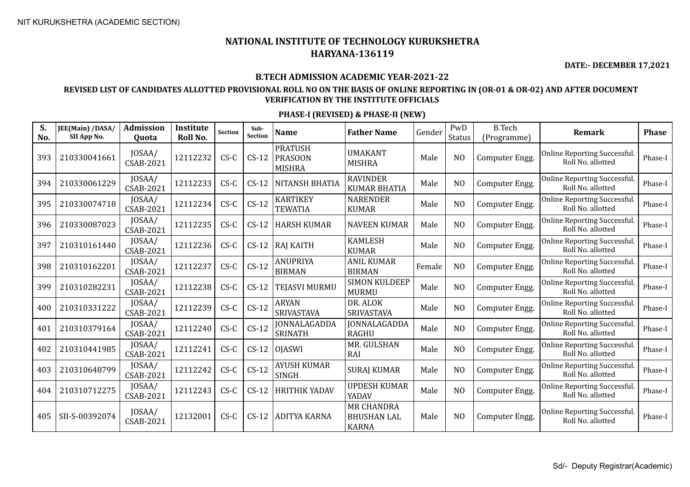**DATE:- DECEMBER 17,2021**

#### **B.TECH ADMISSION ACADEMIC YEAR-2021-22**

### **REVISED LIST OF CANDIDATES ALLOTTED PROVISIONAL ROLL NO ON THE BASIS OF ONLINE REPORTING IN (OR-01 & OR-02) AND AFTER DOCUMENT VERIFICATION BY THE INSTITUTE OFFICIALS**

| S.<br>No. | JEE(Main) /DASA/<br>SII App No. | Admission<br><b>Quota</b>  | Institute<br>Roll No. | <b>Section</b> | Sub-<br>Section | <b>Name</b>                                       | <b>Father Name</b>                                      | Gender | PwD<br>Status  | <b>B.Tech</b><br>(Programme) | Remark                                                   | <b>Phase</b> |
|-----------|---------------------------------|----------------------------|-----------------------|----------------|-----------------|---------------------------------------------------|---------------------------------------------------------|--------|----------------|------------------------------|----------------------------------------------------------|--------------|
| 393       | 210330041661                    | JOSAA/<br>CSAB-2021        | 12112232              | $CS-C$         | $CS-12$         | <b>PRATUSH</b><br><b>PRASOON</b><br><b>MISHRA</b> | UMAKANT<br><b>MISHRA</b>                                | Male   | N <sub>O</sub> | Computer Engg.               | Online Reporting Successful.<br>Roll No. allotted        | Phase-I      |
| 394       | 210330061229                    | JOSAA/<br><b>CSAB-2021</b> | 12112233              | $CS-C$         | $CS-12$         | NITANSH BHATIA                                    | <b>RAVINDER</b><br><b>KUMAR BHATIA</b>                  | Male   | N <sub>O</sub> | Computer Engg.               | Online Reporting Successful.<br>Roll No. allotted        | Phase-I      |
| 395       | 210330074718                    | JOSAA/<br><b>CSAB-2021</b> | 12112234              | $CS-C$         | $CS-12$         | <b>KARTIKEY</b><br><b>TEWATIA</b>                 | <b>NARENDER</b><br><b>KUMAR</b>                         | Male   | N <sub>O</sub> | Computer Engg.               | Online Reporting Successful.<br>Roll No. allotted        | Phase-I      |
| 396       | 210330087023                    | JOSAA/<br><b>CSAB-2021</b> | 12112235              | $CS-C$         | $CS-12$         | <b>HARSH KUMAR</b>                                | <b>NAVEEN KUMAR</b>                                     | Male   | N <sub>O</sub> | Computer Engg.               | Online Reporting Successful.<br>Roll No. allotted        | Phase-I      |
| 397       | 210310161440                    | JOSAA/<br><b>CSAB-2021</b> | 12112236              | $CS-C$         | $CS-12$         | <b>RAJ KAITH</b>                                  | <b>KAMLESH</b><br><b>KUMAR</b>                          | Male   | N <sub>O</sub> | Computer Engg.               | Online Reporting Successful.<br>Roll No. allotted        | Phase-I      |
| 398       | 210310162201                    | JOSAA/<br><b>CSAB-2021</b> | 12112237              | $CS-C$         | $CS-12$         | ANUPRIYA<br><b>BIRMAN</b>                         | <b>ANIL KUMAR</b><br><b>BIRMAN</b>                      | Female | N <sub>O</sub> | Computer Engg.               | Online Reporting Successful.<br>Roll No. allotted        | Phase-I      |
| 399       | 210310282231                    | JOSAA/<br>CSAB-2021        | 12112238              | $CS-C$         | $CS-12$         | TEJASVI MURMU                                     | <b>SIMON KULDEEP</b><br><b>MURMU</b>                    | Male   | N <sub>O</sub> | Computer Engg.               | Online Reporting Successful.<br>Roll No. allotted        | Phase-I      |
| 400       | 210310331222                    | JOSAA/<br><b>CSAB-2021</b> | 12112239              | $CS-C$         | $CS-12$         | <b>ARYAN</b><br><b>SRIVASTAVA</b>                 | DR. ALOK<br><b>SRIVASTAVA</b>                           | Male   | N <sub>O</sub> | Computer Engg.               | <b>Online Reporting Successful.</b><br>Roll No. allotted | Phase-I      |
| 401       | 210310379164                    | JOSAA/<br><b>CSAB-2021</b> | 12112240              | $CS-C$         | $CS-12$         | <b>JONNALAGADDA</b><br><b>SRINATH</b>             | <b>JONNALAGADDA</b><br><b>RAGHU</b>                     | Male   | N <sub>O</sub> | Computer Engg.               | Online Reporting Successful.<br>Roll No. allotted        | Phase-I      |
| 402       | 210310441985                    | JOSAA/<br><b>CSAB-2021</b> | 12112241              | $CS-C$         | $CS-12$         | <b>OJASWI</b>                                     | MR. GULSHAN<br>RAI                                      | Male   | N <sub>O</sub> | Computer Engg.               | <b>Online Reporting Successful.</b><br>Roll No. allotted | Phase-I      |
| 403       | 210310648799                    | JOSAA/<br><b>CSAB-2021</b> | 12112242              | $CS-C$         | $CS-12$         | <b>AYUSH KUMAR</b><br>SINGH                       | <b>SURAJ KUMAR</b>                                      | Male   | N <sub>O</sub> | Computer Engg.               | Online Reporting Successful.<br>Roll No. allotted        | Phase-I      |
| 404       | 210310712275                    | JOSAA/<br>CSAB-2021        | 12112243              | $CS-C$         | $CS-12$         | <b>HRITHIK YADAV</b>                              | <b>UPDESH KUMAR</b><br>YADAV                            | Male   | N <sub>O</sub> | Computer Engg.               | Online Reporting Successful.<br>Roll No. allotted        | Phase-I      |
| 405       | SII-S-00392074                  | JOSAA/<br><b>CSAB-2021</b> | 12132001              | $CS-C$         | $CS-12$         | <b>ADITYA KARNA</b>                               | <b>MR CHANDRA</b><br><b>BHUSHAN LAL</b><br><b>KARNA</b> | Male   | N <sub>O</sub> | Computer Engg.               | Online Reporting Successful.<br>Roll No. allotted        | Phase-I      |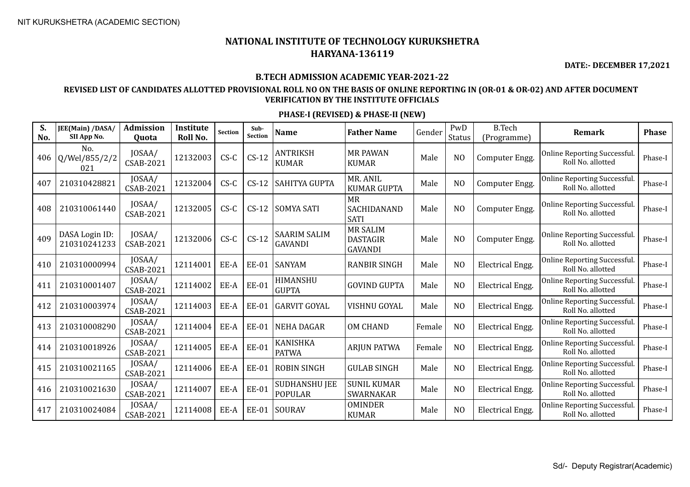**DATE:- DECEMBER 17,2021**

#### **B.TECH ADMISSION ACADEMIC YEAR-2021-22**

### **REVISED LIST OF CANDIDATES ALLOTTED PROVISIONAL ROLL NO ON THE BASIS OF ONLINE REPORTING IN (OR-01 & OR-02) AND AFTER DOCUMENT VERIFICATION BY THE INSTITUTE OFFICIALS**

| S.<br>No. | JEE(Main) /DASA/<br>SII App No. | <b>Admission</b><br><b>Ouota</b> | Institute<br>Roll No. | <b>Section</b> | Sub-<br><b>Section</b> | <b>Name</b>                            | <b>Father Name</b>                                   | Gender | PwD<br>Status  | <b>B.Tech</b><br>(Programme) | <b>Remark</b>                                            | <b>Phase</b> |
|-----------|---------------------------------|----------------------------------|-----------------------|----------------|------------------------|----------------------------------------|------------------------------------------------------|--------|----------------|------------------------------|----------------------------------------------------------|--------------|
| 406       | No.<br>Q/Wel/855/2/2<br>021     | JOSAA/<br><b>CSAB-2021</b>       | 12132003              | $CS-C$         | $CS-12$                | <b>ANTRIKSH</b><br><b>KUMAR</b>        | <b>MR PAWAN</b><br><b>KUMAR</b>                      | Male   | N <sub>O</sub> | Computer Engg.               | Online Reporting Successful.<br>Roll No. allotted        | Phase-I      |
| 407       | 210310428821                    | JOSAA/<br><b>CSAB-2021</b>       | 12132004              | $CS-C$         | $CS-12$                | <b>SAHITYA GUPTA</b>                   | MR. ANIL<br><b>KUMAR GUPTA</b>                       | Male   | N <sub>O</sub> | Computer Engg.               | Online Reporting Successful.<br>Roll No. allotted        | Phase-I      |
| 408       | 210310061440                    | JOSAA/<br><b>CSAB-2021</b>       | 12132005              | $CS-C$         | $CS-12$                | <b>SOMYA SATI</b>                      | <b>MR</b><br>SACHIDANAND<br><b>SATI</b>              | Male   | N <sub>O</sub> | Computer Engg.               | Online Reporting Successful.<br>Roll No. allotted        | Phase-I      |
| 409       | DASA Login ID:<br>210310241233  | JOSAA/<br><b>CSAB-2021</b>       | 12132006              | $CS-C$         | $CS-12$                | <b>SAARIM SALIM</b><br><b>GAVANDI</b>  | <b>MR SALIM</b><br><b>DASTAGIR</b><br><b>GAVANDI</b> | Male   | N <sub>O</sub> | Computer Engg.               | Online Reporting Successful.<br>Roll No. allotted        | Phase-I      |
| 410       | 210310000994                    | JOSAA/<br>CSAB-2021              | 12114001              | EE-A           | EE-01                  | <b>SANYAM</b>                          | <b>RANBIR SINGH</b>                                  | Male   | N <sub>O</sub> | <b>Electrical Engg.</b>      | Online Reporting Successful.<br>Roll No. allotted        | Phase-I      |
| 411       | 210310001407                    | JOSAA/<br><b>CSAB-2021</b>       | 12114002              | EE-A           | <b>EE-01</b>           | HIMANSHU<br><b>GUPTA</b>               | <b>GOVIND GUPTA</b>                                  | Male   | N <sub>O</sub> | <b>Electrical Engg.</b>      | Online Reporting Successful.<br>Roll No. allotted        | Phase-I      |
| 412       | 210310003974                    | JOSAA/<br><b>CSAB-2021</b>       | 12114003              | EE-A           | <b>EE-01</b>           | <b>GARVIT GOYAL</b>                    | VISHNU GOYAL                                         | Male   | N <sub>O</sub> | <b>Electrical Engg.</b>      | <b>Online Reporting Successful.</b><br>Roll No. allotted | Phase-I      |
| 413       | 210310008290                    | JOSAA/<br><b>CSAB-2021</b>       | 12114004              | EE-A           | <b>EE-01</b>           | <b>NEHA DAGAR</b>                      | <b>OM CHAND</b>                                      | Female | N <sub>O</sub> | Electrical Engg.             | Online Reporting Successful.<br>Roll No. allotted        | Phase-I      |
| 414       | 210310018926                    | JOSAA/<br><b>CSAB-2021</b>       | 12114005              | EE-A           | <b>EE-01</b>           | <b>KANISHKA</b><br><b>PATWA</b>        | <b>ARJUN PATWA</b>                                   | Female | N <sub>O</sub> | Electrical Engg.             | Online Reporting Successful.<br>Roll No. allotted        | Phase-I      |
| 415       | 210310021165                    | JOSAA/<br><b>CSAB-2021</b>       | 12114006              | EE-A           | <b>EE-01</b>           | <b>ROBIN SINGH</b>                     | <b>GULAB SINGH</b>                                   | Male   | N <sub>O</sub> | <b>Electrical Engg.</b>      | Online Reporting Successful.<br>Roll No. allotted        | Phase-I      |
| 416       | 210310021630                    | JOSAA/<br>CSAB-2021              | 12114007              | EE-A           | <b>EE-01</b>           | <b>SUDHANSHU JEE</b><br><b>POPULAR</b> | <b>SUNIL KUMAR</b><br><b>SWARNAKAR</b>               | Male   | N <sub>O</sub> | <b>Electrical Engg.</b>      | Online Reporting Successful.<br>Roll No. allotted        | Phase-I      |
| 417       | 210310024084                    | JOSAA/<br><b>CSAB-2021</b>       | 12114008              | EE-A           | <b>EE-01</b>           | SOURAV                                 | <b>OMINDER</b><br><b>KUMAR</b>                       | Male   | N <sub>O</sub> | <b>Electrical Engg.</b>      | Online Reporting Successful.<br>Roll No. allotted        | Phase-I      |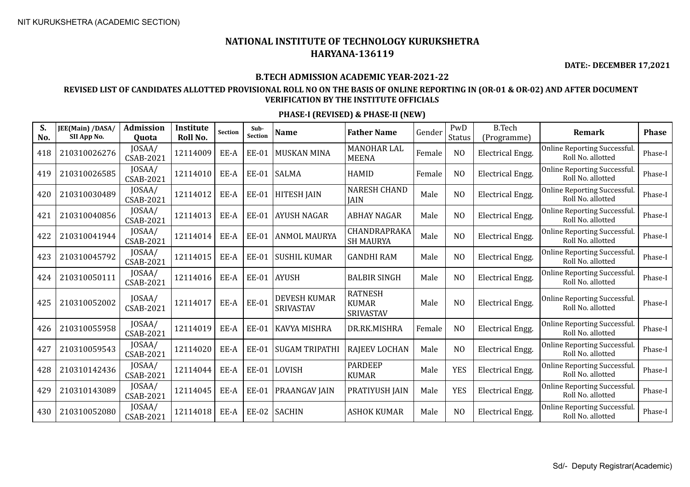**DATE:- DECEMBER 17,2021**

### **B.TECH ADMISSION ACADEMIC YEAR-2021-22**

### **REVISED LIST OF CANDIDATES ALLOTTED PROVISIONAL ROLL NO ON THE BASIS OF ONLINE REPORTING IN (OR-01 & OR-02) AND AFTER DOCUMENT VERIFICATION BY THE INSTITUTE OFFICIALS**

| S.<br>No. | JEE(Main) /DASA/<br>SII App No. | <b>Admission</b><br><b>Ouota</b> | Institute<br>Roll No. | <b>Section</b> | Sub-<br><b>Section</b> | <b>Name</b>                             | <b>Father Name</b>                          | Gender | PwD<br>Status  | <b>B.Tech</b><br>(Programme) | Remark                                                   | <b>Phase</b> |
|-----------|---------------------------------|----------------------------------|-----------------------|----------------|------------------------|-----------------------------------------|---------------------------------------------|--------|----------------|------------------------------|----------------------------------------------------------|--------------|
| 418       | 210310026276                    | JOSAA/<br><b>CSAB-2021</b>       | 12114009              | EE-A           | <b>EE-01</b>           | <b>MUSKAN MINA</b>                      | <b>MANOHAR LAL</b><br><b>MEENA</b>          | Female | N <sub>O</sub> | Electrical Engg.             | <b>Online Reporting Successful</b><br>Roll No. allotted  | Phase-I      |
| 419       | 210310026585                    | JOSAA/<br>CSAB-2021              | 12114010              | EE-A           | <b>EE-01</b>           | <b>SALMA</b>                            | <b>HAMID</b>                                | Female | N <sub>O</sub> | <b>Electrical Engg.</b>      | <b>Online Reporting Successful</b><br>Roll No. allotted  | Phase-I      |
| 420       | 210310030489                    | JOSAA/<br>CSAB-2021              | 12114012              | EE-A           | <b>EE-01</b>           | <b>HITESH JAIN</b>                      | <b>NARESH CHAND</b><br><b>JAIN</b>          | Male   | N <sub>O</sub> | <b>Electrical Engg.</b>      | <b>Online Reporting Successful</b><br>Roll No. allotted  | Phase-I      |
| 421       | 210310040856                    | JOSAA/<br><b>CSAB-2021</b>       | 12114013              | EE-A           | <b>EE-01</b>           | <b>AYUSH NAGAR</b>                      | <b>ABHAY NAGAR</b>                          | Male   | N <sub>O</sub> | <b>Electrical Engg.</b>      | <b>Online Reporting Successful.</b><br>Roll No. allotted | Phase-I      |
| 422       | 210310041944                    | JOSAA/<br><b>CSAB-2021</b>       | 12114014              | EE-A           | <b>EE-01</b>           | <b>ANMOL MAURYA</b>                     | CHANDRAPRAKA<br><b>SH MAURYA</b>            | Male   | N <sub>O</sub> | <b>Electrical Engg.</b>      | Online Reporting Successful.<br>Roll No. allotted        | Phase-I      |
| 423       | 210310045792                    | JOSAA/<br><b>CSAB-2021</b>       | 12114015              | EE-A           | <b>EE-01</b>           | <b>SUSHIL KUMAR</b>                     | <b>GANDHI RAM</b>                           | Male   | N <sub>O</sub> | <b>Electrical Engg.</b>      | <b>Online Reporting Successful</b><br>Roll No. allotted  | Phase-I      |
| 424       | 210310050111                    | JOSAA/<br>CSAB-2021              | 12114016              | EE-A           | EE-01                  | <b>AYUSH</b>                            | <b>BALBIR SINGH</b>                         | Male   | N <sub>O</sub> | <b>Electrical Engg.</b>      | <b>Online Reporting Successful</b><br>Roll No. allotted  | Phase-I      |
| 425       | 210310052002                    | JOSAA/<br><b>CSAB-2021</b>       | 12114017              | EE-A           | <b>EE-01</b>           | <b>DEVESH KUMAR</b><br><b>SRIVASTAV</b> | <b>RATNESH</b><br><b>KUMAR</b><br>SRIVASTAV | Male   | N <sub>O</sub> | <b>Electrical Engg.</b>      | <b>Online Reporting Successful</b><br>Roll No. allotted  | Phase-I      |
| 426       | 210310055958                    | JOSAA/<br><b>CSAB-2021</b>       | 12114019              | EE-A           | <b>EE-01</b>           | KAVYA MISHRA                            | DR.RK.MISHRA                                | Female | N <sub>O</sub> | Electrical Engg.             | Online Reporting Successful.<br>Roll No. allotted        | Phase-I      |
| 427       | 210310059543                    | JOSAA/<br><b>CSAB-2021</b>       | 12114020              | EE-A           | <b>EE-01</b>           | <b>SUGAM TRIPATHI</b>                   | <b>RAJEEV LOCHAN</b>                        | Male   | N <sub>O</sub> | <b>Electrical Engg.</b>      | <b>Online Reporting Successful</b><br>Roll No. allotted  | Phase-I      |
| 428       | 210310142436                    | JOSAA/<br>CSAB-2021              | 12114044              | EE-A           | <b>EE-01</b>           | LOVISH                                  | <b>PARDEEP</b><br><b>KUMAR</b>              | Male   | <b>YES</b>     | Electrical Engg.             | <b>Online Reporting Successful</b><br>Roll No. allotted  | Phase-I      |
| 429       | 210310143089                    | JOSAA/<br><b>CSAB-2021</b>       | 12114045              | EE-A           | <b>EE-01</b>           | PRAANGAV JAIN                           | PRATIYUSH JAIN                              | Male   | <b>YES</b>     | Electrical Engg.             | <b>Online Reporting Successful</b><br>Roll No. allotted  | Phase-I      |
| 430       | 210310052080                    | JOSAA/<br><b>CSAB-2021</b>       | 12114018              | EE-A           | <b>EE-02</b>           | <b>SACHIN</b>                           | <b>ASHOK KUMAR</b>                          | Male   | N <sub>O</sub> | <b>Electrical Engg.</b>      | <b>Online Reporting Successful</b><br>Roll No. allotted  | Phase-I      |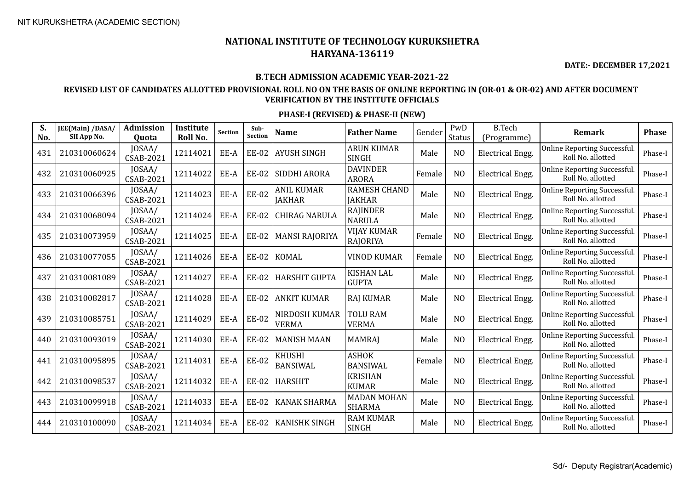**DATE:- DECEMBER 17,2021**

### **B.TECH ADMISSION ACADEMIC YEAR-2021-22**

### **REVISED LIST OF CANDIDATES ALLOTTED PROVISIONAL ROLL NO ON THE BASIS OF ONLINE REPORTING IN (OR-01 & OR-02) AND AFTER DOCUMENT VERIFICATION BY THE INSTITUTE OFFICIALS**

| S.<br>No. | JEE(Main) /DASA/<br>SII App No. | <b>Admission</b><br>Quota  | Institute<br>Roll No. | <b>Section</b> | Sub-<br><b>Section</b> | <b>Name</b>                   | <b>Father Name</b>                    | Gender | PwD<br>Status  | <b>B.Tech</b><br>(Programme) | Remark                                                   | <b>Phase</b> |
|-----------|---------------------------------|----------------------------|-----------------------|----------------|------------------------|-------------------------------|---------------------------------------|--------|----------------|------------------------------|----------------------------------------------------------|--------------|
| 431       | 210310060624                    | JOSAA/<br>CSAB-2021        | 12114021              | EE-A           | <b>EE-02</b>           | <b>AYUSH SINGH</b>            | <b>ARUN KUMAR</b><br><b>SINGH</b>     | Male   | N <sub>O</sub> | <b>Electrical Engg.</b>      | Online Reporting Successful.<br>Roll No. allotted        | Phase-I      |
| 432       | 210310060925                    | JOSAA/<br>CSAB-2021        | 12114022              | EE-A           | <b>EE-02</b>           | SIDDHI ARORA                  | <b>DAVINDER</b><br><b>ARORA</b>       | Female | N <sub>O</sub> | <b>Electrical Engg.</b>      | <b>Online Reporting Successful.</b><br>Roll No. allotted | Phase-I      |
| 433       | 210310066396                    | JOSAA/<br>CSAB-2021        | 12114023              | EE-A           | <b>EE-02</b>           | ANIL KUMAR<br><b>JAKHAR</b>   | <b>RAMESH CHAND</b><br><b>JAKHAR</b>  | Male   | N <sub>O</sub> | Electrical Engg.             | Online Reporting Successful.<br>Roll No. allotted        | Phase-I      |
| 434       | 210310068094                    | JOSAA/<br><b>CSAB-2021</b> | 12114024              | EE-A           | <b>EE-02</b>           | <b>CHIRAG NARULA</b>          | <b>RAJINDER</b><br><b>NARULA</b>      | Male   | N <sub>O</sub> | <b>Electrical Engg.</b>      | Online Reporting Successful.<br>Roll No. allotted        | Phase-I      |
| 435       | 210310073959                    | JOSAA/<br><b>CSAB-2021</b> | 12114025              | EE-A           | <b>EE-02</b>           | <b>MANSI RAJORIYA</b>         | <b>VIJAY KUMAR</b><br><b>RAJORIYA</b> | Female | N <sub>O</sub> | <b>Electrical Engg.</b>      | Online Reporting Successful.<br>Roll No. allotted        | Phase-I      |
| 436       | 210310077055                    | JOSAA/<br><b>CSAB-2021</b> | 12114026              | EE-A           | <b>EE-02</b>           | <b>KOMAL</b>                  | <b>VINOD KUMAR</b>                    | Female | N <sub>O</sub> | <b>Electrical Engg.</b>      | Online Reporting Successful.<br>Roll No. allotted        | Phase-I      |
| 437       | 210310081089                    | JOSAA/<br><b>CSAB-2021</b> | 12114027              | EE-A           | <b>EE-02</b>           | <b>HARSHIT GUPTA</b>          | <b>KISHAN LAL</b><br><b>GUPTA</b>     | Male   | N <sub>O</sub> | <b>Electrical Engg.</b>      | Online Reporting Successful.<br>Roll No. allotted        | Phase-I      |
| 438       | 210310082817                    | JOSAA/<br><b>CSAB-2021</b> | 12114028              | EE-A           | <b>EE-02</b>           | <b>ANKIT KUMAR</b>            | <b>RAJ KUMAR</b>                      | Male   | N <sub>O</sub> | <b>Electrical Engg.</b>      | Online Reporting Successful.<br>Roll No. allotted        | Phase-I      |
| 439       | 210310085751                    | JOSAA/<br>CSAB-2021        | 12114029              | EE-A           | <b>EE-02</b>           | NIRDOSH KUMAR<br><b>VERMA</b> | <b>TOLU RAM</b><br><b>VERMA</b>       | Male   | N <sub>O</sub> | <b>Electrical Engg.</b>      | Online Reporting Successful.<br>Roll No. allotted        | Phase-I      |
| 440       | 210310093019                    | JOSAA/<br><b>CSAB-2021</b> | 12114030              | EE-A           | <b>EE-02</b>           | <b>MANISH MAAN</b>            | <b>MAMRAJ</b>                         | Male   | N <sub>O</sub> | <b>Electrical Engg.</b>      | Online Reporting Successful.<br>Roll No. allotted        | Phase-I      |
| 441       | 210310095895                    | JOSAA/<br>CSAB-2021        | 12114031              | EE-A           | <b>EE-02</b>           | KHUSHI<br><b>BANSIWAL</b>     | <b>ASHOK</b><br><b>BANSIWAL</b>       | Female | N <sub>O</sub> | <b>Electrical Engg.</b>      | <b>Online Reporting Successful.</b><br>Roll No. allotted | Phase-I      |
| 442       | 210310098537                    | JOSAA/<br>CSAB-2021        | 12114032              | EE-A           | <b>EE-02</b>           | <b>HARSHIT</b>                | <b>KRISHAN</b><br><b>KUMAR</b>        | Male   | N <sub>O</sub> | <b>Electrical Engg.</b>      | Online Reporting Successful.<br>Roll No. allotted        | Phase-I      |
| 443       | 210310099918                    | JOSAA/<br>CSAB-2021        | 12114033              | EE-A           | <b>EE-02</b>           | <b>KANAK SHARMA</b>           | <b>MADAN MOHAN</b><br><b>SHARMA</b>   | Male   | N <sub>O</sub> | <b>Electrical Engg.</b>      | Online Reporting Successful.<br>Roll No. allotted        | Phase-I      |
| 444       | 210310100090                    | JOSAA/<br><b>CSAB-2021</b> | 12114034              | EE-A           | <b>EE-02</b>           | <b>KANISHK SINGH</b>          | <b>RAM KUMAR</b><br><b>SINGH</b>      | Male   | N <sub>O</sub> | <b>Electrical Engg.</b>      | Online Reporting Successful.<br>Roll No. allotted        | Phase-I      |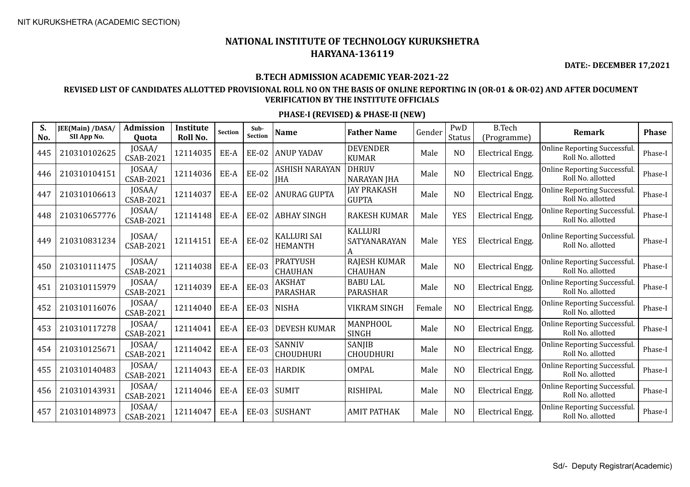**DATE:- DECEMBER 17,2021**

#### **B.TECH ADMISSION ACADEMIC YEAR-2021-22**

### **REVISED LIST OF CANDIDATES ALLOTTED PROVISIONAL ROLL NO ON THE BASIS OF ONLINE REPORTING IN (OR-01 & OR-02) AND AFTER DOCUMENT VERIFICATION BY THE INSTITUTE OFFICIALS**

| S.<br>No. | JEE(Main) /DASA/<br>SII App No. | Admission<br><b>Ouota</b>  | Institute<br>Roll No. | <b>Section</b> | Sub-<br>Section | <b>Name</b>                          | <b>Father Name</b>                  | Gender | PwD<br><b>Status</b> | <b>B.Tech</b><br>(Programme) | Remark                                                   | <b>Phase</b> |
|-----------|---------------------------------|----------------------------|-----------------------|----------------|-----------------|--------------------------------------|-------------------------------------|--------|----------------------|------------------------------|----------------------------------------------------------|--------------|
| 445       | 210310102625                    | JOSAA/<br><b>CSAB-2021</b> | 12114035              | EE-A           | <b>EE-02</b>    | <b>ANUP YADAV</b>                    | <b>DEVENDER</b><br><b>KUMAR</b>     | Male   | N <sub>O</sub>       | <b>Electrical Engg.</b>      | <b>Online Reporting Successful</b><br>Roll No. allotted  | Phase-I      |
| 446       | 210310104151                    | JOSAA/<br>CSAB-2021        | 12114036              | EE-A           | <b>EE-02</b>    | ASHISH NARAYAN<br><b>JHA</b>         | <b>DHRUV</b><br><b>NARAYAN JHA</b>  | Male   | N <sub>O</sub>       | <b>Electrical Engg.</b>      | Online Reporting Successful.<br>Roll No. allotted        | Phase-I      |
| 447       | 210310106613                    | JOSAA/<br>CSAB-2021        | 12114037              | EE-A           | <b>EE-02</b>    | <b>ANURAG GUPTA</b>                  | <b>JAY PRAKASH</b><br><b>GUPTA</b>  | Male   | N <sub>O</sub>       | <b>Electrical Engg.</b>      | <b>Online Reporting Successful</b><br>Roll No. allotted  | Phase-I      |
| 448       | 210310657776                    | JOSAA/<br><b>CSAB-2021</b> | 12114148              | EE-A           | <b>EE-02</b>    | <b>ABHAY SINGH</b>                   | <b>RAKESH KUMAR</b>                 | Male   | <b>YES</b>           | <b>Electrical Engg.</b>      | <b>Online Reporting Successful.</b><br>Roll No. allotted | Phase-I      |
| 449       | 210310831234                    | JOSAA/<br><b>CSAB-2021</b> | 12114151              | EE-A           | <b>EE-02</b>    | <b>KALLURI SAI</b><br><b>HEMANTH</b> | <b>KALLURI</b><br>SATYANARAYAN<br>A | Male   | <b>YES</b>           | <b>Electrical Engg.</b>      | <b>Online Reporting Successful</b><br>Roll No. allotted  | Phase-I      |
| 450       | 210310111475                    | JOSAA/<br>CSAB-2021        | 12114038              | EE-A           | <b>EE-03</b>    | <b>PRATYUSH</b><br><b>CHAUHAN</b>    | RAJESH KUMAR<br><b>CHAUHAN</b>      | Male   | N <sub>O</sub>       | <b>Electrical Engg.</b>      | <b>Online Reporting Successful</b><br>Roll No. allotted  | Phase-I      |
| 451       | 210310115979                    | JOSAA/<br>CSAB-2021        | 12114039              | EE-A           | <b>EE-03</b>    | AKSHAT<br><b>PARASHAR</b>            | <b>BABU LAL</b><br>PARASHAR         | Male   | N <sub>O</sub>       | <b>Electrical Engg.</b>      | Online Reporting Successful.<br>Roll No. allotted        | Phase-I      |
| 452       | 210310116076                    | JOSAA/<br><b>CSAB-2021</b> | 12114040              | EE-A           | <b>EE-03</b>    | <b>NISHA</b>                         | <b>VIKRAM SINGH</b>                 | Female | N <sub>O</sub>       | Electrical Engg.             | <b>Online Reporting Successful</b><br>Roll No. allotted  | Phase-I      |
| 453       | 210310117278                    | JOSAA/<br><b>CSAB-2021</b> | 12114041              | EE-A           | <b>EE-03</b>    | <b>DEVESH KUMAR</b>                  | MANPHOOL<br><b>SINGH</b>            | Male   | N <sub>O</sub>       | <b>Electrical Engg.</b>      | <b>Online Reporting Successful</b><br>Roll No. allotted  | Phase-I      |
| 454       | 210310125671                    | JOSAA/<br>CSAB-2021        | 12114042              | EE-A           | <b>EE-03</b>    | SANNIV<br><b>CHOUDHURI</b>           | SANJIB<br><b>CHOUDHURI</b>          | Male   | N <sub>O</sub>       | <b>Electrical Engg.</b>      | <b>Online Reporting Successful</b><br>Roll No. allotted  | Phase-I      |
| 455       | 210310140483                    | JOSAA/<br><b>CSAB-2021</b> | 12114043              | EE-A           | <b>EE-03</b>    | <b>HARDIK</b>                        | OMPAL                               | Male   | N <sub>O</sub>       | <b>Electrical Engg.</b>      | <b>Online Reporting Successful.</b><br>Roll No. allotted | Phase-I      |
| 456       | 210310143931                    | JOSAA/<br>CSAB-2021        | 12114046              | EE-A           | <b>EE-03</b>    | <b>SUMIT</b>                         | <b>RISHIPAL</b>                     | Male   | N <sub>O</sub>       | <b>Electrical Engg.</b>      | Online Reporting Successful.<br>Roll No. allotted        | Phase-I      |
| 457       | 210310148973                    | JOSAA/<br>CSAB-2021        | 12114047              | EE-A           | <b>EE-03</b>    | <b>SUSHANT</b>                       | <b>AMIT PATHAK</b>                  | Male   | N <sub>O</sub>       | <b>Electrical Engg.</b>      | <b>Online Reporting Successful</b><br>Roll No. allotted  | Phase-I      |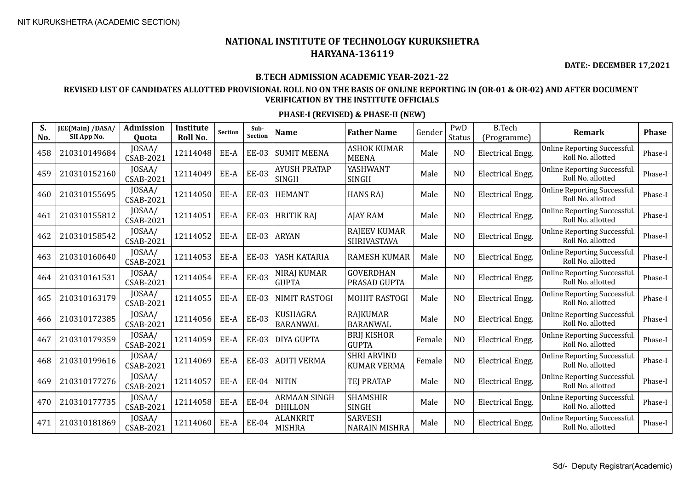**DATE:- DECEMBER 17,2021**

#### **B.TECH ADMISSION ACADEMIC YEAR-2021-22**

### **REVISED LIST OF CANDIDATES ALLOTTED PROVISIONAL ROLL NO ON THE BASIS OF ONLINE REPORTING IN (OR-01 & OR-02) AND AFTER DOCUMENT VERIFICATION BY THE INSTITUTE OFFICIALS**

| S.<br>No. | JEE(Main) /DASA/<br>SII App No. | <b>Admission</b><br>Quota  | <b>Institute</b><br>Roll No. | <b>Section</b>     | Sub-<br><b>Section</b> | <b>Name</b>                           | <b>Father Name</b>                       | Gender | PwD<br><b>Status</b> | <b>B.Tech</b><br>(Programme) | <b>Remark</b>                                            | <b>Phase</b> |
|-----------|---------------------------------|----------------------------|------------------------------|--------------------|------------------------|---------------------------------------|------------------------------------------|--------|----------------------|------------------------------|----------------------------------------------------------|--------------|
| 458       | 210310149684                    | JOSAA/<br><b>CSAB-2021</b> | 12114048                     | EE-A               | <b>EE-03</b>           | <b>SUMIT MEENA</b>                    | <b>ASHOK KUMAR</b><br><b>MEENA</b>       | Male   | N <sub>O</sub>       | <b>Electrical Engg.</b>      | <b>Online Reporting Successful.</b><br>Roll No. allotted | Phase-I      |
| 459       | 210310152160                    | JOSAA/<br><b>CSAB-2021</b> | 12114049                     | EE-A               | <b>EE-03</b>           | <b>AYUSH PRATAP</b><br><b>SINGH</b>   | YASHWANT<br><b>SINGH</b>                 | Male   | N <sub>O</sub>       | <b>Electrical Engg.</b>      | Online Reporting Successful.<br>Roll No. allotted        | Phase-I      |
| 460       | 210310155695                    | JOSAA/<br><b>CSAB-2021</b> | 12114050                     | EE-A               | <b>EE-03</b>           | <b>HEMANT</b>                         | <b>HANS RAJ</b>                          | Male   | N <sub>O</sub>       | <b>Electrical Engg.</b>      | <b>Online Reporting Successful.</b><br>Roll No. allotted | Phase-I      |
| 461       | 210310155812                    | JOSAA/<br>CSAB-2021        | 12114051                     | EE-A               | <b>EE-03</b>           | <b>HRITIK RAJ</b>                     | <b>AJAY RAM</b>                          | Male   | N <sub>O</sub>       | <b>Electrical Engg.</b>      | Online Reporting Successful.<br>Roll No. allotted        | Phase-I      |
| 462       | 210310158542                    | JOSAA/<br>CSAB-2021        | 12114052                     | EE-A               | <b>EE-03</b>           | <b>ARYAN</b>                          | <b>RAJEEV KUMAR</b><br>SHRIVASTAVA       | Male   | N <sub>O</sub>       | <b>Electrical Engg.</b>      | Online Reporting Successful.<br>Roll No. allotted        | Phase-I      |
| 463       | 210310160640                    | JOSAA/<br><b>CSAB-2021</b> | 12114053                     | EE-A               | <b>EE-03</b>           | YASH KATARIA                          | <b>RAMESH KUMAR</b>                      | Male   | N <sub>O</sub>       | <b>Electrical Engg.</b>      | Online Reporting Successful.<br>Roll No. allotted        | Phase-I      |
| 464       | 210310161531                    | JOSAA/<br>CSAB-2021        | 12114054                     | EE-A               | <b>EE-03</b>           | <b>NIRAJ KUMAR</b><br><b>GUPTA</b>    | <b>GOVERDHAN</b><br>PRASAD GUPTA         | Male   | N <sub>O</sub>       | <b>Electrical Engg.</b>      | Online Reporting Successful.<br>Roll No. allotted        | Phase-I      |
| 465       | 210310163179                    | JOSAA/<br>CSAB-2021        | 12114055                     | EE-A               | <b>EE-03</b>           | <b>NIMIT RASTOGI</b>                  | <b>MOHIT RASTOGI</b>                     | Male   | N <sub>O</sub>       | <b>Electrical Engg.</b>      | Online Reporting Successful.<br>Roll No. allotted        | Phase-I      |
| 466       | 210310172385                    | JOSAA/<br>CSAB-2021        | 12114056                     | $\rm{EE}\mbox{-}A$ | <b>EE-03</b>           | <b>KUSHAGRA</b><br><b>BARANWAL</b>    | <b>RAJKUMAR</b><br>BARANWAL              | Male   | N <sub>O</sub>       | <b>Electrical Engg.</b>      | Online Reporting Successful.<br>Roll No. allotted        | Phase-I      |
| 467       | 210310179359                    | JOSAA/<br><b>CSAB-2021</b> | 12114059                     | EE-A               | <b>EE-03</b>           | <b>DIYA GUPTA</b>                     | <b>BRIJ KISHOR</b><br><b>GUPTA</b>       | Female | N <sub>O</sub>       | <b>Electrical Engg.</b>      | Online Reporting Successful.<br>Roll No. allotted        | Phase-I      |
| 468       | 210310199616                    | JOSAA/<br>CSAB-2021        | 12114069                     | EE-A               | <b>EE-03</b>           | <b>ADITI VERMA</b>                    | <b>SHRI ARVIND</b><br><b>KUMAR VERMA</b> | Female | N <sub>O</sub>       | Electrical Engg.             | Online Reporting Successful.<br>Roll No. allotted        | Phase-I      |
| 469       | 210310177276                    | JOSAA/<br><b>CSAB-2021</b> | 12114057                     | EE-A               | <b>EE-04</b>           | <b>NITIN</b>                          | <b>TEJ PRATAP</b>                        | Male   | N <sub>O</sub>       | <b>Electrical Engg.</b>      | Online Reporting Successful.<br>Roll No. allotted        | Phase-I      |
| 470       | 210310177735                    | JOSAA/<br><b>CSAB-2021</b> | 12114058                     | EE-A               | <b>EE-04</b>           | <b>ARMAAN SINGH</b><br><b>DHILLON</b> | <b>SHAMSHIR</b><br><b>SINGH</b>          | Male   | N <sub>O</sub>       | Electrical Engg.             | Online Reporting Successful.<br>Roll No. allotted        | Phase-I      |
| 471       | 210310181869                    | JOSAA/<br><b>CSAB-2021</b> | 12114060                     | EE-A               | <b>EE-04</b>           | <b>ALANKRIT</b><br><b>MISHRA</b>      | <b>SARVESH</b><br><b>NARAIN MISHRA</b>   | Male   | N <sub>O</sub>       | <b>Electrical Engg.</b>      | Online Reporting Successful.<br>Roll No. allotted        | Phase-I      |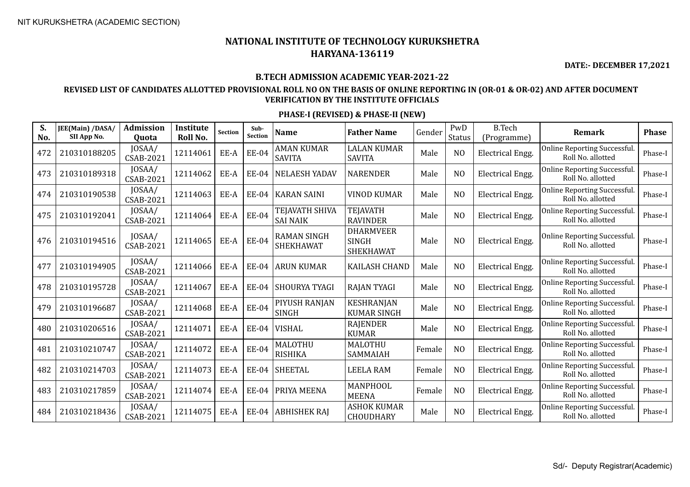**DATE:- DECEMBER 17,2021**

#### **B.TECH ADMISSION ACADEMIC YEAR-2021-22**

### **REVISED LIST OF CANDIDATES ALLOTTED PROVISIONAL ROLL NO ON THE BASIS OF ONLINE REPORTING IN (OR-01 & OR-02) AND AFTER DOCUMENT VERIFICATION BY THE INSTITUTE OFFICIALS**

| S.<br>No. | JEE(Main) /DASA/<br>SII App No. | <b>Admission</b><br>Quota  | Institute<br>Roll No. | <b>Section</b> | Sub-<br><b>Section</b> | <b>Name</b>                            | <b>Father Name</b>                                   | Gender | PwD<br>Status  | <b>B.Tech</b><br>(Programme) | <b>Remark</b>                                            | <b>Phase</b> |
|-----------|---------------------------------|----------------------------|-----------------------|----------------|------------------------|----------------------------------------|------------------------------------------------------|--------|----------------|------------------------------|----------------------------------------------------------|--------------|
| 472       | 210310188205                    | JOSAA/<br><b>CSAB-2021</b> | 12114061              | EE-A           | <b>EE-04</b>           | <b>AMAN KUMAR</b><br><b>SAVITA</b>     | <b>LALAN KUMAR</b><br><b>SAVITA</b>                  | Male   | N <sub>O</sub> | <b>Electrical Engg.</b>      | <b>Online Reporting Successful.</b><br>Roll No. allotted | Phase-I      |
| 473       | 210310189318                    | JOSAA/<br>CSAB-2021        | 12114062              | EE-A           | <b>EE-04</b>           | <b>NELAESH YADAV</b>                   | <b>NARENDER</b>                                      | Male   | N <sub>O</sub> | <b>Electrical Engg.</b>      | <b>Online Reporting Successful</b><br>Roll No. allotted  | Phase-I      |
| 474       | 210310190538                    | JOSAA/<br><b>CSAB-2021</b> | 12114063              | EE-A           | EE-04                  | <b>KARAN SAINI</b>                     | <b>VINOD KUMAR</b>                                   | Male   | N <sub>O</sub> | Electrical Engg.             | <b>Online Reporting Successful</b><br>Roll No. allotted  | Phase-I      |
| 475       | 210310192041                    | JOSAA/<br>CSAB-2021        | 12114064              | EE-A           | <b>EE-04</b>           | TEJAVATH SHIVA<br><b>SAI NAIK</b>      | <b>TEJAVATH</b><br><b>RAVINDER</b>                   | Male   | N <sub>O</sub> | <b>Electrical Engg.</b>      | <b>Online Reporting Successful.</b><br>Roll No. allotted | Phase-I      |
| 476       | 210310194516                    | JOSAA/<br><b>CSAB-2021</b> | 12114065              | EE-A           | <b>EE-04</b>           | <b>RAMAN SINGH</b><br><b>SHEKHAWAT</b> | <b>DHARMVEER</b><br><b>SINGH</b><br><b>SHEKHAWAT</b> | Male   | N <sub>O</sub> | <b>Electrical Engg.</b>      | Online Reporting Successful.<br>Roll No. allotted        | Phase-I      |
| 477       | 210310194905                    | JOSAA/<br><b>CSAB-2021</b> | 12114066              | EE-A           | <b>EE-04</b>           | <b>ARUN KUMAR</b>                      | <b>KAILASH CHAND</b>                                 | Male   | N <sub>O</sub> | <b>Electrical Engg.</b>      | Online Reporting Successful.<br>Roll No. allotted        | Phase-I      |
| 478       | 210310195728                    | JOSAA/<br>CSAB-2021        | 12114067              | EE-A           | <b>EE-04</b>           | SHOURYA TYAGI                          | <b>RAJAN TYAGI</b>                                   | Male   | N <sub>O</sub> | <b>Electrical Engg.</b>      | Online Reporting Successful.<br>Roll No. allotted        | Phase-I      |
| 479       | 210310196687                    | JOSAA/<br><b>CSAB-2021</b> | 12114068              | EE-A           | <b>EE-04</b>           | PIYUSH RANJAN<br><b>SINGH</b>          | <b>KESHRANJAN</b><br><b>KUMAR SINGH</b>              | Male   | N <sub>O</sub> | <b>Electrical Engg.</b>      | <b>Online Reporting Successful</b><br>Roll No. allotted  | Phase-I      |
| 480       | 210310206516                    | JOSAA/<br><b>CSAB-2021</b> | 12114071              | EE-A           | <b>EE-04</b>           | <b>VISHAL</b>                          | <b>RAJENDER</b><br><b>KUMAR</b>                      | Male   | N <sub>O</sub> | Electrical Engg.             | <b>Online Reporting Successful</b><br>Roll No. allotted  | Phase-I      |
| 481       | 210310210747                    | JOSAA/<br><b>CSAB-2021</b> | 12114072              | EE-A           | <b>EE-04</b>           | MALOTHU<br><b>RISHIKA</b>              | MALOTHU<br>SAMMAIAH                                  | Female | N <sub>O</sub> | <b>Electrical Engg.</b>      | <b>Online Reporting Successful</b><br>Roll No. allotted  | Phase-I      |
| 482       | 210310214703                    | JOSAA/<br><b>CSAB-2021</b> | 12114073              | EE-A           | EE-04                  | <b>SHEETAL</b>                         | <b>LEELA RAM</b>                                     | Female | N <sub>O</sub> | Electrical Engg.             | Online Reporting Successful.<br>Roll No. allotted        | Phase-I      |
| 483       | 210310217859                    | JOSAA/<br><b>CSAB-2021</b> | 12114074              | EE-A           | EE-04                  | PRIYA MEENA                            | MANPHOOL<br><b>MEENA</b>                             | Female | N <sub>O</sub> | <b>Electrical Engg.</b>      | <b>Online Reporting Successful</b><br>Roll No. allotted  | Phase-I      |
| 484       | 210310218436                    | JOSAA/<br><b>CSAB-2021</b> | 12114075              | EE-A           | <b>EE-04</b>           | <b>ABHISHEK RAJ</b>                    | <b>ASHOK KUMAR</b><br>CHOUDHARY                      | Male   | N <sub>O</sub> | <b>Electrical Engg.</b>      | <b>Online Reporting Successful</b><br>Roll No. allotted  | Phase-I      |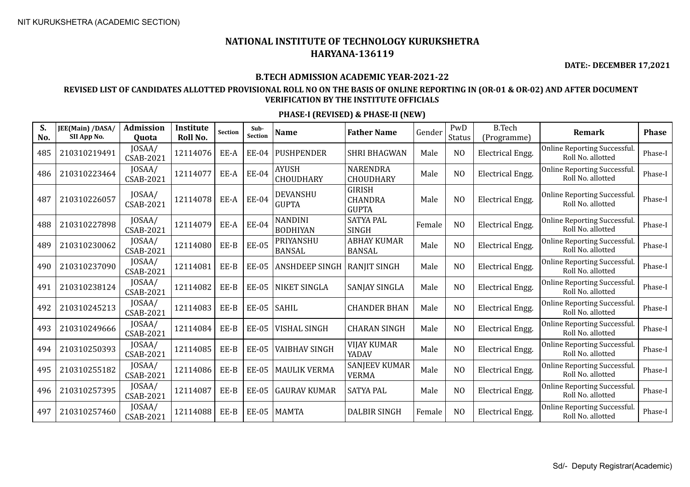**DATE:- DECEMBER 17,2021**

#### **B.TECH ADMISSION ACADEMIC YEAR-2021-22**

## **REVISED LIST OF CANDIDATES ALLOTTED PROVISIONAL ROLL NO ON THE BASIS OF ONLINE REPORTING IN (OR-01 & OR-02) AND AFTER DOCUMENT VERIFICATION BY THE INSTITUTE OFFICIALS**

| S.<br>No. | JEE(Main) /DASA/<br>SII App No. | <b>Admission</b><br>Quota  | Institute<br>Roll No. | Section | Sub-<br>Section | <b>Name</b>                       | <b>Father Name</b>                              | Gender | PwD<br>Status  | <b>B.Tech</b><br>(Programme) | <b>Remark</b>                                            | <b>Phase</b> |
|-----------|---------------------------------|----------------------------|-----------------------|---------|-----------------|-----------------------------------|-------------------------------------------------|--------|----------------|------------------------------|----------------------------------------------------------|--------------|
| 485       | 210310219491                    | JOSAA/<br><b>CSAB-2021</b> | 12114076              | EE-A    | EE-04           | <b>PUSHPENDER</b>                 | <b>SHRI BHAGWAN</b>                             | Male   | N <sub>O</sub> | <b>Electrical Engg.</b>      | Online Reporting Successful.<br>Roll No. allotted        | Phase-I      |
| 486       | 210310223464                    | JOSAA/<br>CSAB-2021        | 12114077              | EE-A    | <b>EE-04</b>    | <b>AYUSH</b><br>CHOUDHARY         | <b>NARENDRA</b><br><b>CHOUDHARY</b>             | Male   | N <sub>O</sub> | <b>Electrical Engg.</b>      | Online Reporting Successful.<br>Roll No. allotted        | Phase-I      |
| 487       | 210310226057                    | JOSAA/<br><b>CSAB-2021</b> | 12114078              | EE-A    | <b>EE-04</b>    | <b>DEVANSHU</b><br><b>GUPTA</b>   | <b>GIRISH</b><br><b>CHANDRA</b><br><b>GUPTA</b> | Male   | N <sub>O</sub> | <b>Electrical Engg.</b>      | Online Reporting Successful.<br>Roll No. allotted        | Phase-I      |
| 488       | 210310227898                    | JOSAA/<br><b>CSAB-2021</b> | 12114079              | EE-A    | <b>EE-04</b>    | <b>NANDINI</b><br><b>BODHIYAN</b> | <b>SATYA PAL</b><br><b>SINGH</b>                | Female | N <sub>O</sub> | Electrical Engg.             | Online Reporting Successful.<br>Roll No. allotted        | Phase-I      |
| 489       | 210310230062                    | JOSAA/<br><b>CSAB-2021</b> | 12114080              | EE-B    | <b>EE-05</b>    | PRIYANSHU<br><b>BANSAL</b>        | <b>ABHAY KUMAR</b><br><b>BANSAL</b>             | Male   | N <sub>O</sub> | Electrical Engg.             | Online Reporting Successful.<br>Roll No. allotted        | Phase-I      |
| 490       | 210310237090                    | JOSAA/<br><b>CSAB-2021</b> | 12114081              | EE-B    | <b>EE-05</b>    | <b>ANSHDEEP SINGH</b>             | <b>RANJIT SINGH</b>                             | Male   | N <sub>O</sub> | <b>Electrical Engg.</b>      | Online Reporting Successful.<br>Roll No. allotted        | Phase-I      |
| 491       | 210310238124                    | JOSAA/<br><b>CSAB-2021</b> | 12114082              | EE-B    | <b>EE-05</b>    | NIKET SINGLA                      | SANJAY SINGLA                                   | Male   | N <sub>O</sub> | <b>Electrical Engg.</b>      | <b>Online Reporting Successful.</b><br>Roll No. allotted | Phase-I      |
| 492       | 210310245213                    | JOSAA/<br><b>CSAB-2021</b> | 12114083              | EE-B    | <b>EE-05</b>    | <b>SAHIL</b>                      | <b>CHANDER BHAN</b>                             | Male   | N <sub>O</sub> | Electrical Engg.             | Online Reporting Successful.<br>Roll No. allotted        | Phase-I      |
| 493       | 210310249666                    | JOSAA/<br>CSAB-2021        | 12114084              | EE-B    | <b>EE-05</b>    | <b>VISHAL SINGH</b>               | <b>CHARAN SINGH</b>                             | Male   | N <sub>O</sub> | Electrical Engg.             | Online Reporting Successful.<br>Roll No. allotted        | Phase-I      |
| 494       | 210310250393                    | JOSAA/<br>CSAB-2021        | 12114085              | EE-B    | <b>EE-05</b>    | <b>VAIBHAV SINGH</b>              | <b>VIJAY KUMAR</b><br>YADAV                     | Male   | N <sub>O</sub> | Electrical Engg.             | Online Reporting Successful.<br>Roll No. allotted        | Phase-I      |
| 495       | 210310255182                    | JOSAA/<br><b>CSAB-2021</b> | 12114086              | EE-B    | <b>EE-05</b>    | <b>MAULIK VERMA</b>               | <b>SANJEEV KUMAR</b><br><b>VERMA</b>            | Male   | N <sub>O</sub> | <b>Electrical Engg.</b>      | <b>Online Reporting Successful.</b><br>Roll No. allotted | Phase-I      |
| 496       | 210310257395                    | JOSAA/<br><b>CSAB-2021</b> | 12114087              | EE-B    | <b>EE-05</b>    | <b>GAURAV KUMAR</b>               | <b>SATYA PAL</b>                                | Male   | N <sub>O</sub> | <b>Electrical Engg.</b>      | Online Reporting Successful.<br>Roll No. allotted        | Phase-I      |
| 497       | 210310257460                    | JOSAA/<br><b>CSAB-2021</b> | 12114088              | EE-B    | <b>EE-05</b>    | <b>MAMTA</b>                      | <b>DALBIR SINGH</b>                             | Female | N <sub>O</sub> | Electrical Engg.             | Online Reporting Successful.<br>Roll No. allotted        | Phase-I      |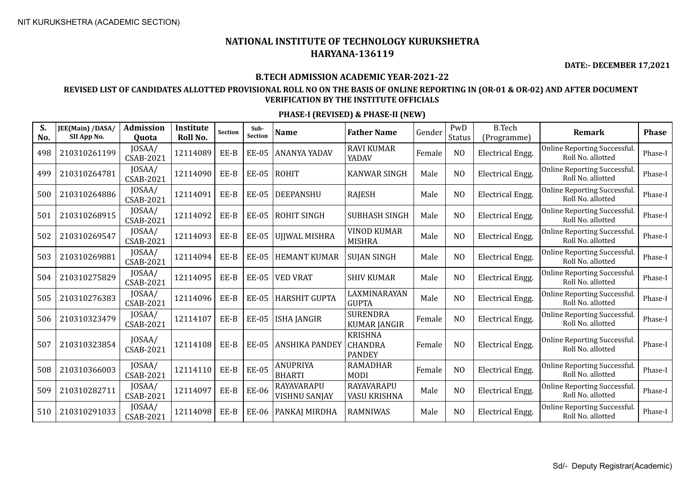**DATE:- DECEMBER 17,2021**

#### **B.TECH ADMISSION ACADEMIC YEAR-2021-22**

## **REVISED LIST OF CANDIDATES ALLOTTED PROVISIONAL ROLL NO ON THE BASIS OF ONLINE REPORTING IN (OR-01 & OR-02) AND AFTER DOCUMENT VERIFICATION BY THE INSTITUTE OFFICIALS**

| S.<br>No. | JEE(Main) /DASA/<br>SII App No. | <b>Admission</b><br>Quota  | Institute<br>Roll No. | <b>Section</b> | Sub-<br><b>Section</b> | <b>Name</b>                               | <b>Father Name</b>                                | Gender | PwD<br>Status  | <b>B.Tech</b><br>(Programme) | <b>Remark</b>                                            | <b>Phase</b> |
|-----------|---------------------------------|----------------------------|-----------------------|----------------|------------------------|-------------------------------------------|---------------------------------------------------|--------|----------------|------------------------------|----------------------------------------------------------|--------------|
| 498       | 210310261199                    | JOSAA/<br><b>CSAB-2021</b> | 12114089              | EE-B           | <b>EE-05</b>           | <b>ANANYA YADAV</b>                       | <b>RAVI KUMAR</b><br>YADAV                        | Female | N <sub>O</sub> | Electrical Engg.             | <b>Online Reporting Successful</b><br>Roll No. allotted  | Phase-I      |
| 499       | 210310264781                    | JOSAA/<br><b>CSAB-2021</b> | 12114090              | $EE-B$         | <b>EE-05</b>           | <b>ROHIT</b>                              | <b>KANWAR SINGH</b>                               | Male   | N <sub>O</sub> | <b>Electrical Engg.</b>      | Online Reporting Successful.<br>Roll No. allotted        | Phase-I      |
| 500       | 210310264886                    | JOSAA/<br><b>CSAB-2021</b> | 12114091              | EE-B           | <b>EE-05</b>           | <b>DEEPANSHU</b>                          | <b>RAJESH</b>                                     | Male   | N <sub>O</sub> | <b>Electrical Engg.</b>      | <b>Online Reporting Successful.</b><br>Roll No. allotted | Phase-I      |
| 501       | 210310268915                    | JOSAA/<br><b>CSAB-2021</b> | 12114092              | EE-B           | <b>EE-05</b>           | <b>ROHIT SINGH</b>                        | <b>SUBHASH SINGH</b>                              | Male   | N <sub>O</sub> | <b>Electrical Engg.</b>      | <b>Online Reporting Successful</b><br>Roll No. allotted  | Phase-I      |
| 502       | 210310269547                    | JOSAA/<br><b>CSAB-2021</b> | 12114093              | EE-B           | <b>EE-05</b>           | UJJWAL MISHRA                             | <b>VINOD KUMAR</b><br><b>MISHRA</b>               | Male   | N <sub>O</sub> | <b>Electrical Engg.</b>      | <b>Online Reporting Successful</b><br>Roll No. allotted  | Phase-I      |
| 503       | 210310269881                    | JOSAA/<br>CSAB-2021        | 12114094              | EE-B           | <b>EE-05</b>           | <b>HEMANT KUMAR</b>                       | <b>SUJAN SINGH</b>                                | Male   | N <sub>O</sub> | Electrical Engg.             | Online Reporting Successful.<br>Roll No. allotted        | Phase-I      |
| 504       | 210310275829                    | JOSAA/<br><b>CSAB-2021</b> | 12114095              | EE-B           | <b>EE-05</b>           | <b>VED VRAT</b>                           | <b>SHIV KUMAR</b>                                 | Male   | N <sub>O</sub> | <b>Electrical Engg.</b>      | <b>Online Reporting Successful</b><br>Roll No. allotted  | Phase-I      |
| 505       | 210310276383                    | JOSAA/<br>CSAB-2021        | 12114096              | EE-B           | <b>EE-05</b>           | <b>HARSHIT GUPTA</b>                      | LAXMINARAYAN<br><b>GUPTA</b>                      | Male   | N <sub>O</sub> | Electrical Engg.             | <b>Online Reporting Successful</b><br>Roll No. allotted  | Phase-I      |
| 506       | 210310323479                    | JOSAA/<br><b>CSAB-2021</b> | 12114107              | EE-B           | <b>EE-05</b>           | <b>ISHA JANGIR</b>                        | <b>SURENDRA</b><br><b>KUMAR JANGIR</b>            | Female | NO             | <b>Electrical Engg.</b>      | <b>Online Reporting Successful.</b><br>Roll No. allotted | Phase-I      |
| 507       | 210310323854                    | JOSAA/<br><b>CSAB-2021</b> | 12114108              | EE-B           | <b>EE-05</b>           | <b>ANSHIKA PANDEY</b>                     | <b>KRISHNA</b><br><b>CHANDRA</b><br><b>PANDEY</b> | Female | N <sub>O</sub> | <b>Electrical Engg.</b>      | Online Reporting Successful.<br>Roll No. allotted        | Phase-I      |
| 508       | 210310366003                    | JOSAA/<br><b>CSAB-2021</b> | 12114110              | EE-B           | <b>EE-05</b>           | <b>ANUPRIYA</b><br><b>BHARTI</b>          | <b>RAMADHAR</b><br><b>MODI</b>                    | Female | N <sub>O</sub> | Electrical Engg.             | <b>Online Reporting Successful</b><br>Roll No. allotted  | Phase-I      |
| 509       | 210310282711                    | JOSAA/<br>CSAB-2021        | 12114097              | EE-B           | <b>EE-06</b>           | <b>RAYAVARAPU</b><br><b>VISHNU SANJAY</b> | <b>RAYAVARAPU</b><br>VASU KRISHNA                 | Male   | N <sub>O</sub> | <b>Electrical Engg.</b>      | <b>Online Reporting Successful</b><br>Roll No. allotted  | Phase-I      |
| 510       | 210310291033                    | JOSAA/<br><b>CSAB-2021</b> | 12114098              | EE-B           | <b>EE-06</b>           | PANKAJ MIRDHA                             | <b>RAMNIWAS</b>                                   | Male   | N <sub>O</sub> | <b>Electrical Engg.</b>      | <b>Online Reporting Successful</b><br>Roll No. allotted  | Phase-I      |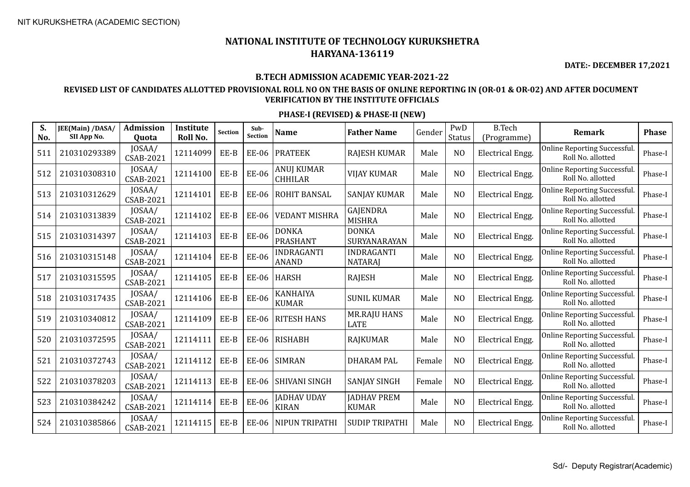**DATE:- DECEMBER 17,2021**

#### **B.TECH ADMISSION ACADEMIC YEAR-2021-22**

## **REVISED LIST OF CANDIDATES ALLOTTED PROVISIONAL ROLL NO ON THE BASIS OF ONLINE REPORTING IN (OR-01 & OR-02) AND AFTER DOCUMENT VERIFICATION BY THE INSTITUTE OFFICIALS**

| S.<br>No. | JEE(Main) /DASA/<br>SII App No. | <b>Admission</b><br>Quota  | Institute<br>Roll No. | Section | Sub-<br><b>Section</b> | <b>Name</b>                        | <b>Father Name</b>                  | Gender | PwD<br><b>Status</b> | <b>B.Tech</b><br>(Programme) | <b>Remark</b>                                            | <b>Phase</b> |
|-----------|---------------------------------|----------------------------|-----------------------|---------|------------------------|------------------------------------|-------------------------------------|--------|----------------------|------------------------------|----------------------------------------------------------|--------------|
| 511       | 210310293389                    | JOSAA/<br><b>CSAB-2021</b> | 12114099              | EE-B    | EE-06                  | <b>PRATEEK</b>                     | <b>RAJESH KUMAR</b>                 | Male   | N <sub>O</sub>       | <b>Electrical Engg.</b>      | <b>Online Reporting Successful.</b><br>Roll No. allotted | Phase-I      |
| 512       | 210310308310                    | JOSAA/<br><b>CSAB-2021</b> | 12114100              | EE-B    | <b>EE-06</b>           | ANUJ KUMAR<br><b>CHHILAR</b>       | <b>VIJAY KUMAR</b>                  | Male   | N <sub>O</sub>       | <b>Electrical Engg.</b>      | Online Reporting Successful.<br>Roll No. allotted        | Phase-I      |
| 513       | 210310312629                    | JOSAA/<br><b>CSAB-2021</b> | 12114101              | EE-B    | EE-06                  | ROHIT BANSAL                       | <b>SANJAY KUMAR</b>                 | Male   | N <sub>O</sub>       | <b>Electrical Engg.</b>      | Online Reporting Successful.<br>Roll No. allotted        | Phase-I      |
| 514       | 210310313839                    | JOSAA/<br>CSAB-2021        | 12114102              | EE-B    | EE-06                  | <b>VEDANT MISHRA</b>               | GAJENDRA<br><b>MISHRA</b>           | Male   | N <sub>O</sub>       | <b>Electrical Engg.</b>      | Online Reporting Successful.<br>Roll No. allotted        | Phase-I      |
| 515       | 210310314397                    | JOSAA/<br><b>CSAB-2021</b> | 12114103              | EE-B    | EE-06                  | <b>DONKA</b><br><b>PRASHANT</b>    | <b>DONKA</b><br>SURYANARAYAN        | Male   | N <sub>O</sub>       | <b>Electrical Engg.</b>      | Online Reporting Successful.<br>Roll No. allotted        | Phase-I      |
| 516       | 210310315148                    | JOSAA/<br><b>CSAB-2021</b> | 12114104              | EE-B    | <b>EE-06</b>           | INDRAGANTI<br><b>ANAND</b>         | <b>INDRAGANTI</b><br><b>NATARAJ</b> | Male   | N <sub>O</sub>       | <b>Electrical Engg.</b>      | Online Reporting Successful.<br>Roll No. allotted        | Phase-I      |
| 517       | 210310315595                    | JOSAA/<br>CSAB-2021        | 12114105              | EE-B    | EE-06                  | <b>HARSH</b>                       | <b>RAJESH</b>                       | Male   | N <sub>O</sub>       | <b>Electrical Engg.</b>      | Online Reporting Successful.<br>Roll No. allotted        | Phase-I      |
| 518       | 210310317435                    | JOSAA/<br>CSAB-2021        | 12114106              | EE-B    | <b>EE-06</b>           | KANHAIYA<br><b>KUMAR</b>           | <b>SUNIL KUMAR</b>                  | Male   | N <sub>O</sub>       | <b>Electrical Engg.</b>      | Online Reporting Successful.<br>Roll No. allotted        | Phase-I      |
| 519       | 210310340812                    | JOSAA/<br><b>CSAB-2021</b> | 12114109              | EE-B    | EE-06                  | <b>RITESH HANS</b>                 | <b>MR.RAJU HANS</b><br><b>LATE</b>  | Male   | N <sub>O</sub>       | <b>Electrical Engg.</b>      | Online Reporting Successful.<br>Roll No. allotted        | Phase-I      |
| 520       | 210310372595                    | JOSAA/<br><b>CSAB-2021</b> | 12114111              | EE-B    | EE-06                  | <b>RISHABH</b>                     | <b>RAJKUMAR</b>                     | Male   | N <sub>O</sub>       | Electrical Engg.             | Online Reporting Successful.<br>Roll No. allotted        | Phase-I      |
| 521       | 210310372743                    | JOSAA/<br><b>CSAB-2021</b> | 12114112              | EE-B    | EE-06                  | <b>SIMRAN</b>                      | <b>DHARAM PAL</b>                   | Female | N <sub>O</sub>       | <b>Electrical Engg.</b>      | Online Reporting Successful.<br>Roll No. allotted        | Phase-I      |
| 522       | 210310378203                    | JOSAA/<br><b>CSAB-2021</b> | 12114113              | EE-B    | <b>EE-06</b>           | SHIVANI SINGH                      | <b>SANJAY SINGH</b>                 | Female | N <sub>O</sub>       | Electrical Engg.             | Online Reporting Successful.<br>Roll No. allotted        | Phase-I      |
| 523       | 210310384242                    | JOSAA/<br><b>CSAB-2021</b> | 12114114              | $EE-B$  | EE-06                  | <b>JADHAV UDAY</b><br><b>KIRAN</b> | <b>JADHAV PREM</b><br><b>KUMAR</b>  | Male   | N <sub>O</sub>       | <b>Electrical Engg.</b>      | Online Reporting Successful.<br>Roll No. allotted        | Phase-I      |
| 524       | 210310385866                    | JOSAA/<br><b>CSAB-2021</b> | 12114115              | EE-B    | <b>EE-06</b>           | NIPUN TRIPATHI                     | <b>SUDIP TRIPATHI</b>               | Male   | N <sub>O</sub>       | <b>Electrical Engg.</b>      | Online Reporting Successful.<br>Roll No. allotted        | Phase-I      |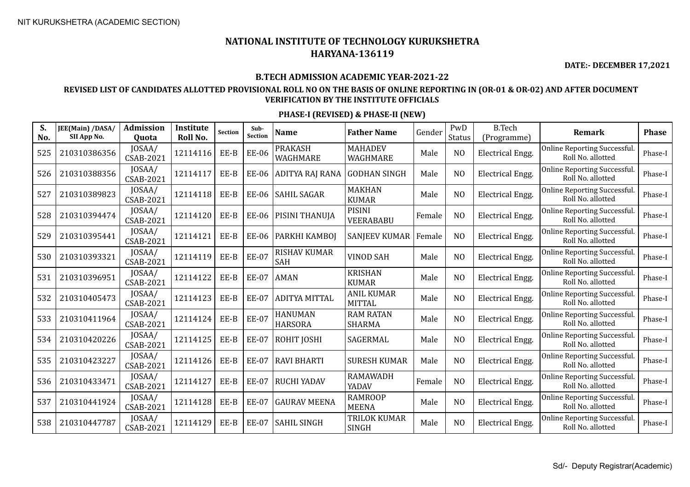**DATE:- DECEMBER 17,2021**

#### **B.TECH ADMISSION ACADEMIC YEAR-2021-22**

## **REVISED LIST OF CANDIDATES ALLOTTED PROVISIONAL ROLL NO ON THE BASIS OF ONLINE REPORTING IN (OR-01 & OR-02) AND AFTER DOCUMENT VERIFICATION BY THE INSTITUTE OFFICIALS**

| S.<br>No. | JEE(Main) /DASA/<br>SII App No. | <b>Admission</b><br>Quota  | Institute<br>Roll No. | <b>Section</b> | Sub-<br><b>Section</b> | <b>Name</b>                      | <b>Father Name</b>                  | Gender | PwD<br>Status  | <b>B.Tech</b><br>(Programme) | <b>Remark</b>                                            | <b>Phase</b> |
|-----------|---------------------------------|----------------------------|-----------------------|----------------|------------------------|----------------------------------|-------------------------------------|--------|----------------|------------------------------|----------------------------------------------------------|--------------|
| 525       | 210310386356                    | JOSAA/<br>CSAB-2021        | 12114116              | EE-B           | <b>EE-06</b>           | <b>PRAKASH</b><br>WAGHMARE       | <b>MAHADEV</b><br>WAGHMARE          | Male   | N <sub>O</sub> | <b>Electrical Engg.</b>      | Online Reporting Successful.<br>Roll No. allotted        | Phase-I      |
| 526       | 210310388356                    | JOSAA/<br>CSAB-2021        | 12114117              | EE-B           | <b>EE-06</b>           | ADITYA RAJ RANA                  | <b>GODHAN SINGH</b>                 | Male   | N <sub>O</sub> | Electrical Engg.             | <b>Online Reporting Successful.</b><br>Roll No. allotted | Phase-I      |
| 527       | 210310389823                    | JOSAA/<br>CSAB-2021        | 12114118              | EE-B           | <b>EE-06</b>           | <b>SAHIL SAGAR</b>               | <b>MAKHAN</b><br><b>KUMAR</b>       | Male   | N <sub>O</sub> | <b>Electrical Engg.</b>      | Online Reporting Successful.<br>Roll No. allotted        | Phase-I      |
| 528       | 210310394474                    | JOSAA/<br><b>CSAB-2021</b> | 12114120              | EE-B           | <b>EE-06</b>           | PISINI THANUJA                   | <b>PISINI</b><br>VEERABABU          | Female | N <sub>O</sub> | <b>Electrical Engg.</b>      | Online Reporting Successful.<br>Roll No. allotted        | Phase-I      |
| 529       | 210310395441                    | JOSAA/<br><b>CSAB-2021</b> | 12114121              | EE-B           | <b>EE-06</b>           | PARKHI KAMBOJ                    | <b>SANJEEV KUMAR</b>                | Female | N <sub>O</sub> | <b>Electrical Engg.</b>      | Online Reporting Successful.<br>Roll No. allotted        | Phase-I      |
| 530       | 210310393321                    | JOSAA/<br><b>CSAB-2021</b> | 12114119              | EE-B           | <b>EE-07</b>           | <b>RISHAV KUMAR</b><br>SAH       | <b>VINOD SAH</b>                    | Male   | N <sub>O</sub> | <b>Electrical Engg.</b>      | Online Reporting Successful.<br>Roll No. allotted        | Phase-I      |
| 531       | 210310396951                    | JOSAA/<br><b>CSAB-2021</b> | 12114122              | EE-B           | <b>EE-07</b>           | <b>AMAN</b>                      | <b>KRISHAN</b><br><b>KUMAR</b>      | Male   | N <sub>O</sub> | <b>Electrical Engg.</b>      | Online Reporting Successful.<br>Roll No. allotted        | Phase-I      |
| 532       | 210310405473                    | JOSAA/<br><b>CSAB-2021</b> | 12114123              | EE-B           | <b>EE-07</b>           | <b>ADITYA MITTAL</b>             | <b>ANIL KUMAR</b><br><b>MITTAL</b>  | Male   | N <sub>O</sub> | <b>Electrical Engg.</b>      | Online Reporting Successful.<br>Roll No. allotted        | Phase-I      |
| 533       | 210310411964                    | JOSAA/<br>CSAB-2021        | 12114124              | EE-B           | <b>EE-07</b>           | <b>HANUMAN</b><br><b>HARSORA</b> | <b>RAM RATAN</b><br><b>SHARMA</b>   | Male   | N <sub>O</sub> | Electrical Engg.             | Online Reporting Successful.<br>Roll No. allotted        | Phase-I      |
| 534       | 210310420226                    | JOSAA/<br>CSAB-2021        | 12114125              | EE-B           | <b>EE-07</b>           | ROHIT JOSHI                      | SAGERMAL                            | Male   | N <sub>O</sub> | <b>Electrical Engg.</b>      | Online Reporting Successful.<br>Roll No. allotted        | Phase-I      |
| 535       | 210310423227                    | JOSAA/<br>CSAB-2021        | 12114126              | EE-B           | <b>EE-07</b>           | <b>RAVI BHARTI</b>               | <b>SURESH KUMAR</b>                 | Male   | N <sub>O</sub> | <b>Electrical Engg.</b>      | Online Reporting Successful.<br>Roll No. allotted        | Phase-I      |
| 536       | 210310433471                    | JOSAA/<br><b>CSAB-2021</b> | 12114127              | EE-B           | <b>EE-07</b>           | <b>RUCHI YADAV</b>               | <b>RAMAWADH</b><br>YADAV            | Female | N <sub>O</sub> | <b>Electrical Engg.</b>      | Online Reporting Successful.<br>Roll No. allotted        | Phase-I      |
| 537       | 210310441924                    | JOSAA/<br>CSAB-2021        | 12114128              | EE-B           | <b>EE-07</b>           | <b>GAURAV MEENA</b>              | <b>RAMROOP</b><br><b>MEENA</b>      | Male   | N <sub>O</sub> | <b>Electrical Engg.</b>      | Online Reporting Successful.<br>Roll No. allotted        | Phase-I      |
| 538       | 210310447787                    | JOSAA/<br>CSAB-2021        | 12114129              | EE-B           | <b>EE-07</b>           | <b>SAHIL SINGH</b>               | <b>TRILOK KUMAR</b><br><b>SINGH</b> | Male   | N <sub>O</sub> | <b>Electrical Engg.</b>      | Online Reporting Successful.<br>Roll No. allotted        | Phase-I      |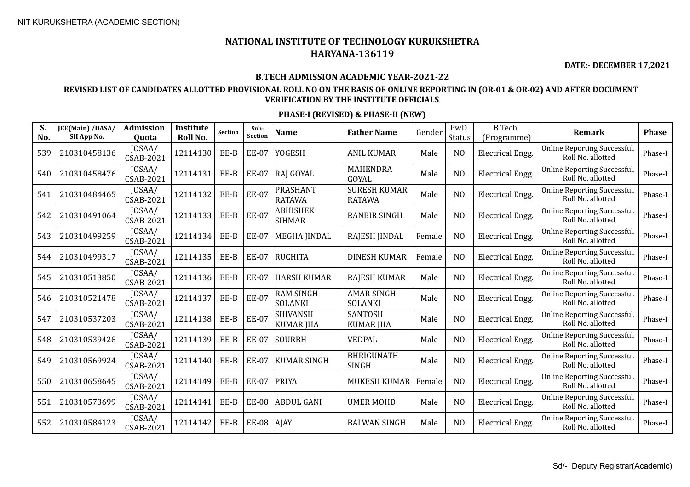**DATE:- DECEMBER 17,2021**

#### **B.TECH ADMISSION ACADEMIC YEAR-2021-22**

## **REVISED LIST OF CANDIDATES ALLOTTED PROVISIONAL ROLL NO ON THE BASIS OF ONLINE REPORTING IN (OR-01 & OR-02) AND AFTER DOCUMENT VERIFICATION BY THE INSTITUTE OFFICIALS**

| S.<br>No. | JEE(Main) /DASA/<br>SII App No. | <b>Admission</b><br>Quota  | Institute<br>Roll No. | Section | Sub-<br><b>Section</b> | <b>Name</b>                         | <b>Father Name</b>                   | Gender | PwD<br>Status  | <b>B.Tech</b><br>(Programme) | Remark                                                   | <b>Phase</b> |
|-----------|---------------------------------|----------------------------|-----------------------|---------|------------------------|-------------------------------------|--------------------------------------|--------|----------------|------------------------------|----------------------------------------------------------|--------------|
| 539       | 210310458136                    | JOSAA/<br>CSAB-2021        | 12114130              | EE-B    | <b>EE-07</b>           | <b>YOGESH</b>                       | <b>ANIL KUMAR</b>                    | Male   | N <sub>O</sub> | <b>Electrical Engg.</b>      | <b>Online Reporting Successful.</b><br>Roll No. allotted | Phase-I      |
| 540       | 210310458476                    | JOSAA/<br>CSAB-2021        | 12114131              | EE-B    | <b>EE-07</b>           | RAJ GOYAL                           | <b>MAHENDRA</b><br>GOYAL             | Male   | N <sub>O</sub> | <b>Electrical Engg.</b>      | Online Reporting Successful.<br>Roll No. allotted        | Phase-I      |
| 541       | 210310484465                    | JOSAA/<br><b>CSAB-2021</b> | 12114132              | $EE-B$  | <b>EE-07</b>           | PRASHANT<br><b>RATAWA</b>           | <b>SURESH KUMAR</b><br><b>RATAWA</b> | Male   | N <sub>O</sub> | Electrical Engg.             | Online Reporting Successful.<br>Roll No. allotted        | Phase-I      |
| 542       | 210310491064                    | JOSAA/<br><b>CSAB-2021</b> | 12114133              | EE-B    | <b>EE-07</b>           | <b>ABHISHEK</b><br><b>SIHMAR</b>    | <b>RANBIR SINGH</b>                  | Male   | N <sub>O</sub> | <b>Electrical Engg.</b>      | Online Reporting Successful.<br>Roll No. allotted        | Phase-I      |
| 543       | 210310499259                    | JOSAA/<br>CSAB-2021        | 12114134              | EE-B    | <b>EE-07</b>           | <b>MEGHA JINDAL</b>                 | RAJESH JINDAL                        | Female | N <sub>O</sub> | <b>Electrical Engg.</b>      | Online Reporting Successful.<br>Roll No. allotted        | Phase-I      |
| 544       | 210310499317                    | JOSAA/<br>CSAB-2021        | 12114135              | EE-B    | <b>EE-07</b>           | <b>RUCHITA</b>                      | <b>DINESH KUMAR</b>                  | Female | N <sub>O</sub> | Electrical Engg.             | Online Reporting Successful.<br>Roll No. allotted        | Phase-I      |
| 545       | 210310513850                    | JOSAA/<br><b>CSAB-2021</b> | 12114136              | EE-B    | <b>EE-07</b>           | <b>HARSH KUMAR</b>                  | <b>RAJESH KUMAR</b>                  | Male   | N <sub>O</sub> | <b>Electrical Engg.</b>      | Online Reporting Successful.<br>Roll No. allotted        | Phase-I      |
| 546       | 210310521478                    | JOSAA/<br><b>CSAB-2021</b> | 12114137              | EE-B    | <b>EE-07</b>           | RAM SINGH<br><b>SOLANKI</b>         | <b>AMAR SINGH</b><br><b>SOLANKI</b>  | Male   | N <sub>O</sub> | <b>Electrical Engg.</b>      | Online Reporting Successful.<br>Roll No. allotted        | Phase-I      |
| 547       | 210310537203                    | JOSAA/<br><b>CSAB-2021</b> | 12114138              | EE-B    | <b>EE-07</b>           | <b>SHIVANSH</b><br><b>KUMAR JHA</b> | SANTOSH<br><b>KUMAR JHA</b>          | Male   | N <sub>O</sub> | <b>Electrical Engg.</b>      | Online Reporting Successful.<br>Roll No. allotted        | Phase-I      |
| 548       | 210310539428                    | JOSAA/<br><b>CSAB-2021</b> | 12114139              | EE-B    | <b>EE-07</b>           | <b>SOURBH</b>                       | <b>VEDPAL</b>                        | Male   | N <sub>O</sub> | Electrical Engg.             | Online Reporting Successful.<br>Roll No. allotted        | Phase-I      |
| 549       | 210310569924                    | JOSAA/<br><b>CSAB-2021</b> | 12114140              | EE-B    | <b>EE-07</b>           | <b>KUMAR SINGH</b>                  | <b>BHRIGUNATH</b><br><b>SINGH</b>    | Male   | N <sub>O</sub> | <b>Electrical Engg.</b>      | <b>Online Reporting Successful.</b><br>Roll No. allotted | Phase-I      |
| 550       | 210310658645                    | JOSAA/<br><b>CSAB-2021</b> | 12114149              | EE-B    | <b>EE-07</b>           | <b>PRIYA</b>                        | <b>MUKESH KUMAR</b>                  | Female | N <sub>O</sub> | <b>Electrical Engg.</b>      | Online Reporting Successful.<br>Roll No. allotted        | Phase-I      |
| 551       | 210310573699                    | JOSAA/<br><b>CSAB-2021</b> | 12114141              | EE-B    | <b>EE-08</b>           | <b>ABDUL GANI</b>                   | <b>UMER MOHD</b>                     | Male   | N <sub>O</sub> | <b>Electrical Engg.</b>      | Online Reporting Successful.<br>Roll No. allotted        | Phase-I      |
| 552       | 210310584123                    | JOSAA/<br><b>CSAB-2021</b> | 12114142              | EE-B    | <b>EE-08</b>           | AJAY                                | <b>BALWAN SINGH</b>                  | Male   | N <sub>O</sub> | <b>Electrical Engg.</b>      | Online Reporting Successful.<br>Roll No. allotted        | Phase-I      |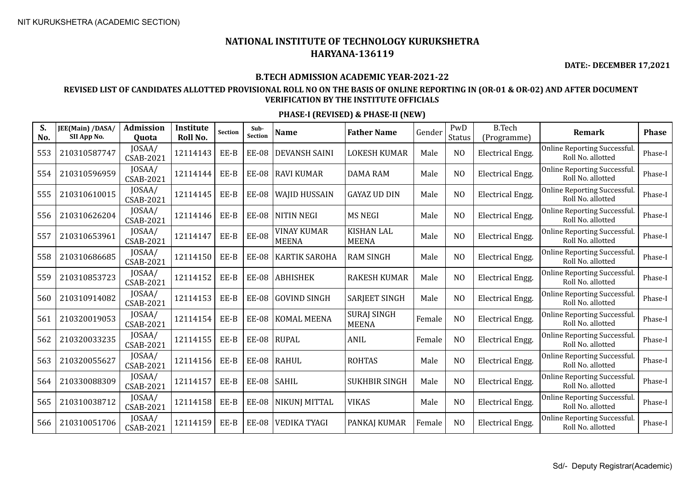**DATE:- DECEMBER 17,2021**

## **B.TECH ADMISSION ACADEMIC YEAR-2021-22**

## **REVISED LIST OF CANDIDATES ALLOTTED PROVISIONAL ROLL NO ON THE BASIS OF ONLINE REPORTING IN (OR-01 & OR-02) AND AFTER DOCUMENT VERIFICATION BY THE INSTITUTE OFFICIALS**

| S.<br>No. | JEE(Main) /DASA/<br>SII App No. | Admission<br>Quota         | Institute<br>Roll No. | <b>Section</b> | Sub-<br>Section | <b>Name</b>                        | <b>Father Name</b>                 | Gender | PwD<br>Status  | <b>B.Tech</b><br>(Programme) | Remark                                                   | <b>Phase</b> |
|-----------|---------------------------------|----------------------------|-----------------------|----------------|-----------------|------------------------------------|------------------------------------|--------|----------------|------------------------------|----------------------------------------------------------|--------------|
| 553       | 210310587747                    | JOSAA/<br><b>CSAB-2021</b> | 12114143              | EE-B           | <b>EE-08</b>    | <b>DEVANSH SAINI</b>               | <b>LOKESH KUMAR</b>                | Male   | N <sub>O</sub> | <b>Electrical Engg.</b>      | <b>Online Reporting Successful.</b><br>Roll No. allotted | Phase-I      |
| 554       | 210310596959                    | JOSAA/<br><b>CSAB-2021</b> | 12114144              | EE-B           | <b>EE-08</b>    | <b>RAVI KUMAR</b>                  | <b>DAMA RAM</b>                    | Male   | N <sub>O</sub> | <b>Electrical Engg.</b>      | <b>Online Reporting Successful.</b><br>Roll No. allotted | Phase-I      |
| 555       | 210310610015                    | JOSAA/<br><b>CSAB-2021</b> | 12114145              | EE-B           | <b>EE-08</b>    | <b>WAJID HUSSAIN</b>               | <b>GAYAZ UD DIN</b>                | Male   | N <sub>O</sub> | <b>Electrical Engg.</b>      | <b>Online Reporting Successful.</b><br>Roll No. allotted | Phase-I      |
| 556       | 210310626204                    | JOSAA/<br>CSAB-2021        | 12114146              | EE-B           | <b>EE-08</b>    | <b>NITIN NEGI</b>                  | <b>MS NEGI</b>                     | Male   | N <sub>O</sub> | <b>Electrical Engg.</b>      | Online Reporting Successful.<br>Roll No. allotted        | Phase-I      |
| 557       | 210310653961                    | JOSAA/<br>CSAB-2021        | 12114147              | EE-B           | <b>EE-08</b>    | <b>VINAY KUMAR</b><br><b>MEENA</b> | <b>KISHAN LAL</b><br><b>MEENA</b>  | Male   | N <sub>O</sub> | <b>Electrical Engg.</b>      | Online Reporting Successful.<br>Roll No. allotted        | Phase-I      |
| 558       | 210310686685                    | JOSAA/<br><b>CSAB-2021</b> | 12114150              | EE-B           | <b>EE-08</b>    | <b>KARTIK SAROHA</b>               | <b>RAM SINGH</b>                   | Male   | N <sub>O</sub> | <b>Electrical Engg.</b>      | Online Reporting Successful.<br>Roll No. allotted        | Phase-I      |
| 559       | 210310853723                    | JOSAA/<br><b>CSAB-2021</b> | 12114152              | EE-B           | <b>EE-08</b>    | <b>ABHISHEK</b>                    | <b>RAKESH KUMAR</b>                | Male   | N <sub>O</sub> | <b>Electrical Engg.</b>      | Online Reporting Successful.<br>Roll No. allotted        | Phase-I      |
| 560       | 210310914082                    | JOSAA/<br><b>CSAB-2021</b> | 12114153              | EE-B           | <b>EE-08</b>    | <b>GOVIND SINGH</b>                | <b>SARJEET SINGH</b>               | Male   | N <sub>O</sub> | Electrical Engg.             | Online Reporting Successful.<br>Roll No. allotted        | Phase-I      |
| 561       | 210320019053                    | JOSAA/<br><b>CSAB-2021</b> | 12114154              | EE-B           | <b>EE-08</b>    | <b>KOMAL MEENA</b>                 | <b>SURAJ SINGH</b><br><b>MEENA</b> | Female | N <sub>O</sub> | <b>Electrical Engg.</b>      | Online Reporting Successful.<br>Roll No. allotted        | Phase-I      |
| 562       | 210320033235                    | JOSAA/<br><b>CSAB-2021</b> | 12114155              | EE-B           | <b>EE-08</b>    | <b>RUPAL</b>                       | ANIL                               | Female | N <sub>O</sub> | Electrical Engg.             | Online Reporting Successful.<br>Roll No. allotted        | Phase-I      |
| 563       | 210320055627                    | JOSAA/<br><b>CSAB-2021</b> | 12114156              | EE-B           | <b>EE-08</b>    | <b>RAHUL</b>                       | <b>ROHTAS</b>                      | Male   | N <sub>O</sub> | <b>Electrical Engg.</b>      | <b>Online Reporting Successful.</b><br>Roll No. allotted | Phase-I      |
| 564       | 210330088309                    | JOSAA/<br><b>CSAB-2021</b> | 12114157              | EE-B           | <b>EE-08</b>    | <b>SAHIL</b>                       | <b>SUKHBIR SINGH</b>               | Male   | N <sub>O</sub> | Electrical Engg.             | Online Reporting Successful.<br>Roll No. allotted        | Phase-I      |
| 565       | 210310038712                    | JOSAA/<br><b>CSAB-2021</b> | 12114158              | EE-B           | <b>EE-08</b>    | <b>NIKUNJ MITTAL</b>               | <b>VIKAS</b>                       | Male   | N <sub>O</sub> | <b>Electrical Engg.</b>      | Online Reporting Successful.<br>Roll No. allotted        | Phase-I      |
| 566       | 210310051706                    | JOSAA/<br><b>CSAB-2021</b> | 12114159              | EE-B           | <b>EE-08</b>    | <b>VEDIKA TYAGI</b>                | PANKAJ KUMAR                       | Female | N <sub>O</sub> | <b>Electrical Engg.</b>      | Online Reporting Successful.<br>Roll No. allotted        | Phase-I      |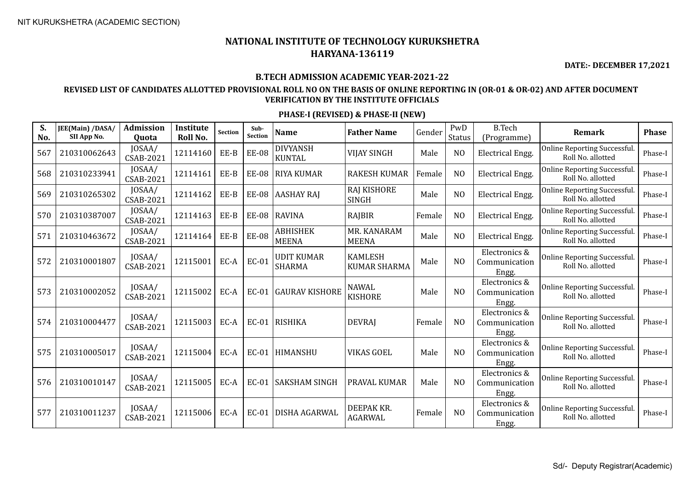**DATE:- DECEMBER 17,2021**

#### **B.TECH ADMISSION ACADEMIC YEAR-2021-22**

## **REVISED LIST OF CANDIDATES ALLOTTED PROVISIONAL ROLL NO ON THE BASIS OF ONLINE REPORTING IN (OR-01 & OR-02) AND AFTER DOCUMENT VERIFICATION BY THE INSTITUTE OFFICIALS**

| S.<br>No. | JEE(Main) /DASA/<br>SII App No. | <b>Admission</b><br>Quota  | Institute<br>Roll No. | <b>Section</b> | Sub-<br><b>Section</b> | <b>Name</b>                        | <b>Father Name</b>                    | Gender | PwD<br>Status  | <b>B.Tech</b><br>(Programme)            | <b>Remark</b>                                           | <b>Phase</b> |
|-----------|---------------------------------|----------------------------|-----------------------|----------------|------------------------|------------------------------------|---------------------------------------|--------|----------------|-----------------------------------------|---------------------------------------------------------|--------------|
| 567       | 210310062643                    | JOSAA/<br><b>CSAB-2021</b> | 12114160              | EE-B           | <b>EE-08</b>           | <b>DIVYANSH</b><br><b>KUNTAL</b>   | <b>VIJAY SINGH</b>                    | Male   | N <sub>O</sub> | <b>Electrical Engg.</b>                 | <b>Online Reporting Successful</b><br>Roll No. allotted | Phase-I      |
| 568       | 210310233941                    | JOSAA/<br>CSAB-2021        | 12114161              | EE-B           | <b>EE-08</b>           | <b>RIYA KUMAR</b>                  | <b>RAKESH KUMAR</b>                   | Female | N <sub>O</sub> | <b>Electrical Engg.</b>                 | <b>Online Reporting Successful</b><br>Roll No. allotted | Phase-I      |
| 569       | 210310265302                    | JOSAA/<br><b>CSAB-2021</b> | 12114162              | EE-B           | <b>EE-08</b>           | <b>AASHAY RAJ</b>                  | <b>RAJ KISHORE</b><br><b>SINGH</b>    | Male   | N <sub>O</sub> | <b>Electrical Engg.</b>                 | Online Reporting Successful.<br>Roll No. allotted       | Phase-I      |
| 570       | 210310387007                    | JOSAA/<br><b>CSAB-2021</b> | 12114163              | EE-B           | <b>EE-08</b>           | <b>RAVINA</b>                      | RAJBIR                                | Female | N <sub>O</sub> | <b>Electrical Engg.</b>                 | <b>Online Reporting Successful</b><br>Roll No. allotted | Phase-I      |
| 571       | 210310463672                    | JOSAA/<br><b>CSAB-2021</b> | 12114164              | EE-B           | <b>EE-08</b>           | <b>ABHISHEK</b><br><b>MEENA</b>    | MR. KANARAM<br><b>MEENA</b>           | Male   | N <sub>O</sub> | <b>Electrical Engg.</b>                 | <b>Online Reporting Successful</b><br>Roll No. allotted | Phase-I      |
| 572       | 210310001807                    | JOSAA/<br>CSAB-2021        | 12115001              | EC-A           | EC-01                  | <b>UDIT KUMAR</b><br><b>SHARMA</b> | <b>KAMLESH</b><br><b>KUMAR SHARMA</b> | Male   | N <sub>O</sub> | Electronics &<br>Communication<br>Engg. | Online Reporting Successful.<br>Roll No. allotted       | Phase-I      |
| 573       | 210310002052                    | JOSAA/<br><b>CSAB-2021</b> | 12115002              | EC-A           | EC-01                  | GAURAV KISHORE                     | <b>NAWAL</b><br><b>KISHORE</b>        | Male   | N <sub>O</sub> | Electronics &<br>Communication<br>Engg. | <b>Online Reporting Successful</b><br>Roll No. allotted | Phase-I      |
| 574       | 210310004477                    | JOSAA/<br><b>CSAB-2021</b> | 12115003              | EC-A           |                        | EC-01 RISHIKA                      | <b>DEVRAJ</b>                         | Female | N <sub>O</sub> | Electronics &<br>Communication<br>Engg. | <b>Online Reporting Successful</b><br>Roll No. allotted | Phase-I      |
| 575       | 210310005017                    | JOSAA/<br><b>CSAB-2021</b> | 12115004              | EC-A           | EC-01                  | HIMANSHU                           | <b>VIKAS GOEL</b>                     | Male   | N <sub>0</sub> | Electronics &<br>Communication<br>Engg. | <b>Online Reporting Successful</b><br>Roll No. allotted | Phase-I      |
| 576       | 210310010147                    | JOSAA/<br><b>CSAB-2021</b> | 12115005              | EC-A           | $EC-01$                | SAKSHAM SINGH                      | PRAVAL KUMAR                          | Male   | N <sub>O</sub> | Electronics &<br>Communication<br>Engg. | <b>Online Reporting Successful</b><br>Roll No. allotted | Phase-I      |
| 577       | 210310011237                    | JOSAA/<br><b>CSAB-2021</b> | 12115006              | EC-A           | EC-01                  | DISHA AGARWAL                      | DEEPAK KR.<br><b>AGARWAL</b>          | Female | N <sub>O</sub> | Electronics &<br>Communication<br>Engg. | <b>Online Reporting Successful</b><br>Roll No. allotted | Phase-I      |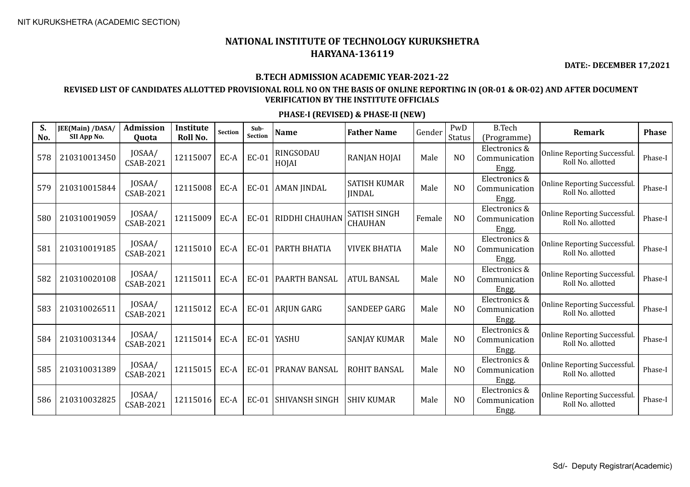**DATE:- DECEMBER 17,2021**

#### **B.TECH ADMISSION ACADEMIC YEAR-2021-22**

## **REVISED LIST OF CANDIDATES ALLOTTED PROVISIONAL ROLL NO ON THE BASIS OF ONLINE REPORTING IN (OR-01 & OR-02) AND AFTER DOCUMENT VERIFICATION BY THE INSTITUTE OFFICIALS**

| S.<br>No. | JEE(Main) /DASA/<br>SII App No. | <b>Admission</b><br>Quota  | Institute<br>Roll No. | Section | Sub-<br><b>Section</b> | <b>Name</b>           | <b>Father Name</b>                    | Gender | PwD<br>Status  | <b>B.Tech</b><br>(Programme)            | Remark                                                   | <b>Phase</b> |
|-----------|---------------------------------|----------------------------|-----------------------|---------|------------------------|-----------------------|---------------------------------------|--------|----------------|-----------------------------------------|----------------------------------------------------------|--------------|
| 578       | 210310013450                    | JOSAA/<br>CSAB-2021        | 12115007              | EC-A    | EC-01                  | RINGSODAU<br>HOJAI    | RANJAN HOJAI                          | Male   | N <sub>O</sub> | Electronics &<br>Communication<br>Engg. | Online Reporting Successful.<br>Roll No. allotted        | Phase-I      |
| 579       | 210310015844                    | JOSAA/<br><b>CSAB-2021</b> | 12115008              | EC-A    | $EC-01$                | <b>AMAN JINDAL</b>    | <b>SATISH KUMAR</b><br><b>JINDAL</b>  | Male   | N <sub>O</sub> | Electronics &<br>Communication<br>Engg. | <b>Online Reporting Successful.</b><br>Roll No. allotted | Phase-I      |
| 580       | 210310019059                    | JOSAA/<br>CSAB-2021        | 12115009              | EC-A    | $EC-01$                | RIDDHI CHAUHAN        | <b>SATISH SINGH</b><br><b>CHAUHAN</b> | Female | N <sub>O</sub> | Electronics &<br>Communication<br>Engg. | <b>Online Reporting Successful.</b><br>Roll No. allotted | Phase-I      |
| 581       | 210310019185                    | JOSAA/<br><b>CSAB-2021</b> | 12115010              | EC-A    | $EC-01$                | PARTH BHATIA          | <b>VIVEK BHATIA</b>                   | Male   | N <sub>O</sub> | Electronics &<br>Communication<br>Engg. | Online Reporting Successful.<br>Roll No. allotted        | Phase-I      |
| 582       | 210310020108                    | JOSAA/<br><b>CSAB-2021</b> | 12115011              | EC-A    | EC-01                  | PAARTH BANSAL         | <b>ATUL BANSAL</b>                    | Male   | N <sub>O</sub> | Electronics &<br>Communication<br>Engg. | Online Reporting Successful.<br>Roll No. allotted        | Phase-I      |
| 583       | 210310026511                    | JOSAA/<br><b>CSAB-2021</b> | 12115012              | EC-A    |                        | EC-01 ARJUN GARG      | <b>SANDEEP GARG</b>                   | Male   | N <sub>O</sub> | Electronics &<br>Communication<br>Engg. | <b>Online Reporting Successful.</b><br>Roll No. allotted | Phase-I      |
| 584       | 210310031344                    | JOSAA/<br><b>CSAB-2021</b> | 12115014              | EC-A    | $EC-01$                | <b>YASHU</b>          | <b>SANJAY KUMAR</b>                   | Male   | N <sub>O</sub> | Electronics &<br>Communication<br>Engg. | Online Reporting Successful.<br>Roll No. allotted        | Phase-I      |
| 585       | 210310031389                    | JOSAA/<br>CSAB-2021        | 12115015              | EC-A    | $EC-01$                | <b>PRANAV BANSAL</b>  | <b>ROHIT BANSAL</b>                   | Male   | N <sub>O</sub> | Electronics &<br>Communication<br>Engg. | Online Reporting Successful.<br>Roll No. allotted        | Phase-I      |
| 586       | 210310032825                    | JOSAA/<br><b>CSAB-2021</b> | 12115016              | EC-A    | EC-01                  | <b>SHIVANSH SINGH</b> | <b>SHIV KUMAR</b>                     | Male   | N <sub>O</sub> | Electronics &<br>Communication<br>Engg. | Online Reporting Successful.<br>Roll No. allotted        | Phase-I      |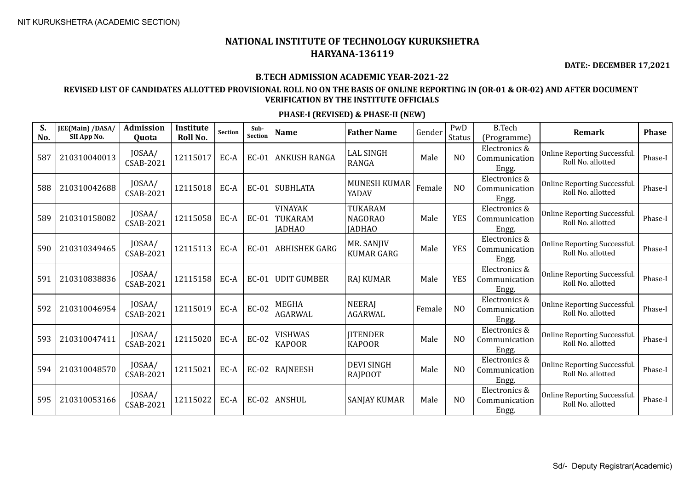**DATE:- DECEMBER 17,2021**

#### **B.TECH ADMISSION ACADEMIC YEAR-2021-22**

### **REVISED LIST OF CANDIDATES ALLOTTED PROVISIONAL ROLL NO ON THE BASIS OF ONLINE REPORTING IN (OR-01 & OR-02) AND AFTER DOCUMENT VERIFICATION BY THE INSTITUTE OFFICIALS**

| S.<br>No. | JEE(Main) /DASA/<br>SII App No. | <b>Admission</b><br>Quota  | Institute<br>Roll No. | <b>Section</b> | Sub-<br><b>Section</b> | <b>Name</b>                                | <b>Father Name</b>                         | Gender | PwD<br>Status  | <b>B.Tech</b><br>(Programme)            | Remark                                                   | <b>Phase</b> |
|-----------|---------------------------------|----------------------------|-----------------------|----------------|------------------------|--------------------------------------------|--------------------------------------------|--------|----------------|-----------------------------------------|----------------------------------------------------------|--------------|
| 587       | 210310040013                    | JOSAA/<br>CSAB-2021        | 12115017              | EC-A           | $EC-01$                | <b>ANKUSH RANGA</b>                        | <b>LAL SINGH</b><br><b>RANGA</b>           | Male   | N <sub>O</sub> | Electronics &<br>Communication<br>Engg. | Online Reporting Successful.<br>Roll No. allotted        | Phase-I      |
| 588       | 210310042688                    | JOSAA/<br><b>CSAB-2021</b> | 12115018              | EC-A           | $EC-01$                | <b>SUBHLATA</b>                            | <b>MUNESH KUMAR</b><br>YADAV               | Female | N <sub>O</sub> | Electronics &<br>Communication<br>Engg. | <b>Online Reporting Successful.</b><br>Roll No. allotted | Phase-I      |
| 589       | 210310158082                    | JOSAA/<br>CSAB-2021        | 12115058              | EC-A           | $EC-01$                | <b>VINAYAK</b><br>TUKARAM<br><b>IADHAO</b> | TUKARAM<br><b>NAGORAO</b><br><b>JADHAO</b> | Male   | <b>YES</b>     | Electronics &<br>Communication<br>Engg. | Online Reporting Successful.<br>Roll No. allotted        | Phase-I      |
| 590       | 210310349465                    | JOSAA/<br>CSAB-2021        | 12115113              | EC-A           | $EC-01$                | ABHISHEK GARG                              | MR. SANJIV<br><b>KUMAR GARG</b>            | Male   | <b>YES</b>     | Electronics &<br>Communication<br>Engg. | Online Reporting Successful.<br>Roll No. allotted        | Phase-I      |
| 591       | 210310838836                    | JOSAA/<br><b>CSAB-2021</b> | 12115158              | EC-A           | EC-01                  | <b>UDIT GUMBER</b>                         | <b>RAJ KUMAR</b>                           | Male   | <b>YES</b>     | Electronics &<br>Communication<br>Engg. | Online Reporting Successful.<br>Roll No. allotted        | Phase-I      |
| 592       | 210310046954                    | JOSAA/<br><b>CSAB-2021</b> | 12115019              | EC-A           | <b>EC-02</b>           | <b>MEGHA</b><br><b>AGARWAL</b>             | <b>NEERAJ</b><br><b>AGARWAL</b>            | Female | N <sub>O</sub> | Electronics &<br>Communication<br>Engg. | <b>Online Reporting Successful.</b><br>Roll No. allotted | Phase-I      |
| 593       | 210310047411                    | JOSAA/<br><b>CSAB-2021</b> | 12115020              | EC-A           | <b>EC-02</b>           | <b>VISHWAS</b><br><b>KAPOOR</b>            | <b>JITENDER</b><br><b>KAPOOR</b>           | Male   | N <sub>O</sub> | Electronics &<br>Communication<br>Engg. | Online Reporting Successful.<br>Roll No. allotted        | Phase-I      |
| 594       | 210310048570                    | JOSAA/<br><b>CSAB-2021</b> | 12115021              | EC-A           | $EC-02$                | <b>RAJNEESH</b>                            | <b>DEVI SINGH</b><br><b>RAJPOOT</b>        | Male   | N <sub>O</sub> | Electronics &<br>Communication<br>Engg. | <b>Online Reporting Successful.</b><br>Roll No. allotted | Phase-I      |
| 595       | 210310053166                    | JOSAA/<br>CSAB-2021        | 12115022              | EC-A           | $EC-02$                | <b>ANSHUL</b>                              | <b>SANJAY KUMAR</b>                        | Male   | N <sub>O</sub> | Electronics &<br>Communication<br>Engg. | Online Reporting Successful.<br>Roll No. allotted        | Phase-I      |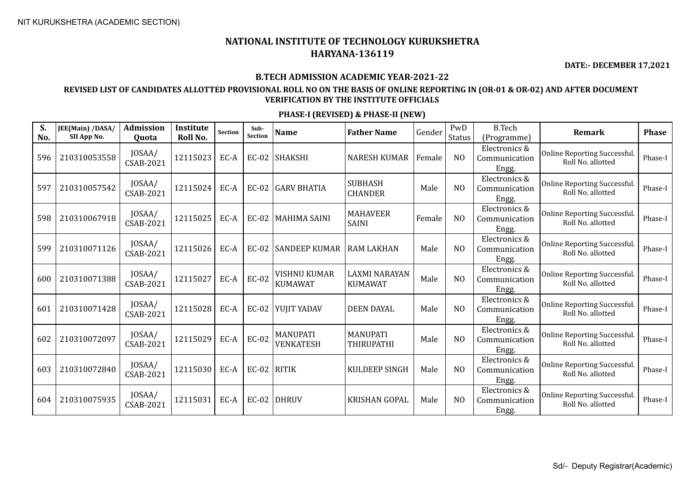**DATE:- DECEMBER 17,2021**

#### **B.TECH ADMISSION ACADEMIC YEAR-2021-22**

## **REVISED LIST OF CANDIDATES ALLOTTED PROVISIONAL ROLL NO ON THE BASIS OF ONLINE REPORTING IN (OR-01 & OR-02) AND AFTER DOCUMENT VERIFICATION BY THE INSTITUTE OFFICIALS**

| S.<br>No. | JEE(Main) /DASA/<br>SII App No. | Admission<br>Quota         | Institute<br>Roll No. | Section | Sub-<br><b>Section</b> | <b>Name</b>                           | <b>Father Name</b>                     | Gender | PwD<br><b>Status</b> | <b>B.Tech</b><br>(Programme)            | <b>Remark</b>                                     | <b>Phase</b> |
|-----------|---------------------------------|----------------------------|-----------------------|---------|------------------------|---------------------------------------|----------------------------------------|--------|----------------------|-----------------------------------------|---------------------------------------------------|--------------|
| 596       | 210310053558                    | JOSAA/<br>CSAB-2021        | 12115023              | EC-A    | $EC-02$                | <b>SHAKSHI</b>                        | <b>NARESH KUMAR</b>                    | Female | N <sub>O</sub>       | Electronics &<br>Communication<br>Engg. | Online Reporting Successful.<br>Roll No. allotted | Phase-I      |
| 597       | 210310057542                    | JOSAA/<br><b>CSAB-2021</b> | 12115024              | EC-A    | EC-02                  | <b>GARV BHATIA</b>                    | <b>SUBHASH</b><br><b>CHANDER</b>       | Male   | N <sub>O</sub>       | Electronics &<br>Communication<br>Engg. | Online Reporting Successful.<br>Roll No. allotted | Phase-I      |
| 598       | 210310067918                    | JOSAA/<br><b>CSAB-2021</b> | 12115025              | EC-A    | $EC-02$                | <b>MAHIMA SAINI</b>                   | <b>MAHAVEER</b><br><b>SAINI</b>        | Female | N <sub>O</sub>       | Electronics &<br>Communication<br>Engg. | Online Reporting Successful.<br>Roll No. allotted | Phase-I      |
| 599       | 210310071126                    | JOSAA/<br><b>CSAB-2021</b> | 12115026              | EC-A    | $EC-02$                | <b>SANDEEP KUMAR</b>                  | <b>RAM LAKHAN</b>                      | Male   | N <sub>O</sub>       | Electronics &<br>Communication<br>Engg. | Online Reporting Successful.<br>Roll No. allotted | Phase-I      |
| 600       | 210310071388                    | JOSAA/<br><b>CSAB-2021</b> | 12115027              | EC-A    | <b>EC-02</b>           | <b>VISHNU KUMAR</b><br><b>KUMAWAT</b> | <b>LAXMI NARAYAN</b><br><b>KUMAWAT</b> | Male   | N <sub>O</sub>       | Electronics &<br>Communication<br>Engg. | Online Reporting Successful.<br>Roll No. allotted | Phase-I      |
| 601       | 210310071428                    | JOSAA/<br><b>CSAB-2021</b> | 12115028              | EC-A    | $EC-02$                | YUJIT YADAV                           | <b>DEEN DAYAL</b>                      | Male   | N <sub>O</sub>       | Electronics &<br>Communication<br>Engg. | Online Reporting Successful.<br>Roll No. allotted | Phase-I      |
| 602       | 210310072097                    | JOSAA/<br><b>CSAB-2021</b> | 12115029              | EC-A    | <b>EC-02</b>           | <b>MANUPATI</b><br>VENKATESH          | <b>MANUPATI</b><br><b>THIRUPATHI</b>   | Male   | N <sub>O</sub>       | Electronics &<br>Communication<br>Engg. | Online Reporting Successful.<br>Roll No. allotted | Phase-I      |
| 603       | 210310072840                    | JOSAA/<br>CSAB-2021        | 12115030              | EC-A    | $EC-02$ RITIK          |                                       | <b>KULDEEP SINGH</b>                   | Male   | N <sub>O</sub>       | Electronics &<br>Communication<br>Engg. | Online Reporting Successful.<br>Roll No. allotted | Phase-I      |
| 604       | 210310075935                    | JOSAA/<br><b>CSAB-2021</b> | 12115031              | EC-A    | $EC-02$                | DHRUV                                 | <b>KRISHAN GOPAL</b>                   | Male   | N <sub>O</sub>       | Electronics &<br>Communication<br>Engg. | Online Reporting Successful.<br>Roll No. allotted | Phase-I      |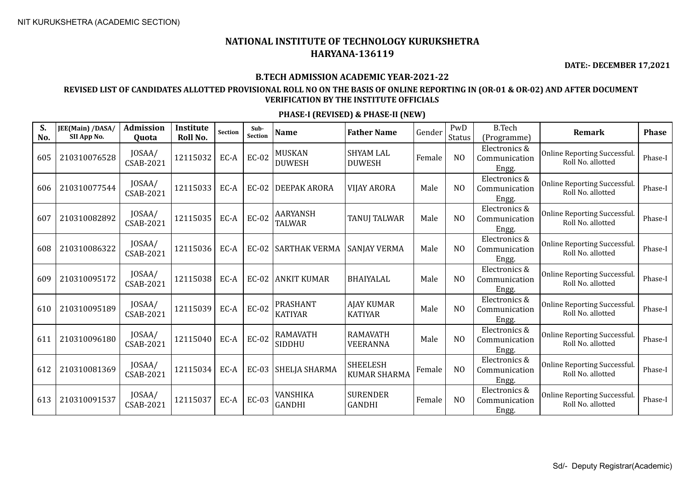**DATE:- DECEMBER 17,2021**

#### **B.TECH ADMISSION ACADEMIC YEAR-2021-22**

## **REVISED LIST OF CANDIDATES ALLOTTED PROVISIONAL ROLL NO ON THE BASIS OF ONLINE REPORTING IN (OR-01 & OR-02) AND AFTER DOCUMENT VERIFICATION BY THE INSTITUTE OFFICIALS**

| S.<br>No. | JEE(Main) /DASA/<br>SII App No. | <b>Admission</b><br>Quota  | Institute<br>Roll No. | <b>Section</b> | Sub-<br><b>Section</b> | <b>Name</b>                       | <b>Father Name</b>                     | Gender | PwD<br>Status  | <b>B.Tech</b><br>(Programme)            | Remark                                                   | <b>Phase</b> |
|-----------|---------------------------------|----------------------------|-----------------------|----------------|------------------------|-----------------------------------|----------------------------------------|--------|----------------|-----------------------------------------|----------------------------------------------------------|--------------|
| 605       | 210310076528                    | JOSAA/<br>CSAB-2021        | 12115032              | EC-A           | <b>EC-02</b>           | <b>MUSKAN</b><br><b>DUWESH</b>    | <b>SHYAM LAL</b><br><b>DUWESH</b>      | Female | N <sub>O</sub> | Electronics &<br>Communication<br>Engg. | Online Reporting Successful.<br>Roll No. allotted        | Phase-I      |
| 606       | 210310077544                    | JOSAA/<br><b>CSAB-2021</b> | 12115033              | EC-A           | $EC-02$                | <b>DEEPAK ARORA</b>               | <b>VIJAY ARORA</b>                     | Male   | N <sub>O</sub> | Electronics &<br>Communication<br>Engg. | <b>Online Reporting Successful.</b><br>Roll No. allotted | Phase-I      |
| 607       | 210310082892                    | JOSAA/<br>CSAB-2021        | 12115035              | EC-A           | <b>EC-02</b>           | <b>AARYANSH</b><br><b>TALWAR</b>  | <b>TANUJ TALWAR</b>                    | Male   | N <sub>O</sub> | Electronics &<br>Communication<br>Engg. | Online Reporting Successful.<br>Roll No. allotted        | Phase-I      |
| 608       | 210310086322                    | JOSAA/<br>CSAB-2021        | 12115036              | EC-A           | $EC-02$                | <b>SARTHAK VERMA</b>              | <b>SANJAY VERMA</b>                    | Male   | N <sub>O</sub> | Electronics &<br>Communication<br>Engg. | Online Reporting Successful.<br>Roll No. allotted        | Phase-I      |
| 609       | 210310095172                    | JOSAA/<br>CSAB-2021        | 12115038              | EC-A           | EC-02                  | <b>ANKIT KUMAR</b>                | <b>BHAIYALAL</b>                       | Male   | N <sub>O</sub> | Electronics &<br>Communication<br>Engg. | Online Reporting Successful.<br>Roll No. allotted        | Phase-I      |
| 610       | 210310095189                    | JOSAA/<br><b>CSAB-2021</b> | 12115039              | EC-A           | <b>EC-02</b>           | <b>PRASHANT</b><br><b>KATIYAR</b> | <b>AJAY KUMAR</b><br><b>KATIYAR</b>    | Male   | N <sub>O</sub> | Electronics &<br>Communication<br>Engg. | <b>Online Reporting Successful.</b><br>Roll No. allotted | Phase-I      |
| 611       | 210310096180                    | JOSAA/<br><b>CSAB-2021</b> | 12115040              | EC-A           | <b>EC-02</b>           | <b>RAMAVATH</b><br><b>SIDDHU</b>  | <b>RAMAVATH</b><br>VEERANNA            | Male   | N <sub>O</sub> | Electronics &<br>Communication<br>Engg. | Online Reporting Successful.<br>Roll No. allotted        | Phase-I      |
| 612       | 210310081369                    | JOSAA/<br>CSAB-2021        | 12115034              | EC-A           | $EC-03$                | SHELJA SHARMA                     | <b>SHEELESH</b><br><b>KUMAR SHARMA</b> | Female | N <sub>O</sub> | Electronics &<br>Communication<br>Engg. | <b>Online Reporting Successful.</b><br>Roll No. allotted | Phase-I      |
| 613       | 210310091537                    | JOSAA/<br>CSAB-2021        | 12115037              | EC-A           | <b>EC-03</b>           | VANSHIKA<br><b>GANDHI</b>         | <b>SURENDER</b><br><b>GANDHI</b>       | Female | N <sub>O</sub> | Electronics &<br>Communication<br>Engg. | Online Reporting Successful.<br>Roll No. allotted        | Phase-I      |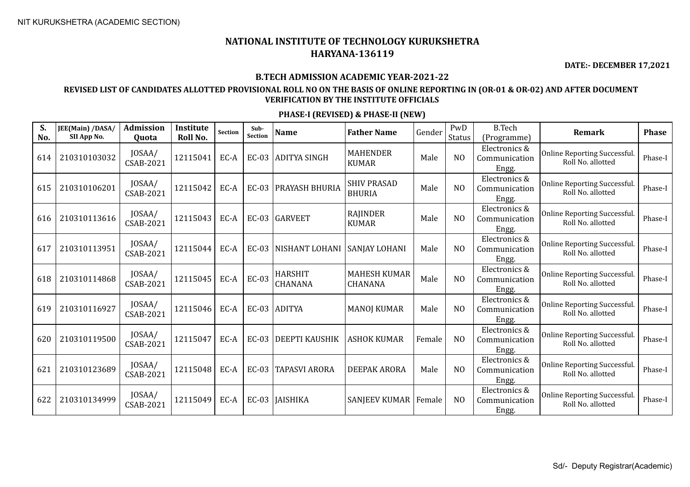**DATE:- DECEMBER 17,2021**

#### **B.TECH ADMISSION ACADEMIC YEAR-2021-22**

## **REVISED LIST OF CANDIDATES ALLOTTED PROVISIONAL ROLL NO ON THE BASIS OF ONLINE REPORTING IN (OR-01 & OR-02) AND AFTER DOCUMENT VERIFICATION BY THE INSTITUTE OFFICIALS**

| S.<br>No. | JEE(Main) /DASA/<br>SII App No. | Admission<br>Quota         | Institute<br>Roll No. | Section | Sub-<br><b>Section</b> | <b>Name</b>               | <b>Father Name</b>                    | Gender | PwD<br><b>Status</b> | <b>B.Tech</b><br>(Programme)            | <b>Remark</b>                                     | <b>Phase</b> |
|-----------|---------------------------------|----------------------------|-----------------------|---------|------------------------|---------------------------|---------------------------------------|--------|----------------------|-----------------------------------------|---------------------------------------------------|--------------|
| 614       | 210310103032                    | JOSAA/<br>CSAB-2021        | 12115041              | EC-A    | $EC-03$                | <b>ADITYA SINGH</b>       | <b>MAHENDER</b><br><b>KUMAR</b>       | Male   | N <sub>O</sub>       | Electronics &<br>Communication<br>Engg. | Online Reporting Successful.<br>Roll No. allotted | Phase-I      |
| 615       | 210310106201                    | JOSAA/<br>CSAB-2021        | 12115042              | EC-A    | $EC-03$                | <b>PRAYASH BHURIA</b>     | <b>SHIV PRASAD</b><br><b>BHURIA</b>   | Male   | N <sub>O</sub>       | Electronics &<br>Communication<br>Engg. | Online Reporting Successful.<br>Roll No. allotted | Phase-I      |
| 616       | 210310113616                    | JOSAA/<br>CSAB-2021        | 12115043              | EC-A    | $EC-03$                | <b>GARVEET</b>            | <b>RAJINDER</b><br><b>KUMAR</b>       | Male   | N <sub>O</sub>       | Electronics &<br>Communication<br>Engg. | Online Reporting Successful.<br>Roll No. allotted | Phase-I      |
| 617       | 210310113951                    | JOSAA/<br><b>CSAB-2021</b> | 12115044              | EC-A    | $EC-03$                | NISHANT LOHANI            | <b>SANJAY LOHANI</b>                  | Male   | N <sub>O</sub>       | Electronics &<br>Communication<br>Engg. | Online Reporting Successful.<br>Roll No. allotted | Phase-I      |
| 618       | 210310114868                    | JOSAA/<br>CSAB-2021        | 12115045              | EC-A    | <b>EC-03</b>           | <b>HARSHIT</b><br>CHANANA | <b>MAHESH KUMAR</b><br><b>CHANANA</b> | Male   | N <sub>O</sub>       | Electronics &<br>Communication<br>Engg. | Online Reporting Successful.<br>Roll No. allotted | Phase-I      |
| 619       | 210310116927                    | JOSAA/<br><b>CSAB-2021</b> | 12115046              | EC-A    |                        | EC-03 ADITYA              | <b>MANOJ KUMAR</b>                    | Male   | N <sub>O</sub>       | Electronics &<br>Communication<br>Engg. | Online Reporting Successful.<br>Roll No. allotted | Phase-I      |
| 620       | 210310119500                    | JOSAA/<br><b>CSAB-2021</b> | 12115047              | EC-A    | $EC-03$                | <b>DEEPTI KAUSHIK</b>     | <b>ASHOK KUMAR</b>                    | Female | N <sub>0</sub>       | Electronics &<br>Communication<br>Engg. | Online Reporting Successful.<br>Roll No. allotted | Phase-I      |
| 621       | 210310123689                    | JOSAA/<br>CSAB-2021        | 12115048              | EC-A    | $EC-03$                | <b>TAPASVI ARORA</b>      | <b>DEEPAK ARORA</b>                   | Male   | N <sub>O</sub>       | Electronics &<br>Communication<br>Engg. | Online Reporting Successful.<br>Roll No. allotted | Phase-I      |
| 622       | 210310134999                    | JOSAA/<br><b>CSAB-2021</b> | 12115049              | EC-A    |                        | EC-03   JAISHIKA          | SANJEEV KUMAR   Female                |        | N <sub>0</sub>       | Electronics &<br>Communication<br>Engg. | Online Reporting Successful.<br>Roll No. allotted | Phase-I      |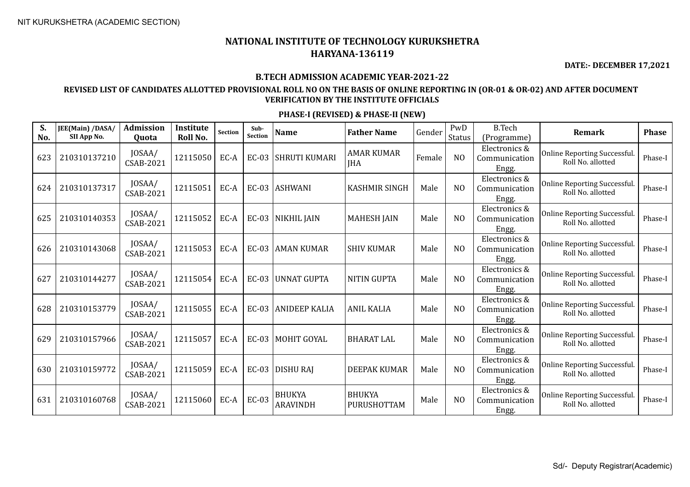**DATE:- DECEMBER 17,2021**

#### **B.TECH ADMISSION ACADEMIC YEAR-2021-22**

## **REVISED LIST OF CANDIDATES ALLOTTED PROVISIONAL ROLL NO ON THE BASIS OF ONLINE REPORTING IN (OR-01 & OR-02) AND AFTER DOCUMENT VERIFICATION BY THE INSTITUTE OFFICIALS**

| S.<br>No. | JEE(Main) /DASA/<br>SII App No. | <b>Admission</b><br>Quota  | Institute<br>Roll No. | Section | Sub-<br><b>Section</b> | <b>Name</b>                      | <b>Father Name</b>              | Gender | PwD<br>Status  | <b>B.Tech</b><br>(Programme)            | Remark                                                   | <b>Phase</b> |
|-----------|---------------------------------|----------------------------|-----------------------|---------|------------------------|----------------------------------|---------------------------------|--------|----------------|-----------------------------------------|----------------------------------------------------------|--------------|
| 623       | 210310137210                    | JOSAA/<br>CSAB-2021        | 12115050              | EC-A    | $EC-03$                | <b>SHRUTI KUMARI</b>             | <b>AMAR KUMAR</b><br><b>JHA</b> | Female | N <sub>O</sub> | Electronics &<br>Communication<br>Engg. | Online Reporting Successful.<br>Roll No. allotted        | Phase-I      |
| 624       | 210310137317                    | JOSAA/<br>CSAB-2021        | 12115051              | EC-A    | $EC-03$                | <b>ASHWANI</b>                   | <b>KASHMIR SINGH</b>            | Male   | N <sub>O</sub> | Electronics &<br>Communication<br>Engg. | <b>Online Reporting Successful.</b><br>Roll No. allotted | Phase-I      |
| 625       | 210310140353                    | JOSAA/<br>CSAB-2021        | 12115052              | EC-A    |                        | EC-03 NIKHIL JAIN                | <b>MAHESH JAIN</b>              | Male   | N <sub>O</sub> | Electronics &<br>Communication<br>Engg. | <b>Online Reporting Successful.</b><br>Roll No. allotted | Phase-I      |
| 626       | 210310143068                    | JOSAA/<br>CSAB-2021        | 12115053              | EC-A    | $EC-03$                | <b>AMAN KUMAR</b>                | <b>SHIV KUMAR</b>               | Male   | N <sub>O</sub> | Electronics &<br>Communication<br>Engg. | Online Reporting Successful.<br>Roll No. allotted        | Phase-I      |
| 627       | 210310144277                    | JOSAA/<br>CSAB-2021        | 12115054              | EC-A    | <b>EC-03</b>           | <b>UNNAT GUPTA</b>               | <b>NITIN GUPTA</b>              | Male   | N <sub>O</sub> | Electronics &<br>Communication<br>Engg. | Online Reporting Successful.<br>Roll No. allotted        | Phase-I      |
| 628       | 210310153779                    | JOSAA/<br><b>CSAB-2021</b> | 12115055              | EC-A    | $EC-03$                | <b>ANIDEEP KALIA</b>             | <b>ANIL KALIA</b>               | Male   | N <sub>O</sub> | Electronics &<br>Communication<br>Engg. | <b>Online Reporting Successful.</b><br>Roll No. allotted | Phase-I      |
| 629       | 210310157966                    | JOSAA/<br>CSAB-2021        | 12115057              | EC-A    | $EC-03$                | <b>MOHIT GOYAL</b>               | <b>BHARAT LAL</b>               | Male   | N <sub>O</sub> | Electronics &<br>Communication<br>Engg. | Online Reporting Successful.<br>Roll No. allotted        | Phase-I      |
| 630       | 210310159772                    | JOSAA/<br><b>CSAB-2021</b> | 12115059              | EC-A    | $EC-03$                | <b>DISHU RAJ</b>                 | <b>DEEPAK KUMAR</b>             | Male   | N <sub>O</sub> | Electronics &<br>Communication<br>Engg. | Online Reporting Successful.<br>Roll No. allotted        | Phase-I      |
| 631       | 210310160768                    | JOSAA/<br>CSAB-2021        | 12115060              | EC-A    | <b>EC-03</b>           | <b>BHUKYA</b><br><b>ARAVINDH</b> | <b>BHUKYA</b><br>PURUSHOTTAM    | Male   | N <sub>O</sub> | Electronics &<br>Communication<br>Engg. | Online Reporting Successful.<br>Roll No. allotted        | Phase-I      |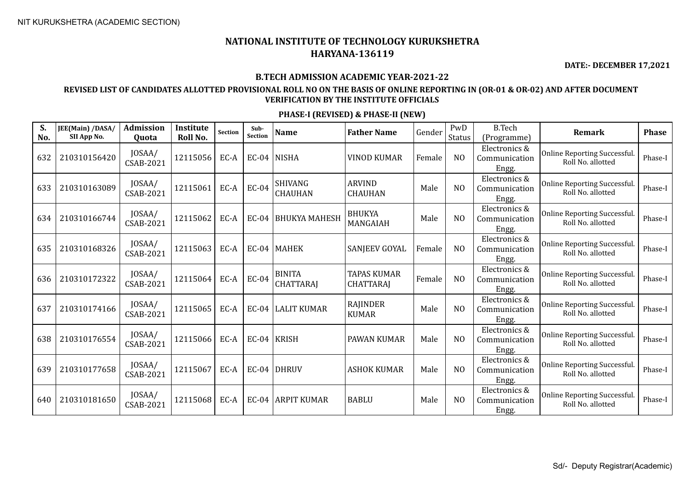**DATE:- DECEMBER 17,2021**

#### **B.TECH ADMISSION ACADEMIC YEAR-2021-22**

## **REVISED LIST OF CANDIDATES ALLOTTED PROVISIONAL ROLL NO ON THE BASIS OF ONLINE REPORTING IN (OR-01 & OR-02) AND AFTER DOCUMENT VERIFICATION BY THE INSTITUTE OFFICIALS**

| S.<br>No. | JEE(Main) /DASA/<br>SII App No. | <b>Admission</b><br>Quota  | Institute<br>Roll No. | Section | Sub-<br><b>Section</b> | <b>Name</b>                       | <b>Father Name</b>                     | Gender | PwD<br><b>Status</b> | <b>B.Tech</b><br>(Programme)            | <b>Remark</b>                                     | <b>Phase</b> |
|-----------|---------------------------------|----------------------------|-----------------------|---------|------------------------|-----------------------------------|----------------------------------------|--------|----------------------|-----------------------------------------|---------------------------------------------------|--------------|
| 632       | 210310156420                    | JOSAA/<br>CSAB-2021        | 12115056              | EC-A    |                        | $EC-04$ NISHA                     | <b>VINOD KUMAR</b>                     | Female | N <sub>O</sub>       | Electronics &<br>Communication<br>Engg. | Online Reporting Successful.<br>Roll No. allotted | Phase-I      |
| 633       | 210310163089                    | JOSAA/<br>CSAB-2021        | 12115061              | EC-A    | $EC-04$                | <b>SHIVANG</b><br><b>CHAUHAN</b>  | <b>ARVIND</b><br><b>CHAUHAN</b>        | Male   | N <sub>O</sub>       | Electronics &<br>Communication<br>Engg. | Online Reporting Successful.<br>Roll No. allotted | Phase-I      |
| 634       | 210310166744                    | JOSAA/<br>CSAB-2021        | 12115062              | EC-A    | $EC-04$                | <b>BHUKYA MAHESH</b>              | <b>BHUKYA</b><br>MANGAIAH              | Male   | N <sub>O</sub>       | Electronics &<br>Communication<br>Engg. | Online Reporting Successful.<br>Roll No. allotted | Phase-I      |
| 635       | 210310168326                    | JOSAA/<br><b>CSAB-2021</b> | 12115063              | EC-A    |                        | EC-04   MAHEK                     | SANJEEV GOYAL                          | Female | N <sub>O</sub>       | Electronics &<br>Communication<br>Engg. | Online Reporting Successful.<br>Roll No. allotted | Phase-I      |
| 636       | 210310172322                    | JOSAA/<br>CSAB-2021        | 12115064              | EC-A    | $EC-04$                | <b>BINITA</b><br><b>CHATTARAJ</b> | <b>TAPAS KUMAR</b><br><b>CHATTARAJ</b> | Female | N <sub>O</sub>       | Electronics &<br>Communication<br>Engg. | Online Reporting Successful.<br>Roll No. allotted | Phase-I      |
| 637       | 210310174166                    | JOSAA/<br><b>CSAB-2021</b> | 12115065              | EC-A    |                        | EC-04 LALIT KUMAR                 | <b>RAJINDER</b><br><b>KUMAR</b>        | Male   | N <sub>O</sub>       | Electronics &<br>Communication<br>Engg. | Online Reporting Successful.<br>Roll No. allotted | Phase-I      |
| 638       | 210310176554                    | JOSAA/<br>CSAB-2021        | 12115066              | EC-A    |                        | $EC-04$ KRISH                     | PAWAN KUMAR                            | Male   | N <sub>O</sub>       | Electronics &<br>Communication<br>Engg. | Online Reporting Successful.<br>Roll No. allotted | Phase-I      |
| 639       | 210310177658                    | JOSAA/<br>CSAB-2021        | 12115067              | EC-A    |                        | $EC-04$ DHRUV                     | <b>ASHOK KUMAR</b>                     | Male   | N <sub>O</sub>       | Electronics &<br>Communication<br>Engg. | Online Reporting Successful.<br>Roll No. allotted | Phase-I      |
| 640       | 210310181650                    | JOSAA/<br>CSAB-2021        | 12115068              | EC-A    |                        | EC-04 ARPIT KUMAR                 | <b>BABLU</b>                           | Male   | N <sub>O</sub>       | Electronics &<br>Communication<br>Engg. | Online Reporting Successful.<br>Roll No. allotted | Phase-I      |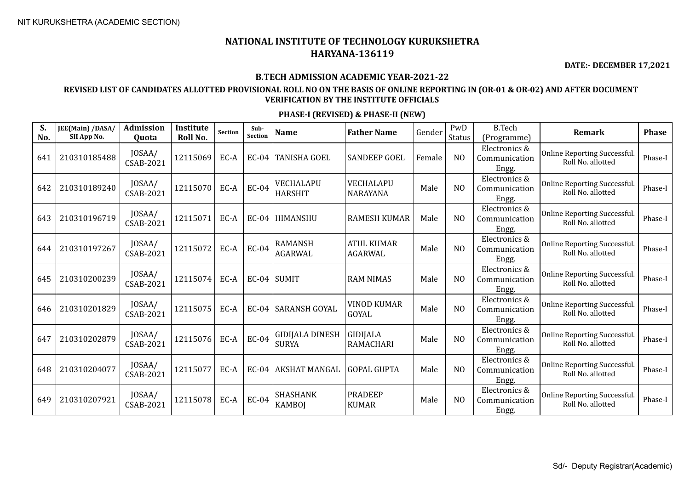**DATE:- DECEMBER 17,2021**

#### **B.TECH ADMISSION ACADEMIC YEAR-2021-22**

## **REVISED LIST OF CANDIDATES ALLOTTED PROVISIONAL ROLL NO ON THE BASIS OF ONLINE REPORTING IN (OR-01 & OR-02) AND AFTER DOCUMENT VERIFICATION BY THE INSTITUTE OFFICIALS**

| S.<br>No. | JEE(Main) /DASA/<br>SII App No. | <b>Admission</b><br><b>Ouota</b> | <b>Institute</b><br>Roll No. | <b>Section</b> | Sub-<br><b>Section</b> | <b>Name</b>                            | <b>Father Name</b>             | Gender | PwD<br><b>Status</b> | <b>B.Tech</b><br>(Programme)            | Remark                                            | <b>Phase</b> |
|-----------|---------------------------------|----------------------------------|------------------------------|----------------|------------------------|----------------------------------------|--------------------------------|--------|----------------------|-----------------------------------------|---------------------------------------------------|--------------|
| 641       | 210310185488                    | JOSAA/<br>CSAB-2021              | 12115069                     | EC-A           | $EC-04$                | <b>TANISHA GOEL</b>                    | <b>SANDEEP GOEL</b>            | Female | N <sub>O</sub>       | Electronics &<br>Communication<br>Engg. | Online Reporting Successful.<br>Roll No. allotted | Phase-I      |
| 642       | 210310189240                    | JOSAA/<br>CSAB-2021              | 12115070                     | EC-A           | $EC-04$                | VECHALAPU<br><b>HARSHIT</b>            | VECHALAPU<br><b>NARAYANA</b>   | Male   | N <sub>O</sub>       | Electronics &<br>Communication<br>Engg. | Online Reporting Successful.<br>Roll No. allotted | Phase-I      |
| 643       | 210310196719                    | JOSAA/<br>CSAB-2021              | 12115071                     | EC-A           |                        | EC-04   HIMANSHU                       | <b>RAMESH KUMAR</b>            | Male   | N <sub>O</sub>       | Electronics &<br>Communication<br>Engg. | Online Reporting Successful.<br>Roll No. allotted | Phase-I      |
| 644       | 210310197267                    | JOSAA/<br>CSAB-2021              | 12115072                     | EC-A           | $EC-04$                | <b>RAMANSH</b><br><b>AGARWAL</b>       | <b>ATUL KUMAR</b><br>AGARWAL   | Male   | N <sub>O</sub>       | Electronics &<br>Communication<br>Engg. | Online Reporting Successful.<br>Roll No. allotted | Phase-I      |
| 645       | 210310200239                    | JOSAA/<br><b>CSAB-2021</b>       | 12115074                     | EC-A           |                        | $EC-04$ SUMIT                          | <b>RAM NIMAS</b>               | Male   | N <sub>O</sub>       | Electronics &<br>Communication<br>Engg. | Online Reporting Successful.<br>Roll No. allotted | Phase-I      |
| 646       | 210310201829                    | JOSAA/<br><b>CSAB-2021</b>       | 12115075                     | EC-A           | $EC-04$                | SARANSH GOYAL                          | <b>VINOD KUMAR</b><br>GOYAL    | Male   | N <sub>O</sub>       | Electronics &<br>Communication<br>Engg. | Online Reporting Successful.<br>Roll No. allotted | Phase-I      |
| 647       | 210310202879                    | JOSAA/<br><b>CSAB-2021</b>       | 12115076                     | EC-A           | $EC-04$                | <b>GIDIJALA DINESH</b><br><b>SURYA</b> | GIDIJALA<br><b>RAMACHARI</b>   | Male   | N <sub>O</sub>       | Electronics &<br>Communication<br>Engg. | Online Reporting Successful.<br>Roll No. allotted | Phase-I      |
| 648       | 210310204077                    | JOSAA/<br><b>CSAB-2021</b>       | 12115077                     | EC-A           |                        | EC-04 AKSHAT MANGAL                    | <b>GOPAL GUPTA</b>             | Male   | N <sub>O</sub>       | Electronics &<br>Communication<br>Engg. | Online Reporting Successful.<br>Roll No. allotted | Phase-I      |
| 649       | 210310207921                    | JOSAA/<br>CSAB-2021              | 12115078                     | EC-A           | $EC-04$                | <b>SHASHANK</b><br><b>KAMBOJ</b>       | <b>PRADEEP</b><br><b>KUMAR</b> | Male   | N <sub>O</sub>       | Electronics &<br>Communication<br>Engg. | Online Reporting Successful.<br>Roll No. allotted | Phase-I      |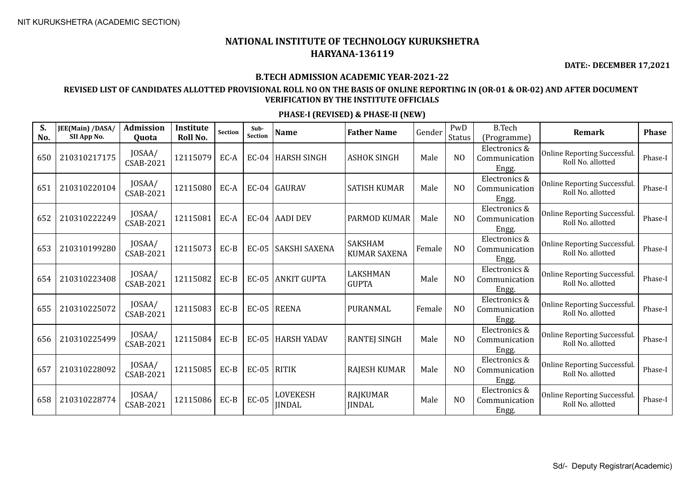**DATE:- DECEMBER 17,2021**

#### **B.TECH ADMISSION ACADEMIC YEAR-2021-22**

## **REVISED LIST OF CANDIDATES ALLOTTED PROVISIONAL ROLL NO ON THE BASIS OF ONLINE REPORTING IN (OR-01 & OR-02) AND AFTER DOCUMENT VERIFICATION BY THE INSTITUTE OFFICIALS**

| S.<br>No. | JEE(Main) /DASA/<br>SII App No. | Admission<br>Quota  | <b>Institute</b><br>Roll No. | <b>Section</b> | Sub-<br><b>Section</b> | <b>Name</b>                      | <b>Father Name</b>                    | Gender | PwD<br><b>Status</b> | <b>B.Tech</b><br>(Programme)            | Remark                                                  | <b>Phase</b> |
|-----------|---------------------------------|---------------------|------------------------------|----------------|------------------------|----------------------------------|---------------------------------------|--------|----------------------|-----------------------------------------|---------------------------------------------------------|--------------|
| 650       | 210310217175                    | JOSAA/<br>CSAB-2021 | 12115079                     | EC-A           |                        | EC-04 HARSH SINGH                | <b>ASHOK SINGH</b>                    | Male   | N <sub>O</sub>       | Electronics &<br>Communication<br>Engg. | Online Reporting Successful.<br>Roll No. allotted       | Phase-I      |
| 651       | 210310220104                    | JOSAA/<br>CSAB-2021 | 12115080                     | EC-A           |                        | EC-04 GAURAV                     | <b>SATISH KUMAR</b>                   | Male   | N <sub>O</sub>       | Electronics &<br>Communication<br>Engg. | <b>Online Reporting Successful</b><br>Roll No. allotted | Phase-I      |
| 652       | 210310222249                    | JOSAA/<br>CSAB-2021 | 12115081                     | EC-A           |                        | EC-04 AADI DEV                   | PARMOD KUMAR                          | Male   | N <sub>O</sub>       | Electronics &<br>Communication<br>Engg. | <b>Online Reporting Successful</b><br>Roll No. allotted | Phase-I      |
| 653       | 210310199280                    | JOSAA/<br>CSAB-2021 | 12115073                     | $EC-B$         | $EC-05$                | SAKSHI SAXENA                    | <b>SAKSHAM</b><br><b>KUMAR SAXENA</b> | Female | N <sub>O</sub>       | Electronics &<br>Communication<br>Engg. | <b>Online Reporting Successful</b><br>Roll No. allotted | Phase-I      |
| 654       | 210310223408                    | JOSAA/<br>CSAB-2021 | 12115082                     | $EC-B$         | $EC-05$                | <b>ANKIT GUPTA</b>               | LAKSHMAN<br><b>GUPTA</b>              | Male   | N <sub>O</sub>       | Electronics &<br>Communication<br>Engg. | Online Reporting Successful.<br>Roll No. allotted       | Phase-I      |
| 655       | 210310225072                    | JOSAA/<br>CSAB-2021 | 12115083                     | $EC-B$         |                        | EC-05 REENA                      | PURANMAL                              | Female | N <sub>O</sub>       | Electronics &<br>Communication<br>Engg. | Online Reporting Successful.<br>Roll No. allotted       | Phase-I      |
| 656       | 210310225499                    | JOSAA/<br>CSAB-2021 | 12115084                     | $EC-B$         | $EC-05$                | <b>HARSH YADAV</b>               | <b>RANTEJ SINGH</b>                   | Male   | N <sub>O</sub>       | Electronics &<br>Communication<br>Engg. | Online Reporting Successful.<br>Roll No. allotted       | Phase-I      |
| 657       | 210310228092                    | JOSAA/<br>CSAB-2021 | 12115085                     | $EC-B$         | $EC-05$ RITIK          |                                  | <b>RAJESH KUMAR</b>                   | Male   | N <sub>O</sub>       | Electronics &<br>Communication<br>Engg. | Online Reporting Successful.<br>Roll No. allotted       | Phase-I      |
| 658       | 210310228774                    | JOSAA/<br>CSAB-2021 | 12115086                     | $EC-B$         | <b>EC-05</b>           | <b>LOVEKESH</b><br><b>JINDAL</b> | <b>RAJKUMAR</b><br><b>IINDAL</b>      | Male   | N <sub>O</sub>       | Electronics &<br>Communication<br>Engg. | Online Reporting Successful.<br>Roll No. allotted       | Phase-I      |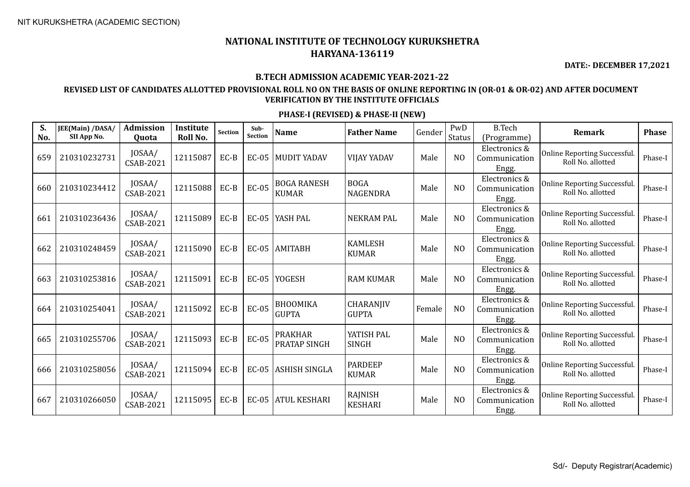**DATE:- DECEMBER 17,2021**

#### **B.TECH ADMISSION ACADEMIC YEAR-2021-22**

## **REVISED LIST OF CANDIDATES ALLOTTED PROVISIONAL ROLL NO ON THE BASIS OF ONLINE REPORTING IN (OR-01 & OR-02) AND AFTER DOCUMENT VERIFICATION BY THE INSTITUTE OFFICIALS**

| S.<br>No. | JEE(Main) /DASA/<br>SII App No. | Admission<br>Quota         | <b>Institute</b><br>Roll No. | Section | Sub-<br><b>Section</b> | <b>Name</b>                        | <b>Father Name</b>             | Gender | PwD<br><b>Status</b> | <b>B.Tech</b><br>(Programme)            | <b>Remark</b>                                     | <b>Phase</b> |
|-----------|---------------------------------|----------------------------|------------------------------|---------|------------------------|------------------------------------|--------------------------------|--------|----------------------|-----------------------------------------|---------------------------------------------------|--------------|
| 659       | 210310232731                    | JOSAA/<br>CSAB-2021        | 12115087                     | EC-B    | $EC-05$                | <b>MUDIT YADAV</b>                 | <b>VIJAY YADAV</b>             | Male   | N <sub>O</sub>       | Electronics &<br>Communication<br>Engg. | Online Reporting Successful.<br>Roll No. allotted | Phase-I      |
| 660       | 210310234412                    | JOSAA/<br>CSAB-2021        | 12115088                     | $EC-B$  | $EC-05$                | <b>BOGA RANESH</b><br><b>KUMAR</b> | <b>BOGA</b><br><b>NAGENDRA</b> | Male   | N <sub>O</sub>       | Electronics &<br>Communication<br>Engg. | Online Reporting Successful.<br>Roll No. allotted | Phase-I      |
| 661       | 210310236436                    | JOSAA/<br>CSAB-2021        | 12115089                     | EC-B    | $EC-05$                | YASH PAL                           | <b>NEKRAM PAL</b>              | Male   | N <sub>O</sub>       | Electronics &<br>Communication<br>Engg. | Online Reporting Successful.<br>Roll No. allotted | Phase-I      |
| 662       | 210310248459                    | JOSAA/<br><b>CSAB-2021</b> | 12115090                     | EC-B    | $EC-05$                | <b>AMITABH</b>                     | <b>KAMLESH</b><br><b>KUMAR</b> | Male   | N <sub>O</sub>       | Electronics &<br>Communication<br>Engg. | Online Reporting Successful.<br>Roll No. allotted | Phase-I      |
| 663       | 210310253816                    | JOSAA/<br>CSAB-2021        | 12115091                     | $EC-B$  | <b>EC-05</b>           | <b>YOGESH</b>                      | <b>RAM KUMAR</b>               | Male   | N <sub>O</sub>       | Electronics &<br>Communication<br>Engg. | Online Reporting Successful.<br>Roll No. allotted | Phase-I      |
| 664       | 210310254041                    | JOSAA/<br><b>CSAB-2021</b> | 12115092                     | EC-B    | $EC-05$                | <b>BHOOMIKA</b><br><b>GUPTA</b>    | CHARANJIV<br><b>GUPTA</b>      | Female | N <sub>O</sub>       | Electronics &<br>Communication<br>Engg. | Online Reporting Successful.<br>Roll No. allotted | Phase-I      |
| 665       | 210310255706                    | JOSAA/<br><b>CSAB-2021</b> | 12115093                     | $EC-B$  | $EC-05$                | <b>PRAKHAR</b><br>PRATAP SINGH     | YATISH PAL<br><b>SINGH</b>     | Male   | N <sub>O</sub>       | Electronics &<br>Communication<br>Engg. | Online Reporting Successful.<br>Roll No. allotted | Phase-I      |
| 666       | 210310258056                    | JOSAA/<br>CSAB-2021        | 12115094                     | $EC-B$  | $EC-05$                | ASHISH SINGLA                      | <b>PARDEEP</b><br><b>KUMAR</b> | Male   | N <sub>O</sub>       | Electronics &<br>Communication<br>Engg. | Online Reporting Successful.<br>Roll No. allotted | Phase-I      |
| 667       | 210310266050                    | JOSAA/<br>CSAB-2021        | 12115095                     | EC-B    | $EC-05$                | <b>ATUL KESHARI</b>                | RAJNISH<br><b>KESHARI</b>      | Male   | N <sub>O</sub>       | Electronics &<br>Communication<br>Engg. | Online Reporting Successful.<br>Roll No. allotted | Phase-I      |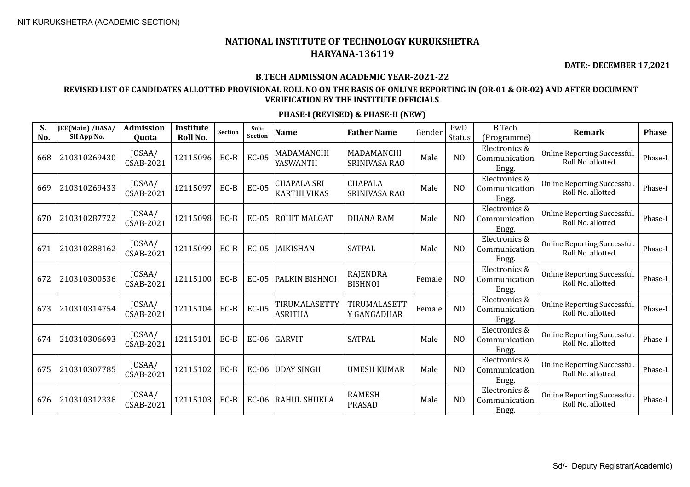**DATE:- DECEMBER 17,2021**

#### **B.TECH ADMISSION ACADEMIC YEAR-2021-22**

### **REVISED LIST OF CANDIDATES ALLOTTED PROVISIONAL ROLL NO ON THE BASIS OF ONLINE REPORTING IN (OR-01 & OR-02) AND AFTER DOCUMENT VERIFICATION BY THE INSTITUTE OFFICIALS**

| S.<br>No. | JEE(Main) /DASA/<br>SII App No. | <b>Admission</b><br>Quota  | Institute<br>Roll No. | Section | Sub-<br><b>Section</b> | <b>Name</b>                               | <b>Father Name</b>              | Gender | PwD<br>Status  | <b>B.Tech</b><br>(Programme)            | Remark                                                   | <b>Phase</b> |
|-----------|---------------------------------|----------------------------|-----------------------|---------|------------------------|-------------------------------------------|---------------------------------|--------|----------------|-----------------------------------------|----------------------------------------------------------|--------------|
| 668       | 210310269430                    | JOSAA/<br>CSAB-2021        | 12115096              | $EC-B$  | $EC-05$                | MADAMANCHI<br>YASWANTH                    | MADAMANCHI<br>SRINIVASA RAO     | Male   | N <sub>O</sub> | Electronics &<br>Communication<br>Engg. | Online Reporting Successful.<br>Roll No. allotted        | Phase-I      |
| 669       | 210310269433                    | JOSAA/<br><b>CSAB-2021</b> | 12115097              | $EC-B$  | $EC-05$                | <b>CHAPALA SRI</b><br><b>KARTHI VIKAS</b> | <b>CHAPALA</b><br>SRINIVASA RAO | Male   | N <sub>O</sub> | Electronics &<br>Communication<br>Engg. | Online Reporting Successful.<br>Roll No. allotted        | Phase-I      |
| 670       | 210310287722                    | JOSAA/<br>CSAB-2021        | 12115098              | EC-B    | $EC-05$                | <b>ROHIT MALGAT</b>                       | <b>DHANA RAM</b>                | Male   | N <sub>O</sub> | Electronics &<br>Communication<br>Engg. | Online Reporting Successful.<br>Roll No. allotted        | Phase-I      |
| 671       | 210310288162                    | JOSAA/<br><b>CSAB-2021</b> | 12115099              | EC-B    | $EC-05$                | <b>JAIKISHAN</b>                          | <b>SATPAL</b>                   | Male   | N <sub>O</sub> | Electronics &<br>Communication<br>Engg. | Online Reporting Successful.<br>Roll No. allotted        | Phase-I      |
| 672       | 210310300536                    | JOSAA/<br>CSAB-2021        | 12115100              | $EC-B$  | <b>EC-05</b>           | PALKIN BISHNOI                            | RAJENDRA<br><b>BISHNOI</b>      | Female | N <sub>O</sub> | Electronics &<br>Communication<br>Engg. | <b>Online Reporting Successful.</b><br>Roll No. allotted | Phase-I      |
| 673       | 210310314754                    | JOSAA/<br><b>CSAB-2021</b> | 12115104              | $EC-B$  | $EC-05$                | TIRUMALASETTY<br><b>ASRITHA</b>           | TIRUMALASETT<br>Y GANGADHAR     | Female | N <sub>O</sub> | Electronics &<br>Communication<br>Engg. | Online Reporting Successful.<br>Roll No. allotted        | Phase-I      |
| 674       | 210310306693                    | JOSAA/<br>CSAB-2021        | 12115101              | EC-B    |                        | $EC-06$ GARVIT                            | <b>SATPAL</b>                   | Male   | N <sub>O</sub> | Electronics &<br>Communication<br>Engg. | Online Reporting Successful.<br>Roll No. allotted        | Phase-I      |
| 675       | 210310307785                    | JOSAA/<br><b>CSAB-2021</b> | 12115102              | $EC-B$  | $EC-06$                | <b>UDAY SINGH</b>                         | <b>UMESH KUMAR</b>              | Male   | N <sub>O</sub> | Electronics &<br>Communication<br>Engg. | <b>Online Reporting Successful.</b><br>Roll No. allotted | Phase-I      |
| 676       | 210310312338                    | JOSAA/<br>CSAB-2021        | 12115103              | EC-B    | $EC-06$                | <b>RAHUL SHUKLA</b>                       | <b>RAMESH</b><br><b>PRASAD</b>  | Male   | N <sub>O</sub> | Electronics &<br>Communication<br>Engg. | <b>Online Reporting Successful.</b><br>Roll No. allotted | Phase-I      |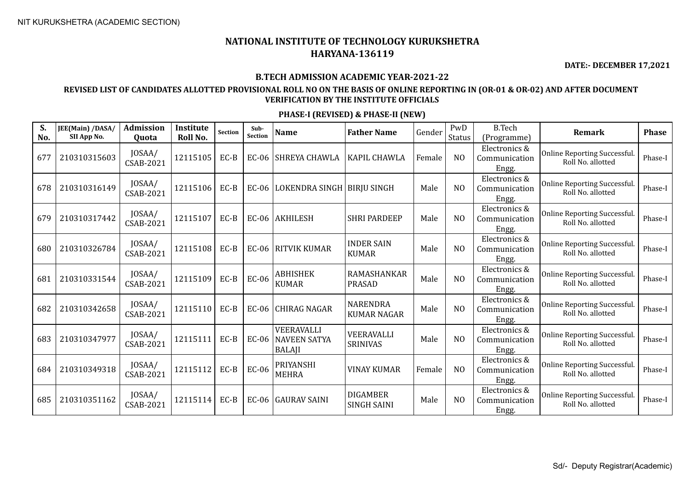**DATE:- DECEMBER 17,2021**

#### **B.TECH ADMISSION ACADEMIC YEAR-2021-22**

## **REVISED LIST OF CANDIDATES ALLOTTED PROVISIONAL ROLL NO ON THE BASIS OF ONLINE REPORTING IN (OR-01 & OR-02) AND AFTER DOCUMENT VERIFICATION BY THE INSTITUTE OFFICIALS**

| S.<br>No. | JEE(Main) /DASA/<br>SII App No. | <b>Admission</b><br>Quota  | Institute<br>Roll No. | Section | Sub-<br><b>Section</b> | <b>Name</b>                                        | <b>Father Name</b>                    | Gender | PwD<br>Status  | <b>B.Tech</b><br>(Programme)            | Remark                                            | <b>Phase</b> |
|-----------|---------------------------------|----------------------------|-----------------------|---------|------------------------|----------------------------------------------------|---------------------------------------|--------|----------------|-----------------------------------------|---------------------------------------------------|--------------|
| 677       | 210310315603                    | JOSAA/<br>CSAB-2021        | 12115105              | EC-B    | $EC-06$                | SHREYA CHAWLA                                      | <b>KAPIL CHAWLA</b>                   | Female | N <sub>O</sub> | Electronics &<br>Communication<br>Engg. | Online Reporting Successful.<br>Roll No. allotted | Phase-I      |
| 678       | 210310316149                    | JOSAA/<br>CSAB-2021        | 12115106              | $EC-B$  | $EC-06$                | LOKENDRA SINGH   BIRJU SINGH                       |                                       | Male   | N <sub>O</sub> | Electronics &<br>Communication<br>Engg. | Online Reporting Successful.<br>Roll No. allotted | Phase-I      |
| 679       | 210310317442                    | JOSAA/<br>CSAB-2021        | 12115107              | EC-B    |                        | EC-06 AKHILESH                                     | <b>SHRI PARDEEP</b>                   | Male   | N <sub>O</sub> | Electronics &<br>Communication<br>Engg. | Online Reporting Successful.<br>Roll No. allotted | Phase-I      |
| 680       | 210310326784                    | JOSAA/<br>CSAB-2021        | 12115108              | $EC-B$  | $EC-06$                | <b>RITVIK KUMAR</b>                                | <b>INDER SAIN</b><br><b>KUMAR</b>     | Male   | N <sub>O</sub> | Electronics &<br>Communication<br>Engg. | Online Reporting Successful.<br>Roll No. allotted | Phase-I      |
| 681       | 210310331544                    | JOSAA/<br><b>CSAB-2021</b> | 12115109              | $EC-B$  | $EC-06$                | <b>ABHISHEK</b><br><b>KUMAR</b>                    | <b>RAMASHANKAR</b><br><b>PRASAD</b>   | Male   | N <sub>O</sub> | Electronics &<br>Communication<br>Engg. | Online Reporting Successful.<br>Roll No. allotted | Phase-I      |
| 682       | 210310342658                    | JOSAA/<br><b>CSAB-2021</b> | 12115110              | $EC-B$  | $EC-06$                | <b>CHIRAG NAGAR</b>                                | <b>NARENDRA</b><br><b>KUMAR NAGAR</b> | Male   | N <sub>O</sub> | Electronics &<br>Communication<br>Engg. | Online Reporting Successful.<br>Roll No. allotted | Phase-I      |
| 683       | 210310347977                    | JOSAA/<br>CSAB-2021        | 12115111              | $EC-B$  | $EC-06$                | VEERAVALLI<br><b>NAVEEN SATYA</b><br><b>BALAJI</b> | VEERAVALLI<br><b>SRINIVAS</b>         | Male   | N <sub>O</sub> | Electronics &<br>Communication<br>Engg. | Online Reporting Successful.<br>Roll No. allotted | Phase-I      |
| 684       | 210310349318                    | JOSAA/<br><b>CSAB-2021</b> | 12115112              | $EC-B$  | $EC-06$                | PRIYANSHI<br><b>MEHRA</b>                          | <b>VINAY KUMAR</b>                    | Female | N <sub>O</sub> | Electronics &<br>Communication<br>Engg. | Online Reporting Successful.<br>Roll No. allotted | Phase-I      |
| 685       | 210310351162                    | JOSAA/<br>CSAB-2021        | 12115114              | EC-B    | $EC-06$                | <b>GAURAV SAINI</b>                                | <b>DIGAMBER</b><br><b>SINGH SAINI</b> | Male   | N <sub>O</sub> | Electronics &<br>Communication<br>Engg. | Online Reporting Successful.<br>Roll No. allotted | Phase-I      |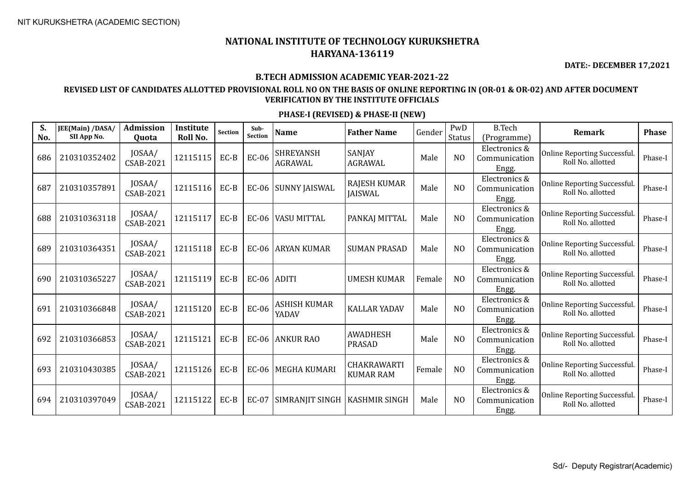**DATE:- DECEMBER 17,2021**

#### **B.TECH ADMISSION ACADEMIC YEAR-2021-22**

## **REVISED LIST OF CANDIDATES ALLOTTED PROVISIONAL ROLL NO ON THE BASIS OF ONLINE REPORTING IN (OR-01 & OR-02) AND AFTER DOCUMENT VERIFICATION BY THE INSTITUTE OFFICIALS**

| S.<br>No. | JEE(Main) /DASA/<br>SII App No. | <b>Admission</b><br>Quota  | Institute<br>Roll No. | <b>Section</b> | Sub-<br><b>Section</b> | <b>Name</b>                        | <b>Father Name</b>                    | Gender | PwD<br>Status  | <b>B.Tech</b><br>(Programme)            | Remark                                                   | <b>Phase</b> |
|-----------|---------------------------------|----------------------------|-----------------------|----------------|------------------------|------------------------------------|---------------------------------------|--------|----------------|-----------------------------------------|----------------------------------------------------------|--------------|
| 686       | 210310352402                    | JOSAA/<br><b>CSAB-2021</b> | 12115115              | $EC-B$         | $EC-06$                | <b>SHREYANSH</b><br><b>AGRAWAL</b> | SANJAY<br>AGRAWAL                     | Male   | N <sub>O</sub> | Electronics &<br>Communication<br>Engg. | <b>Online Reporting Successful.</b><br>Roll No. allotted | Phase-I      |
| 687       | 210310357891                    | JOSAA/<br>CSAB-2021        | 12115116              | EC-B           | $EC-06$                | <b>SUNNY JAISWAL</b>               | <b>RAJESH KUMAR</b><br><b>JAISWAL</b> | Male   | N <sub>O</sub> | Electronics &<br>Communication<br>Engg. | <b>Online Reporting Successful.</b><br>Roll No. allotted | Phase-I      |
| 688       | 210310363118                    | JOSAA/<br>CSAB-2021        | 12115117              | $EC-B$         | $EC-06$                | <b>VASU MITTAL</b>                 | PANKAJ MITTAL                         | Male   | N <sub>O</sub> | Electronics &<br>Communication<br>Engg. | Online Reporting Successful.<br>Roll No. allotted        | Phase-I      |
| 689       | 210310364351                    | JOSAA/<br>CSAB-2021        | 12115118              | EC-B           | $EC-06$                | <b>ARYAN KUMAR</b>                 | <b>SUMAN PRASAD</b>                   | Male   | N <sub>O</sub> | Electronics &<br>Communication<br>Engg. | Online Reporting Successful.<br>Roll No. allotted        | Phase-I      |
| 690       | 210310365227                    | JOSAA/<br>CSAB-2021        | 12115119              | $EC-B$         | $EC-06$                | <b>ADITI</b>                       | <b>UMESH KUMAR</b>                    | Female | N <sub>O</sub> | Electronics &<br>Communication<br>Engg. | Online Reporting Successful.<br>Roll No. allotted        | Phase-I      |
| 691       | 210310366848                    | JOSAA/<br><b>CSAB-2021</b> | 12115120              | $EC-B$         | $EC-06$                | <b>ASHISH KUMAR</b><br>YADAV       | <b>KALLAR YADAV</b>                   | Male   | N <sub>O</sub> | Electronics &<br>Communication<br>Engg. | <b>Online Reporting Successful.</b><br>Roll No. allotted | Phase-I      |
| 692       | 210310366853                    | JOSAA/<br><b>CSAB-2021</b> | 12115121              | $EC-B$         |                        | EC-06 ANKUR RAO                    | <b>AWADHESH</b><br><b>PRASAD</b>      | Male   | N <sub>O</sub> | Electronics &<br>Communication<br>Engg. | Online Reporting Successful.<br>Roll No. allotted        | Phase-I      |
| 693       | 210310430385                    | JOSAA/<br>CSAB-2021        | 12115126              | $EC-B$         | $EC-06$                | <b>MEGHA KUMARI</b>                | CHAKRAWARTI<br><b>KUMAR RAM</b>       | Female | N <sub>O</sub> | Electronics &<br>Communication<br>Engg. | <b>Online Reporting Successful.</b><br>Roll No. allotted | Phase-I      |
| 694       | 210310397049                    | JOSAA/<br>CSAB-2021        | 12115122              | $EC-B$         | EC-07                  | SIMRANJIT SINGH                    | <b>KASHMIR SINGH</b>                  | Male   | N <sub>O</sub> | Electronics &<br>Communication<br>Engg. | Online Reporting Successful.<br>Roll No. allotted        | Phase-I      |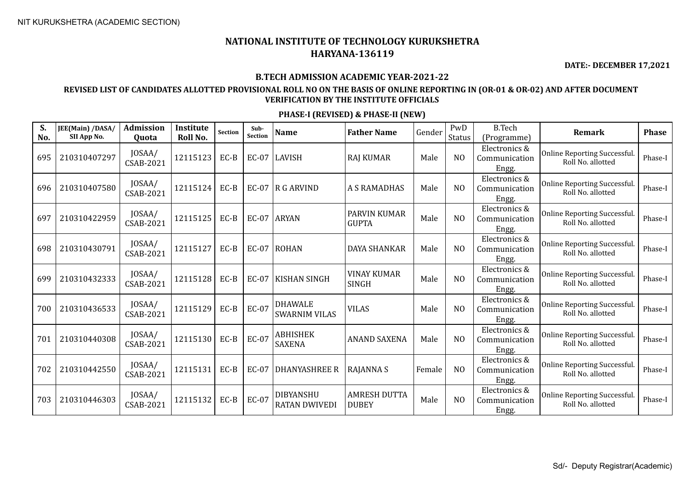**DATE:- DECEMBER 17,2021**

#### **B.TECH ADMISSION ACADEMIC YEAR-2021-22**

## **REVISED LIST OF CANDIDATES ALLOTTED PROVISIONAL ROLL NO ON THE BASIS OF ONLINE REPORTING IN (OR-01 & OR-02) AND AFTER DOCUMENT VERIFICATION BY THE INSTITUTE OFFICIALS**

| S.<br>No. | JEE(Main) /DASA/<br>SII App No. | Admission<br>Quota         | <b>Institute</b><br>Roll No. | Section | Sub-<br><b>Section</b> | <b>Name</b>                              | <b>Father Name</b>                  | Gender | PwD<br><b>Status</b> | <b>B.Tech</b><br>(Programme)            | <b>Remark</b>                                     | <b>Phase</b> |
|-----------|---------------------------------|----------------------------|------------------------------|---------|------------------------|------------------------------------------|-------------------------------------|--------|----------------------|-----------------------------------------|---------------------------------------------------|--------------|
| 695       | 210310407297                    | JOSAA/<br><b>CSAB-2021</b> | 12115123                     | EC-B    |                        | EC-07   LAVISH                           | <b>RAJ KUMAR</b>                    | Male   | N <sub>O</sub>       | Electronics &<br>Communication<br>Engg. | Online Reporting Successful.<br>Roll No. allotted | Phase-I      |
| 696       | 210310407580                    | JOSAA/<br><b>CSAB-2021</b> | 12115124                     | $EC-B$  |                        | EC-07 $\overline{R}$ G ARVIND            | <b>A S RAMADHAS</b>                 | Male   | N <sub>O</sub>       | Electronics &<br>Communication<br>Engg. | Online Reporting Successful.<br>Roll No. allotted | Phase-I      |
| 697       | 210310422959                    | JOSAA/<br><b>CSAB-2021</b> | 12115125                     | EC-B    | $EC-07$                | <b>ARYAN</b>                             | <b>PARVIN KUMAR</b><br><b>GUPTA</b> | Male   | N <sub>O</sub>       | Electronics &<br>Communication<br>Engg. | Online Reporting Successful.<br>Roll No. allotted | Phase-I      |
| 698       | 210310430791                    | JOSAA/<br><b>CSAB-2021</b> | 12115127                     | EC-B    | $EC-07$                | <b>ROHAN</b>                             | <b>DAYA SHANKAR</b>                 | Male   | N <sub>O</sub>       | Electronics &<br>Communication<br>Engg. | Online Reporting Successful.<br>Roll No. allotted | Phase-I      |
| 699       | 210310432333                    | JOSAA/<br>CSAB-2021        | 12115128                     | EC-B    | EC-07                  | <b>KISHAN SINGH</b>                      | <b>VINAY KUMAR</b><br><b>SINGH</b>  | Male   | N <sub>O</sub>       | Electronics &<br>Communication<br>Engg. | Online Reporting Successful.<br>Roll No. allotted | Phase-I      |
| 700       | 210310436533                    | JOSAA/<br><b>CSAB-2021</b> | 12115129                     | $EC-B$  | EC-07                  | <b>DHAWALE</b><br><b>SWARNIM VILAS</b>   | <b>VILAS</b>                        | Male   | N <sub>O</sub>       | Electronics &<br>Communication<br>Engg. | Online Reporting Successful.<br>Roll No. allotted | Phase-I      |
| 701       | 210310440308                    | JOSAA/<br>CSAB-2021        | 12115130                     | EC-B    | EC-07                  | <b>ABHISHEK</b><br><b>SAXENA</b>         | <b>ANAND SAXENA</b>                 | Male   | N <sub>O</sub>       | Electronics &<br>Communication<br>Engg. | Online Reporting Successful.<br>Roll No. allotted | Phase-I      |
| 702       | 210310442550                    | JOSAA/<br><b>CSAB-2021</b> | 12115131                     | EC-B    | $EC-07$                | DHANYASHREE R                            | <b>RAJANNA S</b>                    | Female | N <sub>O</sub>       | Electronics &<br>Communication<br>Engg. | Online Reporting Successful.<br>Roll No. allotted | Phase-I      |
| 703       | 210310446303                    | JOSAA/<br><b>CSAB-2021</b> | 12115132                     | EC-B    | EC-07                  | <b>DIBYANSHU</b><br><b>RATAN DWIVEDI</b> | <b>AMRESH DUTTA</b><br><b>DUBEY</b> | Male   | N <sub>O</sub>       | Electronics &<br>Communication<br>Engg. | Online Reporting Successful.<br>Roll No. allotted | Phase-I      |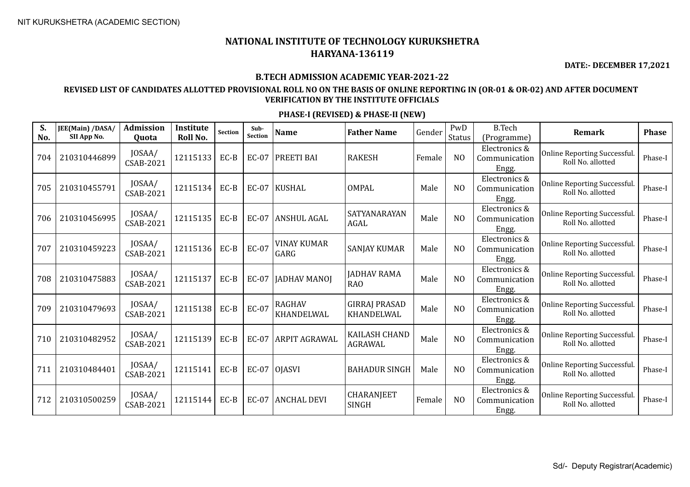**DATE:- DECEMBER 17,2021**

#### **B.TECH ADMISSION ACADEMIC YEAR-2021-22**

## **REVISED LIST OF CANDIDATES ALLOTTED PROVISIONAL ROLL NO ON THE BASIS OF ONLINE REPORTING IN (OR-01 & OR-02) AND AFTER DOCUMENT VERIFICATION BY THE INSTITUTE OFFICIALS**

| S.<br>No. | JEE(Main) /DASA/<br>SII App No. | Admission<br>Quota         | <b>Institute</b><br>Roll No. | Section | Sub-<br><b>Section</b> | <b>Name</b>                 | <b>Father Name</b>                     | Gender | PwD<br><b>Status</b> | <b>B.Tech</b><br>(Programme)            | <b>Remark</b>                                     | <b>Phase</b> |
|-----------|---------------------------------|----------------------------|------------------------------|---------|------------------------|-----------------------------|----------------------------------------|--------|----------------------|-----------------------------------------|---------------------------------------------------|--------------|
| 704       | 210310446899                    | JOSAA/<br>CSAB-2021        | 12115133                     | EC-B    | $EC-07$                | <b>PREETI BAI</b>           | <b>RAKESH</b>                          | Female | N <sub>O</sub>       | Electronics &<br>Communication<br>Engg. | Online Reporting Successful.<br>Roll No. allotted | Phase-I      |
| 705       | 210310455791                    | JOSAA/<br><b>CSAB-2021</b> | 12115134                     | $EC-B$  | $EC-07$                | KUSHAL                      | <b>OMPAL</b>                           | Male   | N <sub>O</sub>       | Electronics &<br>Communication<br>Engg. | Online Reporting Successful.<br>Roll No. allotted | Phase-I      |
| 706       | 210310456995                    | JOSAA/<br><b>CSAB-2021</b> | 12115135                     | EC-B    | EC-07                  | <b>ANSHUL AGAL</b>          | SATYANARAYAN<br><b>AGAL</b>            | Male   | N <sub>O</sub>       | Electronics &<br>Communication<br>Engg. | Online Reporting Successful.<br>Roll No. allotted | Phase-I      |
| 707       | 210310459223                    | JOSAA/<br>CSAB-2021        | 12115136                     | $EC-B$  | EC-07                  | <b>VINAY KUMAR</b><br>GARG  | <b>SANJAY KUMAR</b>                    | Male   | N <sub>O</sub>       | Electronics &<br>Communication<br>Engg. | Online Reporting Successful.<br>Roll No. allotted | Phase-I      |
| 708       | 210310475883                    | JOSAA/<br><b>CSAB-2021</b> | 12115137                     | $EC-B$  | EC-07                  | <b>JADHAV MANOJ</b>         | <b>JADHAV RAMA</b><br><b>RAO</b>       | Male   | N <sub>O</sub>       | Electronics &<br>Communication<br>Engg. | Online Reporting Successful.<br>Roll No. allotted | Phase-I      |
| 709       | 210310479693                    | JOSAA/<br><b>CSAB-2021</b> | 12115138                     | EC-B    | <b>EC-07</b>           | <b>RAGHAV</b><br>KHANDELWAL | <b>GIRRAJ PRASAD</b><br>KHANDELWAL     | Male   | N <sub>O</sub>       | Electronics &<br>Communication<br>Engg. | Online Reporting Successful.<br>Roll No. allotted | Phase-I      |
| 710       | 210310482952                    | JOSAA/<br>CSAB-2021        | 12115139                     | $EC-B$  | <b>EC-07</b>           | ARPIT AGRAWAL               | <b>KAILASH CHAND</b><br><b>AGRAWAL</b> | Male   | N <sub>O</sub>       | Electronics &<br>Communication<br>Engg. | Online Reporting Successful.<br>Roll No. allotted | Phase-I      |
| 711       | 210310484401                    | JOSAA/<br><b>CSAB-2021</b> | 12115141                     | EC-B    |                        | $EC-07$ OJASVI              | <b>BAHADUR SINGH</b>                   | Male   | N <sub>O</sub>       | Electronics &<br>Communication<br>Engg. | Online Reporting Successful.<br>Roll No. allotted | Phase-I      |
| 712       | 210310500259                    | JOSAA/<br><b>CSAB-2021</b> | 12115144                     | EC-B    | <b>EC-07</b>           | <b>ANCHAL DEVI</b>          | <b>CHARANJEET</b><br><b>SINGH</b>      | Female | N <sub>0</sub>       | Electronics &<br>Communication<br>Engg. | Online Reporting Successful.<br>Roll No. allotted | Phase-I      |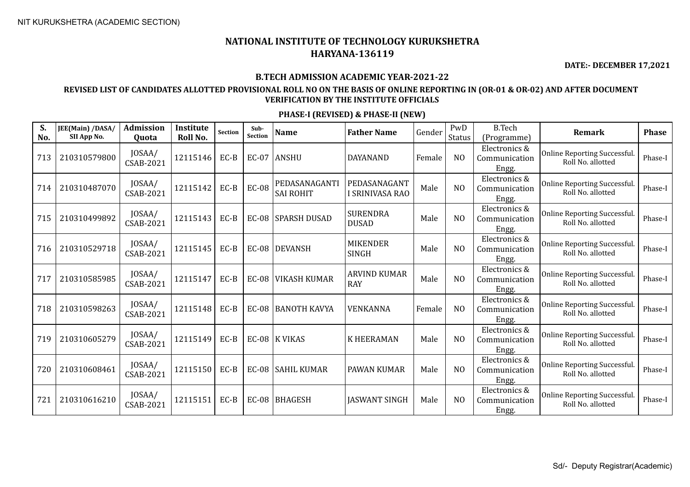**DATE:- DECEMBER 17,2021**

#### **B.TECH ADMISSION ACADEMIC YEAR-2021-22**

### **REVISED LIST OF CANDIDATES ALLOTTED PROVISIONAL ROLL NO ON THE BASIS OF ONLINE REPORTING IN (OR-01 & OR-02) AND AFTER DOCUMENT VERIFICATION BY THE INSTITUTE OFFICIALS**

| S.<br>No. | JEE(Main) /DASA/<br>SII App No. | Admission<br>Quota         | <b>Institute</b><br>Roll No. | Section | Sub-<br><b>Section</b> | <b>Name</b>                       | <b>Father Name</b>                | Gender | PwD<br><b>Status</b> | <b>B.Tech</b><br>(Programme)            | <b>Remark</b>                                     | <b>Phase</b> |
|-----------|---------------------------------|----------------------------|------------------------------|---------|------------------------|-----------------------------------|-----------------------------------|--------|----------------------|-----------------------------------------|---------------------------------------------------|--------------|
| 713       | 210310579800                    | JOSAA/<br>CSAB-2021        | 12115146                     | EC-B    |                        | EC-07 ANSHU                       | DAYANAND                          | Female | N <sub>O</sub>       | Electronics &<br>Communication<br>Engg. | Online Reporting Successful.<br>Roll No. allotted | Phase-I      |
| 714       | 210310487070                    | JOSAA/<br>CSAB-2021        | 12115142                     | $EC-B$  | <b>EC-08</b>           | PEDASANAGANTI<br><b>SAI ROHIT</b> | PEDASANAGANT<br>I SRINIVASA RAO   | Male   | N <sub>O</sub>       | Electronics &<br>Communication<br>Engg. | Online Reporting Successful.<br>Roll No. allotted | Phase-I      |
| 715       | 210310499892                    | JOSAA/<br><b>CSAB-2021</b> | 12115143                     | EC-B    | <b>EC-08</b>           | <b>SPARSH DUSAD</b>               | <b>SURENDRA</b><br><b>DUSAD</b>   | Male   | N <sub>O</sub>       | Electronics &<br>Communication<br>Engg. | Online Reporting Successful.<br>Roll No. allotted | Phase-I      |
| 716       | 210310529718                    | JOSAA/<br><b>CSAB-2021</b> | 12115145                     | EC-B    | $EC-08$                | <b>DEVANSH</b>                    | <b>MIKENDER</b><br><b>SINGH</b>   | Male   | N <sub>O</sub>       | Electronics &<br>Communication<br>Engg. | Online Reporting Successful.<br>Roll No. allotted | Phase-I      |
| 717       | 210310585985                    | JOSAA/<br><b>CSAB-2021</b> | 12115147                     | EC-B    | <b>EC-08</b>           | <b>VIKASH KUMAR</b>               | <b>ARVIND KUMAR</b><br><b>RAY</b> | Male   | N <sub>O</sub>       | Electronics &<br>Communication<br>Engg. | Online Reporting Successful.<br>Roll No. allotted | Phase-I      |
| 718       | 210310598263                    | JOSAA/<br><b>CSAB-2021</b> | 12115148                     | EC-B    | $EC-08$                | <b>BANOTH KAVYA</b>               | VENKANNA                          | Female | N <sub>O</sub>       | Electronics &<br>Communication<br>Engg. | Online Reporting Successful.<br>Roll No. allotted | Phase-I      |
| 719       | 210310605279                    | JOSAA/<br><b>CSAB-2021</b> | 12115149                     | $EC-B$  |                        | EC-08 K VIKAS                     | <b>K HEERAMAN</b>                 | Male   | N <sub>O</sub>       | Electronics &<br>Communication<br>Engg. | Online Reporting Successful.<br>Roll No. allotted | Phase-I      |
| 720       | 210310608461                    | JOSAA/<br><b>CSAB-2021</b> | 12115150                     | EC-B    | $EC-08$                | <b>SAHIL KUMAR</b>                | PAWAN KUMAR                       | Male   | N <sub>O</sub>       | Electronics &<br>Communication<br>Engg. | Online Reporting Successful.<br>Roll No. allotted | Phase-I      |
| 721       | 210310616210                    | JOSAA/<br>CSAB-2021        | 12115151                     | EC-B    | $EC-08$                | <b>BHAGESH</b>                    | <b>JASWANT SINGH</b>              | Male   | N <sub>O</sub>       | Electronics &<br>Communication<br>Engg. | Online Reporting Successful.<br>Roll No. allotted | Phase-I      |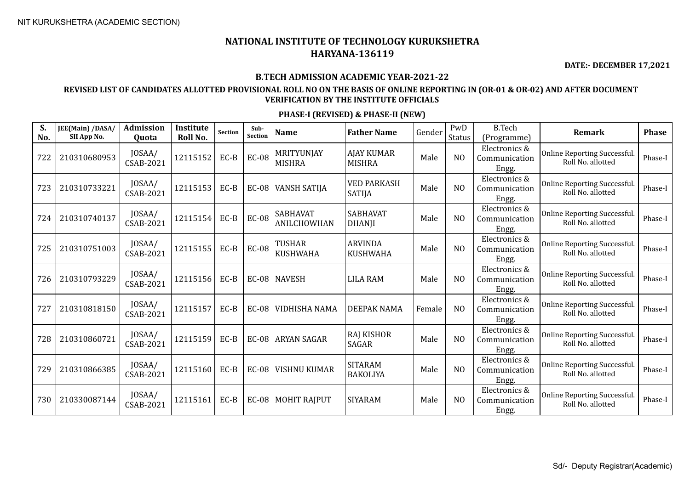**DATE:- DECEMBER 17,2021**

#### **B.TECH ADMISSION ACADEMIC YEAR-2021-22**

## **REVISED LIST OF CANDIDATES ALLOTTED PROVISIONAL ROLL NO ON THE BASIS OF ONLINE REPORTING IN (OR-01 & OR-02) AND AFTER DOCUMENT VERIFICATION BY THE INSTITUTE OFFICIALS**

| S.<br>No. | JEE(Main) /DASA/<br>SII App No. | <b>Admission</b><br>Quota | <b>Institute</b><br>Roll No. | <b>Section</b> | Sub-<br><b>Section</b> | <b>Name</b>                    | <b>Father Name</b>                  | Gender | PwD<br><b>Status</b> | <b>B.Tech</b><br>(Programme)            | Remark                                                  | <b>Phase</b> |
|-----------|---------------------------------|---------------------------|------------------------------|----------------|------------------------|--------------------------------|-------------------------------------|--------|----------------------|-----------------------------------------|---------------------------------------------------------|--------------|
| 722       | 210310680953                    | JOSAA/<br>CSAB-2021       | 12115152                     | $EC-B$         | <b>EC-08</b>           | MRITYUNJAY<br><b>MISHRA</b>    | <b>AJAY KUMAR</b><br><b>MISHRA</b>  | Male   | N <sub>O</sub>       | Electronics &<br>Communication<br>Engg. | Online Reporting Successful.<br>Roll No. allotted       | Phase-I      |
| 723       | 210310733221                    | JOSAA/<br>CSAB-2021       | 12115153                     | $EC-B$         | $EC-08$                | <b>VANSH SATIJA</b>            | <b>VED PARKASH</b><br><b>SATIJA</b> | Male   | N <sub>O</sub>       | Electronics &<br>Communication<br>Engg. | Online Reporting Successful.<br>Roll No. allotted       | Phase-I      |
| 724       | 210310740137                    | JOSAA/<br>CSAB-2021       | 12115154                     | EC-B           | <b>EC-08</b>           | <b>SABHAVAT</b><br>ANILCHOWHAN | <b>SABHAVAT</b><br><b>DHANJI</b>    | Male   | N <sub>O</sub>       | Electronics &<br>Communication<br>Engg. | <b>Online Reporting Successful</b><br>Roll No. allotted | Phase-I      |
| 725       | 210310751003                    | JOSAA/<br>CSAB-2021       | 12115155                     | $EC-B$         | <b>EC-08</b>           | TUSHAR<br><b>KUSHWAHA</b>      | <b>ARVINDA</b><br><b>KUSHWAHA</b>   | Male   | N <sub>O</sub>       | Electronics &<br>Communication<br>Engg. | <b>Online Reporting Successful</b><br>Roll No. allotted | Phase-I      |
| 726       | 210310793229                    | JOSAA/<br>CSAB-2021       | 12115156                     | $EC-B$         |                        | EC-08   NAVESH                 | <b>LILA RAM</b>                     | Male   | N <sub>O</sub>       | Electronics &<br>Communication<br>Engg. | Online Reporting Successful.<br>Roll No. allotted       | Phase-I      |
| 727       | 210310818150                    | JOSAA/<br>CSAB-2021       | 12115157                     | $EC-B$         |                        | EC-08 VIDHISHA NAMA            | DEEPAK NAMA                         | Female | N <sub>O</sub>       | Electronics &<br>Communication<br>Engg. | Online Reporting Successful.<br>Roll No. allotted       | Phase-I      |
| 728       | 210310860721                    | JOSAA/<br>CSAB-2021       | 12115159                     | $EC-B$         |                        | EC-08 ARYAN SAGAR              | <b>RAJ KISHOR</b><br>SAGAR          | Male   | N <sub>O</sub>       | Electronics &<br>Communication<br>Engg. | <b>Online Reporting Successful</b><br>Roll No. allotted | Phase-I      |
| 729       | 210310866385                    | JOSAA/<br>CSAB-2021       | 12115160                     | $EC-B$         | $EC-08$                | <b>VISHNU KUMAR</b>            | <b>SITARAM</b><br><b>BAKOLIYA</b>   | Male   | N <sub>O</sub>       | Electronics &<br>Communication<br>Engg. | Online Reporting Successful.<br>Roll No. allotted       | Phase-I      |
| 730       | 210330087144                    | JOSAA/<br>CSAB-2021       | 12115161                     | $EC-B$         |                        | EC-08   MOHIT RAJPUT           | <b>SIYARAM</b>                      | Male   | N <sub>O</sub>       | Electronics &<br>Communication<br>Engg. | Online Reporting Successful.<br>Roll No. allotted       | Phase-I      |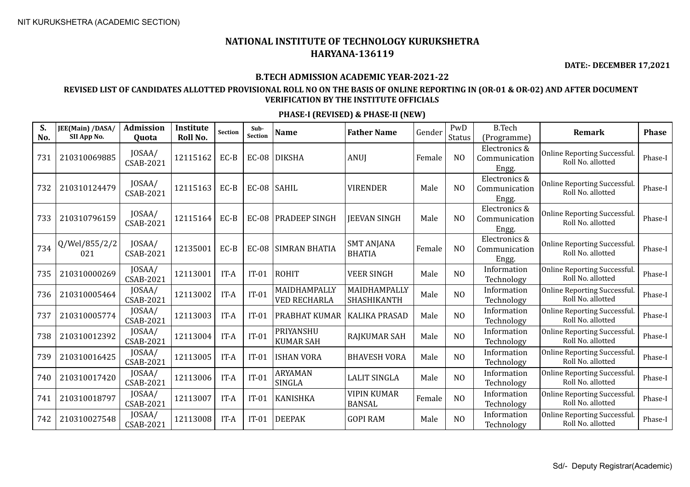**DATE:- DECEMBER 17,2021**

#### **B.TECH ADMISSION ACADEMIC YEAR-2021-22**

### **REVISED LIST OF CANDIDATES ALLOTTED PROVISIONAL ROLL NO ON THE BASIS OF ONLINE REPORTING IN (OR-01 & OR-02) AND AFTER DOCUMENT VERIFICATION BY THE INSTITUTE OFFICIALS**

| S.<br>No. | JEE(Main) /DASA/<br>SII App No. | <b>Admission</b><br>Quota  | Institute<br>Roll No. | <b>Section</b> | Sub-<br><b>Section</b> | <b>Name</b>                         | <b>Father Name</b>                  | Gender | PwD<br><b>Status</b> | <b>B.Tech</b><br>(Programme)            | Remark                                            | <b>Phase</b> |
|-----------|---------------------------------|----------------------------|-----------------------|----------------|------------------------|-------------------------------------|-------------------------------------|--------|----------------------|-----------------------------------------|---------------------------------------------------|--------------|
| 731       | 210310069885                    | JOSAA/<br>CSAB-2021        | 12115162              | EC-B           | $EC-08$                | <b>DIKSHA</b>                       | <b>ANUI</b>                         | Female | N <sub>O</sub>       | Electronics &<br>Communication<br>Engg. | Online Reporting Successful.<br>Roll No. allotted | Phase-I      |
| 732       | 210310124479                    | JOSAA/<br>CSAB-2021        | 12115163              | EC-B           | $EC-08$                | <b>SAHIL</b>                        | <b>VIRENDER</b>                     | Male   | N <sub>O</sub>       | Electronics &<br>Communication<br>Engg. | Online Reporting Successful.<br>Roll No. allotted | Phase-I      |
| 733       | 210310796159                    | JOSAA/<br>CSAB-2021        | 12115164              | EC-B           | $EC-08$                | <b>PRADEEP SINGH</b>                | <b>IEEVAN SINGH</b>                 | Male   | N <sub>O</sub>       | Electronics &<br>Communication<br>Engg. | Online Reporting Successful.<br>Roll No. allotted | Phase-I      |
| 734       | Q/Wel/855/2/2<br>021            | JOSAA/<br><b>CSAB-2021</b> | 12135001              | EC-B           | <b>EC-08</b>           | <b>SIMRAN BHATIA</b>                | <b>SMT ANJANA</b><br><b>BHATIA</b>  | Female | N <sub>O</sub>       | Electronics &<br>Communication<br>Engg. | Online Reporting Successful.<br>Roll No. allotted | Phase-I      |
| 735       | 210310000269                    | JOSAA/<br><b>CSAB-2021</b> | 12113001              | IT-A           | $IT-01$                | <b>ROHIT</b>                        | <b>VEER SINGH</b>                   | Male   | N <sub>O</sub>       | Information<br>Technology               | Online Reporting Successful.<br>Roll No. allotted | Phase-I      |
| 736       | 210310005464                    | JOSAA/<br>CSAB-2021        | 12113002              | IT-A           | $IT-01$                | MAIDHAMPALLY<br><b>VED RECHARLA</b> | MAIDHAMPALLY<br>SHASHIKANTH         | Male   | N <sub>O</sub>       | Information<br>Technology               | Online Reporting Successful.<br>Roll No. allotted | Phase-I      |
| 737       | 210310005774                    | JOSAA/<br>CSAB-2021        | 12113003              | IT-A           | $IT-01$                | <b>PRABHAT KUMAR</b>                | <b>KALIKA PRASAD</b>                | Male   | N <sub>O</sub>       | Information<br>Technology               | Online Reporting Successful.<br>Roll No. allotted | Phase-I      |
| 738       | 210310012392                    | JOSAA/<br>CSAB-2021        | 12113004              | IT-A           | $IT-01$                | PRIYANSHU<br><b>KUMAR SAH</b>       | RAJKUMAR SAH                        | Male   | NO                   | Information<br>Technology               | Online Reporting Successful.<br>Roll No. allotted | Phase-I      |
| 739       | 210310016425                    | JOSAA/<br><b>CSAB-2021</b> | 12113005              | IT-A           | $IT-01$                | <b>ISHAN VORA</b>                   | <b>BHAVESH VORA</b>                 | Male   | N <sub>O</sub>       | Information<br>Technology               | Online Reporting Successful.<br>Roll No. allotted | Phase-I      |
| 740       | 210310017420                    | JOSAA/<br><b>CSAB-2021</b> | 12113006              | IT-A           | $IT-01$                | <b>ARYAMAN</b><br><b>SINGLA</b>     | <b>LALIT SINGLA</b>                 | Male   | N <sub>O</sub>       | Information<br>Technology               | Online Reporting Successful.<br>Roll No. allotted | Phase-I      |
| 741       | 210310018797                    | JOSAA/<br><b>CSAB-2021</b> | 12113007              | IT-A           | $IT-01$                | <b>KANISHKA</b>                     | <b>VIPIN KUMAR</b><br><b>BANSAL</b> | Female | N <sub>O</sub>       | Information<br>Technology               | Online Reporting Successful.<br>Roll No. allotted | Phase-I      |
| 742       | 210310027548                    | JOSAA/<br><b>CSAB-2021</b> | 12113008              | IT-A           | $IT-01$                | <b>DEEPAK</b>                       | <b>GOPI RAM</b>                     | Male   | NO                   | Information<br>Technology               | Online Reporting Successful.<br>Roll No. allotted | Phase-I      |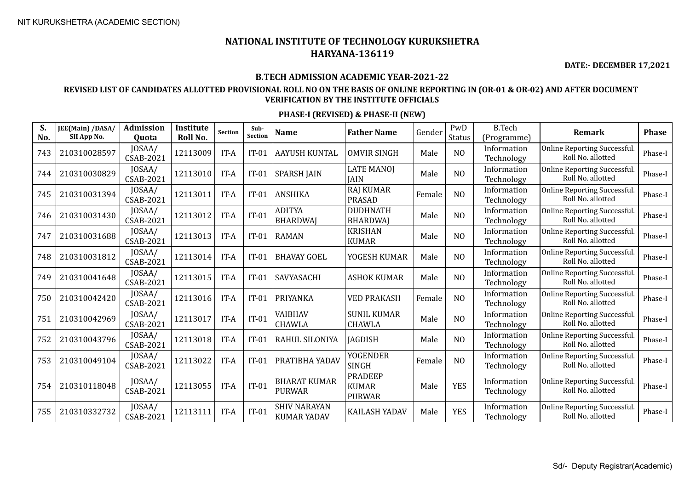**DATE:- DECEMBER 17,2021**

#### **B.TECH ADMISSION ACADEMIC YEAR-2021-22**

## **REVISED LIST OF CANDIDATES ALLOTTED PROVISIONAL ROLL NO ON THE BASIS OF ONLINE REPORTING IN (OR-01 & OR-02) AND AFTER DOCUMENT VERIFICATION BY THE INSTITUTE OFFICIALS**

| S.<br>No. | JEE(Main) /DASA/<br>SII App No. | <b>Admission</b><br><b>Ouota</b> | <b>Institute</b><br>Roll No. | <b>Section</b> | Sub-<br><b>Section</b> | <b>Name</b>                               | <b>Father Name</b>                              | Gender | PwD<br><b>Status</b> | <b>B.Tech</b><br>(Programme) | <b>Remark</b>                                           | <b>Phase</b> |
|-----------|---------------------------------|----------------------------------|------------------------------|----------------|------------------------|-------------------------------------------|-------------------------------------------------|--------|----------------------|------------------------------|---------------------------------------------------------|--------------|
| 743       | 210310028597                    | JOSAA/<br><b>CSAB-2021</b>       | 12113009                     | IT-A           | $IT-01$                | <b>AAYUSH KUNTAL</b>                      | <b>OMVIR SINGH</b>                              | Male   | N <sub>O</sub>       | Information<br>Technology    | <b>Online Reporting Successful</b><br>Roll No. allotted | Phase-I      |
| 744       | 210310030829                    | JOSAA/<br><b>CSAB-2021</b>       | 12113010                     | IT-A           | $IT-01$                | <b>SPARSH JAIN</b>                        | <b>LATE MANOJ</b><br><b>JAIN</b>                | Male   | NO                   | Information<br>Technology    | Online Reporting Successful.<br>Roll No. allotted       | Phase-I      |
| 745       | 210310031394                    | JOSAA/<br>CSAB-2021              | 12113011                     | IT-A           | $IT-01$                | <b>ANSHIKA</b>                            | <b>RAJ KUMAR</b><br><b>PRASAD</b>               | Female | NO                   | Information<br>Technology    | <b>Online Reporting Successful</b><br>Roll No. allotted | Phase-I      |
| 746       | 210310031430                    | JOSAA/<br><b>CSAB-2021</b>       | 12113012                     | IT-A           | $IT-01$                | <b>ADITYA</b><br><b>BHARDWAI</b>          | <b>DUDHNATH</b><br><b>BHARDWAJ</b>              | Male   | NO                   | Information<br>Technology    | <b>Online Reporting Successful</b><br>Roll No. allotted | Phase-I      |
| 747       | 210310031688                    | JOSAA/<br><b>CSAB-2021</b>       | 12113013                     | IT-A           | $IT-01$                | <b>RAMAN</b>                              | <b>KRISHAN</b><br><b>KUMAR</b>                  | Male   | N <sub>O</sub>       | Information<br>Technology    | <b>Online Reporting Successful</b><br>Roll No. allotted | Phase-I      |
| 748       | 210310031812                    | JOSAA/<br><b>CSAB-2021</b>       | 12113014                     | IT-A           | $IT-01$                | <b>BHAVAY GOEL</b>                        | YOGESH KUMAR                                    | Male   | N <sub>O</sub>       | Information<br>Technology    | <b>Online Reporting Successful</b><br>Roll No. allotted | Phase-I      |
| 749       | 210310041648                    | JOSAA/<br><b>CSAB-2021</b>       | 12113015                     | IT-A           | $IT-01$                | SAVYASACHI                                | <b>ASHOK KUMAR</b>                              | Male   | N <sub>0</sub>       | Information<br>Technology    | Online Reporting Successful.<br>Roll No. allotted       | Phase-I      |
| 750       | 210310042420                    | JOSAA/<br><b>CSAB-2021</b>       | 12113016                     | IT-A           | $IT-01$                | PRIYANKA                                  | <b>VED PRAKASH</b>                              | Female | N <sub>O</sub>       | Information<br>Technology    | <b>Online Reporting Successful</b><br>Roll No. allotted | Phase-I      |
| 751       | 210310042969                    | JOSAA/<br><b>CSAB-2021</b>       | 12113017                     | IT-A           | $IT-01$                | VAIBHAV<br><b>CHAWLA</b>                  | <b>SUNIL KUMAR</b><br><b>CHAWLA</b>             | Male   | N <sub>0</sub>       | Information<br>Technology    | <b>Online Reporting Successful</b><br>Roll No. allotted | Phase-I      |
| 752       | 210310043796                    | JOSAA/<br>CSAB-2021              | 12113018                     | IT-A           | $IT-01$                | RAHUL SILONIYA                            | <b>JAGDISH</b>                                  | Male   | N <sub>0</sub>       | Information<br>Technology    | <b>Online Reporting Successful</b><br>Roll No. allotted | Phase-I      |
| 753       | 210310049104                    | JOSAA/<br><b>CSAB-2021</b>       | 12113022                     | IT-A           | $IT-01$                | PRATIBHA YADAV                            | YOGENDER<br><b>SINGH</b>                        | Female | NO                   | Information<br>Technology    | Online Reporting Successful.<br>Roll No. allotted       | Phase-I      |
| 754       | 210310118048                    | JOSAA/<br><b>CSAB-2021</b>       | 12113055                     | IT-A           | $IT-01$                | <b>BHARAT KUMAR</b><br><b>PURWAR</b>      | <b>PRADEEP</b><br><b>KUMAR</b><br><b>PURWAR</b> | Male   | <b>YES</b>           | Information<br>Technology    | <b>Online Reporting Successful</b><br>Roll No. allotted | Phase-I      |
| 755       | 210310332732                    | JOSAA/<br><b>CSAB-2021</b>       | 12113111                     | IT-A           | $IT-01$                | <b>SHIV NARAYAN</b><br><b>KUMAR YADAV</b> | <b>KAILASH YADAV</b>                            | Male   | <b>YES</b>           | Information<br>Technology    | <b>Online Reporting Successful</b><br>Roll No. allotted | Phase-I      |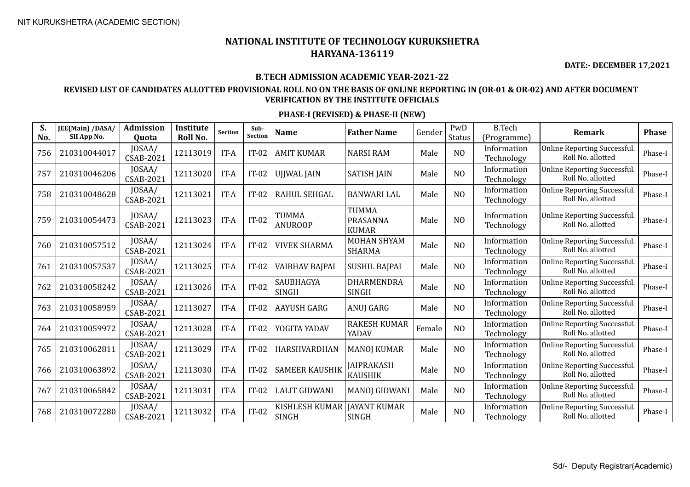**DATE:- DECEMBER 17,2021**

#### **B.TECH ADMISSION ACADEMIC YEAR-2021-22**

## **REVISED LIST OF CANDIDATES ALLOTTED PROVISIONAL ROLL NO ON THE BASIS OF ONLINE REPORTING IN (OR-01 & OR-02) AND AFTER DOCUMENT VERIFICATION BY THE INSTITUTE OFFICIALS**

| S.<br>No. | JEE(Main) /DASA/<br>SII App No. | Admission<br>Quota         | Institute<br>Roll No. | <b>Section</b> | Sub-<br>Section | <b>Name</b>                    | <b>Father Name</b>                       | Gender | PwD<br><b>Status</b> | <b>B.Tech</b><br>(Programme) | <b>Remark</b>                                     | <b>Phase</b> |
|-----------|---------------------------------|----------------------------|-----------------------|----------------|-----------------|--------------------------------|------------------------------------------|--------|----------------------|------------------------------|---------------------------------------------------|--------------|
| 756       | 210310044017                    | JOSAA/<br><b>CSAB-2021</b> | 12113019              | IT-A           | $IT-02$         | AMIT KUMAR                     | <b>NARSI RAM</b>                         | Male   | N <sub>O</sub>       | Information<br>Technology    | Online Reporting Successful.<br>Roll No. allotted | Phase-I      |
| 757       | 210310046206                    | JOSAA/<br>CSAB-2021        | 12113020              | IT-A           | $IT-02$         | UJJWAL JAIN                    | <b>SATISH JAIN</b>                       | Male   | N <sub>O</sub>       | Information<br>Technology    | Online Reporting Successful.<br>Roll No. allotted | Phase-I      |
| 758       | 210310048628                    | JOSAA/<br>CSAB-2021        | 12113021              | IT-A           | $IT-02$         | RAHUL SEHGAL                   | <b>BANWARI LAL</b>                       | Male   | N <sub>O</sub>       | Information<br>Technology    | Online Reporting Successful.<br>Roll No. allotted | Phase-I      |
| 759       | 210310054473                    | JOSAA/<br>CSAB-2021        | 12113023              | IT-A           | $IT-02$         | <b>TUMMA</b><br><b>ANUROOP</b> | <b>TUMMA</b><br>PRASANNA<br><b>KUMAR</b> | Male   | N <sub>O</sub>       | Information<br>Technology    | Online Reporting Successful.<br>Roll No. allotted | Phase-I      |
| 760       | 210310057512                    | JOSAA/<br>CSAB-2021        | 12113024              | IT-A           | $IT-02$         | <b>VIVEK SHARMA</b>            | <b>MOHAN SHYAM</b><br><b>SHARMA</b>      | Male   | N <sub>O</sub>       | Information<br>Technology    | Online Reporting Successful.<br>Roll No. allotted | Phase-I      |
| 761       | 210310057537                    | JOSAA/<br><b>CSAB-2021</b> | 12113025              | IT-A           | $IT-02$         | <b>VAIBHAV BAJPAI</b>          | <b>SUSHIL BAJPAI</b>                     | Male   | N <sub>O</sub>       | Information<br>Technology    | Online Reporting Successful.<br>Roll No. allotted | Phase-I      |
| 762       | 210310058242                    | JOSAA/<br>CSAB-2021        | 12113026              | IT-A           | $IT-02$         | SAUBHAGYA<br><b>SINGH</b>      | DHARMENDRA<br><b>SINGH</b>               | Male   | N <sub>O</sub>       | Information<br>Technology    | Online Reporting Successful.<br>Roll No. allotted | Phase-I      |
| 763       | 210310058959                    | JOSAA/<br><b>CSAB-2021</b> | 12113027              | IT-A           | $IT-02$         | AAYUSH GARG                    | ANUJ GARG                                | Male   | N <sub>O</sub>       | Information<br>Technology    | Online Reporting Successful.<br>Roll No. allotted | Phase-I      |
| 764       | 210310059972                    | JOSAA/<br><b>CSAB-2021</b> | 12113028              | IT-A           | $IT-02$         | YOGITA YADAV                   | <b>RAKESH KUMAR</b><br>YADAV             | Female | N <sub>O</sub>       | Information<br>Technology    | Online Reporting Successful.<br>Roll No. allotted | Phase-I      |
| 765       | 210310062811                    | JOSAA/<br>CSAB-2021        | 12113029              | IT-A           | $IT-02$         | HARSHVARDHAN                   | <b>MANOJ KUMAR</b>                       | Male   | N <sub>O</sub>       | Information<br>Technology    | Online Reporting Successful.<br>Roll No. allotted | Phase-I      |
| 766       | 210310063892                    | JOSAA/<br><b>CSAB-2021</b> | 12113030              | IT-A           | $IT-02$         | <b>SAMEER KAUSHIK</b>          | <b>JAIPRAKASH</b><br><b>KAUSHIK</b>      | Male   | N <sub>O</sub>       | Information<br>Technology    | Online Reporting Successful.<br>Roll No. allotted | Phase-I      |
| 767       | 210310065842                    | JOSAA/<br>CSAB-2021        | 12113031              | IT-A           | $IT-02$         | <b>LALIT GIDWANI</b>           | <b>MANOJ GIDWANI</b>                     | Male   | N <sub>O</sub>       | Information<br>Technology    | Online Reporting Successful.<br>Roll No. allotted | Phase-I      |
| 768       | 210310072280                    | JOSAA/<br><b>CSAB-2021</b> | 12113032              | IT-A           | $IT-02$         | KISHLESH KUMAR<br><b>SINGH</b> | <b>JAYANT KUMAR</b><br><b>SINGH</b>      | Male   | N <sub>O</sub>       | Information<br>Technology    | Online Reporting Successful.<br>Roll No. allotted | Phase-I      |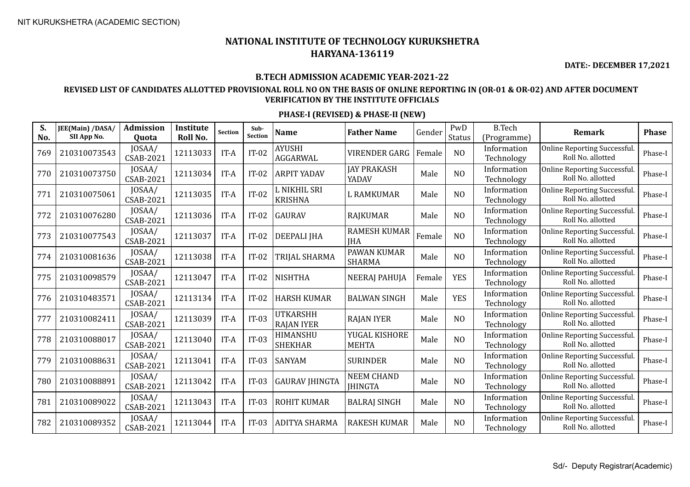**DATE:- DECEMBER 17,2021**

#### **B.TECH ADMISSION ACADEMIC YEAR-2021-22**

## **REVISED LIST OF CANDIDATES ALLOTTED PROVISIONAL ROLL NO ON THE BASIS OF ONLINE REPORTING IN (OR-01 & OR-02) AND AFTER DOCUMENT VERIFICATION BY THE INSTITUTE OFFICIALS**

| S.<br>No. | JEE(Main) /DASA/<br>SII App No. | <b>Admission</b><br>Quota  | <b>Institute</b><br>Roll No. | <b>Section</b> | Sub-<br><b>Section</b> | <b>Name</b>                    | <b>Father Name</b>                  | Gender | PwD<br><b>Status</b> | <b>B.Tech</b><br>(Programme) | Remark                                            | <b>Phase</b> |
|-----------|---------------------------------|----------------------------|------------------------------|----------------|------------------------|--------------------------------|-------------------------------------|--------|----------------------|------------------------------|---------------------------------------------------|--------------|
| 769       | 210310073543                    | JOSAA/<br><b>CSAB-2021</b> | 12113033                     | IT-A           | $IT-02$                | <b>AYUSHI</b><br>AGGARWAL      | <b>VIRENDER GARG</b>                | Female | N <sub>O</sub>       | Information<br>Technology    | Online Reporting Successful.<br>Roll No. allotted | Phase-I      |
| 770       | 210310073750                    | JOSAA/<br><b>CSAB-2021</b> | 12113034                     | IT-A           | $IT-02$                | <b>ARPIT YADAV</b>             | <b>JAY PRAKASH</b><br>YADAV         | Male   | N <sub>O</sub>       | Information<br>Technology    | Online Reporting Successful.<br>Roll No. allotted | Phase-I      |
| 771       | 210310075061                    | JOSAA/<br>CSAB-2021        | 12113035                     | IT-A           | $IT-02$                | L NIKHIL SRI<br><b>KRISHNA</b> | <b>L RAMKUMAR</b>                   | Male   | N <sub>O</sub>       | Information<br>Technology    | Online Reporting Successful.<br>Roll No. allotted | Phase-I      |
| 772       | 210310076280                    | JOSAA/<br><b>CSAB-2021</b> | 12113036                     | IT-A           | $IT-02$                | <b>GAURAV</b>                  | <b>RAJKUMAR</b>                     | Male   | N <sub>O</sub>       | Information<br>Technology    | Online Reporting Successful.<br>Roll No. allotted | Phase-I      |
| 773       | 210310077543                    | JOSAA/<br><b>CSAB-2021</b> | 12113037                     | IT-A           | $IT-02$                | <b>DEEPALI JHA</b>             | <b>RAMESH KUMAR</b><br><b>IHA</b>   | Female | N <sub>O</sub>       | Information<br>Technology    | Online Reporting Successful.<br>Roll No. allotted | Phase-I      |
| 774       | 210310081636                    | JOSAA/<br><b>CSAB-2021</b> | 12113038                     | IT-A           | $IT-02$                | TRIJAL SHARMA                  | PAWAN KUMAR<br><b>SHARMA</b>        | Male   | N <sub>O</sub>       | Information<br>Technology    | Online Reporting Successful.<br>Roll No. allotted | Phase-I      |
| 775       | 210310098579                    | JOSAA/<br><b>CSAB-2021</b> | 12113047                     | IT-A           | $IT-02$                | <b>NISHTHA</b>                 | <b>NEERAJ PAHUJA</b>                | Female | <b>YES</b>           | Information<br>Technology    | Online Reporting Successful.<br>Roll No. allotted | Phase-I      |
| 776       | 210310483571                    | JOSAA/<br>CSAB-2021        | 12113134                     | IT-A           | $IT-02$                | <b>HARSH KUMAR</b>             | <b>BALWAN SINGH</b>                 | Male   | <b>YES</b>           | Information<br>Technology    | Online Reporting Successful.<br>Roll No. allotted | Phase-I      |
| 777       | 210310082411                    | JOSAA/<br><b>CSAB-2021</b> | 12113039                     | IT-A           | $IT-03$                | UTKARSHH<br><b>RAJAN IYER</b>  | <b>RAJAN IYER</b>                   | Male   | N <sub>O</sub>       | Information<br>Technology    | Online Reporting Successful.<br>Roll No. allotted | Phase-I      |
| 778       | 210310088017                    | JOSAA/<br><b>CSAB-2021</b> | 12113040                     | IT-A           | $IT-03$                | HIMANSHU<br><b>SHEKHAR</b>     | YUGAL KISHORE<br><b>MEHTA</b>       | Male   | N <sub>O</sub>       | Information<br>Technology    | Online Reporting Successful.<br>Roll No. allotted | Phase-I      |
| 779       | 210310088631                    | JOSAA/<br><b>CSAB-2021</b> | 12113041                     | IT-A           | $IT-03$                | <b>SANYAM</b>                  | <b>SURINDER</b>                     | Male   | N <sub>O</sub>       | Information<br>Technology    | Online Reporting Successful.<br>Roll No. allotted | Phase-I      |
| 780       | 210310088891                    | JOSAA/<br><b>CSAB-2021</b> | 12113042                     | IT-A           | $IT-03$                | <b>GAURAV JHINGTA</b>          | <b>NEEM CHAND</b><br><b>IHINGTA</b> | Male   | N <sub>O</sub>       | Information<br>Technology    | Online Reporting Successful.<br>Roll No. allotted | Phase-I      |
| 781       | 210310089022                    | JOSAA/<br>CSAB-2021        | 12113043                     | IT-A           | $IT-03$                | <b>ROHIT KUMAR</b>             | <b>BALRAJ SINGH</b>                 | Male   | N <sub>O</sub>       | Information<br>Technology    | Online Reporting Successful.<br>Roll No. allotted | Phase-I      |
| 782       | 210310089352                    | JOSAA/<br><b>CSAB-2021</b> | 12113044                     | IT-A           | $IT-03$                | <b>ADITYA SHARMA</b>           | <b>RAKESH KUMAR</b>                 | Male   | N <sub>O</sub>       | Information<br>Technology    | Online Reporting Successful.<br>Roll No. allotted | Phase-I      |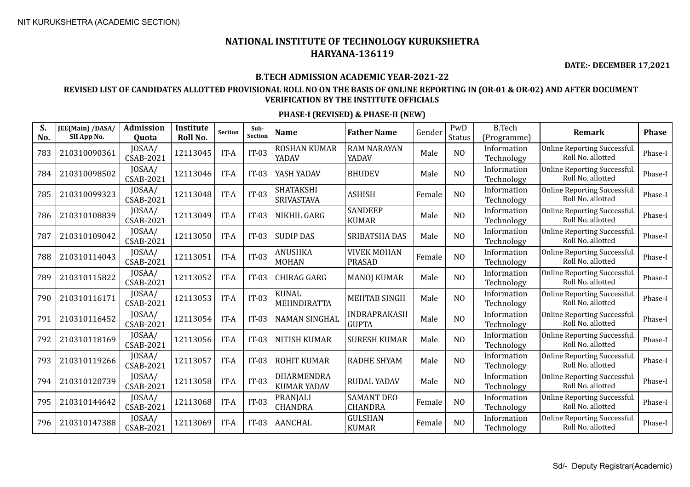**DATE:- DECEMBER 17,2021**

## **B.TECH ADMISSION ACADEMIC YEAR-2021-22**

## **REVISED LIST OF CANDIDATES ALLOTTED PROVISIONAL ROLL NO ON THE BASIS OF ONLINE REPORTING IN (OR-01 & OR-02) AND AFTER DOCUMENT VERIFICATION BY THE INSTITUTE OFFICIALS**

| S.<br>No. | JEE(Main) /DASA/<br>SII App No. | <b>Admission</b><br>Quota  | <b>Institute</b><br>Roll No. | <b>Section</b> | Sub-<br>Section | <b>Name</b>                           | <b>Father Name</b>                  | Gender | PwD<br>Status  | <b>B.Tech</b><br>(Programme) | Remark                                                   | <b>Phase</b> |
|-----------|---------------------------------|----------------------------|------------------------------|----------------|-----------------|---------------------------------------|-------------------------------------|--------|----------------|------------------------------|----------------------------------------------------------|--------------|
| 783       | 210310090361                    | JOSAA/<br>CSAB-2021        | 12113045                     | IT-A           | $IT-03$         | <b>ROSHAN KUMAR</b><br>YADAV          | <b>RAM NARAYAN</b><br>YADAV         | Male   | N <sub>O</sub> | Information<br>Technology    | Online Reporting Successful.<br>Roll No. allotted        | Phase-I      |
| 784       | 210310098502                    | JOSAA/<br><b>CSAB-2021</b> | 12113046                     | IT-A           | $IT-03$         | YASH YADAV                            | <b>BHUDEV</b>                       | Male   | N <sub>O</sub> | Information<br>Technology    | Online Reporting Successful.<br>Roll No. allotted        | Phase-I      |
| 785       | 210310099323                    | JOSAA/<br><b>CSAB-2021</b> | 12113048                     | IT-A           | $IT-03$         | <b>SHATAKSHI</b><br><b>SRIVASTAVA</b> | <b>ASHISH</b>                       | Female | N <sub>O</sub> | Information<br>Technology    | <b>Online Reporting Successful.</b><br>Roll No. allotted | Phase-I      |
| 786       | 210310108839                    | JOSAA/<br><b>CSAB-2021</b> | 12113049                     | IT-A           | $IT-03$         | NIKHIL GARG                           | <b>SANDEEP</b><br><b>KUMAR</b>      | Male   | N <sub>O</sub> | Information<br>Technology    | Online Reporting Successful.<br>Roll No. allotted        | Phase-I      |
| 787       | 210310109042                    | JOSAA/<br><b>CSAB-2021</b> | 12113050                     | IT-A           | $IT-03$         | <b>SUDIP DAS</b>                      | SRIBATSHA DAS                       | Male   | N <sub>O</sub> | Information<br>Technology    | Online Reporting Successful.<br>Roll No. allotted        | Phase-I      |
| 788       | 210310114043                    | JOSAA/<br><b>CSAB-2021</b> | 12113051                     | IT-A           | $IT-03$         | ANUSHKA<br><b>MOHAN</b>               | <b>VIVEK MOHAN</b><br><b>PRASAD</b> | Female | N <sub>O</sub> | Information<br>Technology    | Online Reporting Successful.<br>Roll No. allotted        | Phase-I      |
| 789       | 210310115822                    | JOSAA/<br><b>CSAB-2021</b> | 12113052                     | IT-A           | $IT-03$         | CHIRAG GARG                           | <b>MANOJ KUMAR</b>                  | Male   | N <sub>O</sub> | Information<br>Technology    | Online Reporting Successful.<br>Roll No. allotted        | Phase-I      |
| 790       | 210310116171                    | JOSAA/<br><b>CSAB-2021</b> | 12113053                     | IT-A           | $IT-03$         | <b>KUNAL</b><br>MEHNDIRATTA           | <b>MEHTAB SINGH</b>                 | Male   | N <sub>O</sub> | Information<br>Technology    | Online Reporting Successful.<br>Roll No. allotted        | Phase-I      |
| 791       | 210310116452                    | JOSAA/<br><b>CSAB-2021</b> | 12113054                     | IT-A           | $IT-03$         | <b>NAMAN SINGHAL</b>                  | <b>INDRAPRAKASH</b><br><b>GUPTA</b> | Male   | N <sub>O</sub> | Information<br>Technology    | Online Reporting Successful.<br>Roll No. allotted        | Phase-I      |
| 792       | 210310118169                    | JOSAA/<br><b>CSAB-2021</b> | 12113056                     | IT-A           | $IT-03$         | <b>NITISH KUMAR</b>                   | <b>SURESH KUMAR</b>                 | Male   | N <sub>O</sub> | Information<br>Technology    | Online Reporting Successful.<br>Roll No. allotted        | Phase-I      |
| 793       | 210310119266                    | JOSAA/<br><b>CSAB-2021</b> | 12113057                     | IT-A           | $IT-03$         | <b>ROHIT KUMAR</b>                    | <b>RADHE SHYAM</b>                  | Male   | N <sub>O</sub> | Information<br>Technology    | Online Reporting Successful.<br>Roll No. allotted        | Phase-I      |
| 794       | 210310120739                    | JOSAA/<br><b>CSAB-2021</b> | 12113058                     | IT-A           | $IT-03$         | DHARMENDRA<br><b>KUMAR YADAV</b>      | <b>RUDAL YADAV</b>                  | Male   | N <sub>O</sub> | Information<br>Technology    | Online Reporting Successful.<br>Roll No. allotted        | Phase-I      |
| 795       | 210310144642                    | JOSAA/<br><b>CSAB-2021</b> | 12113068                     | IT-A           | $IT-03$         | PRANJALI<br><b>CHANDRA</b>            | <b>SAMANT DEO</b><br><b>CHANDRA</b> | Female | N <sub>O</sub> | Information<br>Technology    | Online Reporting Successful.<br>Roll No. allotted        | Phase-I      |
| 796       | 210310147388                    | JOSAA/<br><b>CSAB-2021</b> | 12113069                     | IT-A           | $IT-03$         | <b>AANCHAL</b>                        | <b>GULSHAN</b><br><b>KUMAR</b>      | Female | N <sub>O</sub> | Information<br>Technology    | Online Reporting Successful.<br>Roll No. allotted        | Phase-I      |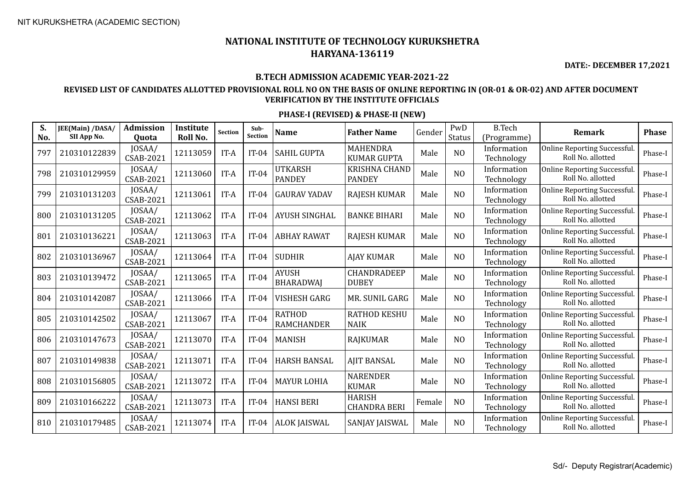**DATE:- DECEMBER 17,2021**

## **B.TECH ADMISSION ACADEMIC YEAR-2021-22**

## **REVISED LIST OF CANDIDATES ALLOTTED PROVISIONAL ROLL NO ON THE BASIS OF ONLINE REPORTING IN (OR-01 & OR-02) AND AFTER DOCUMENT VERIFICATION BY THE INSTITUTE OFFICIALS**

| S.<br>No. | JEE(Main) /DASA/<br>SII App No. | Admission<br>Quota         | Institute<br>Roll No. | <b>Section</b> | Sub-<br><b>Section</b> | <b>Name</b>                        | <b>Father Name</b>                    | Gender | PwD<br><b>Status</b> | <b>B.Tech</b><br>(Programme) | Remark                                            | <b>Phase</b> |
|-----------|---------------------------------|----------------------------|-----------------------|----------------|------------------------|------------------------------------|---------------------------------------|--------|----------------------|------------------------------|---------------------------------------------------|--------------|
| 797       | 210310122839                    | JOSAA/<br><b>CSAB-2021</b> | 12113059              | IT-A           | $IT-04$                | <b>SAHIL GUPTA</b>                 | <b>MAHENDRA</b><br><b>KUMAR GUPTA</b> | Male   | N <sub>O</sub>       | Information<br>Technology    | Online Reporting Successful.<br>Roll No. allotted | Phase-I      |
| 798       | 210310129959                    | JOSAA/<br><b>CSAB-2021</b> | 12113060              | IT-A           | $IT-04$                | <b>UTKARSH</b><br><b>PANDEY</b>    | <b>KRISHNA CHAND</b><br><b>PANDEY</b> | Male   | N <sub>O</sub>       | Information<br>Technology    | Online Reporting Successful.<br>Roll No. allotted | Phase-I      |
| 799       | 210310131203                    | JOSAA/<br><b>CSAB-2021</b> | 12113061              | IT-A           | $IT-04$                | <b>GAURAV YADAV</b>                | <b>RAJESH KUMAR</b>                   | Male   | N <sub>O</sub>       | Information<br>Technology    | Online Reporting Successful.<br>Roll No. allotted | Phase-I      |
| 800       | 210310131205                    | JOSAA/<br><b>CSAB-2021</b> | 12113062              | IT-A           | $IT-04$                | <b>AYUSH SINGHAL</b>               | <b>BANKE BIHARI</b>                   | Male   | N <sub>O</sub>       | Information<br>Technology    | Online Reporting Successful.<br>Roll No. allotted | Phase-I      |
| 801       | 210310136221                    | JOSAA/<br><b>CSAB-2021</b> | 12113063              | IT-A           | $IT-04$                | <b>ABHAY RAWAT</b>                 | <b>RAJESH KUMAR</b>                   | Male   | N <sub>O</sub>       | Information<br>Technology    | Online Reporting Successful.<br>Roll No. allotted | Phase-I      |
| 802       | 210310136967                    | JOSAA/<br><b>CSAB-2021</b> | 12113064              | IT-A           | $IT-04$                | <b>SUDHIR</b>                      | <b>AJAY KUMAR</b>                     | Male   | N <sub>O</sub>       | Information<br>Technology    | Online Reporting Successful.<br>Roll No. allotted | Phase-I      |
| 803       | 210310139472                    | JOSAA/<br><b>CSAB-2021</b> | 12113065              | IT-A           | $IT-04$                | <b>AYUSH</b><br><b>BHARADWAJ</b>   | <b>CHANDRADEEP</b><br><b>DUBEY</b>    | Male   | N <sub>O</sub>       | Information<br>Technology    | Online Reporting Successful.<br>Roll No. allotted | Phase-I      |
| 804       | 210310142087                    | JOSAA/<br><b>CSAB-2021</b> | 12113066              | IT-A           | $IT-04$                | VISHESH GARG                       | MR. SUNIL GARG                        | Male   | N <sub>O</sub>       | Information<br>Technology    | Online Reporting Successful.<br>Roll No. allotted | Phase-I      |
| 805       | 210310142502                    | JOSAA/<br><b>CSAB-2021</b> | 12113067              | IT-A           | $IT-04$                | <b>RATHOD</b><br><b>RAMCHANDER</b> | <b>RATHOD KESHU</b><br><b>NAIK</b>    | Male   | N <sub>O</sub>       | Information<br>Technology    | Online Reporting Successful.<br>Roll No. allotted | Phase-I      |
| 806       | 210310147673                    | JOSAA/<br><b>CSAB-2021</b> | 12113070              | IT-A           | $IT-04$                | <b>MANISH</b>                      | <b>RAJKUMAR</b>                       | Male   | N <sub>O</sub>       | Information<br>Technology    | Online Reporting Successful.<br>Roll No. allotted | Phase-I      |
| 807       | 210310149838                    | JOSAA/<br><b>CSAB-2021</b> | 12113071              | IT-A           | $IT-04$                | <b>HARSH BANSAL</b>                | <b>AJIT BANSAL</b>                    | Male   | N <sub>O</sub>       | Information<br>Technology    | Online Reporting Successful.<br>Roll No. allotted | Phase-I      |
| 808       | 210310156805                    | JOSAA/<br><b>CSAB-2021</b> | 12113072              | IT-A           | $IT-04$                | <b>MAYUR LOHIA</b>                 | <b>NARENDER</b><br><b>KUMAR</b>       | Male   | N <sub>O</sub>       | Information<br>Technology    | Online Reporting Successful.<br>Roll No. allotted | Phase-I      |
| 809       | 210310166222                    | JOSAA/<br><b>CSAB-2021</b> | 12113073              | IT-A           | $IT-04$                | <b>HANSI BERI</b>                  | <b>HARISH</b><br><b>CHANDRA BERI</b>  | Female | N <sub>O</sub>       | Information<br>Technology    | Online Reporting Successful.<br>Roll No. allotted | Phase-I      |
| 810       | 210310179485                    | JOSAA/<br>CSAB-2021        | 12113074              | IT-A           | $IT-04$                | <b>ALOK JAISWAL</b>                | SANJAY JAISWAL                        | Male   | N <sub>O</sub>       | Information<br>Technology    | Online Reporting Successful.<br>Roll No. allotted | Phase-I      |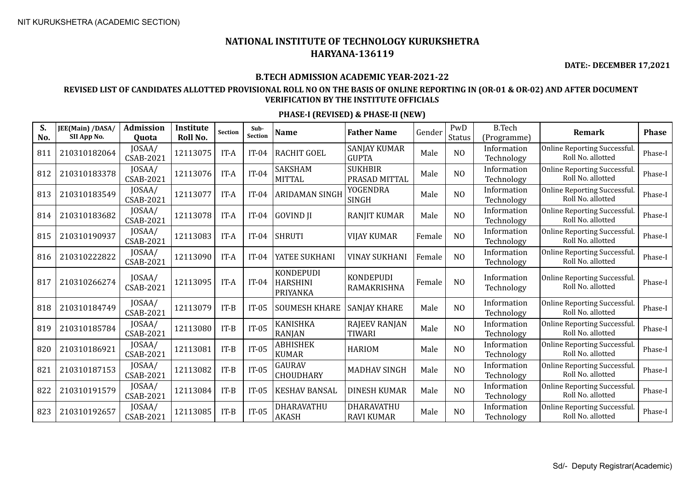**DATE:- DECEMBER 17,2021**

#### **B.TECH ADMISSION ACADEMIC YEAR-2021-22**

## **REVISED LIST OF CANDIDATES ALLOTTED PROVISIONAL ROLL NO ON THE BASIS OF ONLINE REPORTING IN (OR-01 & OR-02) AND AFTER DOCUMENT VERIFICATION BY THE INSTITUTE OFFICIALS**

| S.<br>No. | JEE(Main) /DASA/<br>SII App No. | <b>Admission</b><br>Quota  | Institute<br>Roll No. | <b>Section</b> | Sub-<br><b>Section</b> | <b>Name</b>                                     | <b>Father Name</b>                    | Gender | PwD<br><b>Status</b> | <b>B.Tech</b><br>(Programme) | <b>Remark</b>                                           | <b>Phase</b> |
|-----------|---------------------------------|----------------------------|-----------------------|----------------|------------------------|-------------------------------------------------|---------------------------------------|--------|----------------------|------------------------------|---------------------------------------------------------|--------------|
| 811       | 210310182064                    | JOSAA/<br>CSAB-2021        | 12113075              | $IT-A$         | $IT-04$                | <b>RACHIT GOEL</b>                              | <b>SANJAY KUMAR</b><br><b>GUPTA</b>   | Male   | N <sub>O</sub>       | Information<br>Technology    | Online Reporting Successful.<br>Roll No. allotted       | Phase-I      |
| 812       | 210310183378                    | JOSAA/<br>CSAB-2021        | 12113076              | IT-A           | $IT-04$                | SAKSHAM<br><b>MITTAL</b>                        | <b>SUKHBIR</b><br>PRASAD MITTAL       | Male   | N <sub>O</sub>       | Information<br>Technology    | <b>Online Reporting Successful</b><br>Roll No. allotted | Phase-I      |
| 813       | 210310183549                    | JOSAA/<br>CSAB-2021        | 12113077              | IT-A           | $IT-04$                | <b>ARIDAMAN SINGH</b>                           | <b>YOGENDRA</b><br><b>SINGH</b>       | Male   | N <sub>O</sub>       | Information<br>Technology    | Online Reporting Successful.<br>Roll No. allotted       | Phase-I      |
| 814       | 210310183682                    | JOSAA/<br><b>CSAB-2021</b> | 12113078              | IT-A           | $IT-04$                | <b>GOVIND JI</b>                                | <b>RANJIT KUMAR</b>                   | Male   | N <sub>O</sub>       | Information<br>Technology    | <b>Online Reporting Successful</b><br>Roll No. allotted | Phase-I      |
| 815       | 210310190937                    | JOSAA/<br><b>CSAB-2021</b> | 12113083              | IT-A           | $IT-04$                | <b>SHRUTI</b>                                   | <b>VIJAY KUMAR</b>                    | Female | NO                   | Information<br>Technology    | <b>Online Reporting Successful</b><br>Roll No. allotted | Phase-I      |
| 816       | 210310222822                    | JOSAA/<br><b>CSAB-2021</b> | 12113090              | IT-A           | $IT-04$                | YATEE SUKHANI                                   | <b>VINAY SUKHANI</b>                  | Female | N <sub>O</sub>       | Information<br>Technology    | <b>Online Reporting Successful</b><br>Roll No. allotted | Phase-I      |
| 817       | 210310266274                    | JOSAA/<br><b>CSAB-2021</b> | 12113095              | IT-A           | $IT-04$                | <b>KONDEPUDI</b><br><b>HARSHINI</b><br>PRIYANKA | <b>KONDEPUDI</b><br>RAMAKRISHNA       | Female | N <sub>O</sub>       | Information<br>Technology    | <b>Online Reporting Successful</b><br>Roll No. allotted | Phase-I      |
| 818       | 210310184749                    | JOSAA/<br>CSAB-2021        | 12113079              | $IT-B$         | $IT-05$                | <b>SOUMESH KHARE</b>                            | <b>SANJAY KHARE</b>                   | Male   | N <sub>O</sub>       | Information<br>Technology    | <b>Online Reporting Successful</b><br>Roll No. allotted | Phase-I      |
| 819       | 210310185784                    | JOSAA/<br>CSAB-2021        | 12113080              | $IT-B$         | $IT-05$                | KANISHKA<br><b>RANJAN</b>                       | <b>RAJEEV RANJAN</b><br><b>TIWARI</b> | Male   | NO                   | Information<br>Technology    | Online Reporting Successful.<br>Roll No. allotted       | Phase-I      |
| 820       | 210310186921                    | JOSAA/<br><b>CSAB-2021</b> | 12113081              | $IT-B$         | $IT-05$                | ABHISHEK<br><b>KUMAR</b>                        | <b>HARIOM</b>                         | Male   | N <sub>O</sub>       | Information<br>Technology    | <b>Online Reporting Successful</b><br>Roll No. allotted | Phase-I      |
| 821       | 210310187153                    | JOSAA/<br><b>CSAB-2021</b> | 12113082              | $IT-B$         | $IT-05$                | <b>GAURAV</b><br><b>CHOUDHARY</b>               | <b>MADHAV SINGH</b>                   | Male   | N <sub>O</sub>       | Information<br>Technology    | Online Reporting Successful.<br>Roll No. allotted       | Phase-I      |
| 822       | 210310191579                    | JOSAA/<br><b>CSAB-2021</b> | 12113084              | $IT-B$         | $IT-05$                | <b>KESHAV BANSAL</b>                            | <b>DINESH KUMAR</b>                   | Male   | N <sub>O</sub>       | Information<br>Technology    | <b>Online Reporting Successful</b><br>Roll No. allotted | Phase-I      |
| 823       | 210310192657                    | JOSAA/<br>CSAB-2021        | 12113085              | $IT-B$         | $IT-05$                | DHARAVATHU<br><b>AKASH</b>                      | DHARAVATHU<br><b>RAVI KUMAR</b>       | Male   | N <sub>O</sub>       | Information<br>Technology    | <b>Online Reporting Successful</b><br>Roll No. allotted | Phase-I      |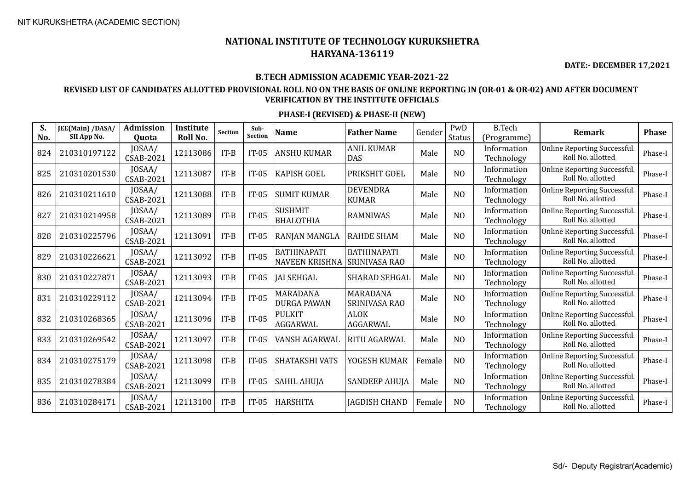**DATE:- DECEMBER 17,2021**

#### **B.TECH ADMISSION ACADEMIC YEAR-2021-22**

## **REVISED LIST OF CANDIDATES ALLOTTED PROVISIONAL ROLL NO ON THE BASIS OF ONLINE REPORTING IN (OR-01 & OR-02) AND AFTER DOCUMENT VERIFICATION BY THE INSTITUTE OFFICIALS**

| S.<br>No. | JEE(Main) /DASA/<br>SII App No. | <b>Admission</b><br><b>Ouota</b> | Institute<br>Roll No. | Section | Sub-<br><b>Section</b> | <b>Name</b>                                 | <b>Father Name</b>                  | Gender | PwD<br><b>Status</b> | <b>B.Tech</b><br>(Programme) | Remark                                                   | <b>Phase</b> |
|-----------|---------------------------------|----------------------------------|-----------------------|---------|------------------------|---------------------------------------------|-------------------------------------|--------|----------------------|------------------------------|----------------------------------------------------------|--------------|
| 824       | 210310197122                    | JOSAA/<br><b>CSAB-2021</b>       | 12113086              | $IT-B$  | $IT-05$                | <b>ANSHU KUMAR</b>                          | <b>ANIL KUMAR</b><br><b>DAS</b>     | Male   | N <sub>O</sub>       | Information<br>Technology    | Online Reporting Successful.<br>Roll No. allotted        | Phase-I      |
| 825       | 210310201530                    | JOSAA/<br>CSAB-2021              | 12113087              | $IT-B$  | $IT-05$                | <b>KAPISH GOEL</b>                          | PRIKSHIT GOEL                       | Male   | N <sub>O</sub>       | Information<br>Technology    | Online Reporting Successful.<br>Roll No. allotted        | Phase-I      |
| 826       | 210310211610                    | JOSAA/<br>CSAB-2021              | 12113088              | $IT-B$  | $IT-05$                | <b>SUMIT KUMAR</b>                          | <b>DEVENDRA</b><br><b>KUMAR</b>     | Male   | N <sub>O</sub>       | Information<br>Technology    | <b>Online Reporting Successful</b><br>Roll No. allotted  | Phase-I      |
| 827       | 210310214958                    | JOSAA/<br><b>CSAB-2021</b>       | 12113089              | $IT-B$  | $IT-05$                | <b>SUSHMIT</b><br><b>BHALOTHIA</b>          | <b>RAMNIWAS</b>                     | Male   | N <sub>O</sub>       | Information<br>Technology    | <b>Online Reporting Successful.</b><br>Roll No. allotted | Phase-I      |
| 828       | 210310225796                    | JOSAA/<br><b>CSAB-2021</b>       | 12113091              | $IT-B$  | $IT-05$                | RANJAN MANGLA                               | <b>RAHDE SHAM</b>                   | Male   | N <sub>O</sub>       | Information<br>Technology    | <b>Online Reporting Successful</b><br>Roll No. allotted  | Phase-I      |
| 829       | 210310226621                    | JOSAA/<br>CSAB-2021              | 12113092              | $IT-B$  | $IT-05$                | <b>BATHINAPATI</b><br><b>NAVEEN KRISHNA</b> | <b>BATHINAPATI</b><br>SRINIVASA RAO | Male   | N <sub>O</sub>       | Information<br>Technology    | Online Reporting Successful.<br>Roll No. allotted        | Phase-I      |
| 830       | 210310227871                    | JOSAA/<br>CSAB-2021              | 12113093              | $IT-B$  | $IT-05$                | <b>JAI SEHGAL</b>                           | SHARAD SEHGAL                       | Male   | N <sub>O</sub>       | Information<br>Technology    | <b>Online Reporting Successful.</b><br>Roll No. allotted | Phase-I      |
| 831       | 210310229112                    | JOSAA/<br><b>CSAB-2021</b>       | 12113094              | $IT-B$  | $IT-05$                | MARADANA<br><b>DURGA PAWAN</b>              | MARADANA<br>SRINIVASA RAO           | Male   | N <sub>O</sub>       | Information<br>Technology    | Online Reporting Successful.<br>Roll No. allotted        | Phase-I      |
| 832       | 210310268365                    | JOSAA/<br><b>CSAB-2021</b>       | 12113096              | $IT-B$  | $IT-05$                | <b>PULKIT</b><br>AGGARWAL                   | <b>ALOK</b><br>AGGARWAL             | Male   | N <sub>O</sub>       | Information<br>Technology    | <b>Online Reporting Successful</b><br>Roll No. allotted  | Phase-I      |
| 833       | 210310269542                    | JOSAA/<br><b>CSAB-2021</b>       | 12113097              | $IT-B$  | $IT-05$                | VANSH AGARWAL                               | RITU AGARWAL                        | Male   | N <sub>O</sub>       | Information<br>Technology    | <b>Online Reporting Successful</b><br>Roll No. allotted  | Phase-I      |
| 834       | 210310275179                    | JOSAA/<br><b>CSAB-2021</b>       | 12113098              | $IT-B$  | $IT-05$                | <b>SHATAKSHI VATS</b>                       | YOGESH KUMAR                        | Female | N <sub>O</sub>       | Information<br>Technology    | <b>Online Reporting Successful</b><br>Roll No. allotted  | Phase-I      |
| 835       | 210310278384                    | JOSAA/<br>CSAB-2021              | 12113099              | $IT-B$  | $IT-05$                | <b>SAHIL AHUJA</b>                          | <b>SANDEEP AHUJA</b>                | Male   | N <sub>O</sub>       | Information<br>Technology    | <b>Online Reporting Successful</b><br>Roll No. allotted  | Phase-I      |
| 836       | 210310284171                    | JOSAA/<br><b>CSAB-2021</b>       | 12113100              | $IT-B$  | $IT-05$                | <b>HARSHITA</b>                             | <b>IAGDISH CHAND</b>                | Female | N <sub>O</sub>       | Information<br>Technology    | <b>Online Reporting Successful</b><br>Roll No. allotted  | Phase-I      |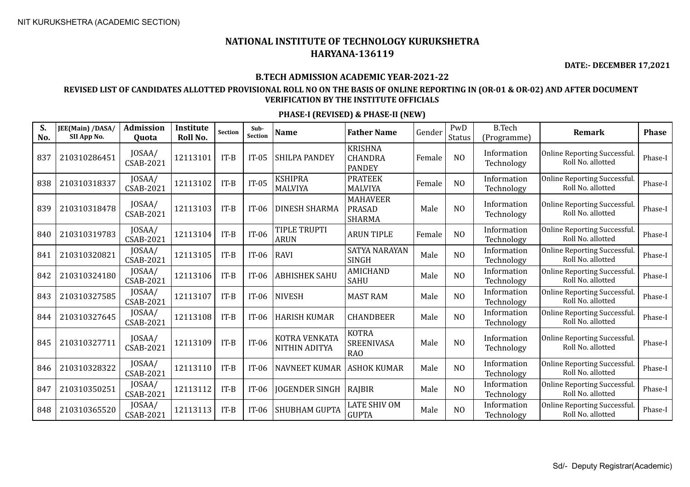**DATE:- DECEMBER 17,2021**

#### **B.TECH ADMISSION ACADEMIC YEAR-2021-22**

### **REVISED LIST OF CANDIDATES ALLOTTED PROVISIONAL ROLL NO ON THE BASIS OF ONLINE REPORTING IN (OR-01 & OR-02) AND AFTER DOCUMENT VERIFICATION BY THE INSTITUTE OFFICIALS**

| S.<br>No. | JEE(Main) /DASA/<br>SII App No. | <b>Admission</b><br>Quota  | Institute<br>Roll No. | <b>Section</b> | Sub-<br><b>Section</b> | <b>Name</b>                           | <b>Father Name</b>                                | Gender | PwD<br>Status  | <b>B.Tech</b><br>(Programme) | <b>Remark</b>                                            | <b>Phase</b> |
|-----------|---------------------------------|----------------------------|-----------------------|----------------|------------------------|---------------------------------------|---------------------------------------------------|--------|----------------|------------------------------|----------------------------------------------------------|--------------|
| 837       | 210310286451                    | JOSAA/<br>CSAB-2021        | 12113101              | $IT-B$         | $IT-05$                | <b>SHILPA PANDEY</b>                  | <b>KRISHNA</b><br><b>CHANDRA</b><br><b>PANDEY</b> | Female | N <sub>O</sub> | Information<br>Technology    | Online Reporting Successful.<br>Roll No. allotted        | Phase-I      |
| 838       | 210310318337                    | JOSAA/<br><b>CSAB-2021</b> | 12113102              | $IT-B$         | $IT-05$                | <b>KSHIPRA</b><br><b>MALVIYA</b>      | <b>PRATEEK</b><br><b>MALVIYA</b>                  | Female | N <sub>O</sub> | Information<br>Technology    | Online Reporting Successful.<br>Roll No. allotted        | Phase-I      |
| 839       | 210310318478                    | JOSAA/<br><b>CSAB-2021</b> | 12113103              | $IT-B$         | $IT-06$                | <b>DINESH SHARMA</b>                  | <b>MAHAVEER</b><br><b>PRASAD</b><br><b>SHARMA</b> | Male   | N <sub>O</sub> | Information<br>Technology    | <b>Online Reporting Successful</b><br>Roll No. allotted  | Phase-I      |
| 840       | 210310319783                    | JOSAA/<br><b>CSAB-2021</b> | 12113104              | $IT-B$         | $IT-06$                | TIPLE TRUPTI<br><b>ARUN</b>           | <b>ARUN TIPLE</b>                                 | Female | N <sub>O</sub> | Information<br>Technology    | Online Reporting Successful.<br>Roll No. allotted        | Phase-I      |
| 841       | 210310320821                    | JOSAA/<br><b>CSAB-2021</b> | 12113105              | $IT-B$         | $IT-06$                | <b>RAVI</b>                           | <b>SATYA NARAYAN</b><br><b>SINGH</b>              | Male   | N <sub>O</sub> | Information<br>Technology    | Online Reporting Successful.<br>Roll No. allotted        | Phase-I      |
| 842       | 210310324180                    | JOSAA/<br>CSAB-2021        | 12113106              | $IT-B$         | IT-06                  | <b>ABHISHEK SAHU</b>                  | <b>AMICHAND</b><br><b>SAHU</b>                    | Male   | N <sub>O</sub> | Information<br>Technology    | <b>Online Reporting Successful</b><br>Roll No. allotted  | Phase-I      |
| 843       | 210310327585                    | JOSAA/<br>CSAB-2021        | 12113107              | $IT-B$         | $IT-06$                | <b>NIVESH</b>                         | <b>MAST RAM</b>                                   | Male   | N <sub>O</sub> | Information<br>Technology    | Online Reporting Successful.<br>Roll No. allotted        | Phase-I      |
| 844       | 210310327645                    | JOSAA/<br><b>CSAB-2021</b> | 12113108              | $IT-B$         | IT-06                  | <b>HARISH KUMAR</b>                   | <b>CHANDBEER</b>                                  | Male   | N <sub>O</sub> | Information<br>Technology    | <b>Online Reporting Successful</b><br>Roll No. allotted  | Phase-I      |
| 845       | 210310327711                    | JOSAA/<br><b>CSAB-2021</b> | 12113109              | $IT-B$         | IT-06                  | KOTRA VENKATA<br><b>NITHIN ADITYA</b> | <b>KOTRA</b><br><b>SREENIVASA</b><br><b>RAO</b>   | Male   | N <sub>O</sub> | Information<br>Technology    | <b>Online Reporting Successful</b><br>Roll No. allotted  | Phase-I      |
| 846       | 210310328322                    | JOSAA/<br><b>CSAB-2021</b> | 12113110              | $IT-B$         | IT-06                  | <b>NAVNEET KUMAR</b>                  | <b>ASHOK KUMAR</b>                                | Male   | N <sub>O</sub> | Information<br>Technology    | <b>Online Reporting Successful.</b><br>Roll No. allotted | Phase-I      |
| 847       | 210310350251                    | JOSAA/<br><b>CSAB-2021</b> | 12113112              | $IT-B$         | IT-06                  | <b>JOGENDER SINGH</b>                 | RAJBIR                                            | Male   | N <sub>O</sub> | Information<br>Technology    | <b>Online Reporting Successful</b><br>Roll No. allotted  | Phase-I      |
| 848       | 210310365520                    | JOSAA/<br><b>CSAB-2021</b> | 12113113              | $IT-B$         | IT-06                  | <b>SHUBHAM GUPTA</b>                  | LATE SHIV OM<br><b>GUPTA</b>                      | Male   | N <sub>O</sub> | Information<br>Technology    | <b>Online Reporting Successful</b><br>Roll No. allotted  | Phase-I      |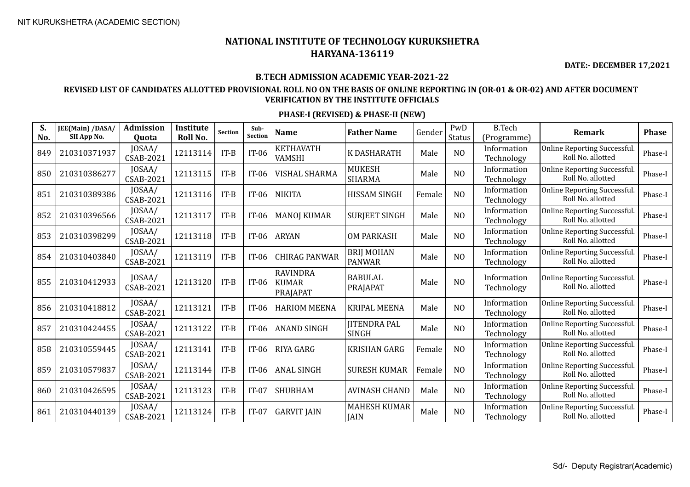**DATE:- DECEMBER 17,2021**

#### **B.TECH ADMISSION ACADEMIC YEAR-2021-22**

## **REVISED LIST OF CANDIDATES ALLOTTED PROVISIONAL ROLL NO ON THE BASIS OF ONLINE REPORTING IN (OR-01 & OR-02) AND AFTER DOCUMENT VERIFICATION BY THE INSTITUTE OFFICIALS**

| S.<br>No. | JEE(Main) /DASA/<br>SII App No. | <b>Admission</b><br>Quota  | Institute<br>Roll No. | Section | Sub-<br><b>Section</b> | <b>Name</b>                                 | <b>Father Name</b>                 | Gender | PwD<br>Status  | <b>B.Tech</b><br>(Programme) | <b>Remark</b>                                            | <b>Phase</b> |
|-----------|---------------------------------|----------------------------|-----------------------|---------|------------------------|---------------------------------------------|------------------------------------|--------|----------------|------------------------------|----------------------------------------------------------|--------------|
| 849       | 210310371937                    | JOSAA/<br><b>CSAB-2021</b> | 12113114              | $IT-B$  | $IT-06$                | <b>KETHAVATH</b><br><b>VAMSHI</b>           | K DASHARATH                        | Male   | N <sub>O</sub> | Information<br>Technology    | Online Reporting Successful.<br>Roll No. allotted        | Phase-I      |
| 850       | 210310386277                    | JOSAA/<br><b>CSAB-2021</b> | 12113115              | $IT-B$  | $IT-06$                | VISHAL SHARMA                               | <b>MUKESH</b><br><b>SHARMA</b>     | Male   | N <sub>O</sub> | Information<br>Technology    | Online Reporting Successful.<br>Roll No. allotted        | Phase-I      |
| 851       | 210310389386                    | JOSAA/<br><b>CSAB-2021</b> | 12113116              | $IT-B$  | $IT-06$                | <b>NIKITA</b>                               | HISSAM SINGH                       | Female | N <sub>O</sub> | Information<br>Technology    | Online Reporting Successful.<br>Roll No. allotted        | Phase-I      |
| 852       | 210310396566                    | JOSAA/<br><b>CSAB-2021</b> | 12113117              | $IT-B$  | $IT-06$                | <b>MANOJ KUMAR</b>                          | <b>SURJEET SINGH</b>               | Male   | N <sub>O</sub> | Information<br>Technology    | Online Reporting Successful.<br>Roll No. allotted        | Phase-I      |
| 853       | 210310398299                    | JOSAA/<br><b>CSAB-2021</b> | 12113118              | $IT-B$  | $IT-06$                | <b>ARYAN</b>                                | <b>OM PARKASH</b>                  | Male   | N <sub>O</sub> | Information<br>Technology    | Online Reporting Successful.<br>Roll No. allotted        | Phase-I      |
| 854       | 210310403840                    | JOSAA/<br><b>CSAB-2021</b> | 12113119              | $IT-B$  | $IT-06$                | <b>CHIRAG PANWAR</b>                        | <b>BRIJ MOHAN</b><br><b>PANWAR</b> | Male   | N <sub>O</sub> | Information<br>Technology    | Online Reporting Successful.<br>Roll No. allotted        | Phase-I      |
| 855       | 210310412933                    | JOSAA/<br><b>CSAB-2021</b> | 12113120              | $IT-B$  | $IT-06$                | <b>RAVINDRA</b><br><b>KUMAR</b><br>PRAJAPAT | <b>BABULAL</b><br>PRAJAPAT         | Male   | N <sub>O</sub> | Information<br>Technology    | Online Reporting Successful.<br>Roll No. allotted        | Phase-I      |
| 856       | 210310418812                    | JOSAA/<br>CSAB-2021        | 12113121              | $IT-B$  | $IT-06$                | <b>HARIOM MEENA</b>                         | <b>KRIPAL MEENA</b>                | Male   | N <sub>O</sub> | Information<br>Technology    | Online Reporting Successful.<br>Roll No. allotted        | Phase-I      |
| 857       | 210310424455                    | JOSAA/<br>CSAB-2021        | 12113122              | $IT-B$  | $IT-06$                | <b>ANAND SINGH</b>                          | <b>JITENDRA PAL</b><br>SINGH       | Male   | N <sub>O</sub> | Information<br>Technology    | Online Reporting Successful.<br>Roll No. allotted        | Phase-I      |
| 858       | 210310559445                    | JOSAA/<br><b>CSAB-2021</b> | 12113141              | $IT-B$  | $IT-06$                | RIYA GARG                                   | <b>KRISHAN GARG</b>                | Female | N <sub>O</sub> | Information<br>Technology    | Online Reporting Successful.<br>Roll No. allotted        | Phase-I      |
| 859       | 210310579837                    | JOSAA/<br><b>CSAB-2021</b> | 12113144              | $IT-B$  | $IT-06$                | <b>ANAL SINGH</b>                           | <b>SURESH KUMAR</b>                | Female | N <sub>O</sub> | Information<br>Technology    | Online Reporting Successful.<br>Roll No. allotted        | Phase-I      |
| 860       | 210310426595                    | JOSAA/<br><b>CSAB-2021</b> | 12113123              | $IT-B$  | $IT-07$                | <b>SHUBHAM</b>                              | <b>AVINASH CHAND</b>               | Male   | N <sub>O</sub> | Information<br>Technology    | <b>Online Reporting Successful.</b><br>Roll No. allotted | Phase-I      |
| 861       | 210310440139                    | JOSAA/<br><b>CSAB-2021</b> | 12113124              | $IT-B$  | $IT-07$                | <b>GARVIT JAIN</b>                          | <b>MAHESH KUMAR</b><br><b>JAIN</b> | Male   | N <sub>O</sub> | Information<br>Technology    | Online Reporting Successful.<br>Roll No. allotted        | Phase-I      |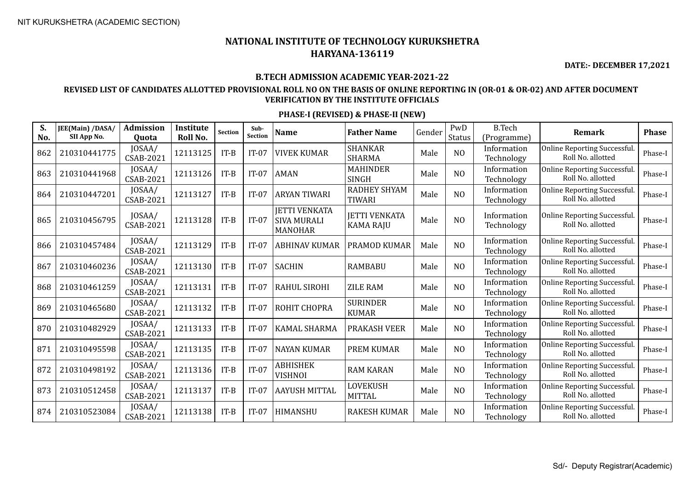**DATE:- DECEMBER 17,2021**

#### **B.TECH ADMISSION ACADEMIC YEAR-2021-22**

## **REVISED LIST OF CANDIDATES ALLOTTED PROVISIONAL ROLL NO ON THE BASIS OF ONLINE REPORTING IN (OR-01 & OR-02) AND AFTER DOCUMENT VERIFICATION BY THE INSTITUTE OFFICIALS**

| S.<br>No. | JEE(Main) /DASA/<br>SII App No. | <b>Admission</b><br>Quota  | Institute<br>Roll No. | <b>Section</b> | Sub-<br><b>Section</b> | <b>Name</b>                                                  | <b>Father Name</b>                       | Gender | PwD<br><b>Status</b> | <b>B.Tech</b><br>(Programme) | <b>Remark</b>                                           | <b>Phase</b> |
|-----------|---------------------------------|----------------------------|-----------------------|----------------|------------------------|--------------------------------------------------------------|------------------------------------------|--------|----------------------|------------------------------|---------------------------------------------------------|--------------|
| 862       | 210310441775                    | JOSAA/<br><b>CSAB-2021</b> | 12113125              | $IT-B$         | $IT-07$                | <b>VIVEK KUMAR</b>                                           | <b>SHANKAR</b><br><b>SHARMA</b>          | Male   | N <sub>O</sub>       | Information<br>Technology    | Online Reporting Successful.<br>Roll No. allotted       | Phase-I      |
| 863       | 210310441968                    | JOSAA/<br>CSAB-2021        | 12113126              | $IT-B$         | $IT-07$                | <b>AMAN</b>                                                  | <b>MAHINDER</b><br><b>SINGH</b>          | Male   | N <sub>O</sub>       | Information<br>Technology    | Online Reporting Successful.<br>Roll No. allotted       | Phase-I      |
| 864       | 210310447201                    | JOSAA/<br>CSAB-2021        | 12113127              | $IT-B$         | $IT-07$                | <b>ARYAN TIWARI</b>                                          | RADHEY SHYAM<br><b>TIWARI</b>            | Male   | N <sub>O</sub>       | Information<br>Technology    | Online Reporting Successful.<br>Roll No. allotted       | Phase-I      |
| 865       | 210310456795                    | JOSAA/<br>CSAB-2021        | 12113128              | $IT-B$         | $IT-07$                | <b>JETTI VENKATA</b><br><b>SIVA MURALI</b><br><b>MANOHAR</b> | <b>JETTI VENKATA</b><br><b>KAMA RAJU</b> | Male   | N <sub>O</sub>       | Information<br>Technology    | <b>Online Reporting Successful</b><br>Roll No. allotted | Phase-I      |
| 866       | 210310457484                    | JOSAA/<br>CSAB-2021        | 12113129              | $IT-B$         | $IT-07$                | ABHINAV KUMAR                                                | PRAMOD KUMAR                             | Male   | N <sub>O</sub>       | Information<br>Technology    | <b>Online Reporting Successful</b><br>Roll No. allotted | Phase-I      |
| 867       | 210310460236                    | JOSAA/<br><b>CSAB-2021</b> | 12113130              | $IT-B$         | $IT-07$                | <b>SACHIN</b>                                                | <b>RAMBABU</b>                           | Male   | N <sub>O</sub>       | Information<br>Technology    | <b>Online Reporting Successful</b><br>Roll No. allotted | Phase-I      |
| 868       | 210310461259                    | JOSAA/<br>CSAB-2021        | 12113131              | $IT-B$         | $IT-07$                | <b>RAHUL SIROHI</b>                                          | <b>ZILE RAM</b>                          | Male   | N <sub>O</sub>       | Information<br>Technology    | Online Reporting Successful.<br>Roll No. allotted       | Phase-I      |
| 869       | 210310465680                    | JOSAA/<br>CSAB-2021        | 12113132              | $IT-B$         | $IT-07$                | ROHIT CHOPRA                                                 | <b>SURINDER</b><br><b>KUMAR</b>          | Male   | N <sub>O</sub>       | Information<br>Technology    | <b>Online Reporting Successful</b><br>Roll No. allotted | Phase-I      |
| 870       | 210310482929                    | JOSAA/<br>CSAB-2021        | 12113133              | $IT-B$         | $IT-07$                | <b>KAMAL SHARMA</b>                                          | <b>PRAKASH VEER</b>                      | Male   | N <sub>O</sub>       | Information<br>Technology    | <b>Online Reporting Successful</b><br>Roll No. allotted | Phase-I      |
| 871       | 210310495598                    | JOSAA/<br><b>CSAB-2021</b> | 12113135              | $IT-B$         | $IT-07$                | <b>NAYAN KUMAR</b>                                           | <b>PREM KUMAR</b>                        | Male   | N <sub>O</sub>       | Information<br>Technology    | <b>Online Reporting Successful</b><br>Roll No. allotted | Phase-I      |
| 872       | 210310498192                    | JOSAA/<br><b>CSAB-2021</b> | 12113136              | $IT-B$         | $IT-07$                | ABHISHEK<br>VISHNOI                                          | <b>RAM KARAN</b>                         | Male   | N <sub>O</sub>       | Information<br>Technology    | Online Reporting Successful.<br>Roll No. allotted       | Phase-I      |
| 873       | 210310512458                    | JOSAA/<br><b>CSAB-2021</b> | 12113137              | $IT-B$         | $IT-07$                | AAYUSH MITTAL                                                | <b>LOVEKUSH</b><br><b>MITTAL</b>         | Male   | N <sub>O</sub>       | Information<br>Technology    | <b>Online Reporting Successful</b><br>Roll No. allotted | Phase-I      |
| 874       | 210310523084                    | JOSAA/<br><b>CSAB-2021</b> | 12113138              | $IT-B$         | $IT-07$                | HIMANSHU                                                     | <b>RAKESH KUMAR</b>                      | Male   | N <sub>O</sub>       | Information<br>Technology    | <b>Online Reporting Successful</b><br>Roll No. allotted | Phase-I      |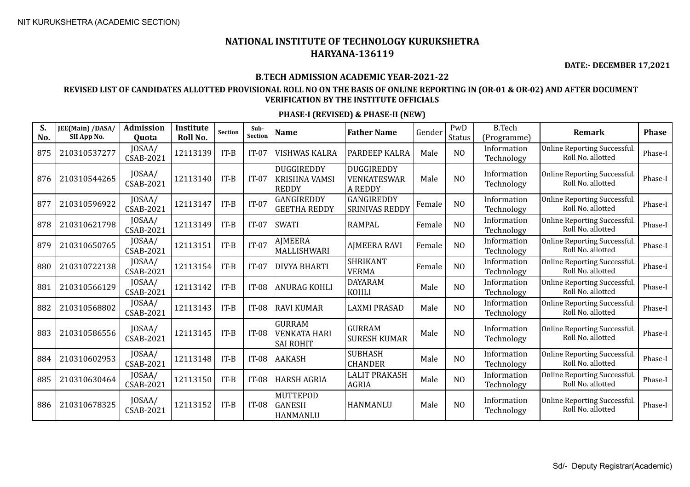**DATE:- DECEMBER 17,2021**

## **B.TECH ADMISSION ACADEMIC YEAR-2021-22**

## **REVISED LIST OF CANDIDATES ALLOTTED PROVISIONAL ROLL NO ON THE BASIS OF ONLINE REPORTING IN (OR-01 & OR-02) AND AFTER DOCUMENT VERIFICATION BY THE INSTITUTE OFFICIALS**

| S.<br>No. | JEE(Main) /DASA/<br>SII App No. | <b>Admission</b><br><b>Ouota</b> | <b>Institute</b><br>Roll No. | <b>Section</b> | Sub-<br>Section | <b>Name</b>                                              | <b>Father Name</b>                                 | Gender | PwD<br><b>Status</b> | <b>B.Tech</b><br>(Programme) | <b>Remark</b>                                            | <b>Phase</b> |
|-----------|---------------------------------|----------------------------------|------------------------------|----------------|-----------------|----------------------------------------------------------|----------------------------------------------------|--------|----------------------|------------------------------|----------------------------------------------------------|--------------|
| 875       | 210310537277                    | JOSAA/<br>CSAB-2021              | 12113139                     | $IT-B$         | $IT-07$         | <b>VISHWAS KALRA</b>                                     | PARDEEP KALRA                                      | Male   | N <sub>O</sub>       | Information<br>Technology    | <b>Online Reporting Successful</b><br>Roll No. allotted  | Phase-I      |
| 876       | 210310544265                    | JOSAA/<br><b>CSAB-2021</b>       | 12113140                     | $IT-B$         | $IT-07$         | DUGGIREDDY<br><b>KRISHNA VAMSI</b><br><b>REDDY</b>       | DUGGIREDDY<br><b>VENKATESWAR</b><br><b>A REDDY</b> | Male   | N <sub>O</sub>       | Information<br>Technology    | <b>Online Reporting Successful</b><br>Roll No. allotted  | Phase-I      |
| 877       | 210310596922                    | JOSAA/<br><b>CSAB-2021</b>       | 12113147                     | $IT-B$         | $IT-07$         | GANGIREDDY<br><b>GEETHA REDDY</b>                        | GANGIREDDY<br><b>SRINIVAS REDDY</b>                | Female | N <sub>O</sub>       | Information<br>Technology    | <b>Online Reporting Successful</b><br>Roll No. allotted  | Phase-I      |
| 878       | 210310621798                    | JOSAA/<br><b>CSAB-2021</b>       | 12113149                     | $IT-B$         | $IT-07$         | <b>SWATI</b>                                             | <b>RAMPAL</b>                                      | Female | N <sub>O</sub>       | Information<br>Technology    | <b>Online Reporting Successful</b><br>Roll No. allotted  | Phase-I      |
| 879       | 210310650765                    | JOSAA/<br><b>CSAB-2021</b>       | 12113151                     | $IT-B$         | $IT-07$         | <b>AJMEERA</b><br>MALLISHWARI                            | <b>AJMEERA RAVI</b>                                | Female | N <sub>O</sub>       | Information<br>Technology    | <b>Online Reporting Successful</b><br>Roll No. allotted  | Phase-I      |
| 880       | 210310722138                    | JOSAA/<br><b>CSAB-2021</b>       | 12113154                     | $IT-B$         | $IT-07$         | <b>DIVYA BHARTI</b>                                      | <b>SHRIKANT</b><br><b>VERMA</b>                    | Female | N <sub>O</sub>       | Information<br>Technology    | <b>Online Reporting Successful</b><br>Roll No. allotted  | Phase-I      |
| 881       | 210310566129                    | JOSAA/<br><b>CSAB-2021</b>       | 12113142                     | $IT-B$         | <b>IT-08</b>    | <b>ANURAG KOHLI</b>                                      | <b>DAYARAM</b><br><b>KOHLI</b>                     | Male   | N <sub>O</sub>       | Information<br>Technology    | Online Reporting Successful.<br>Roll No. allotted        | Phase-I      |
| 882       | 210310568802                    | JOSAA/<br><b>CSAB-2021</b>       | 12113143                     | $IT-B$         | <b>IT-08</b>    | <b>RAVI KUMAR</b>                                        | <b>LAXMI PRASAD</b>                                | Male   | N <sub>O</sub>       | Information<br>Technology    | <b>Online Reporting Successful</b><br>Roll No. allotted  | Phase-I      |
| 883       | 210310586556                    | JOSAA/<br><b>CSAB-2021</b>       | 12113145                     | $IT-B$         | <b>IT-08</b>    | <b>GURRAM</b><br><b>VENKATA HARI</b><br><b>SAI ROHIT</b> | <b>GURRAM</b><br><b>SURESH KUMAR</b>               | Male   | N <sub>O</sub>       | Information<br>Technology    | <b>Online Reporting Successful</b><br>Roll No. allotted  | Phase-I      |
| 884       | 210310602953                    | JOSAA/<br><b>CSAB-2021</b>       | 12113148                     | $IT-B$         | <b>IT-08</b>    | <b>AAKASH</b>                                            | <b>SUBHASH</b><br><b>CHANDER</b>                   | Male   | N <sub>O</sub>       | Information<br>Technology    | <b>Online Reporting Successful.</b><br>Roll No. allotted | Phase-I      |
| 885       | 210310630464                    | JOSAA/<br>CSAB-2021              | 12113150                     | $IT-B$         | <b>IT-08</b>    | <b>HARSH AGRIA</b>                                       | <b>LALIT PRAKASH</b><br><b>AGRIA</b>               | Male   | N <sub>O</sub>       | Information<br>Technology    | <b>Online Reporting Successful</b><br>Roll No. allotted  | Phase-I      |
| 886       | 210310678325                    | JOSAA/<br><b>CSAB-2021</b>       | 12113152                     | $IT-B$         | $IT-08$         | MUTTEPOD<br><b>GANESH</b><br>HANMANLU                    | <b>HANMANLU</b>                                    | Male   | N <sub>O</sub>       | Information<br>Technology    | <b>Online Reporting Successful</b><br>Roll No. allotted  | Phase-I      |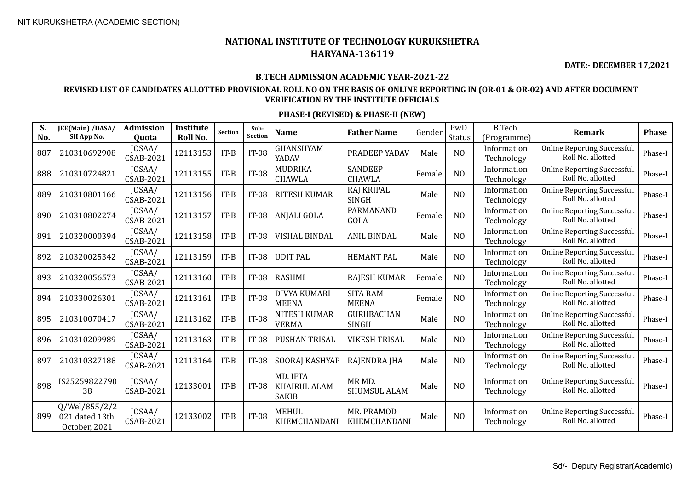**DATE:- DECEMBER 17,2021**

#### **B.TECH ADMISSION ACADEMIC YEAR-2021-22**

### **REVISED LIST OF CANDIDATES ALLOTTED PROVISIONAL ROLL NO ON THE BASIS OF ONLINE REPORTING IN (OR-01 & OR-02) AND AFTER DOCUMENT VERIFICATION BY THE INSTITUTE OFFICIALS**

| S.<br>No. | JEE(Main) /DASA/<br>SII App No.                  | Admission<br><b>Quota</b>  | Institute<br>Roll No. | Section | Sub-<br>Section | <b>Name</b>                                     | <b>Father Name</b>                      | Gender | PwD<br>Status  | <b>B.Tech</b><br>(Programme) | <b>Remark</b>                                           | <b>Phase</b> |
|-----------|--------------------------------------------------|----------------------------|-----------------------|---------|-----------------|-------------------------------------------------|-----------------------------------------|--------|----------------|------------------------------|---------------------------------------------------------|--------------|
| 887       | 210310692908                                     | JOSAA/<br><b>CSAB-2021</b> | 12113153              | $IT-B$  | <b>IT-08</b>    | <b>GHANSHYAM</b><br>YADAV                       | PRADEEP YADAV                           | Male   | N <sub>O</sub> | Information<br>Technology    | <b>Online Reporting Successful</b><br>Roll No. allotted | Phase-I      |
| 888       | 210310724821                                     | JOSAA/<br><b>CSAB-2021</b> | 12113155              | $IT-B$  | <b>IT-08</b>    | MUDRIKA<br><b>CHAWLA</b>                        | <b>SANDEEP</b><br><b>CHAWLA</b>         | Female | N <sub>O</sub> | Information<br>Technology    | <b>Online Reporting Successful</b><br>Roll No. allotted | Phase-I      |
| 889       | 210310801166                                     | JOSAA/<br><b>CSAB-2021</b> | 12113156              | $IT-B$  | <b>IT-08</b>    | <b>RITESH KUMAR</b>                             | <b>RAJ KRIPAL</b><br><b>SINGH</b>       | Male   | N <sub>O</sub> | Information<br>Technology    | <b>Online Reporting Successful</b><br>Roll No. allotted | Phase-I      |
| 890       | 210310802274                                     | JOSAA/<br><b>CSAB-2021</b> | 12113157              | $IT-B$  | <b>IT-08</b>    | <b>ANJALI GOLA</b>                              | PARMANAND<br><b>GOLA</b>                | Female | N <sub>O</sub> | Information<br>Technology    | <b>Online Reporting Successful</b><br>Roll No. allotted | Phase-I      |
| 891       | 210320000394                                     | JOSAA/<br><b>CSAB-2021</b> | 12113158              | $IT-B$  | <b>IT-08</b>    | <b>VISHAL BINDAL</b>                            | <b>ANIL BINDAL</b>                      | Male   | N <sub>O</sub> | Information<br>Technology    | <b>Online Reporting Successful</b><br>Roll No. allotted | Phase-I      |
| 892       | 210320025342                                     | JOSAA/<br><b>CSAB-2021</b> | 12113159              | $IT-B$  | <b>IT-08</b>    | <b>UDIT PAL</b>                                 | <b>HEMANT PAL</b>                       | Male   | N <sub>O</sub> | Information<br>Technology    | <b>Online Reporting Successful</b><br>Roll No. allotted | Phase-I      |
| 893       | 210320056573                                     | JOSAA/<br><b>CSAB-2021</b> | 12113160              | $IT-B$  | <b>IT-08</b>    | <b>RASHMI</b>                                   | <b>RAJESH KUMAR</b>                     | Female | N <sub>O</sub> | Information<br>Technology    | <b>Online Reporting Successful</b><br>Roll No. allotted | Phase-I      |
| 894       | 210330026301                                     | JOSAA/<br><b>CSAB-2021</b> | 12113161              | $IT-B$  | <b>IT-08</b>    | <b>DIVYA KUMARI</b><br><b>MEENA</b>             | <b>SITA RAM</b><br><b>MEENA</b>         | Female | N <sub>O</sub> | Information<br>Technology    | <b>Online Reporting Successful</b><br>Roll No. allotted | Phase-I      |
| 895       | 210310070417                                     | JOSAA/<br><b>CSAB-2021</b> | 12113162              | $IT-B$  | <b>IT-08</b>    | <b>NITESH KUMAR</b><br><b>VERMA</b>             | <b>GURUBACHAN</b><br><b>SINGH</b>       | Male   | N <sub>O</sub> | Information<br>Technology    | <b>Online Reporting Successful</b><br>Roll No. allotted | Phase-I      |
| 896       | 210310209989                                     | JOSAA/<br><b>CSAB-2021</b> | 12113163              | $IT-B$  | <b>IT-08</b>    | <b>PUSHAN TRISAL</b>                            | <b>VIKESH TRISAL</b>                    | Male   | N <sub>O</sub> | Information<br>Technology    | <b>Online Reporting Successful</b><br>Roll No. allotted | Phase-I      |
| 897       | 210310327188                                     | JOSAA/<br><b>CSAB-2021</b> | 12113164              | $IT-B$  | <b>IT-08</b>    | SOORAJ KASHYAP                                  | RAJENDRA JHA                            | Male   | N <sub>O</sub> | Information<br>Technology    | Online Reporting Successful.<br>Roll No. allotted       | Phase-I      |
| 898       | IS25259822790<br>38                              | JOSAA/<br><b>CSAB-2021</b> | 12133001              | $IT-B$  | $IT-08$         | MD. IFTA<br><b>KHAIRUL ALAM</b><br><b>SAKIB</b> | MR <sub>MD</sub><br><b>SHUMSUL ALAM</b> | Male   | N <sub>O</sub> | Information<br>Technology    | <b>Online Reporting Successful</b><br>Roll No. allotted | Phase-I      |
| 899       | Q/Wel/855/2/2<br>021 dated 13th<br>October, 2021 | JOSAA/<br><b>CSAB-2021</b> | 12133002              | $IT-B$  | <b>IT-08</b>    | <b>MEHUL</b><br>KHEMCHANDANI                    | MR. PRAMOD<br>KHEMCHANDANI              | Male   | N <sub>O</sub> | Information<br>Technology    | <b>Online Reporting Successful</b><br>Roll No. allotted | Phase-I      |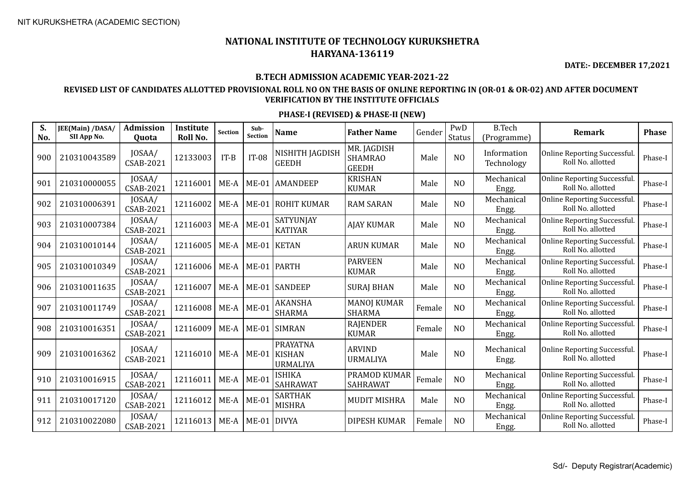**DATE:- DECEMBER 17,2021**

### **B.TECH ADMISSION ACADEMIC YEAR-2021-22**

### **REVISED LIST OF CANDIDATES ALLOTTED PROVISIONAL ROLL NO ON THE BASIS OF ONLINE REPORTING IN (OR-01 & OR-02) AND AFTER DOCUMENT VERIFICATION BY THE INSTITUTE OFFICIALS**

| S.<br>No. | JEE(Main) /DASA/<br>SII App No. | <b>Admission</b><br>Quota  | Institute<br>Roll No. | <b>Section</b> | Sub-<br>Section | <b>Name</b>                                  | <b>Father Name</b>                            | Gender | PwD<br>Status  | <b>B.Tech</b><br>(Programme) | <b>Remark</b>                                     | Phase   |
|-----------|---------------------------------|----------------------------|-----------------------|----------------|-----------------|----------------------------------------------|-----------------------------------------------|--------|----------------|------------------------------|---------------------------------------------------|---------|
| 900       | 210310043589                    | JOSAA/<br><b>CSAB-2021</b> | 12133003              | $IT-B$         | <b>IT-08</b>    | NISHITH JAGDISH<br><b>GEEDH</b>              | MR. JAGDISH<br><b>SHAMRAO</b><br><b>GEEDH</b> | Male   | N <sub>O</sub> | Information<br>Technology    | Online Reporting Successful.<br>Roll No. allotted | Phase-I |
| 901       | 210310000055                    | JOSAA/<br><b>CSAB-2021</b> | 12116001              | ME-A           | $ME-01$         | <b>AMANDEEP</b>                              | <b>KRISHAN</b><br><b>KUMAR</b>                | Male   | N <sub>O</sub> | Mechanical<br>Engg.          | Online Reporting Successful.<br>Roll No. allotted | Phase-I |
| 902       | 210310006391                    | JOSAA/<br><b>CSAB-2021</b> | 12116002              | ME-A           | $ME-01$         | ROHIT KUMAR                                  | <b>RAM SARAN</b>                              | Male   | N <sub>O</sub> | Mechanical<br>Engg.          | Online Reporting Successful.<br>Roll No. allotted | Phase-I |
| 903       | 210310007384                    | JOSAA/<br><b>CSAB-2021</b> | 12116003              | ME-A           | $ME-01$         | SATYUNJAY<br><b>KATIYAR</b>                  | <b>AJAY KUMAR</b>                             | Male   | N <sub>O</sub> | Mechanical<br>Engg.          | Online Reporting Successful.<br>Roll No. allotted | Phase-I |
| 904       | 210310010144                    | JOSAA/<br><b>CSAB-2021</b> | 12116005              | $ME-A$         | $ME-01$         | KETAN                                        | <b>ARUN KUMAR</b>                             | Male   | N <sub>O</sub> | Mechanical<br>Engg.          | Online Reporting Successful.<br>Roll No. allotted | Phase-I |
| 905       | 210310010349                    | JOSAA/<br>CSAB-2021        | 12116006              | $ME-A$         | $ME-01$         | <b>PARTH</b>                                 | <b>PARVEEN</b><br><b>KUMAR</b>                | Male   | N <sub>O</sub> | Mechanical<br>Engg.          | Online Reporting Successful.<br>Roll No. allotted | Phase-I |
| 906       | 210310011635                    | JOSAA/<br>CSAB-2021        | 12116007              | ME-A           | $ME-01$         | <b>SANDEEP</b>                               | <b>SURAJ BHAN</b>                             | Male   | N <sub>O</sub> | Mechanical<br>Engg.          | Online Reporting Successful.<br>Roll No. allotted | Phase-I |
| 907       | 210310011749                    | JOSAA/<br>CSAB-2021        | 12116008              | $ME-A$         | $ME-01$         | <b>AKANSHA</b><br>SHARMA                     | <b>MANOJ KUMAR</b><br><b>SHARMA</b>           | Female | N <sub>O</sub> | Mechanical<br>Engg.          | Online Reporting Successful.<br>Roll No. allotted | Phase-I |
| 908       | 210310016351                    | JOSAA/<br>CSAB-2021        | 12116009              | $ME-A$         | <b>ME-01</b>    | SIMRAN                                       | <b>RAJENDER</b><br><b>KUMAR</b>               | Female | N <sub>O</sub> | Mechanical<br>Engg.          | Online Reporting Successful.<br>Roll No. allotted | Phase-I |
| 909       | 210310016362                    | JOSAA/<br><b>CSAB-2021</b> | 12116010              | ME-A           | $ME-01$         | <b>PRAYATNA</b><br><b>KISHAN</b><br>URMALIYA | <b>ARVIND</b><br><b>URMALIYA</b>              | Male   | N <sub>O</sub> | Mechanical<br>Engg.          | Online Reporting Successful.<br>Roll No. allotted | Phase-I |
| 910       | 210310016915                    | JOSAA/<br><b>CSAB-2021</b> | 12116011              | ME-A           | <b>ME-01</b>    | ISHIKA<br><b>SAHRAWAT</b>                    | PRAMOD KUMAR<br><b>SAHRAWAT</b>               | Female | N <sub>O</sub> | Mechanical<br>Engg.          | Online Reporting Successful.<br>Roll No. allotted | Phase-I |
| 911       | 210310017120                    | JOSAA/<br><b>CSAB-2021</b> | 12116012              | $ME-A$         | $ME-01$         | <b>SARTHAK</b><br><b>MISHRA</b>              | <b>MUDIT MISHRA</b>                           | Male   | N <sub>O</sub> | Mechanical<br>Engg.          | Online Reporting Successful.<br>Roll No. allotted | Phase-I |
| 912       | 210310022080                    | JOSAA/<br>CSAB-2021        | 12116013              | ME-A           | <b>ME-01</b>    | DIVYA                                        | <b>DIPESH KUMAR</b>                           | Female | N <sub>O</sub> | Mechanical<br>Engg.          | Online Reporting Successful.<br>Roll No. allotted | Phase-I |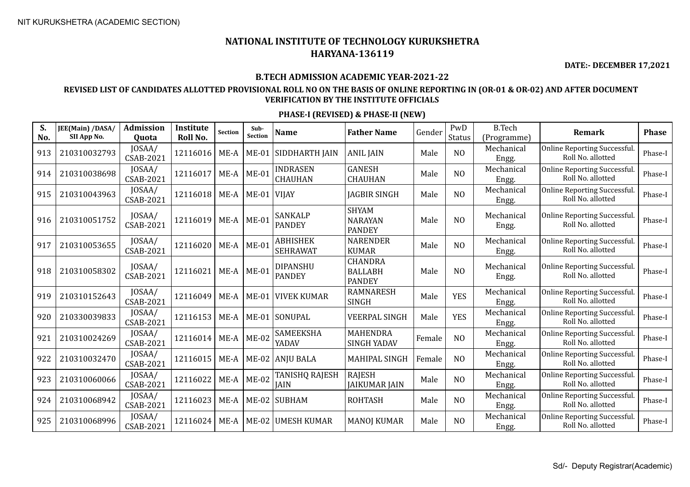**DATE:- DECEMBER 17,2021**

#### **B.TECH ADMISSION ACADEMIC YEAR-2021-22**

### **REVISED LIST OF CANDIDATES ALLOTTED PROVISIONAL ROLL NO ON THE BASIS OF ONLINE REPORTING IN (OR-01 & OR-02) AND AFTER DOCUMENT VERIFICATION BY THE INSTITUTE OFFICIALS**

| S.<br>No. | JEE(Main) /DASA/<br>SII App No. | <b>Admission</b><br><b>Ouota</b> | Institute<br>Roll No. | Section | Sub-<br>Section | Name                               | <b>Father Name</b>                                | Gender | PwD<br>Status  | <b>B.Tech</b><br>(Programme) | Remark                                            | <b>Phase</b> |
|-----------|---------------------------------|----------------------------------|-----------------------|---------|-----------------|------------------------------------|---------------------------------------------------|--------|----------------|------------------------------|---------------------------------------------------|--------------|
| 913       | 210310032793                    | JOSAA/<br><b>CSAB-2021</b>       | 12116016              | ME-A    |                 | ME-01 SIDDHARTH JAIN               | <b>ANIL JAIN</b>                                  | Male   | N <sub>O</sub> | Mechanical<br>Engg.          | Online Reporting Successful.<br>Roll No. allotted | Phase-I      |
| 914       | 210310038698                    | JOSAA/<br>CSAB-2021              | 12116017              | ME-A    | $ME-01$         | <b>INDRASEN</b><br><b>CHAUHAN</b>  | <b>GANESH</b><br><b>CHAUHAN</b>                   | Male   | NO             | Mechanical<br>Engg.          | Online Reporting Successful.<br>Roll No. allotted | Phase-I      |
| 915       | 210310043963                    | JOSAA/<br><b>CSAB-2021</b>       | 12116018              | $ME-A$  | $ME-01$ VIJAY   |                                    | <b>JAGBIR SINGH</b>                               | Male   | N <sub>O</sub> | Mechanical<br>Engg.          | Online Reporting Successful.<br>Roll No. allotted | Phase-I      |
| 916       | 210310051752                    | JOSAA/<br><b>CSAB-2021</b>       | 12116019              | $ME-A$  | $ME-01$         | <b>SANKALP</b><br><b>PANDEY</b>    | <b>SHYAM</b><br><b>NARAYAN</b><br><b>PANDEY</b>   | Male   | N <sub>O</sub> | Mechanical<br>Engg.          | Online Reporting Successful.<br>Roll No. allotted | Phase-I      |
| 917       | 210310053655                    | JOSAA/<br><b>CSAB-2021</b>       | 12116020              | $ME-A$  | $ME-01$         | <b>ABHISHEK</b><br><b>SEHRAWAT</b> | <b>NARENDER</b><br><b>KUMAR</b>                   | Male   | N <sub>O</sub> | Mechanical<br>Engg.          | Online Reporting Successful.<br>Roll No. allotted | Phase-I      |
| 918       | 210310058302                    | JOSAA/<br><b>CSAB-2021</b>       | 12116021              | $ME-A$  | $ME-01$         | <b>DIPANSHU</b><br><b>PANDEY</b>   | <b>CHANDRA</b><br><b>BALLABH</b><br><b>PANDEY</b> | Male   | N <sub>O</sub> | Mechanical<br>Engg.          | Online Reporting Successful.<br>Roll No. allotted | Phase-I      |
| 919       | 210310152643                    | JOSAA/<br><b>CSAB-2021</b>       | 12116049              | ME-A    | $ME-01$         | <b>VIVEK KUMAR</b>                 | <b>RAMNARESH</b><br>SINGH                         | Male   | <b>YES</b>     | Mechanical<br>Engg.          | Online Reporting Successful.<br>Roll No. allotted | Phase-I      |
| 920       | 210330039833                    | JOSAA/<br><b>CSAB-2021</b>       | 12116153              | $ME-A$  |                 | ME-01 SONUPAL                      | <b>VEERPAL SINGH</b>                              | Male   | <b>YES</b>     | Mechanical<br>Engg.          | Online Reporting Successful.<br>Roll No. allotted | Phase-I      |
| 921       | 210310024269                    | JOSAA/<br>CSAB-2021              | 12116014              | ME-A    | $ME-02$         | <b>SAMEEKSHA</b><br>YADAV          | MAHENDRA<br><b>SINGH YADAV</b>                    | Female | N <sub>O</sub> | Mechanical<br>Engg.          | Online Reporting Successful.<br>Roll No. allotted | Phase-I      |
| 922       | 210310032470                    | JOSAA/<br><b>CSAB-2021</b>       | 12116015              | ME-A    |                 | ME-02 ANJU BALA                    | MAHIPAL SINGH                                     | Female | N <sub>O</sub> | Mechanical<br>Engg.          | Online Reporting Successful.<br>Roll No. allotted | Phase-I      |
| 923       | 210310060066                    | JOSAA/<br><b>CSAB-2021</b>       | 12116022              | $ME-A$  | $ME-02$         | TANISHQ RAJESH<br><b>JAIN</b>      | <b>RAJESH</b><br><b>JAIKUMAR JAIN</b>             | Male   | N <sub>O</sub> | Mechanical<br>Engg.          | Online Reporting Successful.<br>Roll No. allotted | Phase-I      |
| 924       | 210310068942                    | JOSAA/<br>CSAB-2021              | 12116023              | ME-A    |                 | ME-02 SUBHAM                       | <b>ROHTASH</b>                                    | Male   | N <sub>O</sub> | Mechanical<br>Engg.          | Online Reporting Successful.<br>Roll No. allotted | Phase-I      |
| 925       | 210310068996                    | JOSAA/<br>CSAB-2021              | 12116024              | $ME-A$  | $ME-02$         | <b>UMESH KUMAR</b>                 | <b>MANOJ KUMAR</b>                                | Male   | N <sub>O</sub> | Mechanical<br>Engg.          | Online Reporting Successful.<br>Roll No. allotted | Phase-I      |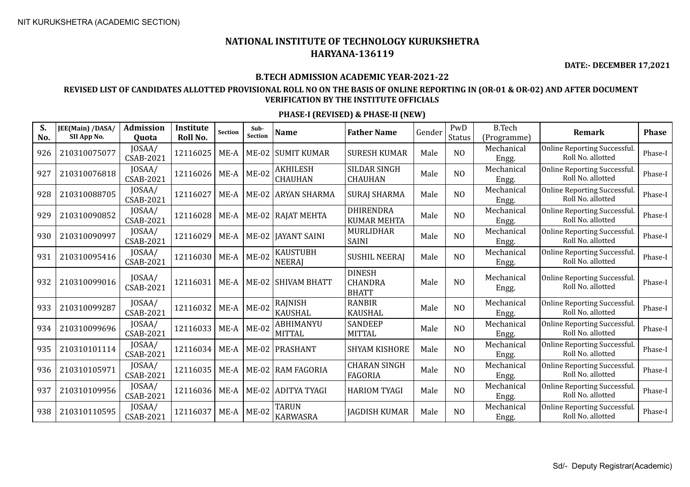**DATE:- DECEMBER 17,2021**

#### **B.TECH ADMISSION ACADEMIC YEAR-2021-22**

### **REVISED LIST OF CANDIDATES ALLOTTED PROVISIONAL ROLL NO ON THE BASIS OF ONLINE REPORTING IN (OR-01 & OR-02) AND AFTER DOCUMENT VERIFICATION BY THE INSTITUTE OFFICIALS**

| S.<br>No. | <b>JEE(Main) /DASA/</b><br>SII App No. | <b>Admission</b><br><b>Ouota</b> | <b>Institute</b><br>Roll No. | Section | Sub-<br><b>Section</b> | <b>Name</b>                      | <b>Father Name</b>                              | Gender | PwD<br><b>Status</b> | <b>B.Tech</b><br>(Programme) | Remark                                            | <b>Phase</b> |
|-----------|----------------------------------------|----------------------------------|------------------------------|---------|------------------------|----------------------------------|-------------------------------------------------|--------|----------------------|------------------------------|---------------------------------------------------|--------------|
| 926       | 210310075077                           | JOSAA/<br><b>CSAB-2021</b>       | 12116025                     | ME-A    | $ME-02$                | <b>SUMIT KUMAR</b>               | <b>SURESH KUMAR</b>                             | Male   | N <sub>O</sub>       | Mechanical<br>Engg.          | Online Reporting Successful.<br>Roll No. allotted | Phase-I      |
| 927       | 210310076818                           | JOSAA/<br><b>CSAB-2021</b>       | 12116026                     | ME-A    | $ME-02$                | <b>AKHILESH</b><br>CHAUHAN       | <b>SILDAR SINGH</b><br><b>CHAUHAN</b>           | Male   | N <sub>O</sub>       | Mechanical<br>Engg.          | Online Reporting Successful.<br>Roll No. allotted | Phase-I      |
| 928       | 210310088705                           | JOSAA/<br><b>CSAB-2021</b>       | 12116027                     | $ME-A$  |                        | ME-02 ARYAN SHARMA               | <b>SURAJ SHARMA</b>                             | Male   | N <sub>O</sub>       | Mechanical<br>Engg.          | Online Reporting Successful.<br>Roll No. allotted | Phase-I      |
| 929       | 210310090852                           | JOSAA/<br><b>CSAB-2021</b>       | 12116028                     | ME-A    |                        | ME-02 RAJAT MEHTA                | <b>DHIRENDRA</b><br><b>KUMAR MEHTA</b>          | Male   | N <sub>O</sub>       | Mechanical<br>Engg.          | Online Reporting Successful.<br>Roll No. allotted | Phase-I      |
| 930       | 210310090997                           | JOSAA/<br><b>CSAB-2021</b>       | 12116029                     | ME-A    |                        | ME-02   JAYANT SAINI             | MURLIDHAR<br><b>SAINI</b>                       | Male   | N <sub>O</sub>       | Mechanical<br>Engg.          | Online Reporting Successful.<br>Roll No. allotted | Phase-I      |
| 931       | 210310095416                           | JOSAA/<br><b>CSAB-2021</b>       | 12116030                     | ME-A    | $ME-02$                | <b>KAUSTUBH</b><br><b>NEERAJ</b> | <b>SUSHIL NEERAI</b>                            | Male   | N <sub>O</sub>       | Mechanical<br>Engg.          | Online Reporting Successful.<br>Roll No. allotted | Phase-I      |
| 932       | 210310099016                           | JOSAA/<br><b>CSAB-2021</b>       | 12116031                     | ME-A    |                        | ME-02 SHIVAM BHATT               | <b>DINESH</b><br><b>CHANDRA</b><br><b>BHATT</b> | Male   | N <sub>O</sub>       | Mechanical<br>Engg.          | Online Reporting Successful.<br>Roll No. allotted | Phase-I      |
| 933       | 210310099287                           | JOSAA/<br><b>CSAB-2021</b>       | 12116032                     | ME-A    | <b>ME-02</b>           | <b>RAJNISH</b><br><b>KAUSHAL</b> | <b>RANBIR</b><br><b>KAUSHAL</b>                 | Male   | N <sub>O</sub>       | Mechanical<br>Engg.          | Online Reporting Successful.<br>Roll No. allotted | Phase-I      |
| 934       | 210310099696                           | JOSAA/<br><b>CSAB-2021</b>       | 12116033                     | $ME-A$  | <b>ME-02</b>           | ABHIMANYU<br><b>MITTAL</b>       | <b>SANDEEP</b><br><b>MITTAL</b>                 | Male   | N <sub>O</sub>       | Mechanical<br>Engg.          | Online Reporting Successful.<br>Roll No. allotted | Phase-I      |
| 935       | 210310101114                           | JOSAA/<br><b>CSAB-2021</b>       | 12116034                     | ME-A    |                        | ME-02 PRASHANT                   | <b>SHYAM KISHORE</b>                            | Male   | N <sub>O</sub>       | Mechanical<br>Engg.          | Online Reporting Successful.<br>Roll No. allotted | Phase-I      |
| 936       | 210310105971                           | JOSAA/<br><b>CSAB-2021</b>       | 12116035                     | ME-A    |                        | ME-02 RAM FAGORIA                | <b>CHARAN SINGH</b><br><b>FAGORIA</b>           | Male   | N <sub>O</sub>       | Mechanical<br>Engg.          | Online Reporting Successful.<br>Roll No. allotted | Phase-I      |
| 937       | 210310109956                           | JOSAA/<br>CSAB-2021              | 12116036                     | ME-A    |                        | ME-02 ADITYA TYAGI               | <b>HARIOM TYAGI</b>                             | Male   | N <sub>O</sub>       | Mechanical<br>Engg.          | Online Reporting Successful.<br>Roll No. allotted | Phase-I      |
| 938       | 210310110595                           | JOSAA/<br><b>CSAB-2021</b>       | 12116037                     | $ME-A$  | <b>ME-02</b>           | <b>TARUN</b><br><b>KARWASRA</b>  | <b>JAGDISH KUMAR</b>                            | Male   | N <sub>O</sub>       | Mechanical<br>Engg.          | Online Reporting Successful.<br>Roll No. allotted | Phase-I      |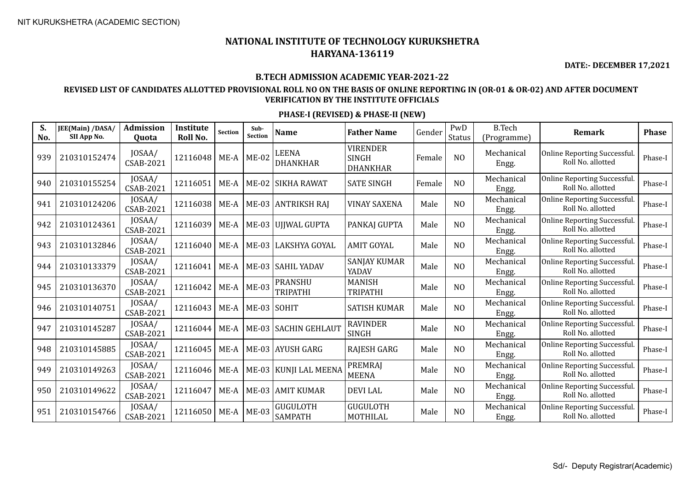**DATE:- DECEMBER 17,2021**

#### **B.TECH ADMISSION ACADEMIC YEAR-2021-22**

### **REVISED LIST OF CANDIDATES ALLOTTED PROVISIONAL ROLL NO ON THE BASIS OF ONLINE REPORTING IN (OR-01 & OR-02) AND AFTER DOCUMENT VERIFICATION BY THE INSTITUTE OFFICIALS**

| S.<br>No. | JEE(Main) /DASA/<br>SII App No. | <b>Admission</b><br>Quota  | Institute<br>Roll No. | <b>Section</b> | Sub-<br><b>Section</b> | <b>Name</b>                       | <b>Father Name</b>                                 | Gender | PwD<br><b>Status</b> | <b>B.Tech</b><br>(Programme) | Remark                                                   | <b>Phase</b> |
|-----------|---------------------------------|----------------------------|-----------------------|----------------|------------------------|-----------------------------------|----------------------------------------------------|--------|----------------------|------------------------------|----------------------------------------------------------|--------------|
| 939       | 210310152474                    | JOSAA/<br><b>CSAB-2021</b> | 12116048              | $ME-A$         | $ME-02$                | LEENA<br>DHANKHAR                 | <b>VIRENDER</b><br><b>SINGH</b><br><b>DHANKHAR</b> | Female | N <sub>O</sub>       | Mechanical<br>Engg.          | <b>Online Reporting Successful</b><br>Roll No. allotted  | Phase-I      |
| 940       | 210310155254                    | JOSAA/<br>CSAB-2021        | 12116051              | ME-A           |                        | ME-02 SIKHA RAWAT                 | <b>SATE SINGH</b>                                  | Female | N <sub>O</sub>       | Mechanical<br>Engg.          | Online Reporting Successful.<br>Roll No. allotted        | Phase-I      |
| 941       | 210310124206                    | JOSAA/<br>CSAB-2021        | 12116038              | ME-A           |                        | ME-03 ANTRIKSH RAJ                | <b>VINAY SAXENA</b>                                | Male   | N <sub>O</sub>       | Mechanical<br>Engg.          | <b>Online Reporting Successful</b><br>Roll No. allotted  | Phase-I      |
| 942       | 210310124361                    | JOSAA/<br><b>CSAB-2021</b> | 12116039              | ME-A           |                        | ME-03 UJJWAL GUPTA                | PANKAJ GUPTA                                       | Male   | N <sub>O</sub>       | Mechanical<br>Engg.          | <b>Online Reporting Successful</b><br>Roll No. allotted  | Phase-I      |
| 943       | 210310132846                    | JOSAA/<br>CSAB-2021        | 12116040              | $ME-A$         |                        | ME-03 LAKSHYA GOYAL               | <b>AMIT GOYAL</b>                                  | Male   | N <sub>O</sub>       | Mechanical<br>Engg.          | <b>Online Reporting Successful</b><br>Roll No. allotted  | Phase-I      |
| 944       | 210310133379                    | JOSAA/<br><b>CSAB-2021</b> | 12116041              | $ME-A$         |                        | ME-03 SAHIL YADAV                 | <b>SANJAY KUMAR</b><br>YADAV                       | Male   | N <sub>O</sub>       | Mechanical<br>Engg.          | <b>Online Reporting Successful</b><br>Roll No. allotted  | Phase-I      |
| 945       | 210310136370                    | JOSAA/<br>CSAB-2021        | 12116042              | $ME-A$         | $ME-03$                | <b>PRANSHU</b><br><b>TRIPATHI</b> | <b>MANISH</b><br><b>TRIPATHI</b>                   | Male   | N <sub>O</sub>       | Mechanical<br>Engg.          | <b>Online Reporting Successful</b><br>Roll No. allotted  | Phase-I      |
| 946       | 210310140751                    | JOSAA/<br>CSAB-2021        | 12116043              | ME-A           | ME-03 SOHIT            |                                   | <b>SATISH KUMAR</b>                                | Male   | NO                   | Mechanical<br>Engg.          | <b>Online Reporting Successful.</b><br>Roll No. allotted | Phase-I      |
| 947       | 210310145287                    | JOSAA/<br>CSAB-2021        | 12116044              | ME-A           |                        | ME-03 SACHIN GEHLAUT              | <b>RAVINDER</b><br><b>SINGH</b>                    | Male   | N <sub>O</sub>       | Mechanical<br>Engg.          | Online Reporting Successful.<br>Roll No. allotted        | Phase-I      |
| 948       | 210310145885                    | JOSAA/<br>CSAB-2021        | 12116045              | $ME-A$         |                        | ME-03 AYUSH GARG                  | <b>RAJESH GARG</b>                                 | Male   | N <sub>0</sub>       | Mechanical<br>Engg.          | Online Reporting Successful.<br>Roll No. allotted        | Phase-I      |
| 949       | 210310149263                    | JOSAA/<br><b>CSAB-2021</b> | 12116046              | ME-A           |                        | ME-03   KUNJI LAL MEENA           | <b>PREMRAJ</b><br><b>MEENA</b>                     | Male   | N <sub>O</sub>       | Mechanical<br>Engg.          | Online Reporting Successful.<br>Roll No. allotted        | Phase-I      |
| 950       | 210310149622                    | JOSAA/<br>CSAB-2021        | 12116047              | $ME-A$         |                        | ME-03 AMIT KUMAR                  | <b>DEVILAL</b>                                     | Male   | N <sub>O</sub>       | Mechanical<br>Engg.          | <b>Online Reporting Successful</b><br>Roll No. allotted  | Phase-I      |
| 951       | 210310154766                    | JOSAA/<br>CSAB-2021        | 12116050              | ME-A           | $ME-03$                | <b>GUGULOTH</b><br><b>SAMPATH</b> | <b>GUGULOTH</b><br>MOTHILAL                        | Male   | N <sub>O</sub>       | Mechanical<br>Engg.          | <b>Online Reporting Successful</b><br>Roll No. allotted  | Phase-I      |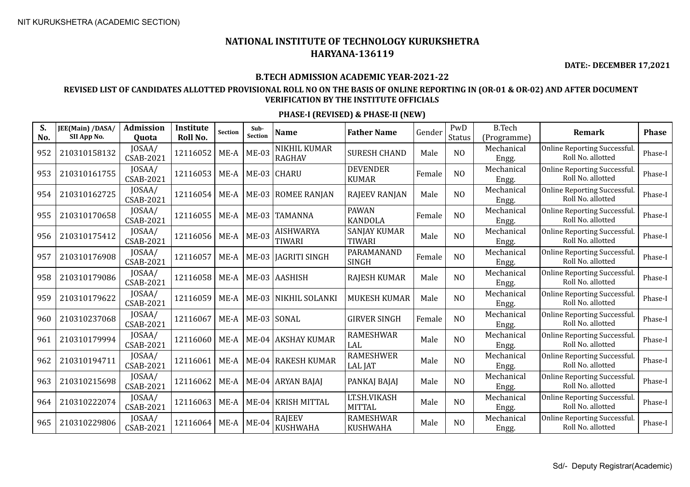**DATE:- DECEMBER 17,2021**

#### **B.TECH ADMISSION ACADEMIC YEAR-2021-22**

### **REVISED LIST OF CANDIDATES ALLOTTED PROVISIONAL ROLL NO ON THE BASIS OF ONLINE REPORTING IN (OR-01 & OR-02) AND AFTER DOCUMENT VERIFICATION BY THE INSTITUTE OFFICIALS**

| S.<br>No. | JEE(Main) /DASA/<br>SII App No. | <b>Admission</b><br>Quota  | Institute<br>Roll No. | <b>Section</b> | Sub-<br>Section | <b>Name</b>                       | <b>Father Name</b>                   | Gender | PwD<br>Status  | <b>B.Tech</b><br>(Programme) | <b>Remark</b>                                     | <b>Phase</b> |
|-----------|---------------------------------|----------------------------|-----------------------|----------------|-----------------|-----------------------------------|--------------------------------------|--------|----------------|------------------------------|---------------------------------------------------|--------------|
| 952       | 210310158132                    | JOSAA/<br><b>CSAB-2021</b> | 12116052              | ME-A           | <b>ME-03</b>    | NIKHIL KUMAR<br><b>RAGHAV</b>     | <b>SURESH CHAND</b>                  | Male   | N <sub>O</sub> | Mechanical<br>Engg.          | Online Reporting Successful.<br>Roll No. allotted | Phase-I      |
| 953       | 210310161755                    | JOSAA/<br>CSAB-2021        | 12116053              | ME-A           |                 | ME-03 CHARU                       | <b>DEVENDER</b><br><b>KUMAR</b>      | Female | N <sub>O</sub> | Mechanical<br>Engg.          | Online Reporting Successful.<br>Roll No. allotted | Phase-I      |
| 954       | 210310162725                    | JOSAA/<br><b>CSAB-2021</b> | 12116054              | ME-A           |                 | ME-03 ROMEE RANJAN                | <b>RAJEEV RANJAN</b>                 | Male   | N <sub>O</sub> | Mechanical<br>Engg.          | Online Reporting Successful.<br>Roll No. allotted | Phase-I      |
| 955       | 210310170658                    | JOSAA/<br><b>CSAB-2021</b> | 12116055              | $ME-A$         |                 | ME-03 TAMANNA                     | <b>PAWAN</b><br><b>KANDOLA</b>       | Female | N <sub>O</sub> | Mechanical<br>Engg.          | Online Reporting Successful.<br>Roll No. allotted | Phase-I      |
| 956       | 210310175412                    | JOSAA/<br><b>CSAB-2021</b> | 12116056              | ME-A           | <b>ME-03</b>    | <b>AISHWARYA</b><br><b>TIWARI</b> | <b>SANJAY KUMAR</b><br><b>TIWARI</b> | Male   | N <sub>O</sub> | Mechanical<br>Engg.          | Online Reporting Successful.<br>Roll No. allotted | Phase-I      |
| 957       | 210310176908                    | JOSAA/<br><b>CSAB-2021</b> | 12116057              | ME-A           |                 | ME-03 JAGRITI SINGH               | PARAMANAND<br><b>SINGH</b>           | Female | N <sub>O</sub> | Mechanical<br>Engg.          | Online Reporting Successful.<br>Roll No. allotted | Phase-I      |
| 958       | 210310179086                    | JOSAA/<br><b>CSAB-2021</b> | 12116058              | ME-A           |                 | ME-03 AASHISH                     | <b>RAJESH KUMAR</b>                  | Male   | N <sub>O</sub> | Mechanical<br>Engg.          | Online Reporting Successful.<br>Roll No. allotted | Phase-I      |
| 959       | 210310179622                    | JOSAA/<br><b>CSAB-2021</b> | 12116059              | ME-A           |                 | ME-03 NIKHIL SOLANKI              | <b>MUKESH KUMAR</b>                  | Male   | N <sub>O</sub> | Mechanical<br>Engg.          | Online Reporting Successful.<br>Roll No. allotted | Phase-I      |
| 960       | 210310237068                    | JOSAA/<br><b>CSAB-2021</b> | 12116067              | $ME-A$         | ME-03 SONAL     |                                   | <b>GIRVER SINGH</b>                  | Female | N <sub>O</sub> | Mechanical<br>Engg.          | Online Reporting Successful.<br>Roll No. allotted | Phase-I      |
| 961       | 210310179994                    | JOSAA/<br><b>CSAB-2021</b> | 12116060              | $ME-A$         |                 | ME-04 AKSHAY KUMAR                | <b>RAMESHWAR</b><br>LAL              | Male   | N <sub>O</sub> | Mechanical<br>Engg.          | Online Reporting Successful.<br>Roll No. allotted | Phase-I      |
| 962       | 210310194711                    | JOSAA/<br><b>CSAB-2021</b> | 12116061              | $ME-A$         |                 | ME-04 RAKESH KUMAR                | <b>RAMESHWER</b><br><b>LAL JAT</b>   | Male   | N <sub>O</sub> | Mechanical<br>Engg.          | Online Reporting Successful.<br>Roll No. allotted | Phase-I      |
| 963       | 210310215698                    | JOSAA/<br><b>CSAB-2021</b> | 12116062              | $ME-A$         |                 | ME-04 ARYAN BAJAJ                 | PANKAJ BAJAJ                         | Male   | N <sub>O</sub> | Mechanical<br>Engg.          | Online Reporting Successful.<br>Roll No. allotted | Phase-I      |
| 964       | 210310222074                    | JOSAA/<br><b>CSAB-2021</b> | 12116063              | $ME-A$         |                 | ME-04 KRISH MITTAL                | LT.SH.VIKASH<br><b>MITTAL</b>        | Male   | N <sub>O</sub> | Mechanical<br>Engg.          | Online Reporting Successful.<br>Roll No. allotted | Phase-I      |
| 965       | 210310229806                    | JOSAA/<br><b>CSAB-2021</b> | 12116064              | ME-A           | <b>ME-04</b>    | RAJEEV<br><b>KUSHWAHA</b>         | <b>RAMESHWAR</b><br><b>KUSHWAHA</b>  | Male   | N <sub>O</sub> | Mechanical<br>Engg.          | Online Reporting Successful.<br>Roll No. allotted | Phase-I      |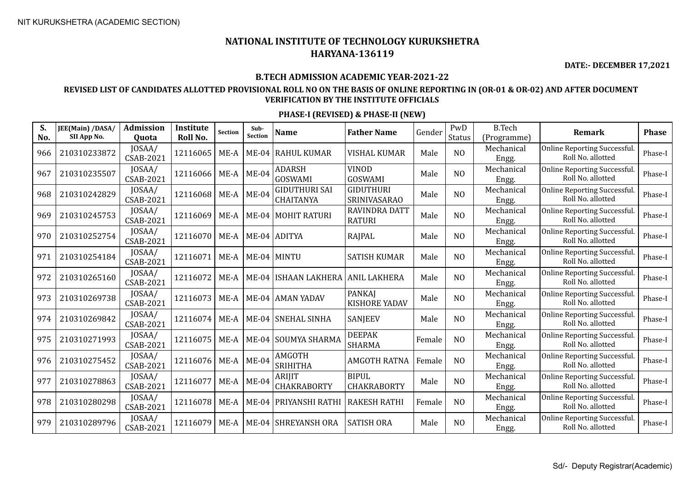**DATE:- DECEMBER 17,2021**

#### **B.TECH ADMISSION ACADEMIC YEAR-2021-22**

### **REVISED LIST OF CANDIDATES ALLOTTED PROVISIONAL ROLL NO ON THE BASIS OF ONLINE REPORTING IN (OR-01 & OR-02) AND AFTER DOCUMENT VERIFICATION BY THE INSTITUTE OFFICIALS**

| S.<br>No. | JEE(Main) /DASA/<br>SII App No. | Admission<br>Quota         | Institute<br>Roll No. | <b>Section</b> | Sub-<br>Section | <b>Name</b>                       | <b>Father Name</b>                    | Gender | PwD<br><b>Status</b> | <b>B.Tech</b><br>(Programme) | <b>Remark</b>                                     | <b>Phase</b> |
|-----------|---------------------------------|----------------------------|-----------------------|----------------|-----------------|-----------------------------------|---------------------------------------|--------|----------------------|------------------------------|---------------------------------------------------|--------------|
| 966       | 210310233872                    | JOSAA/<br><b>CSAB-2021</b> | 12116065              | ME-A           | $ME-04$         | <b>RAHUL KUMAR</b>                | <b>VISHAL KUMAR</b>                   | Male   | N <sub>O</sub>       | Mechanical<br>Engg.          | Online Reporting Successful.<br>Roll No. allotted | Phase-I      |
| 967       | 210310235507                    | JOSAA/<br><b>CSAB-2021</b> | 12116066              | $ME-A$         | $ME-04$         | <b>ADARSH</b><br><b>GOSWAMI</b>   | <b>VINOD</b><br>GOSWAMI               | Male   | N <sub>O</sub>       | Mechanical<br>Engg.          | Online Reporting Successful.<br>Roll No. allotted | Phase-I      |
| 968       | 210310242829                    | JOSAA/<br><b>CSAB-2021</b> | 12116068              | $ME-A$         | <b>ME-04</b>    | <b>GIDUTHURI SAI</b><br>CHAITANYA | <b>GIDUTHURI</b><br>SRINIVASARAO      | Male   | N <sub>O</sub>       | Mechanical<br>Engg.          | Online Reporting Successful.<br>Roll No. allotted | Phase-I      |
| 969       | 210310245753                    | JOSAA/<br><b>CSAB-2021</b> | 12116069              | ME-A           |                 | ME-04 MOHIT RATURI                | <b>RAVINDRA DATT</b><br><b>RATURI</b> | Male   | N <sub>O</sub>       | Mechanical<br>Engg.          | Online Reporting Successful.<br>Roll No. allotted | Phase-I      |
| 970       | 210310252754                    | JOSAA/<br><b>CSAB-2021</b> | 12116070              | $ME-A$         |                 | ME-04 ADITYA                      | <b>RAJPAL</b>                         | Male   | N <sub>O</sub>       | Mechanical<br>Engg.          | Online Reporting Successful.<br>Roll No. allotted | Phase-I      |
| 971       | 210310254184                    | JOSAA/<br>CSAB-2021        | 12116071              | ME-A           |                 | ME-04 MINTU                       | <b>SATISH KUMAR</b>                   | Male   | N <sub>O</sub>       | Mechanical<br>Engg.          | Online Reporting Successful.<br>Roll No. allotted | Phase-I      |
| 972       | 210310265160                    | JOSAA/<br>CSAB-2021        | 12116072              | ME-A           | $ME-04$         | ISHAAN LAKHERA   ANIL LAKHERA     |                                       | Male   | N <sub>O</sub>       | Mechanical<br>Engg.          | Online Reporting Successful.<br>Roll No. allotted | Phase-I      |
| 973       | 210310269738                    | JOSAA/<br><b>CSAB-2021</b> | 12116073              | ME-A           |                 | ME-04 AMAN YADAV                  | PANKAJ<br><b>KISHORE YADAV</b>        | Male   | N <sub>O</sub>       | Mechanical<br>Engg.          | Online Reporting Successful.<br>Roll No. allotted | Phase-I      |
| 974       | 210310269842                    | JOSAA/<br><b>CSAB-2021</b> | 12116074              | ME-A           |                 | ME-04 SNEHAL SINHA                | SANJEEV                               | Male   | N <sub>O</sub>       | Mechanical<br>Engg.          | Online Reporting Successful.<br>Roll No. allotted | Phase-I      |
| 975       | 210310271993                    | JOSAA/<br><b>CSAB-2021</b> | 12116075              | ME-A           | $ME-04$         | SOUMYA SHARMA                     | <b>DEEPAK</b><br><b>SHARMA</b>        | Female | N <sub>O</sub>       | Mechanical<br>Engg.          | Online Reporting Successful.<br>Roll No. allotted | Phase-I      |
| 976       | 210310275452                    | JOSAA/<br><b>CSAB-2021</b> | 12116076              | ME-A           | <b>ME-04</b>    | AMGOTH<br><b>SRIHITHA</b>         | <b>AMGOTH RATNA</b>                   | Female | N <sub>O</sub>       | Mechanical<br>Engg.          | Online Reporting Successful.<br>Roll No. allotted | Phase-I      |
| 977       | 210310278863                    | JOSAA/<br>CSAB-2021        | 12116077              | ME-A           | <b>ME-04</b>    | ARIJIT<br>CHAKRABORTY             | <b>BIPUL</b><br><b>CHAKRABORTY</b>    | Male   | N <sub>O</sub>       | Mechanical<br>Engg.          | Online Reporting Successful.<br>Roll No. allotted | Phase-I      |
| 978       | 210310280298                    | JOSAA/<br>CSAB-2021        | 12116078              | $ME-A$         | <b>ME-04</b>    | PRIYANSHI RATHI                   | <b>RAKESH RATHI</b>                   | Female | N <sub>O</sub>       | Mechanical<br>Engg.          | Online Reporting Successful.<br>Roll No. allotted | Phase-I      |
| 979       | 210310289796                    | JOSAA/<br>CSAB-2021        | 12116079              | ME-A           | $ME-04$         | <b>SHREYANSH ORA</b>              | <b>SATISH ORA</b>                     | Male   | N <sub>O</sub>       | Mechanical<br>Engg.          | Online Reporting Successful.<br>Roll No. allotted | Phase-I      |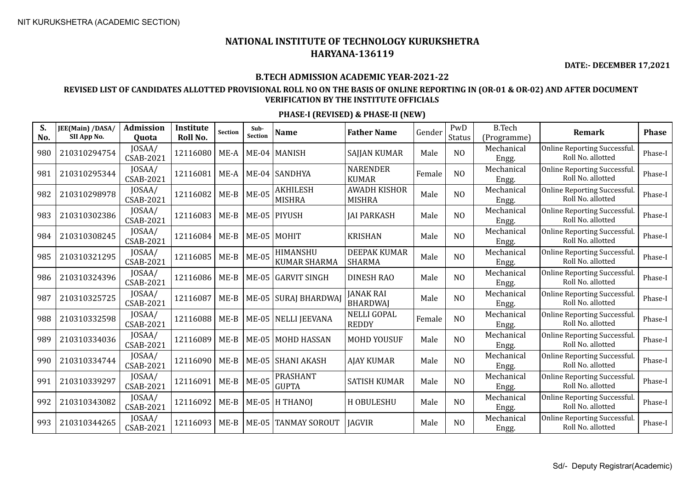**DATE:- DECEMBER 17,2021**

#### **B.TECH ADMISSION ACADEMIC YEAR-2021-22**

### **REVISED LIST OF CANDIDATES ALLOTTED PROVISIONAL ROLL NO ON THE BASIS OF ONLINE REPORTING IN (OR-01 & OR-02) AND AFTER DOCUMENT VERIFICATION BY THE INSTITUTE OFFICIALS**

| S.<br>No. | JEE(Main) /DASA/<br>SII App No. | <b>Admission</b><br>Quota  | Institute<br>Roll No. | <b>Section</b> | Sub-<br><b>Section</b> | <b>Name</b>                      | <b>Father Name</b>                   | Gender | PwD<br><b>Status</b> | <b>B.Tech</b><br>(Programme) | Remark                                            | <b>Phase</b> |
|-----------|---------------------------------|----------------------------|-----------------------|----------------|------------------------|----------------------------------|--------------------------------------|--------|----------------------|------------------------------|---------------------------------------------------|--------------|
| 980       | 210310294754                    | JOSAA/<br>CSAB-2021        | 12116080              | ME-A           |                        | ME-04   MANISH                   | <b>SAJJAN KUMAR</b>                  | Male   | N <sub>O</sub>       | Mechanical<br>Engg.          | Online Reporting Successful.<br>Roll No. allotted | Phase-I      |
| 981       | 210310295344                    | JOSAA/<br><b>CSAB-2021</b> | 12116081              | ME-A           |                        | ME-04 SANDHYA                    | <b>NARENDER</b><br><b>KUMAR</b>      | Female | N <sub>O</sub>       | Mechanical<br>Engg.          | Online Reporting Successful.<br>Roll No. allotted | Phase-I      |
| 982       | 210310298978                    | JOSAA/<br><b>CSAB-2021</b> | 12116082              | $ME-B$         | <b>ME-05</b>           | <b>AKHILESH</b><br><b>MISHRA</b> | <b>AWADH KISHOR</b><br><b>MISHRA</b> | Male   | N <sub>O</sub>       | Mechanical<br>Engg.          | Online Reporting Successful.<br>Roll No. allotted | Phase-I      |
| 983       | 210310302386                    | JOSAA/<br><b>CSAB-2021</b> | 12116083              | $ME-B$         |                        | ME-05 PIYUSH                     | <b>JAI PARKASH</b>                   | Male   | N <sub>O</sub>       | Mechanical<br>Engg.          | Online Reporting Successful.<br>Roll No. allotted | Phase-I      |
| 984       | 210310308245                    | JOSAA/<br><b>CSAB-2021</b> | 12116084              | $ME-B$         | ME-05 MOHIT            |                                  | <b>KRISHAN</b>                       | Male   | NO                   | Mechanical<br>Engg.          | Online Reporting Successful.<br>Roll No. allotted | Phase-I      |
| 985       | 210310321295                    | JOSAA/<br><b>CSAB-2021</b> | 12116085              | $ME-B$         | <b>ME-05</b>           | HIMANSHU<br><b>KUMAR SHARMA</b>  | <b>DEEPAK KUMAR</b><br><b>SHARMA</b> | Male   | N <sub>O</sub>       | Mechanical<br>Engg.          | Online Reporting Successful.<br>Roll No. allotted | Phase-I      |
| 986       | 210310324396                    | JOSAA/<br><b>CSAB-2021</b> | 12116086              | $ME-B$         | $ME-05$                | GARVIT SINGH                     | <b>DINESH RAO</b>                    | Male   | N <sub>O</sub>       | Mechanical<br>Engg.          | Online Reporting Successful.<br>Roll No. allotted | Phase-I      |
| 987       | 210310325725                    | JOSAA/<br>CSAB-2021        | 12116087              | $ME-B$         | <b>ME-05</b>           | SURAJ BHARDWAJ                   | <b>JANAK RAI</b><br><b>BHARDWAJ</b>  | Male   | N <sub>O</sub>       | Mechanical<br>Engg.          | Online Reporting Successful.<br>Roll No. allotted | Phase-I      |
| 988       | 210310332598                    | JOSAA/<br>CSAB-2021        | 12116088              | $ME-B$         |                        | ME-05 NELLI JEEVANA              | <b>NELLI GOPAL</b><br><b>REDDY</b>   | Female | N <sub>O</sub>       | Mechanical<br>Engg.          | Online Reporting Successful.<br>Roll No. allotted | Phase-I      |
| 989       | 210310334036                    | JOSAA/<br>CSAB-2021        | 12116089              | $ME-B$         |                        | ME-05 MOHD HASSAN                | <b>MOHD YOUSUF</b>                   | Male   | N <sub>O</sub>       | Mechanical<br>Engg.          | Online Reporting Successful.<br>Roll No. allotted | Phase-I      |
| 990       | 210310334744                    | JOSAA/<br><b>CSAB-2021</b> | 12116090              | $ME-B$         | $ME-05$                | <b>SHANI AKASH</b>               | <b>AJAY KUMAR</b>                    | Male   | N <sub>O</sub>       | Mechanical<br>Engg.          | Online Reporting Successful.<br>Roll No. allotted | Phase-I      |
| 991       | 210310339297                    | JOSAA/<br><b>CSAB-2021</b> | 12116091              | $ME-B$         | <b>ME-05</b>           | <b>PRASHANT</b><br><b>GUPTA</b>  | <b>SATISH KUMAR</b>                  | Male   | N <sub>O</sub>       | Mechanical<br>Engg.          | Online Reporting Successful.<br>Roll No. allotted | Phase-I      |
| 992       | 210310343082                    | JOSAA/<br><b>CSAB-2021</b> | 12116092              | $ME-B$         |                        | ME-05 H THANOI                   | H OBULESHU                           | Male   | N <sub>O</sub>       | Mechanical<br>Engg.          | Online Reporting Successful.<br>Roll No. allotted | Phase-I      |
| 993       | 210310344265                    | JOSAA/<br><b>CSAB-2021</b> | 12116093              | $ME-B$         | $ME-05$                | <b>TANMAY SOROUT</b>             | <b>JAGVIR</b>                        | Male   | N <sub>O</sub>       | Mechanical<br>Engg.          | Online Reporting Successful.<br>Roll No. allotted | Phase-I      |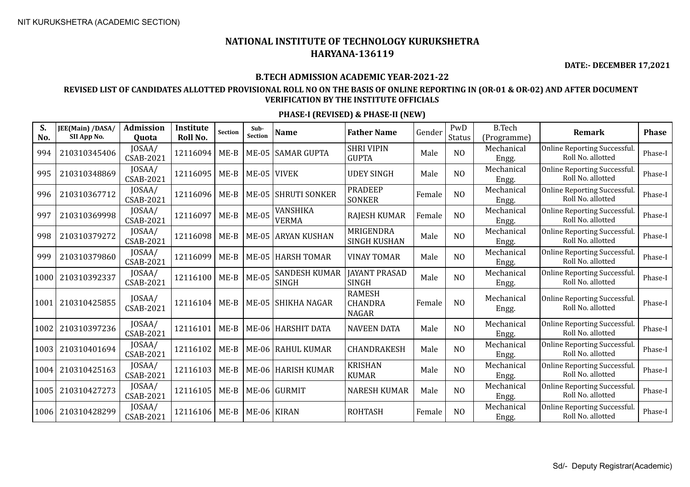**DATE:- DECEMBER 17,2021**

#### **B.TECH ADMISSION ACADEMIC YEAR-2021-22**

### **REVISED LIST OF CANDIDATES ALLOTTED PROVISIONAL ROLL NO ON THE BASIS OF ONLINE REPORTING IN (OR-01 & OR-02) AND AFTER DOCUMENT VERIFICATION BY THE INSTITUTE OFFICIALS**

| S.<br>No. | JEE(Main) /DASA/<br>SII App No. | <b>Admission</b><br>Quota  | <b>Institute</b><br>Roll No. | Section | Sub-<br><b>Section</b> | <b>Name</b>                          | <b>Father Name</b>                              | Gender | PwD<br><b>Status</b> | <b>B.Tech</b><br>(Programme) | <b>Remark</b>                                     | <b>Phase</b> |
|-----------|---------------------------------|----------------------------|------------------------------|---------|------------------------|--------------------------------------|-------------------------------------------------|--------|----------------------|------------------------------|---------------------------------------------------|--------------|
| 994       | 210310345406                    | JOSAA/<br><b>CSAB-2021</b> | 12116094                     | $ME-B$  |                        | ME-05 SAMAR GUPTA                    | <b>SHRI VIPIN</b><br><b>GUPTA</b>               | Male   | N <sub>O</sub>       | Mechanical<br>Engg.          | Online Reporting Successful.<br>Roll No. allotted | Phase-I      |
| 995       | 210310348869                    | JOSAA/<br><b>CSAB-2021</b> | 12116095                     | $ME-B$  | ME-05 VIVEK            |                                      | <b>UDEY SINGH</b>                               | Male   | N <sub>O</sub>       | Mechanical<br>Engg.          | Online Reporting Successful.<br>Roll No. allotted | Phase-I      |
| 996       | 210310367712                    | JOSAA/<br><b>CSAB-2021</b> | 12116096                     | $ME-B$  | $ME-05$                | <b>SHRUTI SONKER</b>                 | <b>PRADEEP</b><br><b>SONKER</b>                 | Female | N <sub>O</sub>       | Mechanical<br>Engg.          | Online Reporting Successful.<br>Roll No. allotted | Phase-I      |
| 997       | 210310369998                    | JOSAA/<br><b>CSAB-2021</b> | 12116097                     | $ME-B$  | <b>ME-05</b>           | VANSHIKA<br><b>VERMA</b>             | <b>RAJESH KUMAR</b>                             | Female | N <sub>O</sub>       | Mechanical<br>Engg.          | Online Reporting Successful.<br>Roll No. allotted | Phase-I      |
| 998       | 210310379272                    | JOSAA/<br><b>CSAB-2021</b> | 12116098                     | $ME-B$  |                        | ME-05 ARYAN KUSHAN                   | MRIGENDRA<br><b>SINGH KUSHAN</b>                | Male   | N <sub>O</sub>       | Mechanical<br>Engg.          | Online Reporting Successful.<br>Roll No. allotted | Phase-I      |
| 999       | 210310379860                    | JOSAA/<br><b>CSAB-2021</b> | 12116099                     | $ME-B$  |                        | ME-05 HARSH TOMAR                    | <b>VINAY TOMAR</b>                              | Male   | N <sub>O</sub>       | Mechanical<br>Engg.          | Online Reporting Successful.<br>Roll No. allotted | Phase-I      |
| 1000      | 210310392337                    | JOSAA/<br>CSAB-2021        | 12116100                     | $ME-B$  | <b>ME-05</b>           | <b>SANDESH KUMAR</b><br><b>SINGH</b> | <b>JAYANT PRASAD</b><br><b>SINGH</b>            | Male   | N <sub>O</sub>       | Mechanical<br>Engg.          | Online Reporting Successful.<br>Roll No. allotted | Phase-I      |
| 1001      | 210310425855                    | JOSAA/<br>CSAB-2021        | 12116104                     | $ME-B$  |                        | ME-05 SHIKHA NAGAR                   | <b>RAMESH</b><br><b>CHANDRA</b><br><b>NAGAR</b> | Female | N <sub>O</sub>       | Mechanical<br>Engg.          | Online Reporting Successful.<br>Roll No. allotted | Phase-I      |
| 1002      | 210310397236                    | JOSAA/<br>CSAB-2021        | 12116101                     | $ME-B$  |                        | ME-06   HARSHIT DATA                 | <b>NAVEEN DATA</b>                              | Male   | N <sub>O</sub>       | Mechanical<br>Engg.          | Online Reporting Successful.<br>Roll No. allotted | Phase-I      |
| 1003      | 210310401694                    | JOSAA/<br>CSAB-2021        | 12116102                     | $ME-B$  |                        | ME-06 RAHUL KUMAR                    | CHANDRAKESH                                     | Male   | N <sub>O</sub>       | Mechanical<br>Engg.          | Online Reporting Successful.<br>Roll No. allotted | Phase-I      |
| 1004      | 210310425163                    | JOSAA/<br><b>CSAB-2021</b> | 12116103                     | $ME-B$  |                        | ME-06 HARISH KUMAR                   | <b>KRISHAN</b><br><b>KUMAR</b>                  | Male   | N <sub>O</sub>       | Mechanical<br>Engg.          | Online Reporting Successful.<br>Roll No. allotted | Phase-I      |
| 1005      | 210310427273                    | JOSAA/<br><b>CSAB-2021</b> | 12116105                     | $ME-B$  |                        | ME-06 GURMIT                         | <b>NARESH KUMAR</b>                             | Male   | N <sub>O</sub>       | Mechanical<br>Engg.          | Online Reporting Successful.<br>Roll No. allotted | Phase-I      |
| 1006      | 210310428299                    | JOSAA/<br><b>CSAB-2021</b> | 12116106                     | $ME-B$  | ME-06 KIRAN            |                                      | <b>ROHTASH</b>                                  | Female | N <sub>O</sub>       | Mechanical<br>Engg.          | Online Reporting Successful.<br>Roll No. allotted | Phase-I      |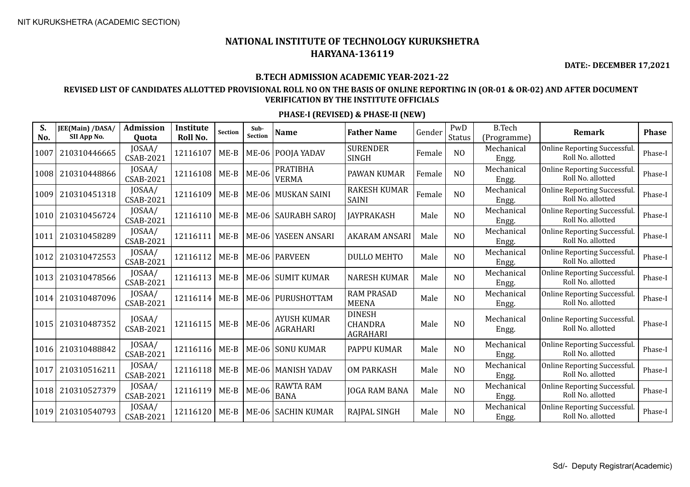**DATE:- DECEMBER 17,2021**

#### **B.TECH ADMISSION ACADEMIC YEAR-2021-22**

### **REVISED LIST OF CANDIDATES ALLOTTED PROVISIONAL ROLL NO ON THE BASIS OF ONLINE REPORTING IN (OR-01 & OR-02) AND AFTER DOCUMENT VERIFICATION BY THE INSTITUTE OFFICIALS**

| S.<br>No. | JEE(Main) /DASA/<br>SII App No. | Admission<br><b>Ouota</b>  | Institute<br>Roll No. | <b>Section</b> | Sub-<br>Section | <b>Name</b>                           | <b>Father Name</b>                                 | Gender | PwD<br><b>Status</b> | <b>B.Tech</b><br>(Programme) | Remark                                                  | <b>Phase</b> |
|-----------|---------------------------------|----------------------------|-----------------------|----------------|-----------------|---------------------------------------|----------------------------------------------------|--------|----------------------|------------------------------|---------------------------------------------------------|--------------|
| 1007      | 210310446665                    | JOSAA/<br>CSAB-2021        | 12116107              | $ME-B$         | ME-06           | POOJA YADAV                           | <b>SURENDER</b><br><b>SINGH</b>                    | Female | N <sub>O</sub>       | Mechanical<br>Engg.          | <b>Online Reporting Successful</b><br>Roll No. allotted | Phase-I      |
| 1008      | 210310448866                    | JOSAA/<br>CSAB-2021        | 12116108              | $ME-B$         | <b>ME-06</b>    | <b>PRATIBHA</b><br><b>VERMA</b>       | PAWAN KUMAR                                        | Female | N <sub>O</sub>       | Mechanical<br>Engg.          | <b>Online Reporting Successful</b><br>Roll No. allotted | Phase-I      |
| 1009      | 210310451318                    | JOSAA/<br>CSAB-2021        | 12116109              | $ME-B$         | $ME-06$         | MUSKAN SAINI                          | RAKESH KUMAR<br><b>SAINI</b>                       | Female | NO                   | Mechanical<br>Engg.          | <b>Online Reporting Successful</b><br>Roll No. allotted | Phase-I      |
| 1010      | 210310456724                    | JOSAA/<br><b>CSAB-2021</b> | 12116110              | $ME-B$         |                 | ME-06 SAURABH SAROJ                   | <b>JAYPRAKASH</b>                                  | Male   | N <sub>O</sub>       | Mechanical<br>Engg.          | Online Reporting Successful.<br>Roll No. allotted       | Phase-I      |
| 1011      | 210310458289                    | JOSAA/<br>CSAB-2021        | 12116111              | $ME-B$         | ME-06           | YASEEN ANSARI                         | <b>AKARAM ANSARI</b>                               | Male   | N <sub>0</sub>       | Mechanical<br>Engg.          | Online Reporting Successful.<br>Roll No. allotted       | Phase-I      |
| 1012      | 210310472553                    | JOSAA/<br><b>CSAB-2021</b> | 12116112              | $ME-B$         |                 | ME-06   PARVEEN                       | <b>DULLO MEHTO</b>                                 | Male   | N <sub>O</sub>       | Mechanical<br>Engg.          | <b>Online Reporting Successful</b><br>Roll No. allotted | Phase-I      |
| 1013      | 210310478566                    | JOSAA/<br>CSAB-2021        | 12116113              | $ME-B$         |                 | ME-06 SUMIT KUMAR                     | <b>NARESH KUMAR</b>                                | Male   | N <sub>O</sub>       | Mechanical<br>Engg.          | <b>Online Reporting Successful</b><br>Roll No. allotted | Phase-I      |
| 1014      | 210310487096                    | JOSAA/<br><b>CSAB-2021</b> | 12116114              | $ME-B$         |                 | ME-06 PURUSHOTTAM                     | <b>RAM PRASAD</b><br><b>MEENA</b>                  | Male   | N <sub>O</sub>       | Mechanical<br>Engg.          | <b>Online Reporting Successful</b><br>Roll No. allotted | Phase-I      |
| 1015      | 210310487352                    | JOSAA/<br><b>CSAB-2021</b> | 12116115              | $ME-B$         | <b>ME-06</b>    | <b>AYUSH KUMAR</b><br><b>AGRAHARI</b> | <b>DINESH</b><br><b>CHANDRA</b><br><b>AGRAHARI</b> | Male   | N <sub>O</sub>       | Mechanical<br>Engg.          | Online Reporting Successful.<br>Roll No. allotted       | Phase-I      |
| 1016      | 210310488842                    | JOSAA/<br>CSAB-2021        | 12116116              | $ME-B$         |                 | ME-06 SONU KUMAR                      | PAPPU KUMAR                                        | Male   | N <sub>O</sub>       | Mechanical<br>Engg.          | <b>Online Reporting Successful</b><br>Roll No. allotted | Phase-I      |
| 1017      | 210310516211                    | JOSAA/<br><b>CSAB-2021</b> | 12116118              | $ME-B$         | <b>ME-06</b>    | <b>MANISH YADAV</b>                   | <b>OM PARKASH</b>                                  | Male   | N <sub>O</sub>       | Mechanical<br>Engg.          | Online Reporting Successful.<br>Roll No. allotted       | Phase-I      |
| 1018      | 210310527379                    | JOSAA/<br><b>CSAB-2021</b> | 12116119              | $ME-B$         | <b>ME-06</b>    | <b>RAWTA RAM</b><br><b>BANA</b>       | <b>JOGA RAM BANA</b>                               | Male   | N <sub>O</sub>       | Mechanical<br>Engg.          | Online Reporting Successful.<br>Roll No. allotted       | Phase-I      |
| 1019      | 210310540793                    | JOSAA/<br>CSAB-2021        | 12116120              | $ME-B$         | <b>ME-06</b>    | <b>SACHIN KUMAR</b>                   | RAJPAL SINGH                                       | Male   | N <sub>O</sub>       | Mechanical<br>Engg.          | <b>Online Reporting Successful</b><br>Roll No. allotted | Phase-I      |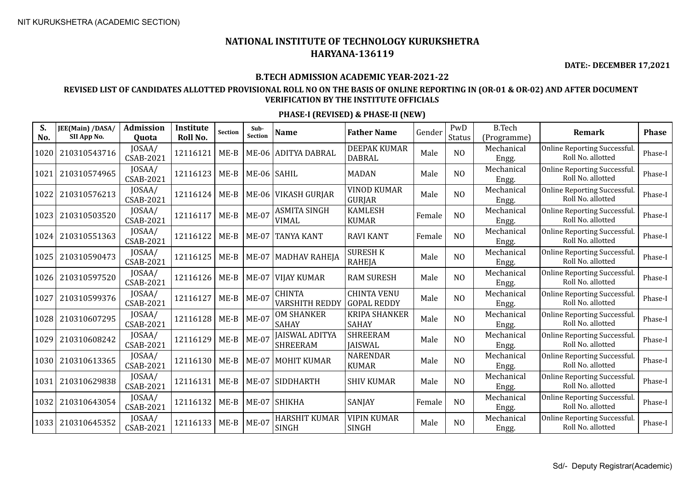**DATE:- DECEMBER 17,2021**

#### **B.TECH ADMISSION ACADEMIC YEAR-2021-22**

### **REVISED LIST OF CANDIDATES ALLOTTED PROVISIONAL ROLL NO ON THE BASIS OF ONLINE REPORTING IN (OR-01 & OR-02) AND AFTER DOCUMENT VERIFICATION BY THE INSTITUTE OFFICIALS**

| S.<br>No. | JEE(Main) /DASA/<br>SII App No. | <b>Admission</b><br>Quota  | Institute<br>Roll No. | <b>Section</b> | Sub-<br><b>Section</b> | Name                                     | <b>Father Name</b>                       | Gender | PwD<br>Status  | <b>B.Tech</b><br>(Programme) | <b>Remark</b>                                     | <b>Phase</b> |
|-----------|---------------------------------|----------------------------|-----------------------|----------------|------------------------|------------------------------------------|------------------------------------------|--------|----------------|------------------------------|---------------------------------------------------|--------------|
| 1020      | 210310543716                    | JOSAA/<br><b>CSAB-2021</b> | 12116121              | $ME-B$         |                        | ME-06 ADITYA DABRAL                      | DEEPAK KUMAR<br><b>DABRAL</b>            | Male   | N <sub>O</sub> | Mechanical<br>Engg.          | Online Reporting Successful.<br>Roll No. allotted | Phase-I      |
| 1021      | 210310574965                    | JOSAA/<br><b>CSAB-2021</b> | 12116123              | $ME-B$         | ME-06 SAHIL            |                                          | <b>MADAN</b>                             | Male   | N <sub>O</sub> | Mechanical<br>Engg.          | Online Reporting Successful.<br>Roll No. allotted | Phase-I      |
| 1022      | 210310576213                    | JOSAA/<br><b>CSAB-2021</b> | 12116124              | $ME-B$         |                        | ME-06 VIKASH GURJAR                      | <b>VINOD KUMAR</b><br><b>GURJAR</b>      | Male   | N <sub>O</sub> | Mechanical<br>Engg.          | Online Reporting Successful.<br>Roll No. allotted | Phase-I      |
| 1023      | 210310503520                    | JOSAA/<br><b>CSAB-2021</b> | 12116117              | $ME-B$         | <b>ME-07</b>           | ASMITA SINGH<br><b>VIMAL</b>             | <b>KAMLESH</b><br><b>KUMAR</b>           | Female | N <sub>O</sub> | Mechanical<br>Engg.          | Online Reporting Successful.<br>Roll No. allotted | Phase-I      |
| 1024      | 210310551363                    | JOSAA/<br><b>CSAB-2021</b> | 12116122              | $ME-B$         | <b>ME-07</b>           | <b>TANYA KANT</b>                        | <b>RAVI KANT</b>                         | Female | N <sub>O</sub> | Mechanical<br>Engg.          | Online Reporting Successful.<br>Roll No. allotted | Phase-I      |
| 1025      | 210310590473                    | JOSAA/<br><b>CSAB-2021</b> | 12116125              | $ME-B$         | <b>ME-07</b>           | MADHAV RAHEJA                            | <b>SURESH K</b><br>RAHEJA                | Male   | N <sub>O</sub> | Mechanical<br>Engg.          | Online Reporting Successful.<br>Roll No. allotted | Phase-I      |
| 1026      | 210310597520                    | JOSAA/<br><b>CSAB-2021</b> | 12116126              | $ME-B$         | <b>ME-07</b>           | VIJAY KUMAR                              | <b>RAM SURESH</b>                        | Male   | N <sub>O</sub> | Mechanical<br>Engg.          | Online Reporting Successful.<br>Roll No. allotted | Phase-I      |
| 1027      | 210310599376                    | JOSAA/<br><b>CSAB-2021</b> | 12116127              | $ME-B$         | <b>ME-07</b>           | <b>CHINTA</b><br>VARSHITH REDDY          | <b>CHINTA VENU</b><br><b>GOPAL REDDY</b> | Male   | N <sub>O</sub> | Mechanical<br>Engg.          | Online Reporting Successful.<br>Roll No. allotted | Phase-I      |
| 1028      | 210310607295                    | JOSAA/<br><b>CSAB-2021</b> | 12116128              | $ME-B$         | <b>ME-07</b>           | <b>OM SHANKER</b><br><b>SAHAY</b>        | <b>KRIPA SHANKER</b><br><b>SAHAY</b>     | Male   | N <sub>O</sub> | Mechanical<br>Engg.          | Online Reporting Successful.<br>Roll No. allotted | Phase-I      |
| 1029      | 210310608242                    | JOSAA/<br><b>CSAB-2021</b> | 12116129              | $ME-B$         | <b>ME-07</b>           | <b>JAISWAL ADITYA</b><br><b>SHREERAM</b> | <b>SHREERAM</b><br><b>JAISWAL</b>        | Male   | N <sub>O</sub> | Mechanical<br>Engg.          | Online Reporting Successful.<br>Roll No. allotted | Phase-I      |
| 1030      | 210310613365                    | JOSAA/<br><b>CSAB-2021</b> | 12116130              | $ME-B$         |                        | ME-07 MOHIT KUMAR                        | <b>NARENDAR</b><br><b>KUMAR</b>          | Male   | N <sub>O</sub> | Mechanical<br>Engg.          | Online Reporting Successful.<br>Roll No. allotted | Phase-I      |
| 1031      | 210310629838                    | JOSAA/<br><b>CSAB-2021</b> | 12116131              | $ME-B$         |                        | ME-07 SIDDHARTH                          | <b>SHIV KUMAR</b>                        | Male   | N <sub>O</sub> | Mechanical<br>Engg.          | Online Reporting Successful.<br>Roll No. allotted | Phase-I      |
| 1032      | 210310643054                    | JOSAA/<br><b>CSAB-2021</b> | 12116132              | $ME-B$         |                        | ME-07 SHIKHA                             | SANJAY                                   | Female | N <sub>O</sub> | Mechanical<br>Engg.          | Online Reporting Successful.<br>Roll No. allotted | Phase-I      |
| 1033      | 210310645352                    | JOSAA/<br><b>CSAB-2021</b> | 12116133              | $ME-B$         | <b>ME-07</b>           | HARSHIT KUMAR<br>SINGH                   | <b>VIPIN KUMAR</b><br><b>SINGH</b>       | Male   | N <sub>O</sub> | Mechanical<br>Engg.          | Online Reporting Successful.<br>Roll No. allotted | Phase-I      |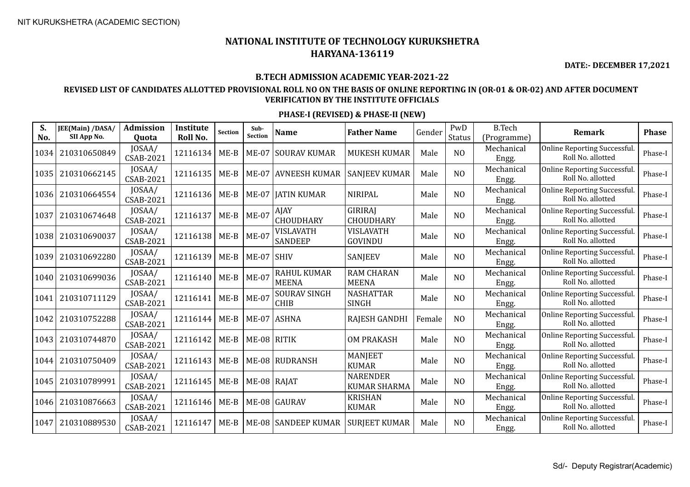**DATE:- DECEMBER 17,2021**

### **B.TECH ADMISSION ACADEMIC YEAR-2021-22**

### **REVISED LIST OF CANDIDATES ALLOTTED PROVISIONAL ROLL NO ON THE BASIS OF ONLINE REPORTING IN (OR-01 & OR-02) AND AFTER DOCUMENT VERIFICATION BY THE INSTITUTE OFFICIALS**

| S.<br>No. | JEE(Main) /DASA/<br>SII App No. | <b>Admission</b><br><b>Ouota</b> | <b>Institute</b><br>Roll No. | Section | Sub-<br>Section | <b>Name</b>                        | <b>Father Name</b>                     | Gender | PwD<br>Status  | <b>B.Tech</b><br>(Programme) | Remark                                            | <b>Phase</b> |
|-----------|---------------------------------|----------------------------------|------------------------------|---------|-----------------|------------------------------------|----------------------------------------|--------|----------------|------------------------------|---------------------------------------------------|--------------|
| 1034      | 210310650849                    | JOSAA/<br><b>CSAB-2021</b>       | 12116134                     | $ME-B$  | $ME-07$         | <b>SOURAV KUMAR</b>                | <b>MUKESH KUMAR</b>                    | Male   | N <sub>O</sub> | Mechanical<br>Engg.          | Online Reporting Successful.<br>Roll No. allotted | Phase-I      |
| 1035      | 210310662145                    | JOSAA/<br><b>CSAB-2021</b>       | 12116135                     | $ME-B$  |                 | ME-07 AVNEESH KUMAR                | <b>SANJEEV KUMAR</b>                   | Male   | N <sub>O</sub> | Mechanical<br>Engg.          | Online Reporting Successful.<br>Roll No. allotted | Phase-I      |
| 1036      | 210310664554                    | JOSAA/<br><b>CSAB-2021</b>       | 12116136                     | $ME-B$  |                 | ME-07   JATIN KUMAR                | <b>NIRIPAL</b>                         | Male   | N <sub>O</sub> | Mechanical<br>Engg.          | Online Reporting Successful.<br>Roll No. allotted | Phase-I      |
| 1037      | 210310674648                    | JOSAA/<br><b>CSAB-2021</b>       | 12116137                     | $ME-B$  | $ME-07$         | AJAY<br><b>CHOUDHARY</b>           | <b>GIRIRAI</b><br><b>CHOUDHARY</b>     | Male   | N <sub>O</sub> | Mechanical<br>Engg.          | Online Reporting Successful.<br>Roll No. allotted | Phase-I      |
| 1038      | 210310690037                    | JOSAA/<br><b>CSAB-2021</b>       | 12116138                     | $ME-B$  | <b>ME-07</b>    | VISLAVATH<br><b>SANDEEP</b>        | VISLAVATH<br>GOVINDU                   | Male   | N <sub>O</sub> | Mechanical<br>Engg.          | Online Reporting Successful.<br>Roll No. allotted | Phase-I      |
| 1039      | 210310692280                    | JOSAA/<br><b>CSAB-2021</b>       | 12116139                     | $ME-B$  | <b>ME-07</b>    | <b>SHIV</b>                        | SANJEEV                                | Male   | N <sub>O</sub> | Mechanical<br>Engg.          | Online Reporting Successful.<br>Roll No. allotted | Phase-I      |
| 1040      | 210310699036                    | JOSAA/<br><b>CSAB-2021</b>       | 12116140                     | $ME-B$  | <b>ME-07</b>    | <b>RAHUL KUMAR</b><br><b>MEENA</b> | <b>RAM CHARAN</b><br><b>MEENA</b>      | Male   | N <sub>O</sub> | Mechanical<br>Engg.          | Online Reporting Successful.<br>Roll No. allotted | Phase-I      |
| 1041      | 210310711129                    | JOSAA/<br><b>CSAB-2021</b>       | 12116141                     | $ME-B$  | <b>ME-07</b>    | <b>SOURAV SINGH</b><br><b>CHIB</b> | <b>NASHATTAR</b><br><b>SINGH</b>       | Male   | N <sub>O</sub> | Mechanical<br>Engg.          | Online Reporting Successful.<br>Roll No. allotted | Phase-I      |
| 1042      | 210310752288                    | JOSAA/<br><b>CSAB-2021</b>       | 12116144                     | $ME-B$  |                 | ME-07 ASHNA                        | <b>RAJESH GANDHI</b>                   | Female | N <sub>O</sub> | Mechanical<br>Engg.          | Online Reporting Successful.<br>Roll No. allotted | Phase-I      |
| 1043      | 210310744870                    | JOSAA/<br><b>CSAB-2021</b>       | 12116142                     | $ME-B$  | ME-08 RITIK     |                                    | <b>OM PRAKASH</b>                      | Male   | N <sub>O</sub> | Mechanical<br>Engg.          | Online Reporting Successful.<br>Roll No. allotted | Phase-I      |
| 1044      | 210310750409                    | JOSAA/<br><b>CSAB-2021</b>       | 12116143                     | $ME-B$  |                 | ME-08 RUDRANSH                     | <b>MANJEET</b><br><b>KUMAR</b>         | Male   | N <sub>O</sub> | Mechanical<br>Engg.          | Online Reporting Successful.<br>Roll No. allotted | Phase-I      |
| 1045      | 210310789991                    | JOSAA/<br><b>CSAB-2021</b>       | 12116145                     | $ME-B$  | $ME-08$ RAJAT   |                                    | <b>NARENDER</b><br><b>KUMAR SHARMA</b> | Male   | N <sub>O</sub> | Mechanical<br>Engg.          | Online Reporting Successful.<br>Roll No. allotted | Phase-I      |
| 1046      | 210310876663                    | JOSAA/<br><b>CSAB-2021</b>       | 12116146                     | $ME-B$  |                 | ME-08 GAURAV                       | <b>KRISHAN</b><br><b>KUMAR</b>         | Male   | N <sub>O</sub> | Mechanical<br>Engg.          | Online Reporting Successful.<br>Roll No. allotted | Phase-I      |
| 1047      | 210310889530                    | JOSAA/<br>CSAB-2021              | 12116147                     | $ME-B$  |                 | ME-08 SANDEEP KUMAR                | <b>SURJEET KUMAR</b>                   | Male   | N <sub>O</sub> | Mechanical<br>Engg.          | Online Reporting Successful.<br>Roll No. allotted | Phase-I      |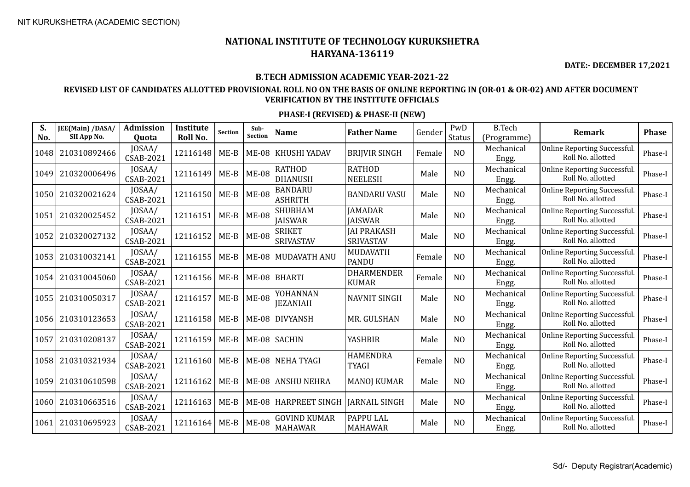**DATE:- DECEMBER 17,2021**

#### **B.TECH ADMISSION ACADEMIC YEAR-2021-22**

### **REVISED LIST OF CANDIDATES ALLOTTED PROVISIONAL ROLL NO ON THE BASIS OF ONLINE REPORTING IN (OR-01 & OR-02) AND AFTER DOCUMENT VERIFICATION BY THE INSTITUTE OFFICIALS**

| S.<br>No. | JEE(Main) /DASA/<br>SII App No. | <b>Admission</b><br>Quota  | Institute<br>Roll No. | <b>Section</b> | Sub-<br><b>Section</b> | <b>Name</b>                           | <b>Father Name</b>                 | Gender | PwD<br>Status  | <b>B.Tech</b><br>(Programme) | <b>Remark</b>                                     | <b>Phase</b> |
|-----------|---------------------------------|----------------------------|-----------------------|----------------|------------------------|---------------------------------------|------------------------------------|--------|----------------|------------------------------|---------------------------------------------------|--------------|
| 1048      | 210310892466                    | JOSAA/<br><b>CSAB-2021</b> | 12116148              | $ME-B$         | ME-08                  | KHUSHI YADAV                          | <b>BRIJVIR SINGH</b>               | Female | N <sub>O</sub> | Mechanical<br>Engg.          | Online Reporting Successful.<br>Roll No. allotted | Phase-I      |
| 1049      | 210320006496                    | JOSAA/<br><b>CSAB-2021</b> | 12116149              | $ME-B$         | <b>ME-08</b>           | <b>RATHOD</b><br><b>DHANUSH</b>       | <b>RATHOD</b><br><b>NEELESH</b>    | Male   | N <sub>O</sub> | Mechanical<br>Engg.          | Online Reporting Successful.<br>Roll No. allotted | Phase-I      |
| 1050      | 210320021624                    | JOSAA/<br><b>CSAB-2021</b> | 12116150              | $ME-B$         | <b>ME-08</b>           | <b>BANDARU</b><br><b>ASHRITH</b>      | <b>BANDARU VASU</b>                | Male   | N <sub>O</sub> | Mechanical<br>Engg.          | Online Reporting Successful.<br>Roll No. allotted | Phase-I      |
| 1051      | 210320025452                    | JOSAA/<br><b>CSAB-2021</b> | 12116151              | $ME-B$         | <b>ME-08</b>           | <b>SHUBHAM</b><br><b>JAISWAR</b>      | <b>JAMADAR</b><br><b>JAISWAR</b>   | Male   | N <sub>O</sub> | Mechanical<br>Engg.          | Online Reporting Successful.<br>Roll No. allotted | Phase-I      |
| 1052      | 210320027132                    | JOSAA/<br><b>CSAB-2021</b> | 12116152              | $ME-B$         | <b>ME-08</b>           | <b>SRIKET</b><br><b>SRIVASTAV</b>     | <b>JAI PRAKASH</b><br>SRIVASTAV    | Male   | N <sub>O</sub> | Mechanical<br>Engg.          | Online Reporting Successful.<br>Roll No. allotted | Phase-I      |
| 1053      | 210310032141                    | JOSAA/<br><b>CSAB-2021</b> | 12116155              | $ME-B$         |                        | ME-08 MUDAVATH ANU                    | MUDAVATH<br><b>PANDU</b>           | Female | N <sub>O</sub> | Mechanical<br>Engg.          | Online Reporting Successful.<br>Roll No. allotted | Phase-I      |
| 1054      | 210310045060                    | JOSAA/<br><b>CSAB-2021</b> | 12116156              | $ME-B$         |                        | ME-08 BHARTI                          | <b>DHARMENDER</b><br><b>KUMAR</b>  | Female | N <sub>O</sub> | Mechanical<br>Engg.          | Online Reporting Successful.<br>Roll No. allotted | Phase-I      |
| 1055      | 210310050317                    | JOSAA/<br><b>CSAB-2021</b> | 12116157              | $ME-B$         | <b>ME-08</b>           | YOHANNAN<br><b>JEZANIAH</b>           | <b>NAVNIT SINGH</b>                | Male   | N <sub>O</sub> | Mechanical<br>Engg.          | Online Reporting Successful.<br>Roll No. allotted | Phase-I      |
| 1056      | 210310123653                    | JOSAA/<br><b>CSAB-2021</b> | 12116158              | $ME-B$         |                        | ME-08 DIVYANSH                        | MR. GULSHAN                        | Male   | N <sub>O</sub> | Mechanical<br>Engg.          | Online Reporting Successful.<br>Roll No. allotted | Phase-I      |
| 1057      | 210310208137                    | JOSAA/<br><b>CSAB-2021</b> | 12116159              | $ME-B$         |                        | ME-08 SACHIN                          | <b>YASHBIR</b>                     | Male   | N <sub>O</sub> | Mechanical<br>Engg.          | Online Reporting Successful.<br>Roll No. allotted | Phase-I      |
| 1058      | 210310321934                    | JOSAA/<br><b>CSAB-2021</b> | 12116160              | $ME-B$         |                        | ME-08 NEHA TYAGI                      | <b>HAMENDRA</b><br><b>TYAGI</b>    | Female | N <sub>O</sub> | Mechanical<br>Engg.          | Online Reporting Successful.<br>Roll No. allotted | Phase-I      |
| 1059      | 210310610598                    | JOSAA/<br><b>CSAB-2021</b> | 12116162              | $ME-B$         |                        | ME-08 ANSHU NEHRA                     | <b>MANOJ KUMAR</b>                 | Male   | N <sub>O</sub> | Mechanical<br>Engg.          | Online Reporting Successful.<br>Roll No. allotted | Phase-I      |
| 1060      | 210310663516                    | JOSAA/<br><b>CSAB-2021</b> | 12116163              | $ME-B$         |                        | ME-08 HARPREET SINGH                  | <b>JARNAIL SINGH</b>               | Male   | N <sub>O</sub> | Mechanical<br>Engg.          | Online Reporting Successful.<br>Roll No. allotted | Phase-I      |
| 1061      | 210310695923                    | JOSAA/<br>CSAB-2021        | 12116164              | $ME-B$         | <b>ME-08</b>           | <b>GOVIND KUMAR</b><br><b>MAHAWAR</b> | <b>PAPPU LAL</b><br><b>MAHAWAR</b> | Male   | N <sub>O</sub> | Mechanical<br>Engg.          | Online Reporting Successful.<br>Roll No. allotted | Phase-I      |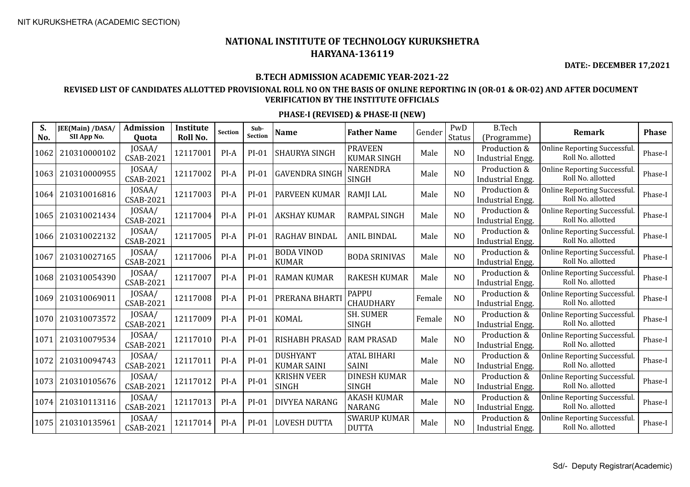**DATE:- DECEMBER 17,2021**

### **B.TECH ADMISSION ACADEMIC YEAR-2021-22**

### **REVISED LIST OF CANDIDATES ALLOTTED PROVISIONAL ROLL NO ON THE BASIS OF ONLINE REPORTING IN (OR-01 & OR-02) AND AFTER DOCUMENT VERIFICATION BY THE INSTITUTE OFFICIALS**

| S.<br>No. | JEE(Main) /DASA/<br>SII App No. | Admission<br>Quota         | Institute<br>Roll No. | Section | Sub-<br><b>Section</b> | <b>Name</b>                           | <b>Father Name</b>                   | Gender | PwD<br>Status  | <b>B.Tech</b><br>(Programme)            | Remark                                                   | <b>Phase</b> |
|-----------|---------------------------------|----------------------------|-----------------------|---------|------------------------|---------------------------------------|--------------------------------------|--------|----------------|-----------------------------------------|----------------------------------------------------------|--------------|
| 1062      | 210310000102                    | JOSAA/<br><b>CSAB-2021</b> | 12117001              | $PI-A$  | $PI-01$                | <b>SHAURYA SINGH</b>                  | <b>PRAVEEN</b><br><b>KUMAR SINGH</b> | Male   | N <sub>O</sub> | Production &<br><b>Industrial Engg.</b> | Online Reporting Successful.<br>Roll No. allotted        | Phase-I      |
| 1063      | 210310000955                    | JOSAA/<br><b>CSAB-2021</b> | 12117002              | $PI-A$  | $PI-01$                | <b>GAVENDRA SINGH</b>                 | <b>NARENDRA</b><br><b>SINGH</b>      | Male   | N <sub>O</sub> | Production &<br><b>Industrial Engg.</b> | <b>Online Reporting Successful.</b><br>Roll No. allotted | Phase-I      |
| 1064      | 210310016816                    | JOSAA/<br><b>CSAB-2021</b> | 12117003              | $PI-A$  | PI-01                  | PARVEEN KUMAR                         | RAMJI LAL                            | Male   | N <sub>O</sub> | Production &<br><b>Industrial Engg.</b> | Online Reporting Successful.<br>Roll No. allotted        | Phase-I      |
| 1065      | 210310021434                    | JOSAA/<br><b>CSAB-2021</b> | 12117004              | $PI-A$  | $PI-01$                | <b>AKSHAY KUMAR</b>                   | <b>RAMPAL SINGH</b>                  | Male   | N <sub>O</sub> | Production &<br>Industrial Engg.        | <b>Online Reporting Successful.</b><br>Roll No. allotted | Phase-I      |
| 1066      | 210310022132                    | JOSAA/<br><b>CSAB-2021</b> | 12117005              | PI-A    | $PI-01$                | <b>RAGHAV BINDAL</b>                  | <b>ANIL BINDAL</b>                   | Male   | N <sub>O</sub> | Production &<br>Industrial Engg.        | Online Reporting Successful.<br>Roll No. allotted        | Phase-I      |
| 1067      | 210310027165                    | JOSAA/<br><b>CSAB-2021</b> | 12117006              | PI-A    | $PI-01$                | <b>BODA VINOD</b><br><b>KUMAR</b>     | <b>BODA SRINIVAS</b>                 | Male   | N <sub>O</sub> | Production &<br>Industrial Engg.        | Online Reporting Successful.<br>Roll No. allotted        | Phase-I      |
| 1068      | 210310054390                    | JOSAA/<br><b>CSAB-2021</b> | 12117007              | PI-A    | $PI-01$                | <b>RAMAN KUMAR</b>                    | <b>RAKESH KUMAR</b>                  | Male   | NO             | Production &<br>Industrial Engg.        | Online Reporting Successful.<br>Roll No. allotted        | Phase-I      |
| 1069      | 210310069011                    | JOSAA/<br><b>CSAB-2021</b> | 12117008              | PI-A    | $PI-01$                | PRERANA BHART                         | <b>PAPPU</b><br>CHAUDHARY            | Female | N <sub>O</sub> | Production &<br>Industrial Engg.        | Online Reporting Successful.<br>Roll No. allotted        | Phase-I      |
| 1070      | 210310073572                    | JOSAA/<br><b>CSAB-2021</b> | 12117009              | $PI-A$  | $PI-01$                | <b>KOMAL</b>                          | <b>SH. SUMER</b><br><b>SINGH</b>     | Female | NO             | Production &<br><b>Industrial Engg.</b> | Online Reporting Successful.<br>Roll No. allotted        | Phase-I      |
| 1071      | 210310079534                    | JOSAA/<br><b>CSAB-2021</b> | 12117010              | $PI-A$  | PI-01                  | <b>RISHABH PRASAD</b>                 | <b>RAM PRASAD</b>                    | Male   | N <sub>O</sub> | Production &<br>Industrial Engg.        | Online Reporting Successful.<br>Roll No. allotted        | Phase-I      |
| 1072      | 210310094743                    | JOSAA/<br><b>CSAB-2021</b> | 12117011              | PI-A    | $PI-01$                | <b>DUSHYANT</b><br><b>KUMAR SAINI</b> | <b>ATAL BIHARI</b><br><b>SAINI</b>   | Male   | NO             | Production &<br>Industrial Engg.        | Online Reporting Successful.<br>Roll No. allotted        | Phase-I      |
| 1073      | 210310105676                    | JOSAA/<br><b>CSAB-2021</b> | 12117012              | $PI-A$  | $PI-01$                | <b>KRISHN VEER</b><br>SINGH           | <b>DINESH KUMAR</b><br><b>SINGH</b>  | Male   | N <sub>O</sub> | Production &<br>Industrial Engg.        | Online Reporting Successful.<br>Roll No. allotted        | Phase-I      |
| 1074      | 210310113116                    | JOSAA/<br><b>CSAB-2021</b> | 12117013              | $PI-A$  | PI-01                  | DIVYEA NARANG                         | <b>AKASH KUMAR</b><br><b>NARANG</b>  | Male   | N <sub>O</sub> | Production &<br>Industrial Engg.        | Online Reporting Successful.<br>Roll No. allotted        | Phase-I      |
| 1075      | 210310135961                    | JOSAA/<br>CSAB-2021        | 12117014              | PI-A    | PI-01                  | <b>LOVESH DUTTA</b>                   | <b>SWARUP KUMAR</b><br><b>DUTTA</b>  | Male   | N <sub>O</sub> | Production &<br>Industrial Engg.        | Online Reporting Successful.<br>Roll No. allotted        | Phase-I      |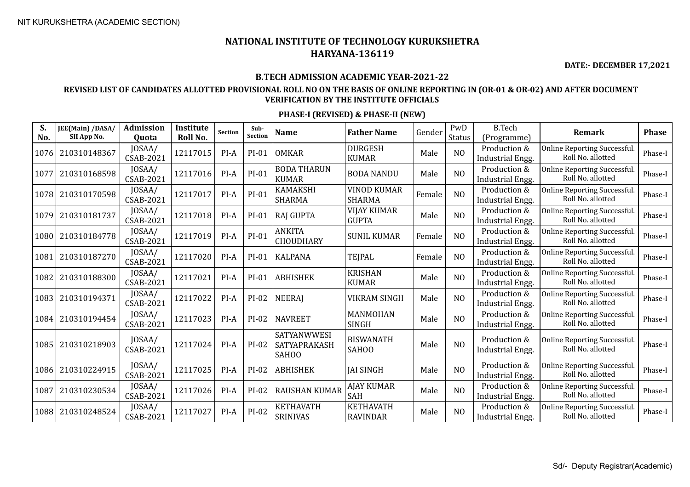**DATE:- DECEMBER 17,2021**

#### **B.TECH ADMISSION ACADEMIC YEAR-2021-22**

### **REVISED LIST OF CANDIDATES ALLOTTED PROVISIONAL ROLL NO ON THE BASIS OF ONLINE REPORTING IN (OR-01 & OR-02) AND AFTER DOCUMENT VERIFICATION BY THE INSTITUTE OFFICIALS**

| S.<br>No. | JEE(Main) /DASA/<br>SII App No. | <b>Admission</b><br>Quota  | Institute<br>Roll No. | <b>Section</b> | Sub-<br>Section | <b>Name</b>                          | <b>Father Name</b>                  | Gender | PwD<br><b>Status</b> | <b>B.Tech</b><br>(Programme)            | Remark                                                   | <b>Phase</b> |
|-----------|---------------------------------|----------------------------|-----------------------|----------------|-----------------|--------------------------------------|-------------------------------------|--------|----------------------|-----------------------------------------|----------------------------------------------------------|--------------|
| 1076      | 210310148367                    | JOSAA/<br><b>CSAB-2021</b> | 12117015              | $PI-A$         | PI-01           | <b>OMKAR</b>                         | <b>DURGESH</b><br><b>KUMAR</b>      | Male   | N <sub>O</sub>       | Production &<br><b>Industrial Engg.</b> | <b>Online Reporting Successful</b><br>Roll No. allotted  | Phase-I      |
| 1077      | 210310168598                    | JOSAA/<br><b>CSAB-2021</b> | 12117016              | $PI-A$         | $PI-01$         | <b>BODA THARUN</b><br><b>KUMAR</b>   | <b>BODA NANDU</b>                   | Male   | NO                   | Production &<br><b>Industrial Engg.</b> | <b>Online Reporting Successful</b><br>Roll No. allotted  | Phase-I      |
| 1078      | 210310170598                    | JOSAA/<br>CSAB-2021        | 12117017              | $PI-A$         | PI-01           | <b>KAMAKSHI</b><br><b>SHARMA</b>     | <b>VINOD KUMAR</b><br><b>SHARMA</b> | Female | N <sub>O</sub>       | Production &<br><b>Industrial Engg.</b> | Online Reporting Successful.<br>Roll No. allotted        | Phase-I      |
| 1079      | 210310181737                    | JOSAA/<br><b>CSAB-2021</b> | 12117018              | $PI-A$         | PI-01           | <b>RAJ GUPTA</b>                     | <b>VIJAY KUMAR</b><br><b>GUPTA</b>  | Male   | NO                   | Production &<br>Industrial Engg.        | Online Reporting Successful.<br>Roll No. allotted        | Phase-I      |
| 1080      | 210310184778                    | JOSAA/<br>CSAB-2021        | 12117019              | PI-A           | PI-01           | <b>ANKITA</b><br><b>CHOUDHARY</b>    | <b>SUNIL KUMAR</b>                  | Female | N <sub>O</sub>       | Production &<br><b>Industrial Engg.</b> | <b>Online Reporting Successful.</b><br>Roll No. allotted | Phase-I      |
| 1081      | 210310187270                    | JOSAA/<br><b>CSAB-2021</b> | 12117020              | PI-A           | PI-01           | <b>KALPANA</b>                       | <b>TEJPAL</b>                       | Female | N <sub>O</sub>       | Production &<br>Industrial Engg.        | <b>Online Reporting Successful</b><br>Roll No. allotted  | Phase-I      |
| 1082      | 210310188300                    | JOSAA/<br><b>CSAB-2021</b> | 12117021              | $PI-A$         | PI-01           | <b>ABHISHEK</b>                      | <b>KRISHAN</b><br><b>KUMAR</b>      | Male   | N <sub>O</sub>       | Production &<br><b>Industrial Engg.</b> | <b>Online Reporting Successful</b><br>Roll No. allotted  | Phase-I      |
| 1083      | 210310194371                    | JOSAA/<br><b>CSAB-2021</b> | 12117022              | PI-A           | $PI-02$         | <b>NEERAJ</b>                        | <b>VIKRAM SINGH</b>                 | Male   | N <sub>O</sub>       | Production &<br><b>Industrial Engg.</b> | <b>Online Reporting Successful</b><br>Roll No. allotted  | Phase-I      |
| 1084      | 210310194454                    | JOSAA/<br><b>CSAB-2021</b> | 12117023              | PI-A           | PI-02           | <b>NAVREET</b>                       | MANMOHAN<br><b>SINGH</b>            | Male   | N <sub>O</sub>       | Production &<br>Industrial Engg.        | <b>Online Reporting Successful.</b><br>Roll No. allotted | Phase-I      |
| 1085      | 210310218903                    | JOSAA/<br><b>CSAB-2021</b> | 12117024              | PI-A           | $PI-02$         | SATYANWWESI<br>SATYAPRAKASH<br>SAHOO | <b>BISWANATH</b><br>SAHOO           | Male   | N <sub>O</sub>       | Production &<br><b>Industrial Engg.</b> | Online Reporting Successful.<br>Roll No. allotted        | Phase-I      |
| 1086      | 210310224915                    | JOSAA/<br><b>CSAB-2021</b> | 12117025              | PI-A           | $PI-02$         | <b>ABHISHEK</b>                      | <b>JAI SINGH</b>                    | Male   | N <sub>O</sub>       | Production &<br>Industrial Engg.        | Online Reporting Successful.<br>Roll No. allotted        | Phase-I      |
| 1087      | 210310230534                    | JOSAA/<br>CSAB-2021        | 12117026              | $PI-A$         | PI-02           | <b>RAUSHAN KUMAR</b>                 | <b>AJAY KUMAR</b><br>SAH            | Male   | N <sub>O</sub>       | Production &<br><b>Industrial Engg.</b> | <b>Online Reporting Successful</b><br>Roll No. allotted  | Phase-I      |
| 1088      | 210310248524                    | JOSAA/<br><b>CSAB-2021</b> | 12117027              | PI-A           | $PI-02$         | <b>KETHAVATH</b><br><b>SRINIVAS</b>  | <b>KETHAVATH</b><br><b>RAVINDAR</b> | Male   | N <sub>0</sub>       | Production &<br><b>Industrial Engg.</b> | <b>Online Reporting Successful</b><br>Roll No. allotted  | Phase-I      |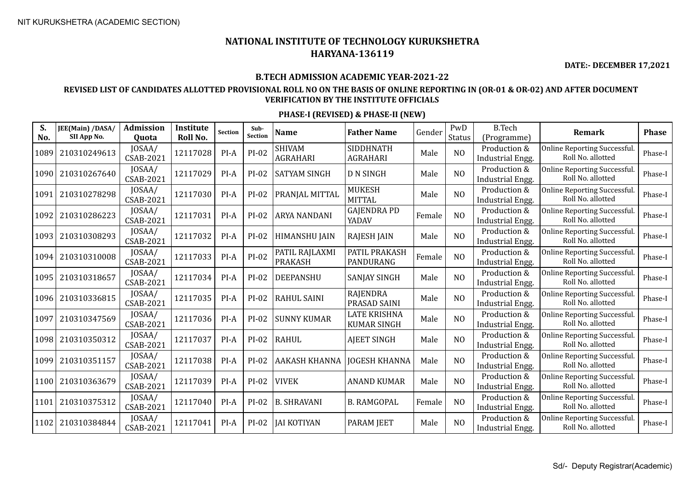**DATE:- DECEMBER 17,2021**

### **B.TECH ADMISSION ACADEMIC YEAR-2021-22**

### **REVISED LIST OF CANDIDATES ALLOTTED PROVISIONAL ROLL NO ON THE BASIS OF ONLINE REPORTING IN (OR-01 & OR-02) AND AFTER DOCUMENT VERIFICATION BY THE INSTITUTE OFFICIALS**

| S.<br>No. | JEE(Main) /DASA/<br>SII App No. | <b>Admission</b><br>Quota  | Institute<br>Roll No. | <b>Section</b> | Sub-<br>Section | Name                             | <b>Father Name</b>                 | Gender | PwD<br><b>Status</b> | <b>B.Tech</b><br>(Programme)            | <b>Remark</b>                                            | <b>Phase</b> |
|-----------|---------------------------------|----------------------------|-----------------------|----------------|-----------------|----------------------------------|------------------------------------|--------|----------------------|-----------------------------------------|----------------------------------------------------------|--------------|
| 1089      | 210310249613                    | JOSAA/<br><b>CSAB-2021</b> | 12117028              | $PI-A$         | $PI-02$         | <b>SHIVAM</b><br><b>AGRAHARI</b> | SIDDHNATH<br><b>AGRAHARI</b>       | Male   | N <sub>O</sub>       | Production &<br>Industrial Engg.        | Online Reporting Successful.<br>Roll No. allotted        | Phase-I      |
| 1090      | 210310267640                    | JOSAA/<br><b>CSAB-2021</b> | 12117029              | $PI-A$         | $PI-02$         | <b>SATYAM SINGH</b>              | <b>D N SINGH</b>                   | Male   | N <sub>O</sub>       | Production &<br>Industrial Engg.        | Online Reporting Successful.<br>Roll No. allotted        | Phase-I      |
| 1091      | 210310278298                    | JOSAA/<br><b>CSAB-2021</b> | 12117030              | PI-A           | PI-02           | PRANJAL MITTAL                   | <b>MUKESH</b><br><b>MITTAL</b>     | Male   | N <sub>O</sub>       | Production &<br>Industrial Engg.        | Online Reporting Successful.<br>Roll No. allotted        | Phase-I      |
| 1092      | 210310286223                    | JOSAA/<br><b>CSAB-2021</b> | 12117031              | $PI-A$         | $PI-02$         | <b>ARYA NANDANI</b>              | GAJENDRA PD<br>YADAV               | Female | NO                   | Production &<br><b>Industrial Engg.</b> | <b>Online Reporting Successful.</b><br>Roll No. allotted | Phase-I      |
| 1093      | 210310308293                    | JOSAA/<br><b>CSAB-2021</b> | 12117032              | PI-A           | $PI-02$         | HIMANSHU JAIN                    | <b>RAJESH JAIN</b>                 | Male   | NO                   | Production &<br><b>Industrial Engg.</b> | Online Reporting Successful.<br>Roll No. allotted        | Phase-I      |
| 1094      | 210310310008                    | JOSAA/<br><b>CSAB-2021</b> | 12117033              | PI-A           | $PI-02$         | PATIL RAJLAXMI<br><b>PRAKASH</b> | PATIL PRAKASH<br>PANDURANG         | Female | N <sub>O</sub>       | Production &<br>Industrial Engg.        | Online Reporting Successful.<br>Roll No. allotted        | Phase-I      |
| 1095      | 210310318657                    | JOSAA/<br><b>CSAB-2021</b> | 12117034              | $PI-A$         | $PI-02$         | DEEPANSHU                        | <b>SANJAY SINGH</b>                | Male   | N <sub>O</sub>       | Production &<br><b>Industrial Engg.</b> | Online Reporting Successful.<br>Roll No. allotted        | Phase-I      |
| 1096      | 210310336815                    | JOSAA/<br><b>CSAB-2021</b> | 12117035              | $PI-A$         | $PI-02$         | <b>RAHUL SAINI</b>               | <b>RAJENDRA</b><br>PRASAD SAINI    | Male   | N <sub>O</sub>       | Production &<br>Industrial Engg.        | Online Reporting Successful.<br>Roll No. allotted        | Phase-I      |
| 1097      | 210310347569                    | JOSAA/<br><b>CSAB-2021</b> | 12117036              | $PI-A$         | PI-02           | <b>SUNNY KUMAR</b>               | LATE KRISHNA<br><b>KUMAR SINGH</b> | Male   | NO                   | Production &<br>Industrial Engg.        | Online Reporting Successful.<br>Roll No. allotted        | Phase-I      |
| 1098      | 210310350312                    | JOSAA/<br><b>CSAB-2021</b> | 12117037              | $PI-A$         | $PI-02$         | <b>RAHUL</b>                     | <b>AJEET SINGH</b>                 | Male   | N <sub>O</sub>       | Production &<br>Industrial Engg.        | Online Reporting Successful.<br>Roll No. allotted        | Phase-I      |
| 1099      | 210310351157                    | JOSAA/<br><b>CSAB-2021</b> | 12117038              | $PI-A$         | $PI-02$         | <b>AAKASH KHANNA</b>             | <b>JOGESH KHANNA</b>               | Male   | N <sub>O</sub>       | Production &<br>Industrial Engg.        | Online Reporting Successful.<br>Roll No. allotted        | Phase-I      |
| 1100      | 210310363679                    | JOSAA/<br><b>CSAB-2021</b> | 12117039              | $PI-A$         | PI-02           | <b>VIVEK</b>                     | <b>ANAND KUMAR</b>                 | Male   | N <sub>O</sub>       | Production &<br>Industrial Engg.        | Online Reporting Successful.<br>Roll No. allotted        | Phase-I      |
| 1101      | 210310375312                    | JOSAA/<br><b>CSAB-2021</b> | 12117040              | $PI-A$         | PI-02           | <b>B. SHRAVANI</b>               | <b>B. RAMGOPAL</b>                 | Female | N <sub>O</sub>       | Production &<br>Industrial Engg.        | Online Reporting Successful.<br>Roll No. allotted        | Phase-I      |
| 1102      | 210310384844                    | JOSAA/<br><b>CSAB-2021</b> | 12117041              | $PI-A$         | $PI-02$         | <b>JAI KOTIYAN</b>               | <b>PARAM JEET</b>                  | Male   | N <sub>O</sub>       | Production &<br>Industrial Engg.        | <b>Online Reporting Successful.</b><br>Roll No. allotted | Phase-I      |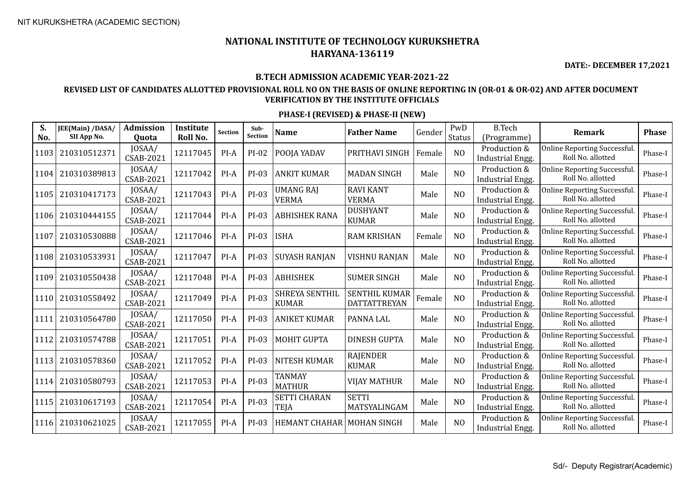**DATE:- DECEMBER 17,2021**

### **B.TECH ADMISSION ACADEMIC YEAR-2021-22**

### **REVISED LIST OF CANDIDATES ALLOTTED PROVISIONAL ROLL NO ON THE BASIS OF ONLINE REPORTING IN (OR-01 & OR-02) AND AFTER DOCUMENT VERIFICATION BY THE INSTITUTE OFFICIALS**

| S.<br>No. | JEE(Main) /DASA/<br>SII App No. | Admission<br><b>Ouota</b>  | Institute<br>Roll No. | Section | Sub-<br><b>Section</b> | <b>Name</b>                        | <b>Father Name</b>                          | Gender | PwD<br>Status  | <b>B.Tech</b><br>(Programme)            | Remark                                                   | <b>Phase</b> |
|-----------|---------------------------------|----------------------------|-----------------------|---------|------------------------|------------------------------------|---------------------------------------------|--------|----------------|-----------------------------------------|----------------------------------------------------------|--------------|
| 1103      | 210310512371                    | JOSAA/<br><b>CSAB-2021</b> | 12117045              | $PI-A$  | PI-02                  | POOJA YADAV                        | PRITHAVI SINGH                              | Female | N <sub>O</sub> | Production &<br><b>Industrial Engg.</b> | <b>Online Reporting Successful.</b><br>Roll No. allotted | Phase-I      |
| 1104      | 210310389813                    | JOSAA/<br>CSAB-2021        | 12117042              | $PI-A$  | PI-03                  | <b>ANKIT KUMAR</b>                 | <b>MADAN SINGH</b>                          | Male   | N <sub>O</sub> | Production &<br>Industrial Engg.        | Online Reporting Successful.<br>Roll No. allotted        | Phase-I      |
| 1105      | 210310417173                    | JOSAA/<br><b>CSAB-2021</b> | 12117043              | $PI-A$  | $PI-03$                | <b>UMANG RAJ</b><br><b>VERMA</b>   | <b>RAVI KANT</b><br><b>VERMA</b>            | Male   | N <sub>O</sub> | Production &<br>Industrial Engg.        | Online Reporting Successful.<br>Roll No. allotted        | Phase-I      |
| 1106      | 210310444155                    | JOSAA/<br><b>CSAB-2021</b> | 12117044              | $PI-A$  | PI-03                  | <b>ABHISHEK RANA</b>               | <b>DUSHYANT</b><br><b>KUMAR</b>             | Male   | N <sub>O</sub> | Production &<br>Industrial Engg.        | Online Reporting Successful.<br>Roll No. allotted        | Phase-I      |
| 1107      | 210310530888                    | JOSAA/<br><b>CSAB-2021</b> | 12117046              | PI-A    | $PI-03$                | <b>ISHA</b>                        | <b>RAM KRISHAN</b>                          | Female | N <sub>O</sub> | Production &<br>Industrial Engg.        | Online Reporting Successful.<br>Roll No. allotted        | Phase-I      |
| 1108      | 210310533931                    | JOSAA/<br><b>CSAB-2021</b> | 12117047              | $PI-A$  | PI-03                  | <b>SUYASH RANJAN</b>               | <b>VISHNU RANJAN</b>                        | Male   | N <sub>O</sub> | Production &<br><b>Industrial Engg.</b> | <b>Online Reporting Successful.</b><br>Roll No. allotted | Phase-I      |
| 1109      | 210310550438                    | JOSAA/<br><b>CSAB-2021</b> | 12117048              | PI-A    | PI-03                  | ABHISHEK                           | <b>SUMER SINGH</b>                          | Male   | NO             | Production &<br><b>Industrial Engg.</b> | Online Reporting Successful.<br>Roll No. allotted        | Phase-I      |
| 1110      | 210310558492                    | JOSAA/<br><b>CSAB-2021</b> | 12117049              | PI-A    | $PI-03$                | SHREYA SENTHIL<br><b>KUMAR</b>     | <b>SENTHIL KUMAR</b><br><b>DATTATTREYAN</b> | Female | NO             | Production &<br>Industrial Engg.        | Online Reporting Successful.<br>Roll No. allotted        | Phase-I      |
| 1111      | 210310564780                    | JOSAA/<br><b>CSAB-2021</b> | 12117050              | PI-A    | PI-03                  | <b>ANIKET KUMAR</b>                | PANNA LAL                                   | Male   | N <sub>O</sub> | Production &<br><b>Industrial Engg.</b> | Online Reporting Successful.<br>Roll No. allotted        | Phase-I      |
| 1112      | 210310574788                    | JOSAA/<br><b>CSAB-2021</b> | 12117051              | $PI-A$  | PI-03                  | <b>MOHIT GUPTA</b>                 | <b>DINESH GUPTA</b>                         | Male   | N <sub>O</sub> | Production &<br>Industrial Engg.        | Online Reporting Successful.<br>Roll No. allotted        | Phase-I      |
| 1113      | 210310578360                    | JOSAA/<br><b>CSAB-2021</b> | 12117052              | $PI-A$  | PI-03                  | <b>NITESH KUMAR</b>                | <b>RAJENDER</b><br><b>KUMAR</b>             | Male   | NO             | Production &<br>Industrial Engg.        | Online Reporting Successful.<br>Roll No. allotted        | Phase-I      |
| 1114      | 210310580793                    | JOSAA/<br><b>CSAB-2021</b> | 12117053              | $PI-A$  | PI-03                  | <b>TANMAY</b><br><b>MATHUR</b>     | <b>VIJAY MATHUR</b>                         | Male   | N <sub>O</sub> | Production &<br>Industrial Engg.        | Online Reporting Successful.<br>Roll No. allotted        | Phase-I      |
| 1115      | 210310617193                    | JOSAA/<br><b>CSAB-2021</b> | 12117054              | PI-A    | PI-03                  | <b>SETTI CHARAN</b><br>TEJA        | <b>SETTI</b><br>MATSYALINGAM                | Male   | NO             | Production &<br>Industrial Engg.        | Online Reporting Successful.<br>Roll No. allotted        | Phase-I      |
| 1116      | 210310621025                    | JOSAA/<br>CSAB-2021        | 12117055              | PI-A    | PI-03                  | <b>HEMANT CHAHAR   MOHAN SINGH</b> |                                             | Male   | N <sub>O</sub> | Production &<br>Industrial Engg.        | Online Reporting Successful.<br>Roll No. allotted        | Phase-I      |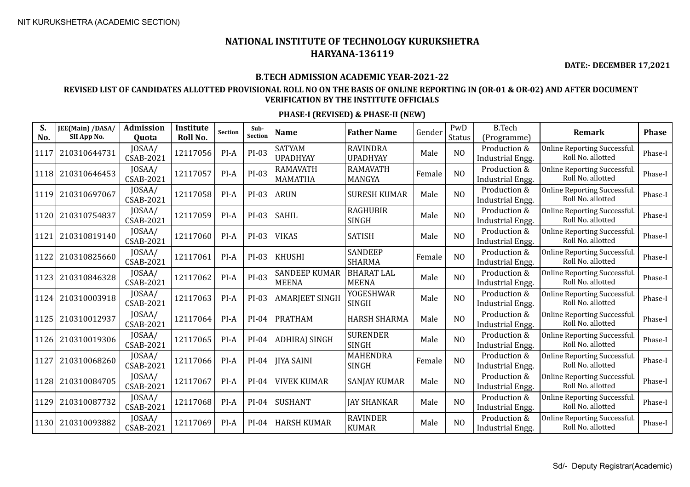**DATE:- DECEMBER 17,2021**

### **B.TECH ADMISSION ACADEMIC YEAR-2021-22**

### **REVISED LIST OF CANDIDATES ALLOTTED PROVISIONAL ROLL NO ON THE BASIS OF ONLINE REPORTING IN (OR-01 & OR-02) AND AFTER DOCUMENT VERIFICATION BY THE INSTITUTE OFFICIALS**

| S.   | JEE(Main) /DASA/ | <b>Admission</b>           | Institute | <b>Section</b> | Sub-<br>Section | Name                                 | <b>Father Name</b>                 | Gender | PwD            | <b>B.Tech</b>                           | <b>Remark</b>                                            | <b>Phase</b> |
|------|------------------|----------------------------|-----------|----------------|-----------------|--------------------------------------|------------------------------------|--------|----------------|-----------------------------------------|----------------------------------------------------------|--------------|
| No.  | SII App No.      | Quota                      | Roll No.  |                |                 |                                      |                                    |        | Status         | (Programme)                             |                                                          |              |
| 1117 | 210310644731     | JOSAA/<br><b>CSAB-2021</b> | 12117056  | PI-A           | $PI-03$         | <b>SATYAM</b><br><b>UPADHYAY</b>     | <b>RAVINDRA</b><br><b>UPADHYAY</b> | Male   | N <sub>O</sub> | Production &<br>Industrial Engg.        | Online Reporting Successful.<br>Roll No. allotted        | Phase-I      |
| 1118 | 210310646453     | JOSAA/<br><b>CSAB-2021</b> | 12117057  | PI-A           | $PI-03$         | <b>RAMAVATH</b><br><b>MAMATHA</b>    | <b>RAMAVATH</b><br>MANGYA          | Female | NO             | Production &<br>Industrial Engg.        | Online Reporting Successful.<br>Roll No. allotted        | Phase-I      |
| 1119 | 210310697067     | JOSAA/<br><b>CSAB-2021</b> | 12117058  | PI-A           | PI-03           | <b>ARUN</b>                          | <b>SURESH KUMAR</b>                | Male   | NO             | Production &<br>Industrial Engg.        | Online Reporting Successful.<br>Roll No. allotted        | Phase-I      |
| 1120 | 210310754837     | JOSAA/<br><b>CSAB-2021</b> | 12117059  | $PI-A$         | PI-03           | <b>SAHIL</b>                         | <b>RAGHUBIR</b><br><b>SINGH</b>    | Male   | N <sub>O</sub> | Production &<br>Industrial Engg.        | Online Reporting Successful.<br>Roll No. allotted        | Phase-I      |
| 1121 | 210310819140     | JOSAA/<br><b>CSAB-2021</b> | 12117060  | PI-A           | $PI-03$         | <b>VIKAS</b>                         | <b>SATISH</b>                      | Male   | N <sub>O</sub> | Production &<br>Industrial Engg.        | Online Reporting Successful.<br>Roll No. allotted        | Phase-I      |
| 1122 | 210310825660     | JOSAA/<br><b>CSAB-2021</b> | 12117061  | $PI-A$         | PI-03           | <b>KHUSHI</b>                        | <b>SANDEEP</b><br><b>SHARMA</b>    | Female | N <sub>O</sub> | Production &<br>Industrial Engg.        | Online Reporting Successful.<br>Roll No. allotted        | Phase-I      |
| 1123 | 210310846328     | JOSAA/<br><b>CSAB-2021</b> | 12117062  | PI-A           | PI-03           | <b>SANDEEP KUMAR</b><br><b>MEENA</b> | <b>BHARAT LAL</b><br><b>MEENA</b>  | Male   | NO             | Production &<br>Industrial Engg.        | Online Reporting Successful.<br>Roll No. allotted        | Phase-I      |
| 1124 | 210310003918     | JOSAA/<br><b>CSAB-2021</b> | 12117063  | $PI-A$         | PI-03           | <b>AMARJEET SINGH</b>                | <b>YOGESHWAR</b><br><b>SINGH</b>   | Male   | N <sub>O</sub> | Production &<br>Industrial Engg.        | Online Reporting Successful.<br>Roll No. allotted        | Phase-I      |
| 1125 | 210310012937     | JOSAA/<br><b>CSAB-2021</b> | 12117064  | $PI-A$         | $PI-04$         | <b>PRATHAM</b>                       | <b>HARSH SHARMA</b>                | Male   | NO             | Production &<br>Industrial Engg.        | Online Reporting Successful.<br>Roll No. allotted        | Phase-I      |
| 1126 | 210310019306     | JOSAA/<br><b>CSAB-2021</b> | 12117065  | $PI-A$         | $PI-04$         | <b>ADHIRAJ SINGH</b>                 | <b>SURENDER</b><br><b>SINGH</b>    | Male   | N <sub>O</sub> | Production &<br>Industrial Engg.        | Online Reporting Successful.<br>Roll No. allotted        | Phase-I      |
| 1127 | 210310068260     | JOSAA/<br>CSAB-2021        | 12117066  | PI-A           | $PI-04$         | <b>JIYA SAINI</b>                    | <b>MAHENDRA</b><br><b>SINGH</b>    | Female | N <sub>O</sub> | Production &<br><b>Industrial Engg.</b> | Online Reporting Successful.<br>Roll No. allotted        | Phase-I      |
| 1128 | 210310084705     | JOSAA/<br><b>CSAB-2021</b> | 12117067  | PI-A           | $PI-04$         | <b>VIVEK KUMAR</b>                   | <b>SANJAY KUMAR</b>                | Male   | N <sub>O</sub> | Production &<br><b>Industrial Engg.</b> | <b>Online Reporting Successful.</b><br>Roll No. allotted | Phase-I      |
| 1129 | 210310087732     | JOSAA/<br><b>CSAB-2021</b> | 12117068  | $PI-A$         | $PI-04$         | <b>SUSHANT</b>                       | <b>JAY SHANKAR</b>                 | Male   | N <sub>O</sub> | Production &<br><b>Industrial Engg.</b> | Online Reporting Successful.<br>Roll No. allotted        | Phase-I      |
| 1130 | 210310093882     | JOSAA/<br><b>CSAB-2021</b> | 12117069  | $PI-A$         | PI-04           | <b>HARSH KUMAR</b>                   | <b>RAVINDER</b><br><b>KUMAR</b>    | Male   | N <sub>O</sub> | Production &<br>Industrial Engg.        | Online Reporting Successful.<br>Roll No. allotted        | Phase-I      |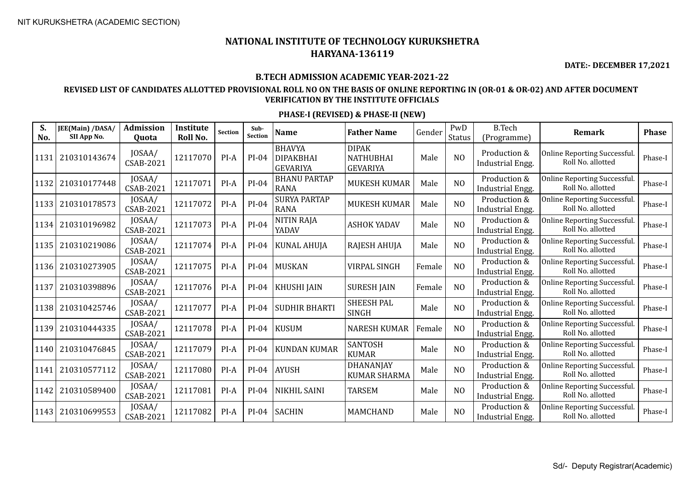**DATE:- DECEMBER 17,2021**

#### **B.TECH ADMISSION ACADEMIC YEAR-2021-22**

### **REVISED LIST OF CANDIDATES ALLOTTED PROVISIONAL ROLL NO ON THE BASIS OF ONLINE REPORTING IN (OR-01 & OR-02) AND AFTER DOCUMENT VERIFICATION BY THE INSTITUTE OFFICIALS**

| S.<br>No. | JEE(Main) /DASA/<br>SII App No. | <b>Admission</b><br>Quota  | Institute<br>Roll No. | <b>Section</b> | Sub-<br><b>Section</b> | <b>Name</b>                                          | <b>Father Name</b>                                  | Gender | PwD<br><b>Status</b> | <b>B.Tech</b><br>(Programme)            | <b>Remark</b>                                           | <b>Phase</b> |
|-----------|---------------------------------|----------------------------|-----------------------|----------------|------------------------|------------------------------------------------------|-----------------------------------------------------|--------|----------------------|-----------------------------------------|---------------------------------------------------------|--------------|
| 1131      | 210310143674                    | JOSAA/<br>CSAB-2021        | 12117070              | PI-A           | $PI-04$                | <b>BHAVYA</b><br><b>DIPAKBHAI</b><br><b>GEVARIYA</b> | <b>DIPAK</b><br><b>NATHUBHAI</b><br><b>GEVARIYA</b> | Male   | N <sub>O</sub>       | Production &<br><b>Industrial Engg.</b> | <b>Online Reporting Successful</b><br>Roll No. allotted | Phase-I      |
| 1132      | 210310177448                    | JOSAA/<br>CSAB-2021        | 12117071              | $PI-A$         | $PI-04$                | <b>BHANU PARTAP</b><br><b>RANA</b>                   | <b>MUKESH KUMAR</b>                                 | Male   | N <sub>O</sub>       | Production &<br>Industrial Engg.        | Online Reporting Successful.<br>Roll No. allotted       | Phase-I      |
| 1133      | 210310178573                    | JOSAA/<br><b>CSAB-2021</b> | 12117072              | PI-A           | $PI-04$                | <b>SURYA PARTAP</b><br><b>RANA</b>                   | <b>MUKESH KUMAR</b>                                 | Male   | N <sub>O</sub>       | Production &<br><b>Industrial Engg.</b> | <b>Online Reporting Successful</b><br>Roll No. allotted | Phase-I      |
| 1134      | 210310196982                    | JOSAA/<br><b>CSAB-2021</b> | 12117073              | PI-A           | $PI-04$                | NITIN RAJA<br>YADAV                                  | <b>ASHOK YADAV</b>                                  | Male   | N <sub>O</sub>       | Production &<br><b>Industrial Engg.</b> | Online Reporting Successful.<br>Roll No. allotted       | Phase-I      |
| 1135      | 210310219086                    | JOSAA/<br>CSAB-2021        | 12117074              | $PI-A$         | $PI-04$                | <b>KUNAL AHUJA</b>                                   | RAJESH AHUJA                                        | Male   | N <sub>O</sub>       | Production &<br>Industrial Engg.        | <b>Online Reporting Successful</b><br>Roll No. allotted | Phase-I      |
| 1136      | 210310273905                    | JOSAA/<br>CSAB-2021        | 12117075              | PI-A           | $PI-04$                | <b>MUSKAN</b>                                        | <b>VIRPAL SINGH</b>                                 | Female | NO                   | Production &<br><b>Industrial Engg.</b> | <b>Online Reporting Successful</b><br>Roll No. allotted | Phase-I      |
| 1137      | 210310398896                    | JOSAA/<br>CSAB-2021        | 12117076              | $PI-A$         | PI-04                  | <b>KHUSHI JAIN</b>                                   | <b>SURESH JAIN</b>                                  | Female | NO                   | Production &<br><b>Industrial Engg.</b> | <b>Online Reporting Successful</b><br>Roll No. allotted | Phase-I      |
| 1138      | 210310425746                    | JOSAA/<br><b>CSAB-2021</b> | 12117077              | $PI-A$         | $PI-04$                | <b>SUDHIR BHARTI</b>                                 | <b>SHEESH PAL</b><br><b>SINGH</b>                   | Male   | N <sub>O</sub>       | Production &<br>Industrial Engg.        | <b>Online Reporting Successful</b><br>Roll No. allotted | Phase-I      |
| 1139      | 210310444335                    | JOSAA/<br>CSAB-2021        | 12117078              | PI-A           | $PI-04$                | <b>KUSUM</b>                                         | <b>NARESH KUMAR</b>                                 | Female | N <sub>O</sub>       | Production &<br>Industrial Engg.        | <b>Online Reporting Successful</b><br>Roll No. allotted | Phase-I      |
| 1140      | 210310476845                    | JOSAA/<br>CSAB-2021        | 12117079              | $PI-A$         | $PI-04$                | <b>KUNDAN KUMAR</b>                                  | SANTOSH<br><b>KUMAR</b>                             | Male   | N <sub>O</sub>       | Production &<br><b>Industrial Engg.</b> | <b>Online Reporting Successful</b><br>Roll No. allotted | Phase-I      |
| 1141      | 210310577112                    | JOSAA/<br><b>CSAB-2021</b> | 12117080              | PI-A           | $PI-04$                | <b>AYUSH</b>                                         | <b>DHANANJAY</b><br><b>KUMAR SHARMA</b>             | Male   | N <sub>O</sub>       | Production &<br>Industrial Engg.        | Online Reporting Successful.<br>Roll No. allotted       | Phase-I      |
| 1142      | 210310589400                    | JOSAA/<br>CSAB-2021        | 12117081              | $PI-A$         | $PI-04$                | <b>NIKHIL SAINI</b>                                  | <b>TARSEM</b>                                       | Male   | N <sub>O</sub>       | Production &<br><b>Industrial Engg.</b> | <b>Online Reporting Successful</b><br>Roll No. allotted | Phase-I      |
| 1143      | 210310699553                    | JOSAA/<br>CSAB-2021        | 12117082              | PI-A           | $PI-04$                | <b>SACHIN</b>                                        | <b>MAMCHAND</b>                                     | Male   | N <sub>O</sub>       | Production &<br>Industrial Engg.        | <b>Online Reporting Successful</b><br>Roll No. allotted | Phase-I      |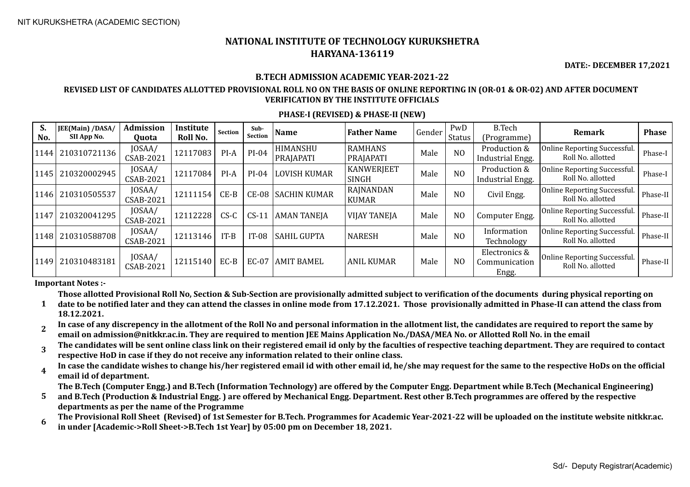**DATE:- DECEMBER 17,2021**

#### **B.TECH ADMISSION ACADEMIC YEAR-2021-22**

#### **REVISED LIST OF CANDIDATES ALLOTTED PROVISIONAL ROLL NO ON THE BASIS OF ONLINE REPORTING IN (OR-01 & OR-02) AND AFTER DOCUMENT VERIFICATION BY THE INSTITUTE OFFICIALS**

#### **PHASE-I (REVISED) & PHASE-II (NEW)**

| S.<br>No. | JEE(Main) /DASA/<br>SII App No. | <b>Admission</b><br>Quota | Institute<br>Roll No. | Section | Sub-<br><b>Section</b> | Name                         | <b>Father Name</b>          | Gender | PwD<br><b>Status</b> | <b>B.Tech</b><br>(Programme)            | <b>Remark</b>                                           | <b>Phase</b> |
|-----------|---------------------------------|---------------------------|-----------------------|---------|------------------------|------------------------------|-----------------------------|--------|----------------------|-----------------------------------------|---------------------------------------------------------|--------------|
| 1144      | 210310721136                    | JOSAA/<br>CSAB-2021       | 12117083              | PI-A    | $PI-04$                | <b>HIMANSHU</b><br>PRAJAPATI | <b>RAMHANS</b><br>PRAJAPATI | Male   | N <sub>O</sub>       | Production &<br>Industrial Engg.        | <b>Online Reporting Successful</b><br>Roll No. allotted | Phase-I      |
| 1145      | 210320002945                    | JOSAA/<br>CSAB-2021       | 12117084              | $PI-A$  | $PI-04$                | <b>LOVISH KUMAR</b>          | <b>KANWERJEET</b><br>SINGH  | Male   | N <sub>O</sub>       | Production &<br>Industrial Engg.        | Online Reporting Successful.<br>Roll No. allotted       | Phase-I      |
|           | 1146 210310505537               | JOSAA/<br>CSAB-2021       | 12111154              | $CE-B$  | $CE-08$                | <b>SACHIN KUMAR</b>          | RAJNANDAN<br><b>KUMAR</b>   | Male   | N <sub>O</sub>       | Civil Engg.                             | <b>Online Reporting Successful</b><br>Roll No. allotted | Phase-II     |
| 1147      | 210320041295                    | JOSAA/<br>CSAB-2021       | 12112228              | $CS-C$  | $CS-11$                | <b>AMAN TANEJA</b>           | <b>VIJAY TANEJA</b>         | Male   | N <sub>O</sub>       | Computer Engg.                          | <b>Online Reporting Successful</b><br>Roll No. allotted | Phase-II     |
| 1148      | 210310588708                    | JOSAA/<br>CSAB-2021       | 12113146              | $IT-B$  | $IT-08$                | <b>SAHIL GUPTA</b>           | <b>NARESH</b>               | Male   | N <sub>O</sub>       | Information<br>Technology               | <b>Online Reporting Successful</b><br>Roll No. allotted | Phase-II     |
| 1149      | 210310483181                    | JOSAA/<br>CSAB-2021       | 12115140              | EC-B    | EC-07                  | AMIT BAMEL                   | <b>ANIL KUMAR</b>           | Male   | N <sub>0</sub>       | Electronics &<br>Communication<br>Engg. | <b>Online Reporting Successful</b><br>Roll No. allotted | Phase-II     |

**Important Notes :-**

**Those allotted Provisional Roll No, Section & Sub-Section are provisionally admitted subject to verification of the documents during physical reporting on** 

- **1 date to be notified later and they can attend the classes in online mode from 17.12.2021. Those provisionally admitted in Phase-II can attend the class from 18.12.2021.**
- **2 In case of any discrepency in the allotment of the Roll No and personal information in the allotment list, the candidates are required to report the same by email on admission@nitkkr.ac.in. They are required to mention JEE Mains Application No./DASA/MEA No. or Allotted Roll No. in the email**
- **3 The candidates will be sent online class link on their registered email id only by the faculties of respective teaching department. They are required to contact respective HoD in case if they do not receive any information related to their online class.**
- **4 In case the candidate wishes to change his/her registered email id with other email id, he/she may request for the same to the respective HoDs on the official email id of department.**

**The B.Tech (Computer Engg.) and B.Tech (Information Technology) are offered by the Computer Engg. Department while B.Tech (Mechanical Engineering)** 

- **5 and B.Tech (Production & Industrial Engg. ) are offered by Mechanical Engg. Department. Rest other B.Tech programmes are offered by the respective departments as per the name of the Programme**
- **6 The Provisional Roll Sheet (Revised) of 1st Semester for B.Tech. Programmes for Academic Year-2021-22 will be uploaded on the institute website nitkkr.ac. in under [Academic->Roll Sheet->B.Tech 1st Year] by 05:00 pm on December 18, 2021.**